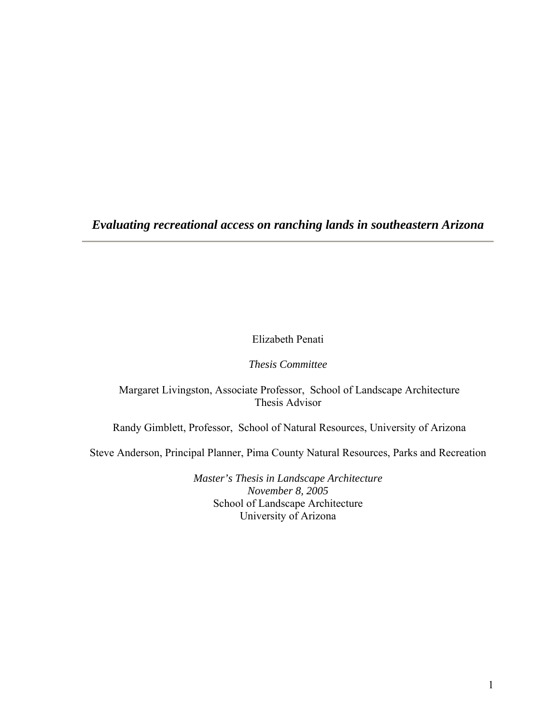*Evaluating recreational access on ranching lands in southeastern Arizona* 

Elizabeth Penati

*Thesis Committee* 

 Margaret Livingston, Associate Professor, School of Landscape Architecture Thesis Advisor

Randy Gimblett, Professor, School of Natural Resources, University of Arizona

Steve Anderson, Principal Planner, Pima County Natural Resources, Parks and Recreation

*Master's Thesis in Landscape Architecture November 8, 2005*  School of Landscape Architecture University of Arizona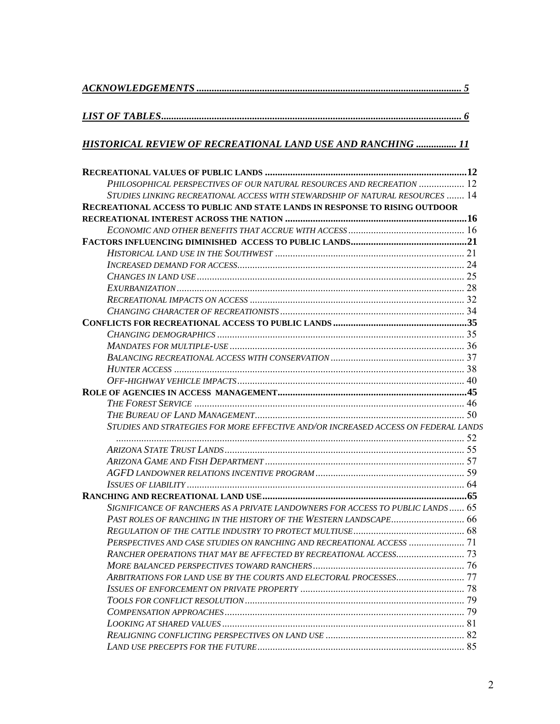# *[LIST OF TABLES....................................................................................................................... 6](#page-5-0)*

# *[HISTORICAL REVIEW OF RECREATIONAL LAND USE AND RANCHING](#page-10-0) ................ 11*

| PHILOSOPHICAL PERSPECTIVES OF OUR NATURAL RESOURCES AND RECREATION  12             |  |
|------------------------------------------------------------------------------------|--|
| STUDIES LINKING RECREATIONAL ACCESS WITH STEWARDSHIP OF NATURAL RESOURCES  14      |  |
| <b>RECREATIONAL ACCESS TO PUBLIC AND STATE LANDS IN RESPONSE TO RISING OUTDOOR</b> |  |
|                                                                                    |  |
|                                                                                    |  |
|                                                                                    |  |
|                                                                                    |  |
|                                                                                    |  |
|                                                                                    |  |
|                                                                                    |  |
|                                                                                    |  |
|                                                                                    |  |
|                                                                                    |  |
|                                                                                    |  |
|                                                                                    |  |
|                                                                                    |  |
|                                                                                    |  |
|                                                                                    |  |
|                                                                                    |  |
|                                                                                    |  |
|                                                                                    |  |
| STUDIES AND STRATEGIES FOR MORE EFFECTIVE AND/OR INCREASED ACCESS ON FEDERAL LANDS |  |
|                                                                                    |  |
|                                                                                    |  |
|                                                                                    |  |
|                                                                                    |  |
|                                                                                    |  |
|                                                                                    |  |
| SIGNIFICANCE OF RANCHERS AS A PRIVATE LANDOWNERS FOR ACCESS TO PUBLIC LANDS  65    |  |
|                                                                                    |  |
|                                                                                    |  |
|                                                                                    |  |
|                                                                                    |  |
|                                                                                    |  |
| ARBITRATIONS FOR LAND USE BY THE COURTS AND ELECTORAL PROCESSES 77                 |  |
|                                                                                    |  |
|                                                                                    |  |
|                                                                                    |  |
|                                                                                    |  |
|                                                                                    |  |
|                                                                                    |  |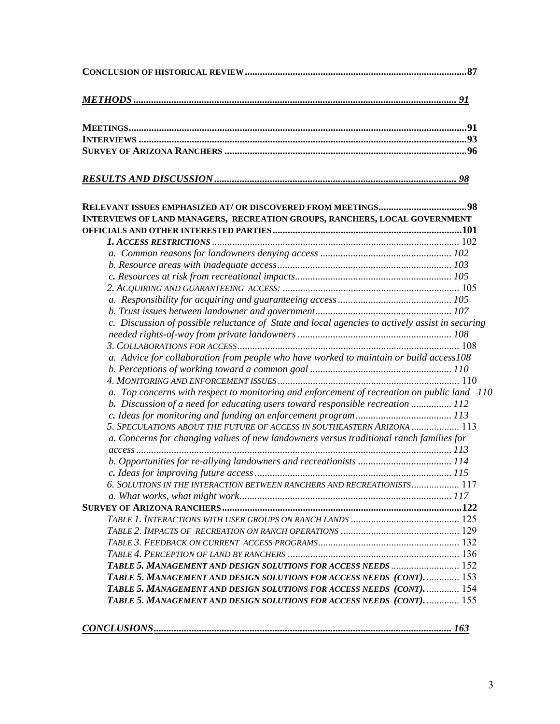| INTERVIEWS OF LAND MANAGERS, RECREATION GROUPS, RANCHERS, LOCAL GOVERNMENT                      |  |
|-------------------------------------------------------------------------------------------------|--|
|                                                                                                 |  |
|                                                                                                 |  |
|                                                                                                 |  |
|                                                                                                 |  |
|                                                                                                 |  |
|                                                                                                 |  |
|                                                                                                 |  |
| c. Discussion of possible reluctance of State and local agencies to actively assist in securing |  |
|                                                                                                 |  |
|                                                                                                 |  |
| a. Advice for collaboration from people who have worked to maintain or build access108          |  |
|                                                                                                 |  |
|                                                                                                 |  |
| a. Top concerns with respect to monitoring and enforcement of recreation on public land 110     |  |
| b. Discussion of a need for educating users toward responsible recreation  112                  |  |
|                                                                                                 |  |
| 5. SPECULATIONS ABOUT THE FUTURE OF ACCESS IN SOUTHEASTERN ARIZONA  113                         |  |
| a. Concerns for changing values of new landowners versus traditional ranch families for         |  |
|                                                                                                 |  |
|                                                                                                 |  |
|                                                                                                 |  |
| 6. SOLUTIONS IN THE INTERACTION BETWEEN RANCHERS AND RECREATIONISTS 117                         |  |
|                                                                                                 |  |
|                                                                                                 |  |
|                                                                                                 |  |
|                                                                                                 |  |
|                                                                                                 |  |
|                                                                                                 |  |
|                                                                                                 |  |
| TABLE 5. MANAGEMENT AND DESIGN SOLUTIONS FOR ACCESS NEEDS (CONT).  153                          |  |
| TABLE 5. MANAGEMENT AND DESIGN SOLUTIONS FOR ACCESS NEEDS (CONT).  154                          |  |
| TABLE 5. MANAGEMENT AND DESIGN SOLUTIONS FOR ACCESS NEEDS (CONT).  155                          |  |
|                                                                                                 |  |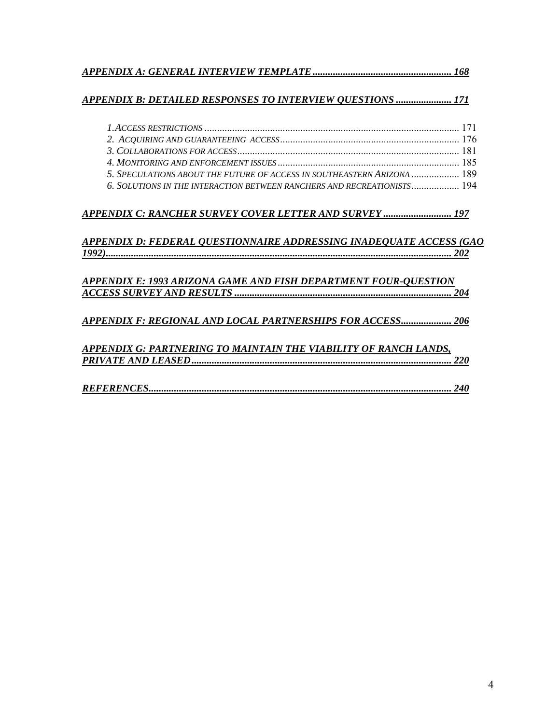|--|

### *[APPENDIX B: DETAILED RESPONSES TO INTERVIEW QUESTIONS](#page-170-0) ...................... 171*

| 5. SPECULATIONS ABOUT THE FUTURE OF ACCESS IN SOUTHEASTERN ARIZONA  189 |  |
|-------------------------------------------------------------------------|--|
| 6. SOLUTIONS IN THE INTERACTION BETWEEN RANCHERS AND RECREATIONISTS 194 |  |

### *[APPENDIX C: RANCHER SURVEY COVER LETTER AND SURVEY](#page-196-0) ........................... 197*

### *[APPENDIX D: FEDERAL QUESTIONNAIRE ADDRESSING INADEQUATE ACCESS \(GAO](#page-201-0)  [1992\)......................................................................................................................................... 202](#page-201-0)*

| APPENDIX E: 1993 ARIZONA GAME AND FISH DEPARTMENT FOUR-OUESTION |  |
|-----------------------------------------------------------------|--|
|                                                                 |  |
|                                                                 |  |

### *[APPENDIX F: REGIONAL AND LOCAL PARTNERSHIPS FOR ACCESS.................... 206](#page-205-0)*

### *[APPENDIX G: PARTNERING TO MAINTAIN THE VIABILITY OF RANCH LANDS,](#page-219-0)  [PRIVATE AND LEASED....................................................................................................... 220](#page-219-0)*

|--|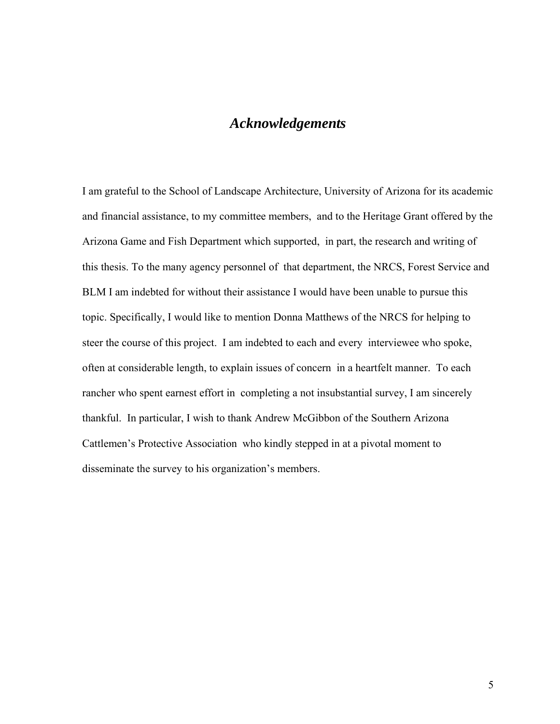# *Acknowledgements*

I am grateful to the School of Landscape Architecture, University of Arizona for its academic and financial assistance, to my committee members, and to the Heritage Grant offered by the Arizona Game and Fish Department which supported, in part, the research and writing of this thesis. To the many agency personnel of that department, the NRCS, Forest Service and BLM I am indebted for without their assistance I would have been unable to pursue this topic. Specifically, I would like to mention Donna Matthews of the NRCS for helping to steer the course of this project. I am indebted to each and every interviewee who spoke, often at considerable length, to explain issues of concern in a heartfelt manner. To each rancher who spent earnest effort in completing a not insubstantial survey, I am sincerely thankful. In particular, I wish to thank Andrew McGibbon of the Southern Arizona Cattlemen's Protective Association who kindly stepped in at a pivotal moment to disseminate the survey to his organization's members.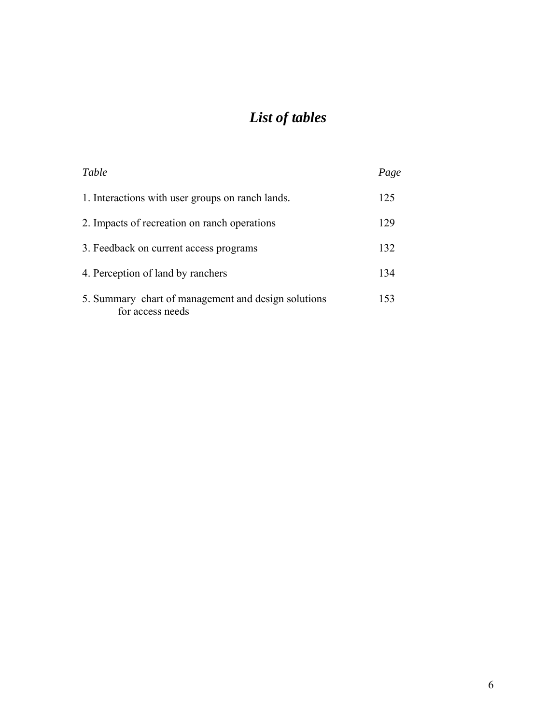# *List of tables*

<span id="page-5-0"></span>

| Table                                                                   | Page |
|-------------------------------------------------------------------------|------|
| 1. Interactions with user groups on ranch lands.                        | 125  |
| 2. Impacts of recreation on ranch operations                            | 129  |
| 3. Feedback on current access programs                                  | 132  |
| 4. Perception of land by ranchers                                       | 134  |
| 5. Summary chart of management and design solutions<br>for access needs | 153  |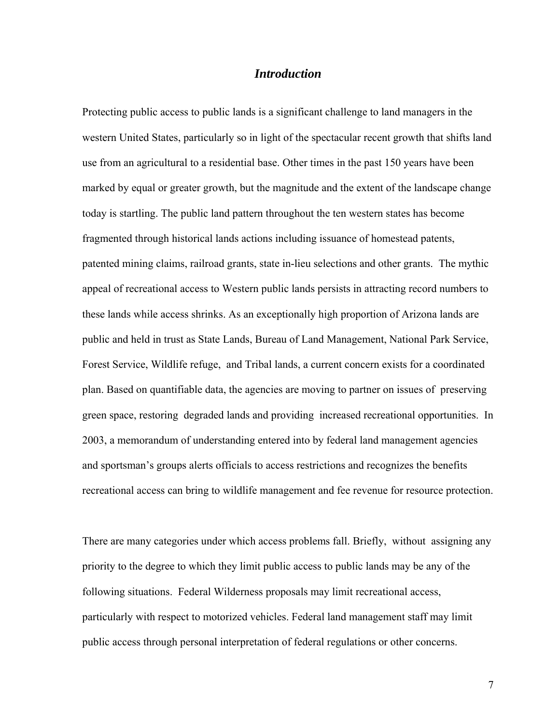### *Introduction*

Protecting public access to public lands is a significant challenge to land managers in the western United States, particularly so in light of the spectacular recent growth that shifts land use from an agricultural to a residential base. Other times in the past 150 years have been marked by equal or greater growth, but the magnitude and the extent of the landscape change today is startling. The public land pattern throughout the ten western states has become fragmented through historical lands actions including issuance of homestead patents, patented mining claims, railroad grants, state in-lieu selections and other grants. The mythic appeal of recreational access to Western public lands persists in attracting record numbers to these lands while access shrinks. As an exceptionally high proportion of Arizona lands are public and held in trust as State Lands, Bureau of Land Management, National Park Service, Forest Service, Wildlife refuge, and Tribal lands, a current concern exists for a coordinated plan. Based on quantifiable data, the agencies are moving to partner on issues of preserving green space, restoring degraded lands and providing increased recreational opportunities. In 2003, a memorandum of understanding entered into by federal land management agencies and sportsman's groups alerts officials to access restrictions and recognizes the benefits recreational access can bring to wildlife management and fee revenue for resource protection.

There are many categories under which access problems fall. Briefly, without assigning any priority to the degree to which they limit public access to public lands may be any of the following situations. Federal Wilderness proposals may limit recreational access, particularly with respect to motorized vehicles. Federal land management staff may limit public access through personal interpretation of federal regulations or other concerns.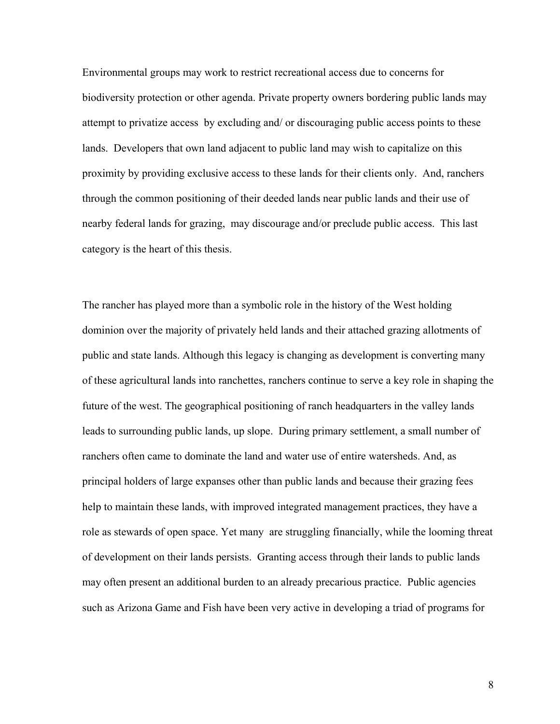Environmental groups may work to restrict recreational access due to concerns for biodiversity protection or other agenda. Private property owners bordering public lands may attempt to privatize access by excluding and/ or discouraging public access points to these lands. Developers that own land adjacent to public land may wish to capitalize on this proximity by providing exclusive access to these lands for their clients only. And, ranchers through the common positioning of their deeded lands near public lands and their use of nearby federal lands for grazing, may discourage and/or preclude public access. This last category is the heart of this thesis.

The rancher has played more than a symbolic role in the history of the West holding dominion over the majority of privately held lands and their attached grazing allotments of public and state lands. Although this legacy is changing as development is converting many of these agricultural lands into ranchettes, ranchers continue to serve a key role in shaping the future of the west. The geographical positioning of ranch headquarters in the valley lands leads to surrounding public lands, up slope. During primary settlement, a small number of ranchers often came to dominate the land and water use of entire watersheds. And, as principal holders of large expanses other than public lands and because their grazing fees help to maintain these lands, with improved integrated management practices, they have a role as stewards of open space. Yet many are struggling financially, while the looming threat of development on their lands persists. Granting access through their lands to public lands may often present an additional burden to an already precarious practice. Public agencies such as Arizona Game and Fish have been very active in developing a triad of programs for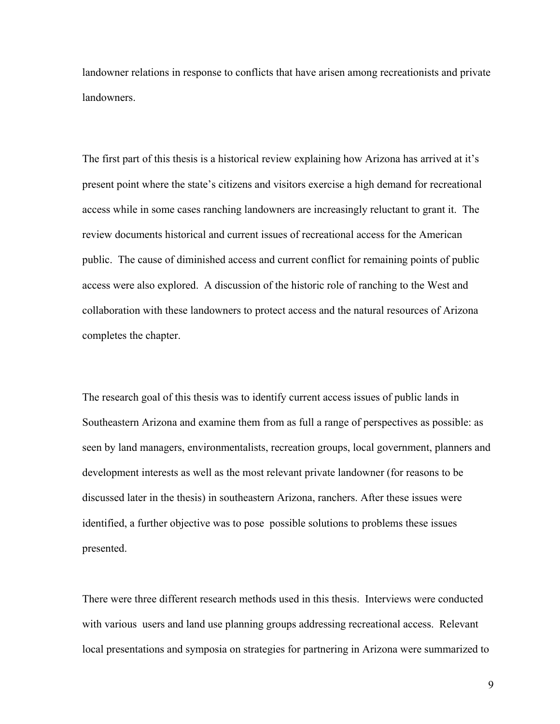landowner relations in response to conflicts that have arisen among recreationists and private landowners.

The first part of this thesis is a historical review explaining how Arizona has arrived at it's present point where the state's citizens and visitors exercise a high demand for recreational access while in some cases ranching landowners are increasingly reluctant to grant it. The review documents historical and current issues of recreational access for the American public. The cause of diminished access and current conflict for remaining points of public access were also explored. A discussion of the historic role of ranching to the West and collaboration with these landowners to protect access and the natural resources of Arizona completes the chapter.

The research goal of this thesis was to identify current access issues of public lands in Southeastern Arizona and examine them from as full a range of perspectives as possible: as seen by land managers, environmentalists, recreation groups, local government, planners and development interests as well as the most relevant private landowner (for reasons to be discussed later in the thesis) in southeastern Arizona, ranchers. After these issues were identified, a further objective was to pose possible solutions to problems these issues presented.

There were three different research methods used in this thesis. Interviews were conducted with various users and land use planning groups addressing recreational access. Relevant local presentations and symposia on strategies for partnering in Arizona were summarized to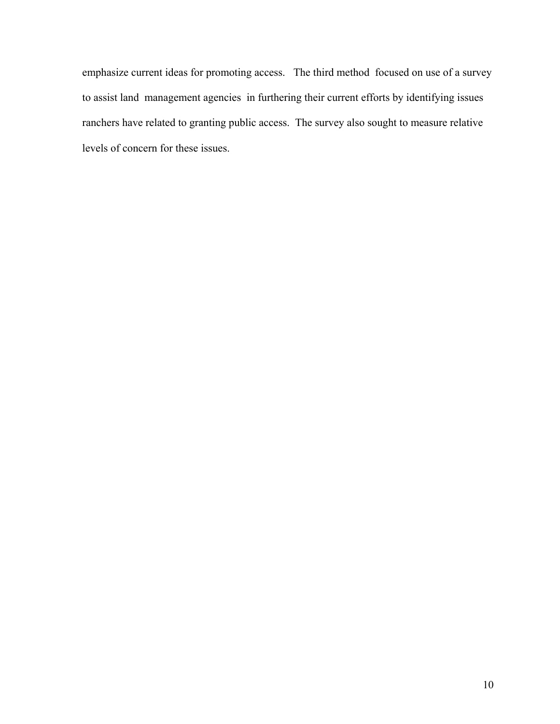emphasize current ideas for promoting access. The third method focused on use of a survey to assist land management agencies in furthering their current efforts by identifying issues ranchers have related to granting public access. The survey also sought to measure relative levels of concern for these issues.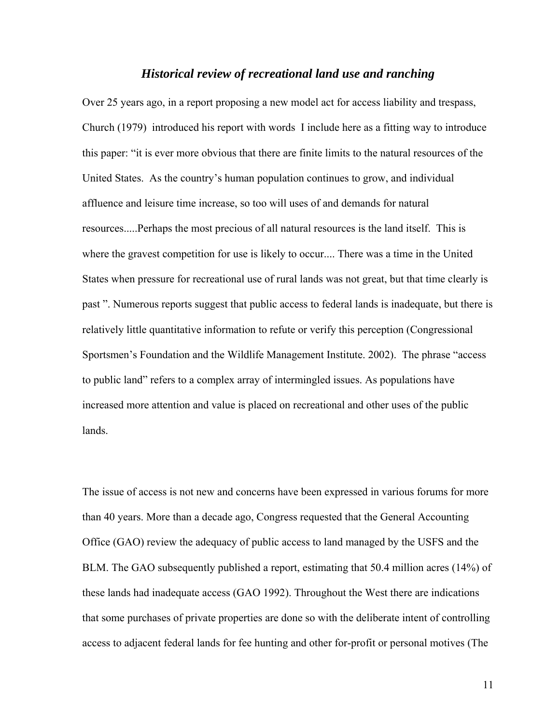### *Historical review of recreational land use and ranching*

<span id="page-10-0"></span>Over 25 years ago, in a report proposing a new model act for access liability and trespass, Church (1979) introduced his report with words I include here as a fitting way to introduce this paper: "it is ever more obvious that there are finite limits to the natural resources of the United States. As the country's human population continues to grow, and individual affluence and leisure time increase, so too will uses of and demands for natural resources.....Perhaps the most precious of all natural resources is the land itself. This is where the gravest competition for use is likely to occur.... There was a time in the United States when pressure for recreational use of rural lands was not great, but that time clearly is past ". Numerous reports suggest that public access to federal lands is inadequate, but there is relatively little quantitative information to refute or verify this perception (Congressional Sportsmen's Foundation and the Wildlife Management Institute. 2002). The phrase "access to public land" refers to a complex array of intermingled issues. As populations have increased more attention and value is placed on recreational and other uses of the public lands.

The issue of access is not new and concerns have been expressed in various forums for more than 40 years. More than a decade ago, Congress requested that the General Accounting Office (GAO) review the adequacy of public access to land managed by the USFS and the BLM. The GAO subsequently published a report, estimating that 50.4 million acres (14%) of these lands had inadequate access (GAO 1992). Throughout the West there are indications that some purchases of private properties are done so with the deliberate intent of controlling access to adjacent federal lands for fee hunting and other for-profit or personal motives (The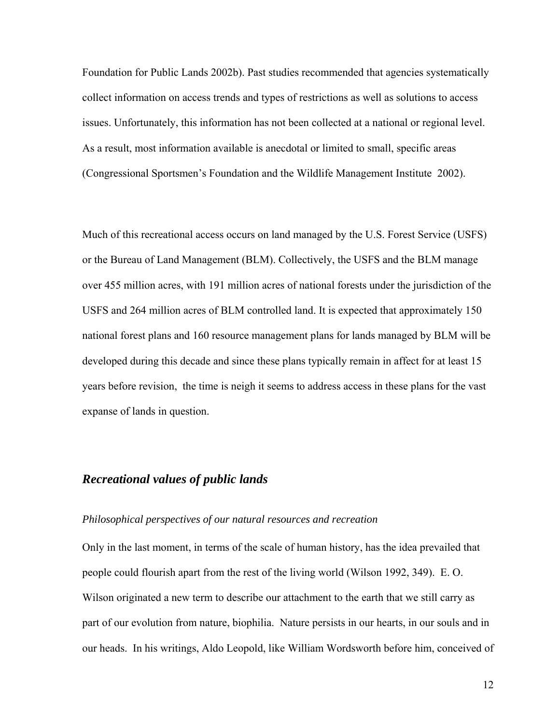<span id="page-11-0"></span>Foundation for Public Lands 2002b). Past studies recommended that agencies systematically collect information on access trends and types of restrictions as well as solutions to access issues. Unfortunately, this information has not been collected at a national or regional level. As a result, most information available is anecdotal or limited to small, specific areas (Congressional Sportsmen's Foundation and the Wildlife Management Institute 2002).

Much of this recreational access occurs on land managed by the U.S. Forest Service (USFS) or the Bureau of Land Management (BLM). Collectively, the USFS and the BLM manage over 455 million acres, with 191 million acres of national forests under the jurisdiction of the USFS and 264 million acres of BLM controlled land. It is expected that approximately 150 national forest plans and 160 resource management plans for lands managed by BLM will be developed during this decade and since these plans typically remain in affect for at least 15 years before revision, the time is neigh it seems to address access in these plans for the vast expanse of lands in question.

## *Recreational values of public lands*

#### *Philosophical perspectives of our natural resources and recreation*

Only in the last moment, in terms of the scale of human history, has the idea prevailed that people could flourish apart from the rest of the living world (Wilson 1992, 349). E. O. Wilson originated a new term to describe our attachment to the earth that we still carry as part of our evolution from nature, biophilia. Nature persists in our hearts, in our souls and in our heads. In his writings, Aldo Leopold, like William Wordsworth before him, conceived of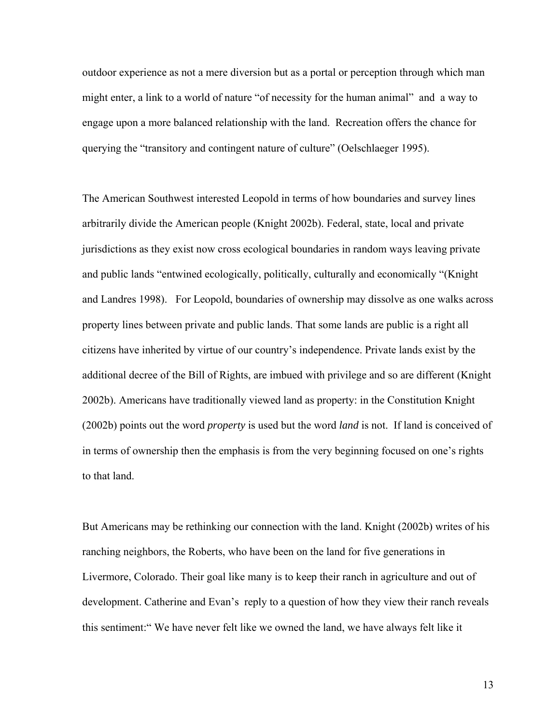outdoor experience as not a mere diversion but as a portal or perception through which man might enter, a link to a world of nature "of necessity for the human animal" and a way to engage upon a more balanced relationship with the land. Recreation offers the chance for querying the "transitory and contingent nature of culture" (Oelschlaeger 1995).

The American Southwest interested Leopold in terms of how boundaries and survey lines arbitrarily divide the American people (Knight 2002b). Federal, state, local and private jurisdictions as they exist now cross ecological boundaries in random ways leaving private and public lands "entwined ecologically, politically, culturally and economically "(Knight and Landres 1998). For Leopold, boundaries of ownership may dissolve as one walks across property lines between private and public lands. That some lands are public is a right all citizens have inherited by virtue of our country's independence. Private lands exist by the additional decree of the Bill of Rights, are imbued with privilege and so are different (Knight 2002b). Americans have traditionally viewed land as property: in the Constitution Knight (2002b) points out the word *property* is used but the word *land* is not. If land is conceived of in terms of ownership then the emphasis is from the very beginning focused on one's rights to that land.

But Americans may be rethinking our connection with the land. Knight (2002b) writes of his ranching neighbors, the Roberts, who have been on the land for five generations in Livermore, Colorado. Their goal like many is to keep their ranch in agriculture and out of development. Catherine and Evan's reply to a question of how they view their ranch reveals this sentiment:" We have never felt like we owned the land, we have always felt like it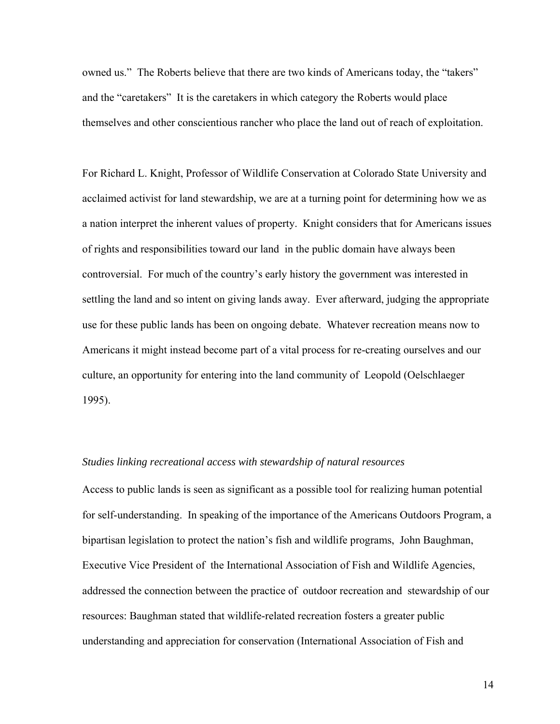<span id="page-13-0"></span>owned us." The Roberts believe that there are two kinds of Americans today, the "takers" and the "caretakers" It is the caretakers in which category the Roberts would place themselves and other conscientious rancher who place the land out of reach of exploitation.

For Richard L. Knight, Professor of Wildlife Conservation at Colorado State University and acclaimed activist for land stewardship, we are at a turning point for determining how we as a nation interpret the inherent values of property. Knight considers that for Americans issues of rights and responsibilities toward our land in the public domain have always been controversial. For much of the country's early history the government was interested in settling the land and so intent on giving lands away. Ever afterward, judging the appropriate use for these public lands has been on ongoing debate. Whatever recreation means now to Americans it might instead become part of a vital process for re-creating ourselves and our culture, an opportunity for entering into the land community of Leopold (Oelschlaeger 1995).

### *Studies linking recreational access with stewardship of natural resources*

Access to public lands is seen as significant as a possible tool for realizing human potential for self-understanding. In speaking of the importance of the Americans Outdoors Program, a bipartisan legislation to protect the nation's fish and wildlife programs, John Baughman, Executive Vice President of the International Association of Fish and Wildlife Agencies, addressed the connection between the practice of outdoor recreation and stewardship of our resources: Baughman stated that wildlife-related recreation fosters a greater public understanding and appreciation for conservation (International Association of Fish and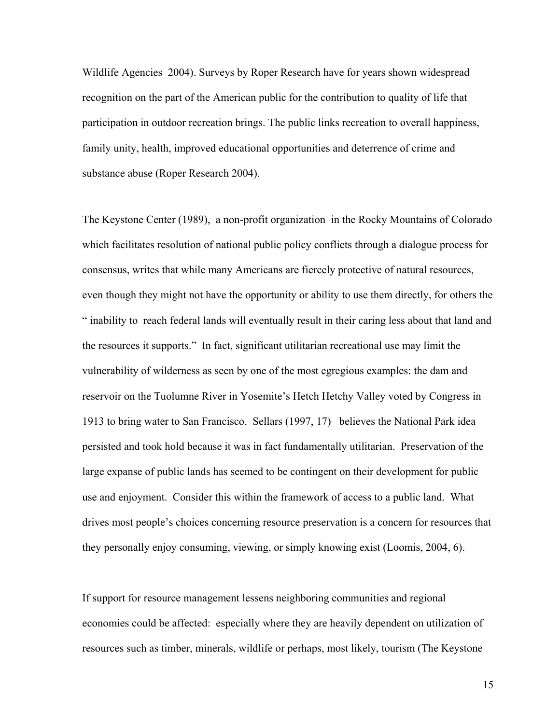Wildlife Agencies 2004). Surveys by Roper Research have for years shown widespread recognition on the part of the American public for the contribution to quality of life that participation in outdoor recreation brings. The public links recreation to overall happiness, family unity, health, improved educational opportunities and deterrence of crime and substance abuse (Roper Research 2004).

The Keystone Center (1989), a non-profit organization in the Rocky Mountains of Colorado which facilitates resolution of national public policy conflicts through a dialogue process for consensus, writes that while many Americans are fiercely protective of natural resources, even though they might not have the opportunity or ability to use them directly, for others the " inability to reach federal lands will eventually result in their caring less about that land and the resources it supports." In fact, significant utilitarian recreational use may limit the vulnerability of wilderness as seen by one of the most egregious examples: the dam and reservoir on the Tuolumne River in Yosemite's Hetch Hetchy Valley voted by Congress in 1913 to bring water to San Francisco. Sellars (1997, 17) believes the National Park idea persisted and took hold because it was in fact fundamentally utilitarian. Preservation of the large expanse of public lands has seemed to be contingent on their development for public use and enjoyment. Consider this within the framework of access to a public land. What drives most people's choices concerning resource preservation is a concern for resources that they personally enjoy consuming, viewing, or simply knowing exist (Loomis, 2004, 6).

If support for resource management lessens neighboring communities and regional economies could be affected: especially where they are heavily dependent on utilization of resources such as timber, minerals, wildlife or perhaps, most likely, tourism (The Keystone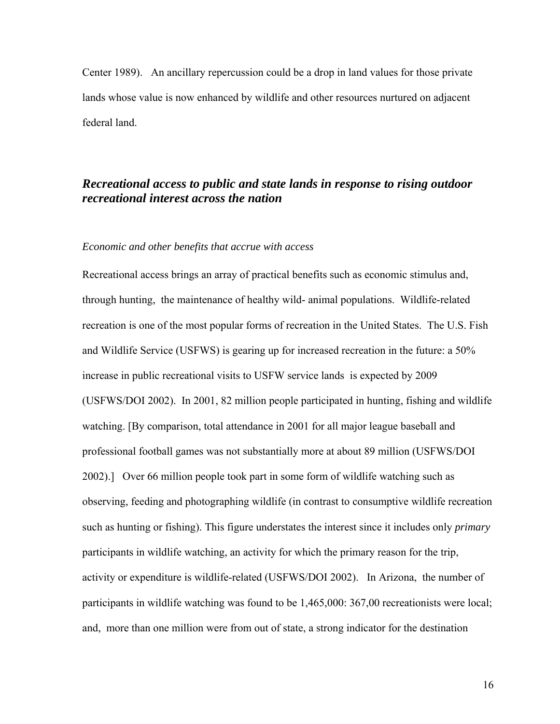<span id="page-15-0"></span>Center 1989). An ancillary repercussion could be a drop in land values for those private lands whose value is now enhanced by wildlife and other resources nurtured on adjacent federal land.

# *Recreational access to public and state lands in response to rising outdoor recreational interest across the nation*

### *Economic and other benefits that accrue with access*

Recreational access brings an array of practical benefits such as economic stimulus and, through hunting, the maintenance of healthy wild- animal populations. Wildlife-related recreation is one of the most popular forms of recreation in the United States. The U.S. Fish and Wildlife Service (USFWS) is gearing up for increased recreation in the future: a 50% increase in public recreational visits to USFW service lands is expected by 2009 (USFWS/DOI 2002). In 2001, 82 million people participated in hunting, fishing and wildlife watching. [By comparison, total attendance in 2001 for all major league baseball and professional football games was not substantially more at about 89 million (USFWS/DOI 2002).] Over 66 million people took part in some form of wildlife watching such as observing, feeding and photographing wildlife (in contrast to consumptive wildlife recreation such as hunting or fishing). This figure understates the interest since it includes only *primary*  participants in wildlife watching, an activity for which the primary reason for the trip, activity or expenditure is wildlife-related (USFWS/DOI 2002). In Arizona, the number of participants in wildlife watching was found to be 1,465,000: 367,00 recreationists were local; and, more than one million were from out of state, a strong indicator for the destination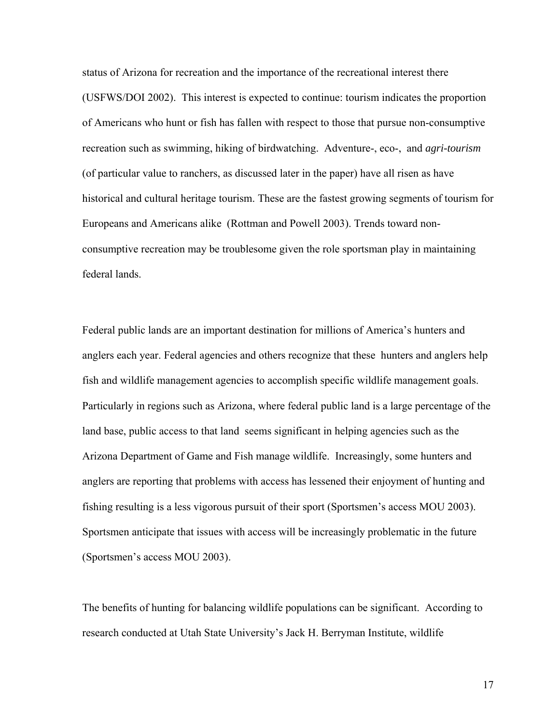status of Arizona for recreation and the importance of the recreational interest there (USFWS/DOI 2002). This interest is expected to continue: tourism indicates the proportion of Americans who hunt or fish has fallen with respect to those that pursue non-consumptive recreation such as swimming, hiking of birdwatching. Adventure-, eco-, and *agri-tourism*  (of particular value to ranchers, as discussed later in the paper) have all risen as have historical and cultural heritage tourism. These are the fastest growing segments of tourism for Europeans and Americans alike (Rottman and Powell 2003). Trends toward nonconsumptive recreation may be troublesome given the role sportsman play in maintaining federal lands.

Federal public lands are an important destination for millions of America's hunters and anglers each year. Federal agencies and others recognize that these hunters and anglers help fish and wildlife management agencies to accomplish specific wildlife management goals. Particularly in regions such as Arizona, where federal public land is a large percentage of the land base, public access to that land seems significant in helping agencies such as the Arizona Department of Game and Fish manage wildlife. Increasingly, some hunters and anglers are reporting that problems with access has lessened their enjoyment of hunting and fishing resulting is a less vigorous pursuit of their sport (Sportsmen's access MOU 2003). Sportsmen anticipate that issues with access will be increasingly problematic in the future (Sportsmen's access MOU 2003).

The benefits of hunting for balancing wildlife populations can be significant. According to research conducted at Utah State University's Jack H. Berryman Institute, wildlife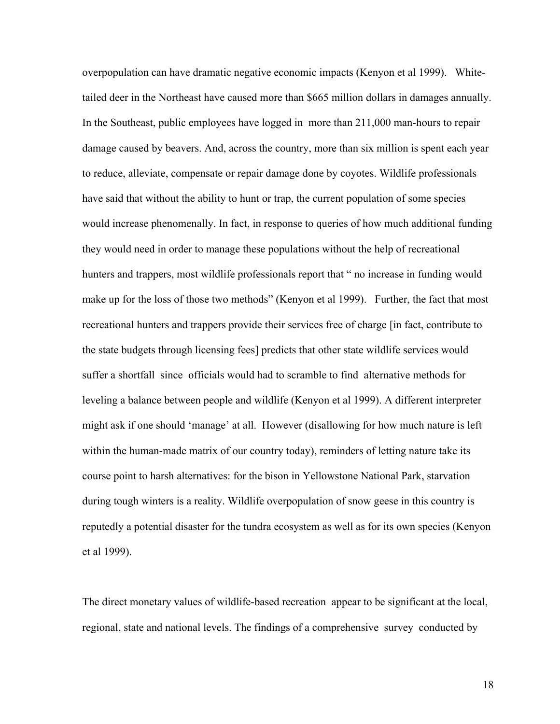overpopulation can have dramatic negative economic impacts (Kenyon et al 1999). Whitetailed deer in the Northeast have caused more than \$665 million dollars in damages annually. In the Southeast, public employees have logged in more than 211,000 man-hours to repair damage caused by beavers. And, across the country, more than six million is spent each year to reduce, alleviate, compensate or repair damage done by coyotes. Wildlife professionals have said that without the ability to hunt or trap, the current population of some species would increase phenomenally. In fact, in response to queries of how much additional funding they would need in order to manage these populations without the help of recreational hunters and trappers, most wildlife professionals report that " no increase in funding would make up for the loss of those two methods" (Kenyon et al 1999). Further, the fact that most recreational hunters and trappers provide their services free of charge [in fact, contribute to the state budgets through licensing fees] predicts that other state wildlife services would suffer a shortfall since officials would had to scramble to find alternative methods for leveling a balance between people and wildlife (Kenyon et al 1999). A different interpreter might ask if one should 'manage' at all. However (disallowing for how much nature is left within the human-made matrix of our country today), reminders of letting nature take its course point to harsh alternatives: for the bison in Yellowstone National Park, starvation during tough winters is a reality. Wildlife overpopulation of snow geese in this country is reputedly a potential disaster for the tundra ecosystem as well as for its own species (Kenyon et al 1999).

The direct monetary values of wildlife-based recreation appear to be significant at the local, regional, state and national levels. The findings of a comprehensive survey conducted by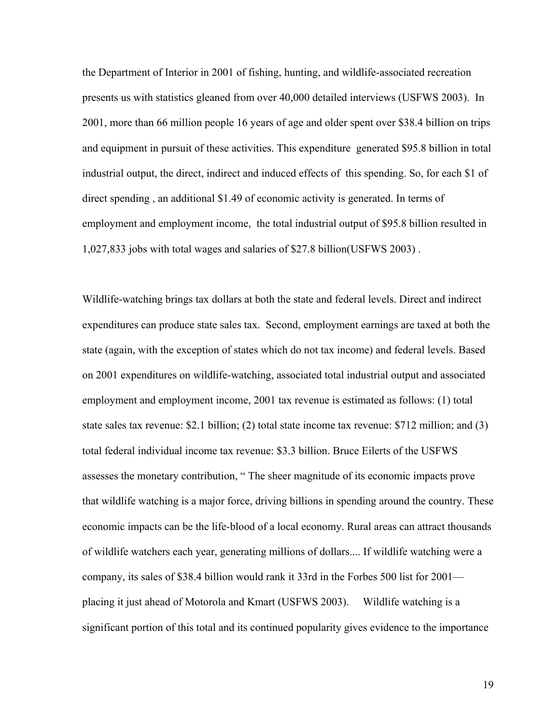the Department of Interior in 2001 of fishing, hunting, and wildlife-associated recreation presents us with statistics gleaned from over 40,000 detailed interviews (USFWS 2003). In 2001, more than 66 million people 16 years of age and older spent over \$38.4 billion on trips and equipment in pursuit of these activities. This expenditure generated \$95.8 billion in total industrial output, the direct, indirect and induced effects of this spending. So, for each \$1 of direct spending , an additional \$1.49 of economic activity is generated. In terms of employment and employment income, the total industrial output of \$95.8 billion resulted in 1,027,833 jobs with total wages and salaries of \$27.8 billion(USFWS 2003) .

Wildlife-watching brings tax dollars at both the state and federal levels. Direct and indirect expenditures can produce state sales tax. Second, employment earnings are taxed at both the state (again, with the exception of states which do not tax income) and federal levels. Based on 2001 expenditures on wildlife-watching, associated total industrial output and associated employment and employment income, 2001 tax revenue is estimated as follows: (1) total state sales tax revenue: \$2.1 billion; (2) total state income tax revenue: \$712 million; and (3) total federal individual income tax revenue: \$3.3 billion. Bruce Eilerts of the USFWS assesses the monetary contribution, " The sheer magnitude of its economic impacts prove that wildlife watching is a major force, driving billions in spending around the country. These economic impacts can be the life-blood of a local economy. Rural areas can attract thousands of wildlife watchers each year, generating millions of dollars.... If wildlife watching were a company, its sales of \$38.4 billion would rank it 33rd in the Forbes 500 list for 2001 placing it just ahead of Motorola and Kmart (USFWS 2003). Wildlife watching is a significant portion of this total and its continued popularity gives evidence to the importance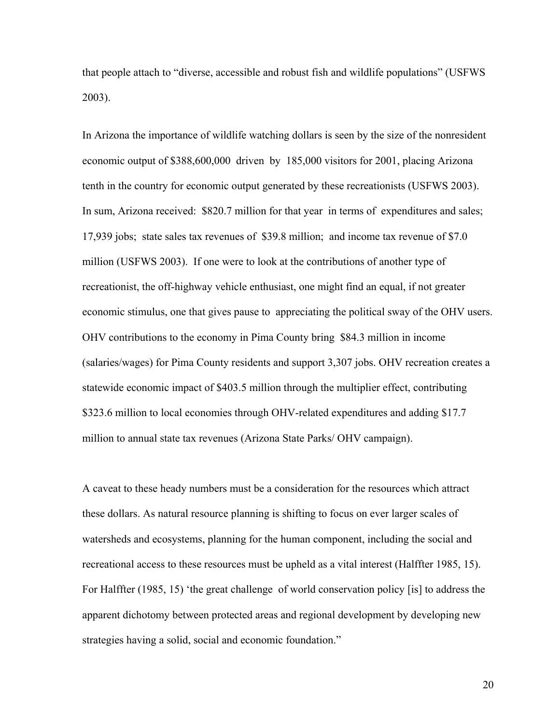that people attach to "diverse, accessible and robust fish and wildlife populations" (USFWS 2003).

In Arizona the importance of wildlife watching dollars is seen by the size of the nonresident economic output of \$388,600,000 driven by 185,000 visitors for 2001, placing Arizona tenth in the country for economic output generated by these recreationists (USFWS 2003). In sum, Arizona received: \$820.7 million for that year in terms of expenditures and sales; 17,939 jobs; state sales tax revenues of \$39.8 million; and income tax revenue of \$7.0 million (USFWS 2003). If one were to look at the contributions of another type of recreationist, the off-highway vehicle enthusiast, one might find an equal, if not greater economic stimulus, one that gives pause to appreciating the political sway of the OHV users. OHV contributions to the economy in Pima County bring \$84.3 million in income (salaries/wages) for Pima County residents and support 3,307 jobs. OHV recreation creates a statewide economic impact of \$403.5 million through the multiplier effect, contributing \$323.6 million to local economies through OHV-related expenditures and adding \$17.7 million to annual state tax revenues (Arizona State Parks/ OHV campaign).

A caveat to these heady numbers must be a consideration for the resources which attract these dollars. As natural resource planning is shifting to focus on ever larger scales of watersheds and ecosystems, planning for the human component, including the social and recreational access to these resources must be upheld as a vital interest (Halffter 1985, 15). For Halffter (1985, 15) 'the great challenge of world conservation policy [is] to address the apparent dichotomy between protected areas and regional development by developing new strategies having a solid, social and economic foundation."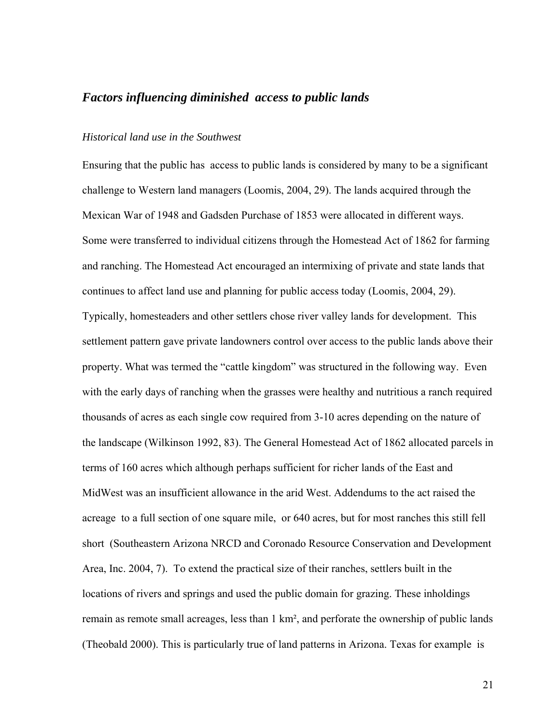### <span id="page-20-0"></span>*Factors influencing diminished access to public lands*

#### *Historical land use in the Southwest*

Ensuring that the public has access to public lands is considered by many to be a significant challenge to Western land managers (Loomis, 2004, 29). The lands acquired through the Mexican War of 1948 and Gadsden Purchase of 1853 were allocated in different ways. Some were transferred to individual citizens through the Homestead Act of 1862 for farming and ranching. The Homestead Act encouraged an intermixing of private and state lands that continues to affect land use and planning for public access today (Loomis, 2004, 29). Typically, homesteaders and other settlers chose river valley lands for development. This settlement pattern gave private landowners control over access to the public lands above their property. What was termed the "cattle kingdom" was structured in the following way. Even with the early days of ranching when the grasses were healthy and nutritious a ranch required thousands of acres as each single cow required from 3-10 acres depending on the nature of the landscape (Wilkinson 1992, 83). The General Homestead Act of 1862 allocated parcels in terms of 160 acres which although perhaps sufficient for richer lands of the East and MidWest was an insufficient allowance in the arid West. Addendums to the act raised the acreage to a full section of one square mile, or 640 acres, but for most ranches this still fell short (Southeastern Arizona NRCD and Coronado Resource Conservation and Development Area, Inc. 2004, 7). To extend the practical size of their ranches, settlers built in the locations of rivers and springs and used the public domain for grazing. These inholdings remain as remote small acreages, less than 1 km², and perforate the ownership of public lands (Theobald 2000). This is particularly true of land patterns in Arizona. Texas for example is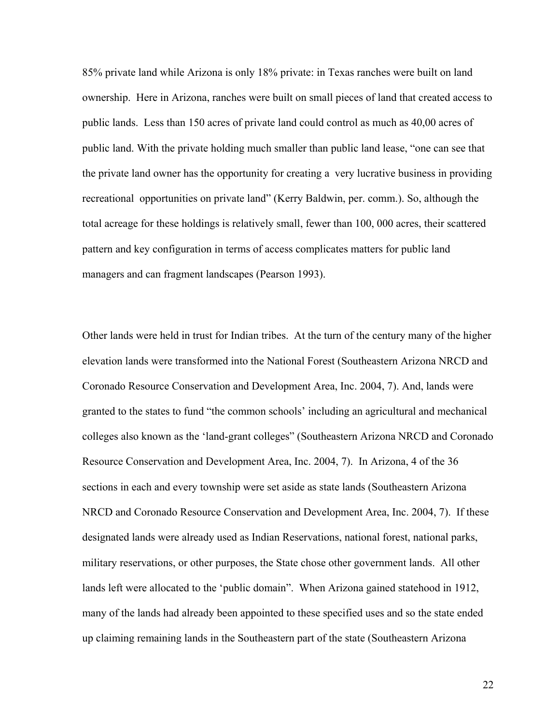85% private land while Arizona is only 18% private: in Texas ranches were built on land ownership. Here in Arizona, ranches were built on small pieces of land that created access to public lands. Less than 150 acres of private land could control as much as 40,00 acres of public land. With the private holding much smaller than public land lease, "one can see that the private land owner has the opportunity for creating a very lucrative business in providing recreational opportunities on private land" (Kerry Baldwin, per. comm.). So, although the total acreage for these holdings is relatively small, fewer than 100, 000 acres, their scattered pattern and key configuration in terms of access complicates matters for public land managers and can fragment landscapes (Pearson 1993).

Other lands were held in trust for Indian tribes. At the turn of the century many of the higher elevation lands were transformed into the National Forest (Southeastern Arizona NRCD and Coronado Resource Conservation and Development Area, Inc. 2004, 7). And, lands were granted to the states to fund "the common schools' including an agricultural and mechanical colleges also known as the 'land-grant colleges" (Southeastern Arizona NRCD and Coronado Resource Conservation and Development Area, Inc. 2004, 7). In Arizona, 4 of the 36 sections in each and every township were set aside as state lands (Southeastern Arizona NRCD and Coronado Resource Conservation and Development Area, Inc. 2004, 7). If these designated lands were already used as Indian Reservations, national forest, national parks, military reservations, or other purposes, the State chose other government lands. All other lands left were allocated to the 'public domain". When Arizona gained statehood in 1912, many of the lands had already been appointed to these specified uses and so the state ended up claiming remaining lands in the Southeastern part of the state (Southeastern Arizona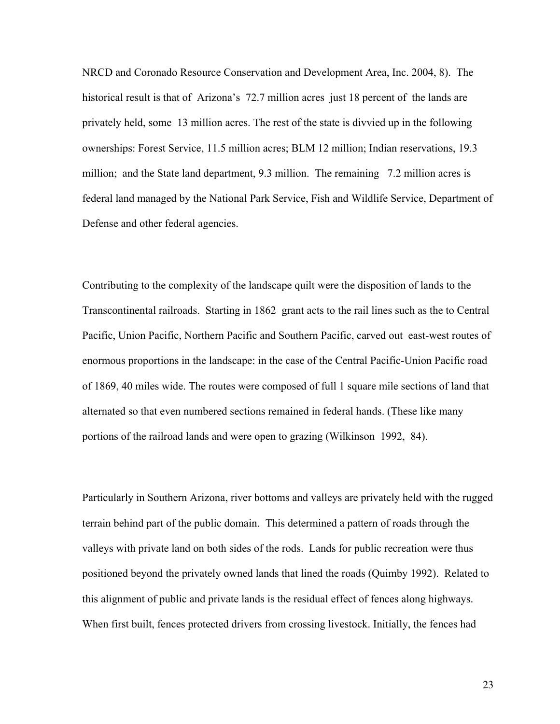NRCD and Coronado Resource Conservation and Development Area, Inc. 2004, 8). The historical result is that of Arizona's 72.7 million acres just 18 percent of the lands are privately held, some 13 million acres. The rest of the state is divvied up in the following ownerships: Forest Service, 11.5 million acres; BLM 12 million; Indian reservations, 19.3 million; and the State land department, 9.3 million. The remaining 7.2 million acres is federal land managed by the National Park Service, Fish and Wildlife Service, Department of Defense and other federal agencies.

Contributing to the complexity of the landscape quilt were the disposition of lands to the Transcontinental railroads. Starting in 1862 grant acts to the rail lines such as the to Central Pacific, Union Pacific, Northern Pacific and Southern Pacific, carved out east-west routes of enormous proportions in the landscape: in the case of the Central Pacific-Union Pacific road of 1869, 40 miles wide. The routes were composed of full 1 square mile sections of land that alternated so that even numbered sections remained in federal hands. (These like many portions of the railroad lands and were open to grazing (Wilkinson 1992, 84).

Particularly in Southern Arizona, river bottoms and valleys are privately held with the rugged terrain behind part of the public domain. This determined a pattern of roads through the valleys with private land on both sides of the rods. Lands for public recreation were thus positioned beyond the privately owned lands that lined the roads (Quimby 1992). Related to this alignment of public and private lands is the residual effect of fences along highways. When first built, fences protected drivers from crossing livestock. Initially, the fences had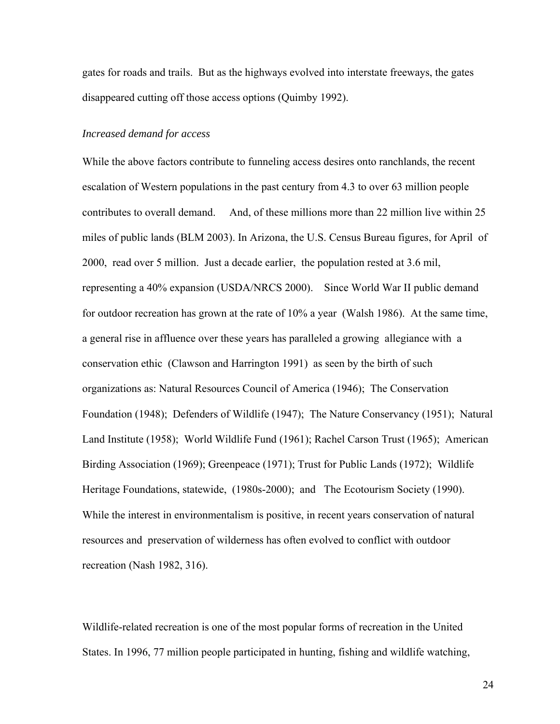<span id="page-23-0"></span>gates for roads and trails. But as the highways evolved into interstate freeways, the gates disappeared cutting off those access options (Quimby 1992).

### *Increased demand for access*

While the above factors contribute to funneling access desires onto ranchlands, the recent escalation of Western populations in the past century from 4.3 to over 63 million people contributes to overall demand. And, of these millions more than 22 million live within 25 miles of public lands (BLM 2003). In Arizona, the U.S. Census Bureau figures, for April of 2000, read over 5 million. Just a decade earlier, the population rested at 3.6 mil, representing a 40% expansion (USDA/NRCS 2000). Since World War II public demand for outdoor recreation has grown at the rate of 10% a year (Walsh 1986). At the same time, a general rise in affluence over these years has paralleled a growing allegiance with a conservation ethic (Clawson and Harrington 1991) as seen by the birth of such organizations as: Natural Resources Council of America (1946); The Conservation Foundation (1948); Defenders of Wildlife (1947); The Nature Conservancy (1951); Natural Land Institute (1958); World Wildlife Fund (1961); Rachel Carson Trust (1965); American Birding Association (1969); Greenpeace (1971); Trust for Public Lands (1972); Wildlife Heritage Foundations, statewide, (1980s-2000); and The Ecotourism Society (1990). While the interest in environmentalism is positive, in recent years conservation of natural resources and preservation of wilderness has often evolved to conflict with outdoor recreation (Nash 1982, 316).

Wildlife-related recreation is one of the most popular forms of recreation in the United States. In 1996, 77 million people participated in hunting, fishing and wildlife watching,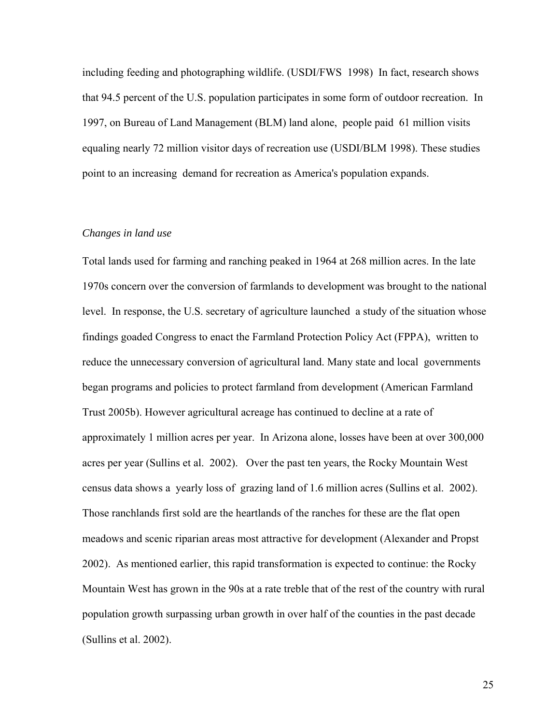<span id="page-24-0"></span>including feeding and photographing wildlife. (USDI/FWS 1998) In fact, research shows that 94.5 percent of the U.S. population participates in some form of outdoor recreation. In 1997, on Bureau of Land Management (BLM) land alone, people paid 61 million visits equaling nearly 72 million visitor days of recreation use (USDI/BLM 1998). These studies point to an increasing demand for recreation as America's population expands.

### *Changes in land use*

Total lands used for farming and ranching peaked in 1964 at 268 million acres. In the late 1970s concern over the conversion of farmlands to development was brought to the national level. In response, the U.S. secretary of agriculture launched a study of the situation whose findings goaded Congress to enact the Farmland Protection Policy Act (FPPA), written to reduce the unnecessary conversion of agricultural land. Many state and local governments began programs and policies to protect farmland from development (American Farmland Trust 2005b). However agricultural acreage has continued to decline at a rate of approximately 1 million acres per year. In Arizona alone, losses have been at over 300,000 acres per year (Sullins et al. 2002). Over the past ten years, the Rocky Mountain West census data shows a yearly loss of grazing land of 1.6 million acres (Sullins et al. 2002). Those ranchlands first sold are the heartlands of the ranches for these are the flat open meadows and scenic riparian areas most attractive for development (Alexander and Propst 2002). As mentioned earlier, this rapid transformation is expected to continue: the Rocky Mountain West has grown in the 90s at a rate treble that of the rest of the country with rural population growth surpassing urban growth in over half of the counties in the past decade (Sullins et al. 2002).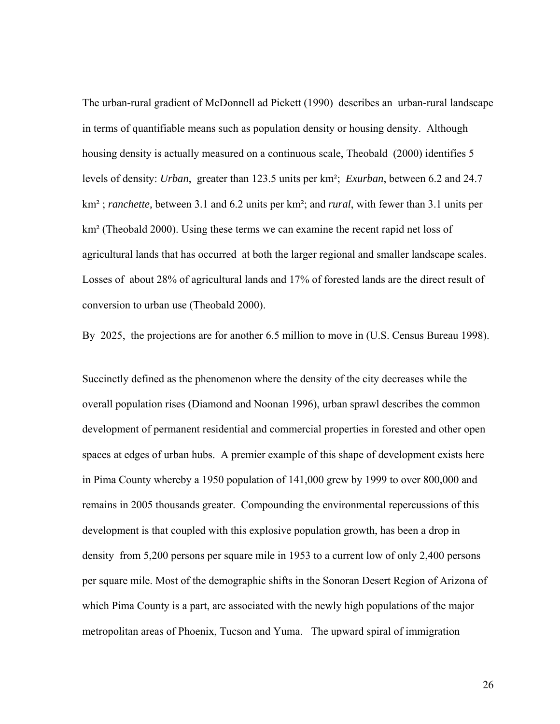The urban-rural gradient of McDonnell ad Pickett (1990) describes an urban-rural landscape in terms of quantifiable means such as population density or housing density. Although housing density is actually measured on a continuous scale, Theobald (2000) identifies 5 levels of density: *Urban*, greater than 123.5 units per km²; *Exurban*, between 6.2 and 24.7 km² ; *ranchette,* between 3.1 and 6.2 units per km²; and *rural*, with fewer than 3.1 units per km<sup>2</sup> (Theobald 2000). Using these terms we can examine the recent rapid net loss of agricultural lands that has occurred at both the larger regional and smaller landscape scales. Losses of about 28% of agricultural lands and 17% of forested lands are the direct result of conversion to urban use (Theobald 2000).

By 2025, the projections are for another 6.5 million to move in (U.S. Census Bureau 1998).

Succinctly defined as the phenomenon where the density of the city decreases while the overall population rises (Diamond and Noonan 1996), urban sprawl describes the common development of permanent residential and commercial properties in forested and other open spaces at edges of urban hubs. A premier example of this shape of development exists here in Pima County whereby a 1950 population of 141,000 grew by 1999 to over 800,000 and remains in 2005 thousands greater. Compounding the environmental repercussions of this development is that coupled with this explosive population growth, has been a drop in density from 5,200 persons per square mile in 1953 to a current low of only 2,400 persons per square mile. Most of the demographic shifts in the Sonoran Desert Region of Arizona of which Pima County is a part, are associated with the newly high populations of the major metropolitan areas of Phoenix, Tucson and Yuma. The upward spiral of immigration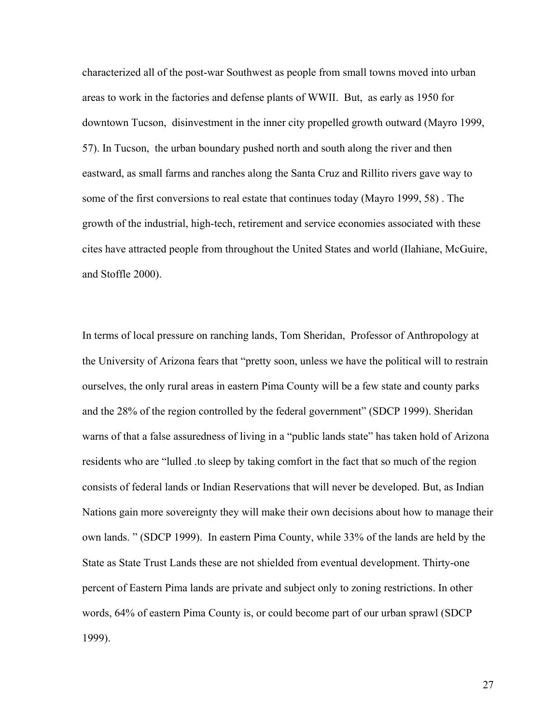characterized all of the post-war Southwest as people from small towns moved into urban areas to work in the factories and defense plants of WWII. But, as early as 1950 for downtown Tucson, disinvestment in the inner city propelled growth outward (Mayro 1999, 57). In Tucson, the urban boundary pushed north and south along the river and then eastward, as small farms and ranches along the Santa Cruz and Rillito rivers gave way to some of the first conversions to real estate that continues today (Mayro 1999, 58) . The growth of the industrial, high-tech, retirement and service economies associated with these cites have attracted people from throughout the United States and world (Ilahiane, McGuire, and Stoffle 2000).

In terms of local pressure on ranching lands, Tom Sheridan, Professor of Anthropology at the University of Arizona fears that "pretty soon, unless we have the political will to restrain ourselves, the only rural areas in eastern Pima County will be a few state and county parks and the 28% of the region controlled by the federal government" (SDCP 1999). Sheridan warns of that a false assuredness of living in a "public lands state" has taken hold of Arizona residents who are "lulled .to sleep by taking comfort in the fact that so much of the region consists of federal lands or Indian Reservations that will never be developed. But, as Indian Nations gain more sovereignty they will make their own decisions about how to manage their own lands. " (SDCP 1999). In eastern Pima County, while 33% of the lands are held by the State as State Trust Lands these are not shielded from eventual development. Thirty-one percent of Eastern Pima lands are private and subject only to zoning restrictions. In other words, 64% of eastern Pima County is, or could become part of our urban sprawl (SDCP 1999).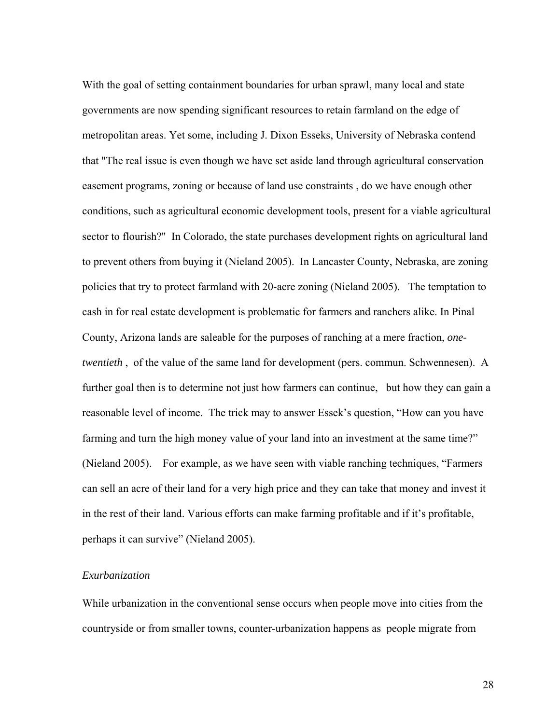<span id="page-27-0"></span>With the goal of setting containment boundaries for urban sprawl, many local and state governments are now spending significant resources to retain farmland on the edge of metropolitan areas. Yet some, including J. Dixon Esseks, University of Nebraska contend that "The real issue is even though we have set aside land through agricultural conservation easement programs, zoning or because of land use constraints , do we have enough other conditions, such as agricultural economic development tools, present for a viable agricultural sector to flourish?" In Colorado, the state purchases development rights on agricultural land to prevent others from buying it (Nieland 2005). In Lancaster County, Nebraska, are zoning policies that try to protect farmland with 20-acre zoning (Nieland 2005). The temptation to cash in for real estate development is problematic for farmers and ranchers alike. In Pinal County, Arizona lands are saleable for the purposes of ranching at a mere fraction, *onetwentieth* , of the value of the same land for development (pers. commun. Schwennesen). A further goal then is to determine not just how farmers can continue, but how they can gain a reasonable level of income. The trick may to answer Essek's question, "How can you have farming and turn the high money value of your land into an investment at the same time?" (Nieland 2005). For example, as we have seen with viable ranching techniques, "Farmers can sell an acre of their land for a very high price and they can take that money and invest it in the rest of their land. Various efforts can make farming profitable and if it's profitable, perhaps it can survive" (Nieland 2005).

### *Exurbanization*

While urbanization in the conventional sense occurs when people move into cities from the countryside or from smaller towns, counter-urbanization happens as people migrate from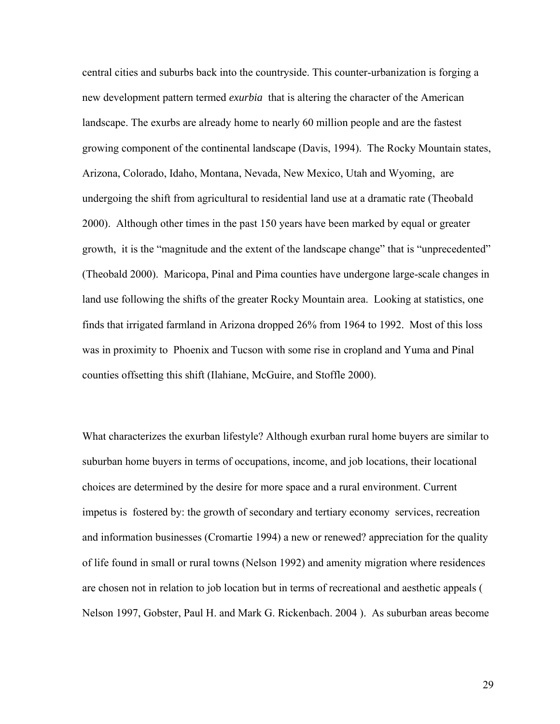central cities and suburbs back into the countryside. This counter-urbanization is forging a new development pattern termed *exurbia* that is altering the character of the American landscape. The exurbs are already home to nearly 60 million people and are the fastest growing component of the continental landscape (Davis, 1994). The Rocky Mountain states, Arizona, Colorado, Idaho, Montana, Nevada, New Mexico, Utah and Wyoming, are undergoing the shift from agricultural to residential land use at a dramatic rate (Theobald 2000). Although other times in the past 150 years have been marked by equal or greater growth, it is the "magnitude and the extent of the landscape change" that is "unprecedented" (Theobald 2000). Maricopa, Pinal and Pima counties have undergone large-scale changes in land use following the shifts of the greater Rocky Mountain area. Looking at statistics, one finds that irrigated farmland in Arizona dropped 26% from 1964 to 1992. Most of this loss was in proximity to Phoenix and Tucson with some rise in cropland and Yuma and Pinal counties offsetting this shift (Ilahiane, McGuire, and Stoffle 2000).

What characterizes the exurban lifestyle? Although exurban rural home buyers are similar to suburban home buyers in terms of occupations, income, and job locations, their locational choices are determined by the desire for more space and a rural environment. Current impetus is fostered by: the growth of secondary and tertiary economy services, recreation and information businesses (Cromartie 1994) a new or renewed? appreciation for the quality of life found in small or rural towns (Nelson 1992) and amenity migration where residences are chosen not in relation to job location but in terms of recreational and aesthetic appeals ( Nelson 1997, Gobster, Paul H. and Mark G. Rickenbach. 2004 ). As suburban areas become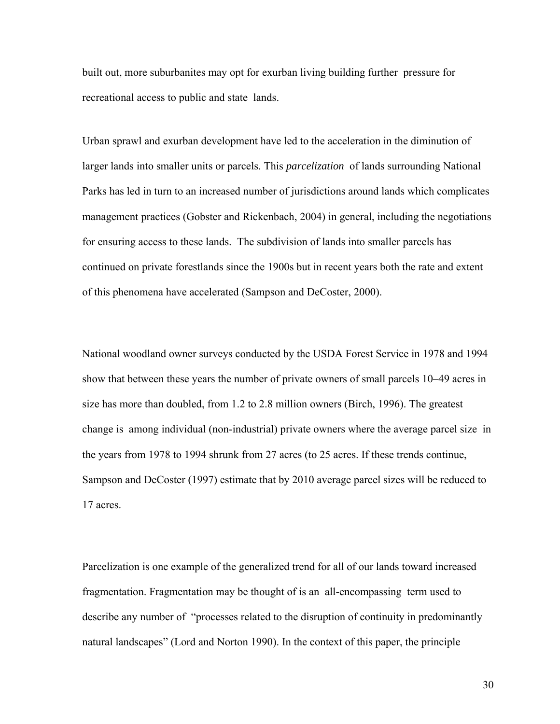built out, more suburbanites may opt for exurban living building further pressure for recreational access to public and state lands.

Urban sprawl and exurban development have led to the acceleration in the diminution of larger lands into smaller units or parcels. This *parcelization* of lands surrounding National Parks has led in turn to an increased number of jurisdictions around lands which complicates management practices (Gobster and Rickenbach, 2004) in general, including the negotiations for ensuring access to these lands. The subdivision of lands into smaller parcels has continued on private forestlands since the 1900s but in recent years both the rate and extent of this phenomena have accelerated (Sampson and DeCoster, 2000).

National woodland owner surveys conducted by the USDA Forest Service in 1978 and 1994 show that between these years the number of private owners of small parcels 10–49 acres in size has more than doubled, from 1.2 to 2.8 million owners (Birch, 1996). The greatest change is among individual (non-industrial) private owners where the average parcel size in the years from 1978 to 1994 shrunk from 27 acres (to 25 acres. If these trends continue, Sampson and DeCoster (1997) estimate that by 2010 average parcel sizes will be reduced to 17 acres.

Parcelization is one example of the generalized trend for all of our lands toward increased fragmentation. Fragmentation may be thought of is an all-encompassing term used to describe any number of "processes related to the disruption of continuity in predominantly natural landscapes" (Lord and Norton 1990). In the context of this paper, the principle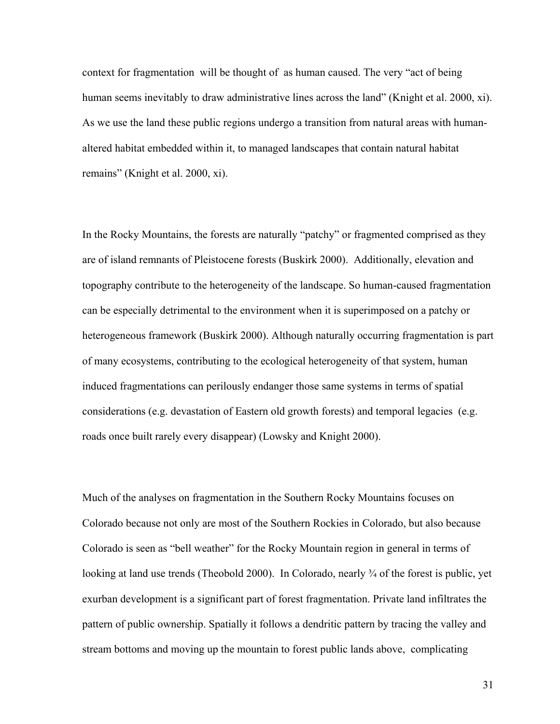context for fragmentation will be thought of as human caused. The very "act of being human seems inevitably to draw administrative lines across the land" (Knight et al. 2000, xi). As we use the land these public regions undergo a transition from natural areas with humanaltered habitat embedded within it, to managed landscapes that contain natural habitat remains" (Knight et al. 2000, xi).

In the Rocky Mountains, the forests are naturally "patchy" or fragmented comprised as they are of island remnants of Pleistocene forests (Buskirk 2000). Additionally, elevation and topography contribute to the heterogeneity of the landscape. So human-caused fragmentation can be especially detrimental to the environment when it is superimposed on a patchy or heterogeneous framework (Buskirk 2000). Although naturally occurring fragmentation is part of many ecosystems, contributing to the ecological heterogeneity of that system, human induced fragmentations can perilously endanger those same systems in terms of spatial considerations (e.g. devastation of Eastern old growth forests) and temporal legacies (e.g. roads once built rarely every disappear) (Lowsky and Knight 2000).

Much of the analyses on fragmentation in the Southern Rocky Mountains focuses on Colorado because not only are most of the Southern Rockies in Colorado, but also because Colorado is seen as "bell weather" for the Rocky Mountain region in general in terms of looking at land use trends (Theobold 2000). In Colorado, nearly <sup>3</sup>/<sub>4</sub> of the forest is public, yet exurban development is a significant part of forest fragmentation. Private land infiltrates the pattern of public ownership. Spatially it follows a dendritic pattern by tracing the valley and stream bottoms and moving up the mountain to forest public lands above, complicating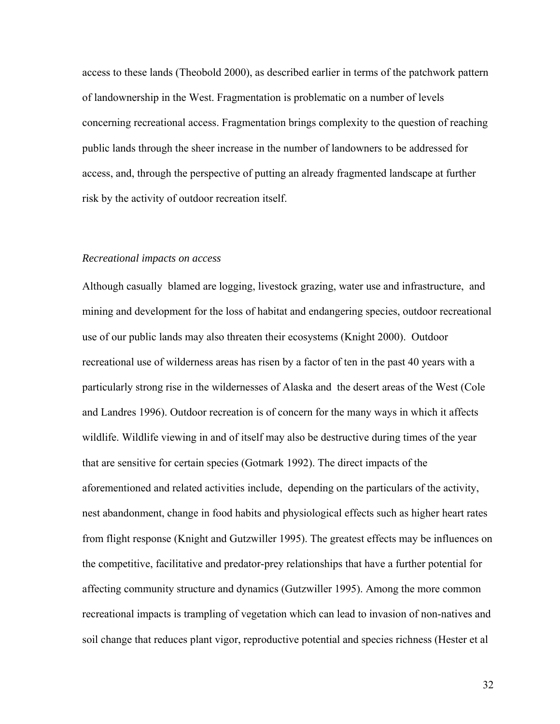<span id="page-31-0"></span>access to these lands (Theobold 2000), as described earlier in terms of the patchwork pattern of landownership in the West. Fragmentation is problematic on a number of levels concerning recreational access. Fragmentation brings complexity to the question of reaching public lands through the sheer increase in the number of landowners to be addressed for access, and, through the perspective of putting an already fragmented landscape at further risk by the activity of outdoor recreation itself.

### *Recreational impacts on access*

Although casually blamed are logging, livestock grazing, water use and infrastructure, and mining and development for the loss of habitat and endangering species, outdoor recreational use of our public lands may also threaten their ecosystems (Knight 2000). Outdoor recreational use of wilderness areas has risen by a factor of ten in the past 40 years with a particularly strong rise in the wildernesses of Alaska and the desert areas of the West (Cole and Landres 1996). Outdoor recreation is of concern for the many ways in which it affects wildlife. Wildlife viewing in and of itself may also be destructive during times of the year that are sensitive for certain species (Gotmark 1992). The direct impacts of the aforementioned and related activities include, depending on the particulars of the activity, nest abandonment, change in food habits and physiological effects such as higher heart rates from flight response (Knight and Gutzwiller 1995). The greatest effects may be influences on the competitive, facilitative and predator-prey relationships that have a further potential for affecting community structure and dynamics (Gutzwiller 1995). Among the more common recreational impacts is trampling of vegetation which can lead to invasion of non-natives and soil change that reduces plant vigor, reproductive potential and species richness (Hester et al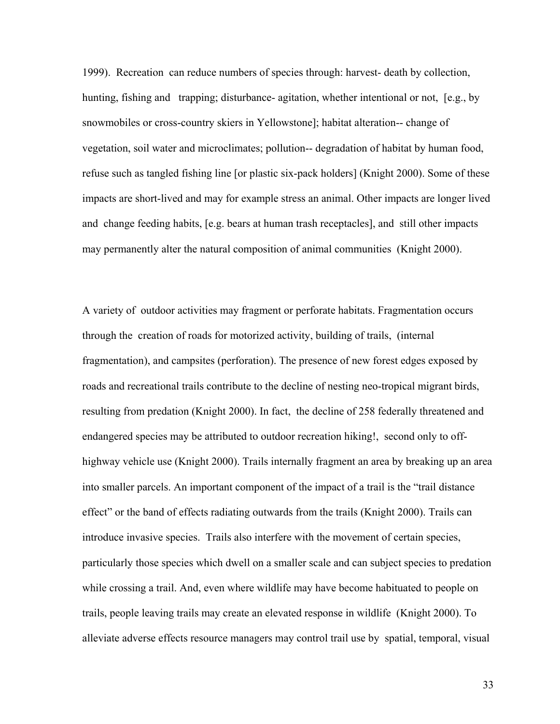1999). Recreation can reduce numbers of species through: harvest- death by collection, hunting, fishing and trapping; disturbance- agitation, whether intentional or not, [e.g., by snowmobiles or cross-country skiers in Yellowstone]; habitat alteration-- change of vegetation, soil water and microclimates; pollution-- degradation of habitat by human food, refuse such as tangled fishing line [or plastic six-pack holders] (Knight 2000). Some of these impacts are short-lived and may for example stress an animal. Other impacts are longer lived and change feeding habits, [e.g. bears at human trash receptacles], and still other impacts may permanently alter the natural composition of animal communities (Knight 2000).

A variety of outdoor activities may fragment or perforate habitats. Fragmentation occurs through the creation of roads for motorized activity, building of trails, (internal fragmentation), and campsites (perforation). The presence of new forest edges exposed by roads and recreational trails contribute to the decline of nesting neo-tropical migrant birds, resulting from predation (Knight 2000). In fact, the decline of 258 federally threatened and endangered species may be attributed to outdoor recreation hiking!, second only to offhighway vehicle use (Knight 2000). Trails internally fragment an area by breaking up an area into smaller parcels. An important component of the impact of a trail is the "trail distance effect" or the band of effects radiating outwards from the trails (Knight 2000). Trails can introduce invasive species. Trails also interfere with the movement of certain species, particularly those species which dwell on a smaller scale and can subject species to predation while crossing a trail. And, even where wildlife may have become habituated to people on trails, people leaving trails may create an elevated response in wildlife (Knight 2000). To alleviate adverse effects resource managers may control trail use by spatial, temporal, visual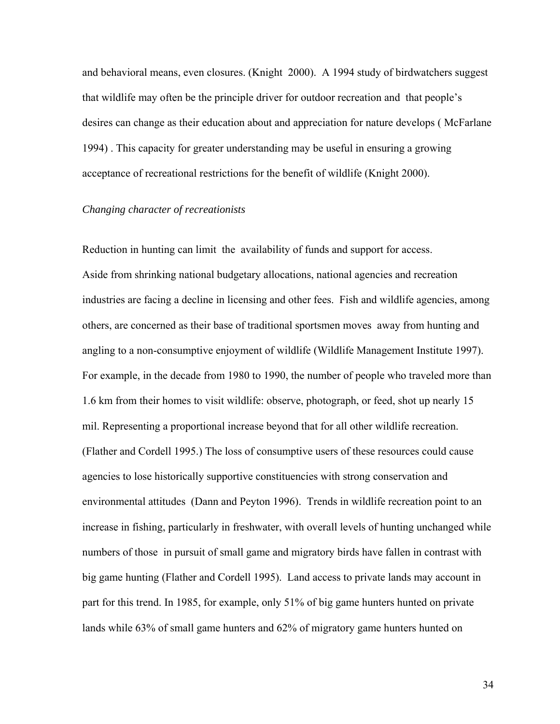<span id="page-33-0"></span>and behavioral means, even closures. (Knight 2000). A 1994 study of birdwatchers suggest that wildlife may often be the principle driver for outdoor recreation and that people's desires can change as their education about and appreciation for nature develops ( McFarlane 1994) . This capacity for greater understanding may be useful in ensuring a growing acceptance of recreational restrictions for the benefit of wildlife (Knight 2000).

### *Changing character of recreationists*

Reduction in hunting can limit the availability of funds and support for access. Aside from shrinking national budgetary allocations, national agencies and recreation industries are facing a decline in licensing and other fees. Fish and wildlife agencies, among others, are concerned as their base of traditional sportsmen moves away from hunting and angling to a non-consumptive enjoyment of wildlife (Wildlife Management Institute 1997). For example, in the decade from 1980 to 1990, the number of people who traveled more than 1.6 km from their homes to visit wildlife: observe, photograph, or feed, shot up nearly 15 mil. Representing a proportional increase beyond that for all other wildlife recreation. (Flather and Cordell 1995.) The loss of consumptive users of these resources could cause agencies to lose historically supportive constituencies with strong conservation and environmental attitudes (Dann and Peyton 1996). Trends in wildlife recreation point to an increase in fishing, particularly in freshwater, with overall levels of hunting unchanged while numbers of those in pursuit of small game and migratory birds have fallen in contrast with big game hunting (Flather and Cordell 1995). Land access to private lands may account in part for this trend. In 1985, for example, only 51% of big game hunters hunted on private lands while 63% of small game hunters and 62% of migratory game hunters hunted on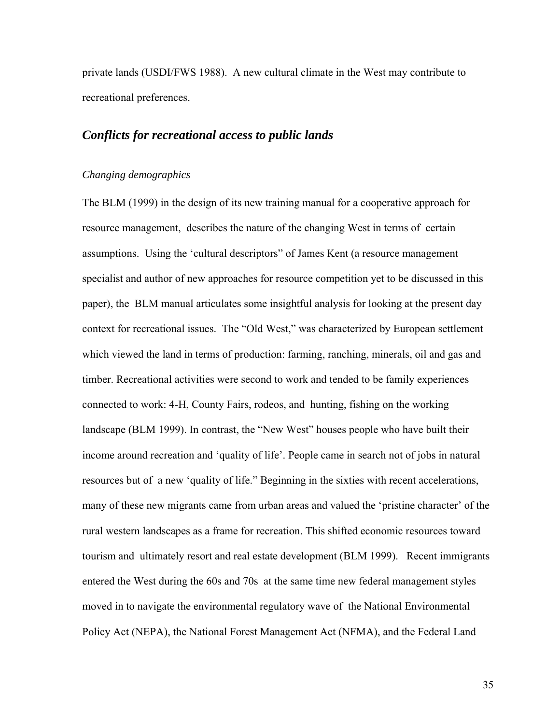<span id="page-34-0"></span>private lands (USDI/FWS 1988). A new cultural climate in the West may contribute to recreational preferences.

### *Conflicts for recreational access to public lands*

### *Changing demographics*

The BLM (1999) in the design of its new training manual for a cooperative approach for resource management, describes the nature of the changing West in terms of certain assumptions. Using the 'cultural descriptors" of James Kent (a resource management specialist and author of new approaches for resource competition yet to be discussed in this paper), the BLM manual articulates some insightful analysis for looking at the present day context for recreational issues. The "Old West," was characterized by European settlement which viewed the land in terms of production: farming, ranching, minerals, oil and gas and timber. Recreational activities were second to work and tended to be family experiences connected to work: 4-H, County Fairs, rodeos, and hunting, fishing on the working landscape (BLM 1999). In contrast, the "New West" houses people who have built their income around recreation and 'quality of life'. People came in search not of jobs in natural resources but of a new 'quality of life." Beginning in the sixties with recent accelerations, many of these new migrants came from urban areas and valued the 'pristine character' of the rural western landscapes as a frame for recreation. This shifted economic resources toward tourism and ultimately resort and real estate development (BLM 1999). Recent immigrants entered the West during the 60s and 70s at the same time new federal management styles moved in to navigate the environmental regulatory wave of the National Environmental Policy Act (NEPA), the National Forest Management Act (NFMA), and the Federal Land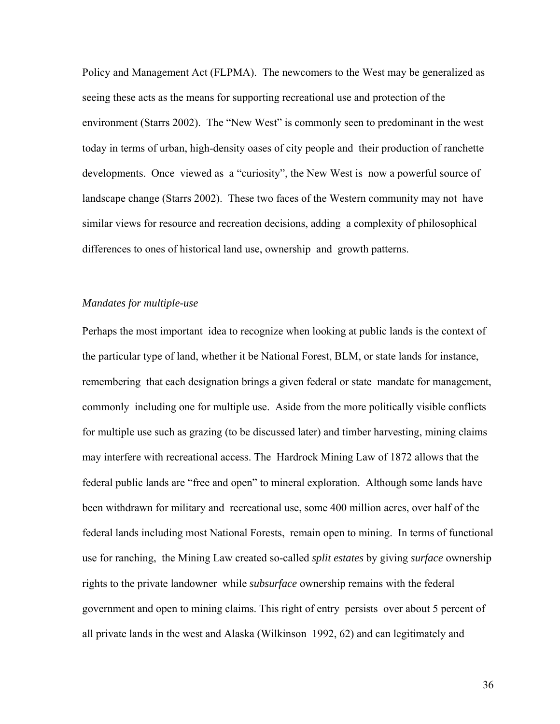<span id="page-35-0"></span>Policy and Management Act (FLPMA). The newcomers to the West may be generalized as seeing these acts as the means for supporting recreational use and protection of the environment (Starrs 2002). The "New West" is commonly seen to predominant in the west today in terms of urban, high-density oases of city people and their production of ranchette developments. Once viewed as a "curiosity", the New West is now a powerful source of landscape change (Starrs 2002). These two faces of the Western community may not have similar views for resource and recreation decisions, adding a complexity of philosophical differences to ones of historical land use, ownership and growth patterns.

### *Mandates for multiple-use*

Perhaps the most important idea to recognize when looking at public lands is the context of the particular type of land, whether it be National Forest, BLM, or state lands for instance, remembering that each designation brings a given federal or state mandate for management, commonly including one for multiple use. Aside from the more politically visible conflicts for multiple use such as grazing (to be discussed later) and timber harvesting, mining claims may interfere with recreational access. The Hardrock Mining Law of 1872 allows that the federal public lands are "free and open" to mineral exploration. Although some lands have been withdrawn for military and recreational use, some 400 million acres, over half of the federal lands including most National Forests, remain open to mining. In terms of functional use for ranching, the Mining Law created so-called *split estates* by giving *surface* ownership rights to the private landowner while *subsurface* ownership remains with the federal government and open to mining claims. This right of entry persists over about 5 percent of all private lands in the west and Alaska (Wilkinson 1992, 62) and can legitimately and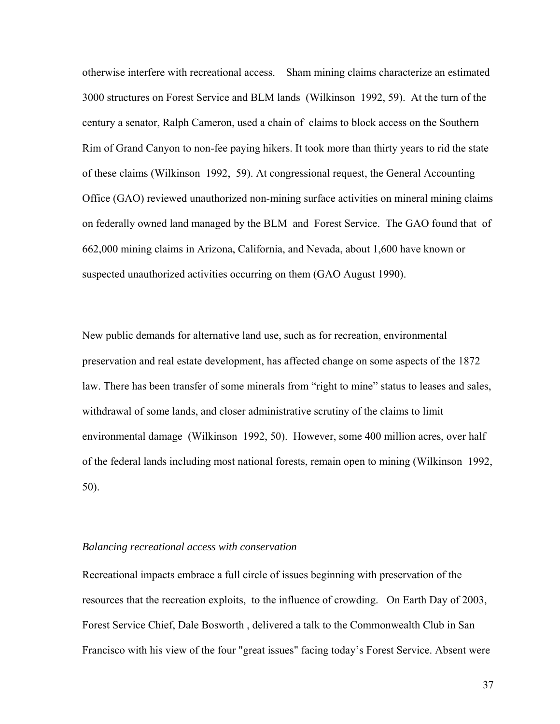otherwise interfere with recreational access. Sham mining claims characterize an estimated 3000 structures on Forest Service and BLM lands (Wilkinson 1992, 59). At the turn of the century a senator, Ralph Cameron, used a chain of claims to block access on the Southern Rim of Grand Canyon to non-fee paying hikers. It took more than thirty years to rid the state of these claims (Wilkinson 1992, 59). At congressional request, the General Accounting Office (GAO) reviewed unauthorized non-mining surface activities on mineral mining claims on federally owned land managed by the BLM and Forest Service. The GAO found that of 662,000 mining claims in Arizona, California, and Nevada, about 1,600 have known or suspected unauthorized activities occurring on them (GAO August 1990).

New public demands for alternative land use, such as for recreation, environmental preservation and real estate development, has affected change on some aspects of the 1872 law. There has been transfer of some minerals from "right to mine" status to leases and sales, withdrawal of some lands, and closer administrative scrutiny of the claims to limit environmental damage (Wilkinson 1992, 50). However, some 400 million acres, over half of the federal lands including most national forests, remain open to mining (Wilkinson 1992, 50).

#### *Balancing recreational access with conservation*

Recreational impacts embrace a full circle of issues beginning with preservation of the resources that the recreation exploits, to the influence of crowding. On Earth Day of 2003, Forest Service Chief, Dale Bosworth , delivered a talk to the Commonwealth Club in San Francisco with his view of the four "great issues" facing today's Forest Service. Absent were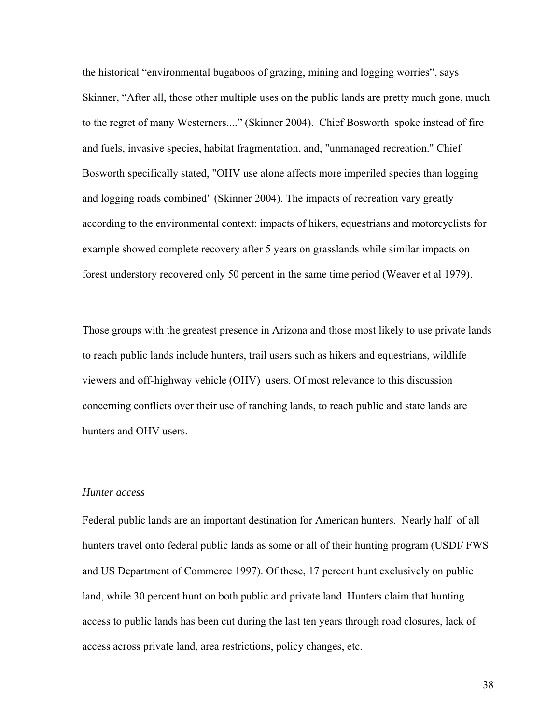the historical "environmental bugaboos of grazing, mining and logging worries", says Skinner, "After all, those other multiple uses on the public lands are pretty much gone, much to the regret of many Westerners...." (Skinner 2004). Chief Bosworth spoke instead of fire and fuels, invasive species, habitat fragmentation, and, "unmanaged recreation." Chief Bosworth specifically stated, "OHV use alone affects more imperiled species than logging and logging roads combined" (Skinner 2004). The impacts of recreation vary greatly according to the environmental context: impacts of hikers, equestrians and motorcyclists for example showed complete recovery after 5 years on grasslands while similar impacts on forest understory recovered only 50 percent in the same time period (Weaver et al 1979).

Those groups with the greatest presence in Arizona and those most likely to use private lands to reach public lands include hunters, trail users such as hikers and equestrians, wildlife viewers and off-highway vehicle (OHV) users. Of most relevance to this discussion concerning conflicts over their use of ranching lands, to reach public and state lands are hunters and OHV users.

## *Hunter access*

Federal public lands are an important destination for American hunters. Nearly half of all hunters travel onto federal public lands as some or all of their hunting program (USDI/ FWS and US Department of Commerce 1997). Of these, 17 percent hunt exclusively on public land, while 30 percent hunt on both public and private land. Hunters claim that hunting access to public lands has been cut during the last ten years through road closures, lack of access across private land, area restrictions, policy changes, etc.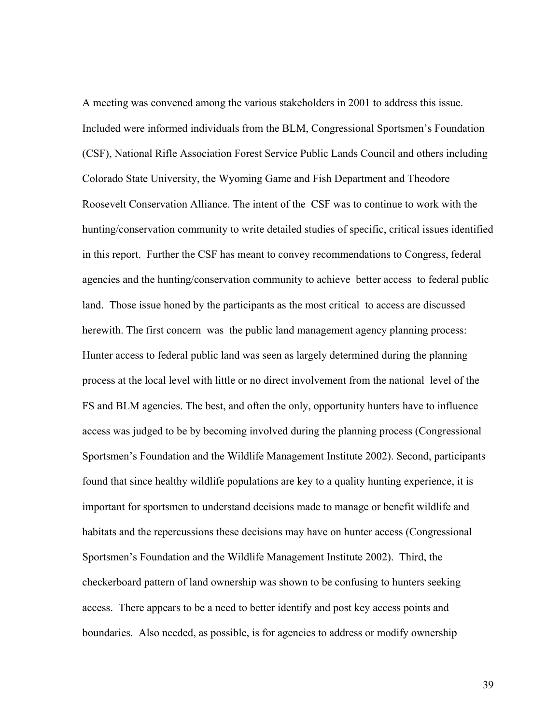A meeting was convened among the various stakeholders in 2001 to address this issue. Included were informed individuals from the BLM, Congressional Sportsmen's Foundation (CSF), National Rifle Association Forest Service Public Lands Council and others including Colorado State University, the Wyoming Game and Fish Department and Theodore Roosevelt Conservation Alliance. The intent of the CSF was to continue to work with the hunting/conservation community to write detailed studies of specific, critical issues identified in this report. Further the CSF has meant to convey recommendations to Congress, federal agencies and the hunting/conservation community to achieve better access to federal public land. Those issue honed by the participants as the most critical to access are discussed herewith. The first concern was the public land management agency planning process: Hunter access to federal public land was seen as largely determined during the planning process at the local level with little or no direct involvement from the national level of the FS and BLM agencies. The best, and often the only, opportunity hunters have to influence access was judged to be by becoming involved during the planning process (Congressional Sportsmen's Foundation and the Wildlife Management Institute 2002). Second, participants found that since healthy wildlife populations are key to a quality hunting experience, it is important for sportsmen to understand decisions made to manage or benefit wildlife and habitats and the repercussions these decisions may have on hunter access (Congressional Sportsmen's Foundation and the Wildlife Management Institute 2002). Third, the checkerboard pattern of land ownership was shown to be confusing to hunters seeking access. There appears to be a need to better identify and post key access points and boundaries. Also needed, as possible, is for agencies to address or modify ownership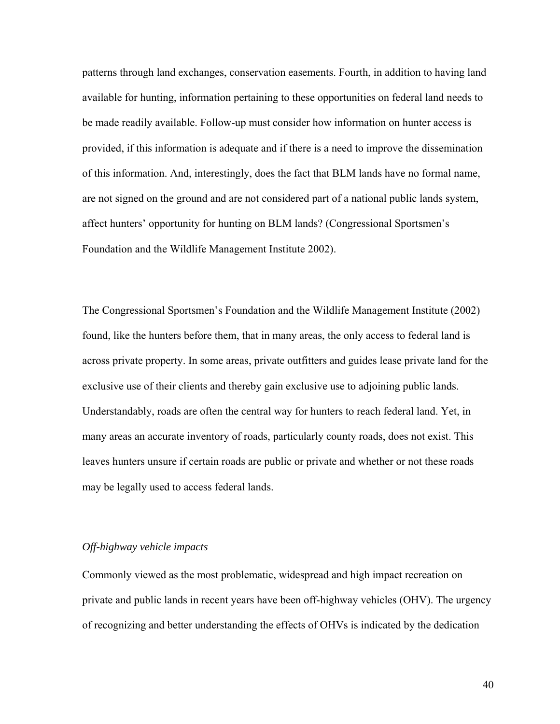patterns through land exchanges, conservation easements. Fourth, in addition to having land available for hunting, information pertaining to these opportunities on federal land needs to be made readily available. Follow-up must consider how information on hunter access is provided, if this information is adequate and if there is a need to improve the dissemination of this information. And, interestingly, does the fact that BLM lands have no formal name, are not signed on the ground and are not considered part of a national public lands system, affect hunters' opportunity for hunting on BLM lands? (Congressional Sportsmen's Foundation and the Wildlife Management Institute 2002).

The Congressional Sportsmen's Foundation and the Wildlife Management Institute (2002) found, like the hunters before them, that in many areas, the only access to federal land is across private property. In some areas, private outfitters and guides lease private land for the exclusive use of their clients and thereby gain exclusive use to adjoining public lands. Understandably, roads are often the central way for hunters to reach federal land. Yet, in many areas an accurate inventory of roads, particularly county roads, does not exist. This leaves hunters unsure if certain roads are public or private and whether or not these roads may be legally used to access federal lands.

## *Off-highway vehicle impacts*

Commonly viewed as the most problematic, widespread and high impact recreation on private and public lands in recent years have been off-highway vehicles (OHV). The urgency of recognizing and better understanding the effects of OHVs is indicated by the dedication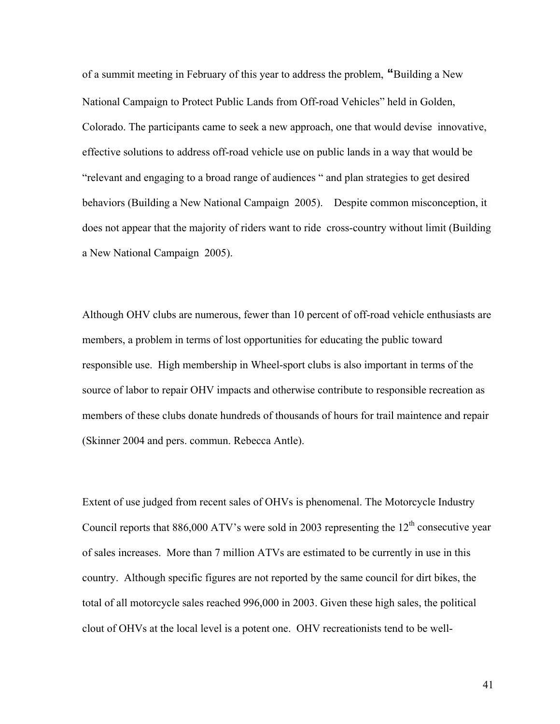of a summit meeting in February of this year to address the problem, **"**Building a New National Campaign to Protect Public Lands from Off-road Vehicles" held in Golden, Colorado. The participants came to seek a new approach, one that would devise innovative, effective solutions to address off-road vehicle use on public lands in a way that would be "relevant and engaging to a broad range of audiences " and plan strategies to get desired behaviors (Building a New National Campaign 2005). Despite common misconception, it does not appear that the majority of riders want to ride cross-country without limit (Building a New National Campaign 2005).

Although OHV clubs are numerous, fewer than 10 percent of off-road vehicle enthusiasts are members, a problem in terms of lost opportunities for educating the public toward responsible use. High membership in Wheel-sport clubs is also important in terms of the source of labor to repair OHV impacts and otherwise contribute to responsible recreation as members of these clubs donate hundreds of thousands of hours for trail maintence and repair (Skinner 2004 and pers. commun. Rebecca Antle).

Extent of use judged from recent sales of OHVs is phenomenal. The Motorcycle Industry Council reports that  $886,000$  ATV's were sold in 2003 representing the  $12<sup>th</sup>$  consecutive year of sales increases. More than 7 million ATVs are estimated to be currently in use in this country. Although specific figures are not reported by the same council for dirt bikes, the total of all motorcycle sales reached 996,000 in 2003. Given these high sales, the political clout of OHVs at the local level is a potent one. OHV recreationists tend to be well-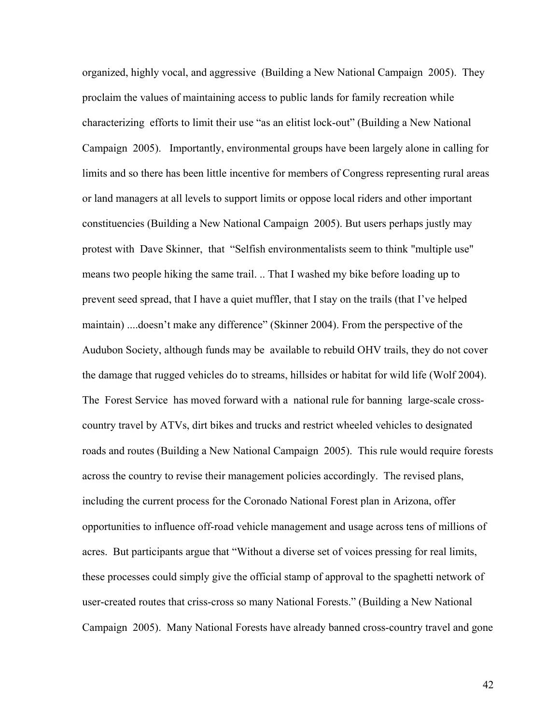organized, highly vocal, and aggressive (Building a New National Campaign 2005). They proclaim the values of maintaining access to public lands for family recreation while characterizing efforts to limit their use "as an elitist lock-out" (Building a New National Campaign 2005). Importantly, environmental groups have been largely alone in calling for limits and so there has been little incentive for members of Congress representing rural areas or land managers at all levels to support limits or oppose local riders and other important constituencies (Building a New National Campaign 2005). But users perhaps justly may protest with Dave Skinner, that "Selfish environmentalists seem to think "multiple use" means two people hiking the same trail. .. That I washed my bike before loading up to prevent seed spread, that I have a quiet muffler, that I stay on the trails (that I've helped maintain) ....doesn't make any difference" (Skinner 2004). From the perspective of the Audubon Society, although funds may be available to rebuild OHV trails, they do not cover the damage that rugged vehicles do to streams, hillsides or habitat for wild life (Wolf 2004). The Forest Service has moved forward with a national rule for banning large-scale crosscountry travel by ATVs, dirt bikes and trucks and restrict wheeled vehicles to designated roads and routes (Building a New National Campaign 2005). This rule would require forests across the country to revise their management policies accordingly. The revised plans, including the current process for the Coronado National Forest plan in Arizona, offer opportunities to influence off-road vehicle management and usage across tens of millions of acres. But participants argue that "Without a diverse set of voices pressing for real limits, these processes could simply give the official stamp of approval to the spaghetti network of user-created routes that criss-cross so many National Forests." (Building a New National Campaign 2005). Many National Forests have already banned cross-country travel and gone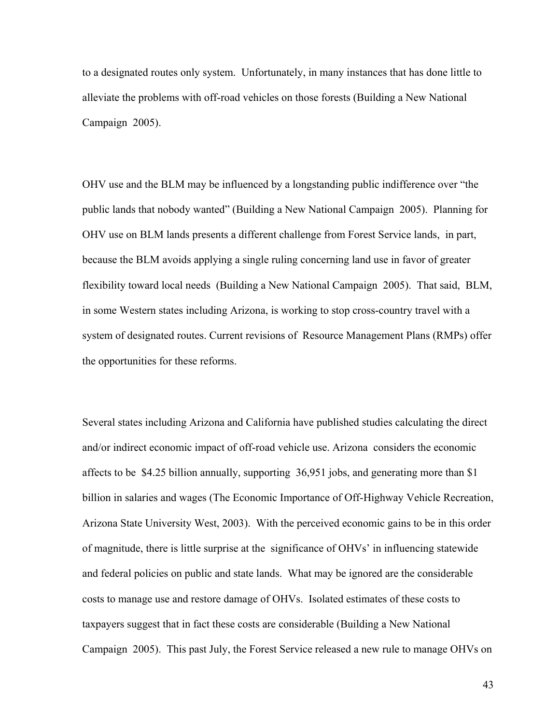to a designated routes only system. Unfortunately, in many instances that has done little to alleviate the problems with off-road vehicles on those forests (Building a New National Campaign 2005).

OHV use and the BLM may be influenced by a longstanding public indifference over "the public lands that nobody wanted" (Building a New National Campaign 2005). Planning for OHV use on BLM lands presents a different challenge from Forest Service lands, in part, because the BLM avoids applying a single ruling concerning land use in favor of greater flexibility toward local needs (Building a New National Campaign 2005). That said, BLM, in some Western states including Arizona, is working to stop cross-country travel with a system of designated routes. Current revisions of Resource Management Plans (RMPs) offer the opportunities for these reforms.

Several states including Arizona and California have published studies calculating the direct and/or indirect economic impact of off-road vehicle use. Arizona considers the economic affects to be \$4.25 billion annually, supporting 36,951 jobs, and generating more than \$1 billion in salaries and wages (The Economic Importance of Off-Highway Vehicle Recreation, Arizona State University West, 2003). With the perceived economic gains to be in this order of magnitude, there is little surprise at the significance of OHVs' in influencing statewide and federal policies on public and state lands. What may be ignored are the considerable costs to manage use and restore damage of OHVs. Isolated estimates of these costs to taxpayers suggest that in fact these costs are considerable (Building a New National Campaign 2005). This past July, the Forest Service released a new rule to manage OHVs on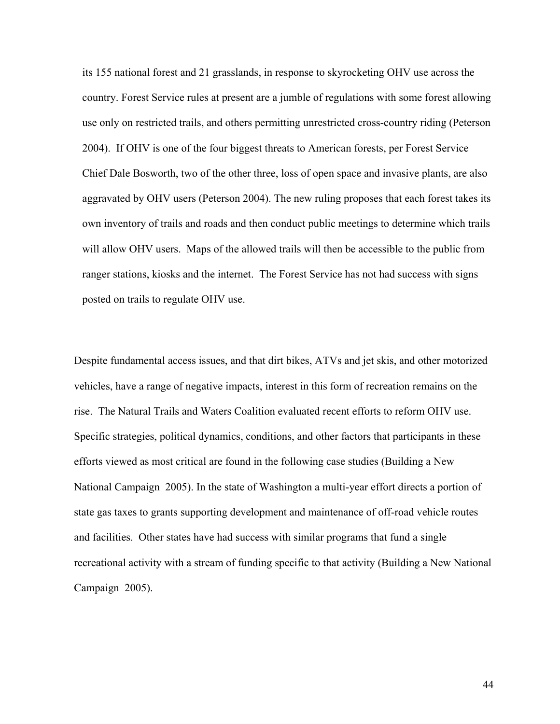its 155 national forest and 21 grasslands, in response to skyrocketing OHV use across the country. Forest Service rules at present are a jumble of regulations with some forest allowing use only on restricted trails, and others permitting unrestricted cross-country riding (Peterson 2004). If OHV is one of the four biggest threats to American forests, per Forest Service Chief Dale Bosworth, two of the other three, loss of open space and invasive plants, are also aggravated by OHV users (Peterson 2004). The new ruling proposes that each forest takes its own inventory of trails and roads and then conduct public meetings to determine which trails will allow OHV users. Maps of the allowed trails will then be accessible to the public from ranger stations, kiosks and the internet. The Forest Service has not had success with signs posted on trails to regulate OHV use.

Despite fundamental access issues, and that dirt bikes, ATVs and jet skis, and other motorized vehicles, have a range of negative impacts, interest in this form of recreation remains on the rise. The Natural Trails and Waters Coalition evaluated recent efforts to reform OHV use. Specific strategies, political dynamics, conditions, and other factors that participants in these efforts viewed as most critical are found in the following case studies (Building a New National Campaign 2005). In the state of Washington a multi-year effort directs a portion of state gas taxes to grants supporting development and maintenance of off-road vehicle routes and facilities. Other states have had success with similar programs that fund a single recreational activity with a stream of funding specific to that activity (Building a New National Campaign 2005).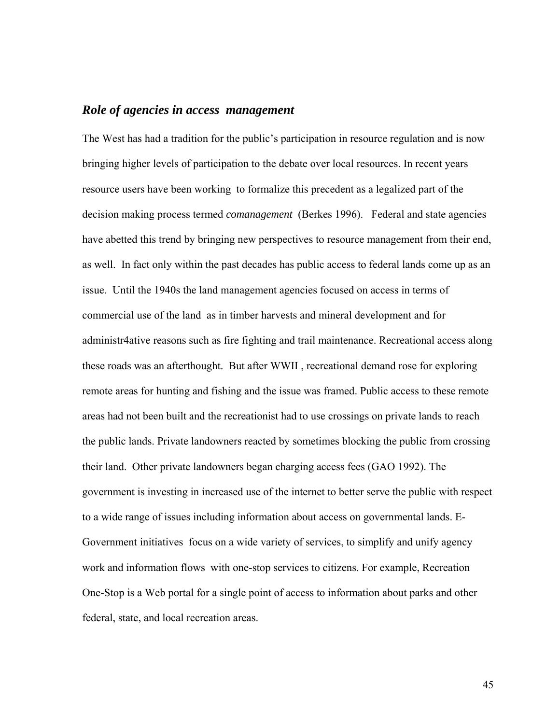# *Role of agencies in access management*

The West has had a tradition for the public's participation in resource regulation and is now bringing higher levels of participation to the debate over local resources. In recent years resource users have been working to formalize this precedent as a legalized part of the decision making process termed *comanagement* (Berkes 1996). Federal and state agencies have abetted this trend by bringing new perspectives to resource management from their end, as well. In fact only within the past decades has public access to federal lands come up as an issue. Until the 1940s the land management agencies focused on access in terms of commercial use of the land as in timber harvests and mineral development and for administr4ative reasons such as fire fighting and trail maintenance. Recreational access along these roads was an afterthought. But after WWII , recreational demand rose for exploring remote areas for hunting and fishing and the issue was framed. Public access to these remote areas had not been built and the recreationist had to use crossings on private lands to reach the public lands. Private landowners reacted by sometimes blocking the public from crossing their land. Other private landowners began charging access fees (GAO 1992). The government is investing in increased use of the internet to better serve the public with respect to a wide range of issues including information about access on governmental lands. E-Government initiatives focus on a wide variety of services, to simplify and unify agency work and information flows with one-stop services to citizens. For example, Recreation One-Stop is a Web portal for a single point of access to information about parks and other federal, state, and local recreation areas.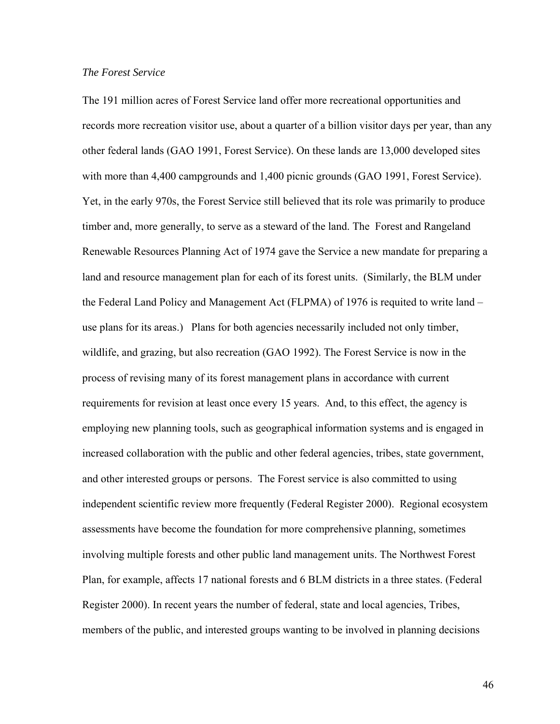## *The Forest Service*

The 191 million acres of Forest Service land offer more recreational opportunities and records more recreation visitor use, about a quarter of a billion visitor days per year, than any other federal lands (GAO 1991, Forest Service). On these lands are 13,000 developed sites with more than 4,400 campgrounds and 1,400 picnic grounds (GAO 1991, Forest Service). Yet, in the early 970s, the Forest Service still believed that its role was primarily to produce timber and, more generally, to serve as a steward of the land. The Forest and Rangeland Renewable Resources Planning Act of 1974 gave the Service a new mandate for preparing a land and resource management plan for each of its forest units. (Similarly, the BLM under the Federal Land Policy and Management Act (FLPMA) of 1976 is requited to write land – use plans for its areas.) Plans for both agencies necessarily included not only timber, wildlife, and grazing, but also recreation (GAO 1992). The Forest Service is now in the process of revising many of its forest management plans in accordance with current requirements for revision at least once every 15 years. And, to this effect, the agency is employing new planning tools, such as geographical information systems and is engaged in increased collaboration with the public and other federal agencies, tribes, state government, and other interested groups or persons. The Forest service is also committed to using independent scientific review more frequently (Federal Register 2000). Regional ecosystem assessments have become the foundation for more comprehensive planning, sometimes involving multiple forests and other public land management units. The Northwest Forest Plan, for example, affects 17 national forests and 6 BLM districts in a three states. (Federal Register 2000). In recent years the number of federal, state and local agencies, Tribes, members of the public, and interested groups wanting to be involved in planning decisions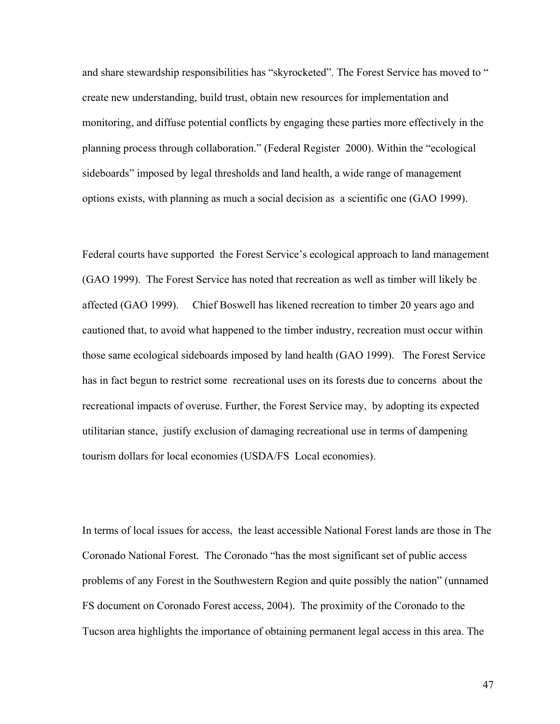and share stewardship responsibilities has "skyrocketed". The Forest Service has moved to " create new understanding, build trust, obtain new resources for implementation and monitoring, and diffuse potential conflicts by engaging these parties more effectively in the planning process through collaboration." (Federal Register 2000). Within the "ecological sideboards" imposed by legal thresholds and land health, a wide range of management options exists, with planning as much a social decision as a scientific one (GAO 1999).

Federal courts have supported the Forest Service's ecological approach to land management (GAO 1999). The Forest Service has noted that recreation as well as timber will likely be affected (GAO 1999). Chief Boswell has likened recreation to timber 20 years ago and cautioned that, to avoid what happened to the timber industry, recreation must occur within those same ecological sideboards imposed by land health (GAO 1999). The Forest Service has in fact begun to restrict some recreational uses on its forests due to concerns about the recreational impacts of overuse. Further, the Forest Service may, by adopting its expected utilitarian stance, justify exclusion of damaging recreational use in terms of dampening tourism dollars for local economies (USDA/FS Local economies).

In terms of local issues for access, the least accessible National Forest lands are those in The Coronado National Forest. The Coronado "has the most significant set of public access problems of any Forest in the Southwestern Region and quite possibly the nation" (unnamed FS document on Coronado Forest access, 2004). The proximity of the Coronado to the Tucson area highlights the importance of obtaining permanent legal access in this area. The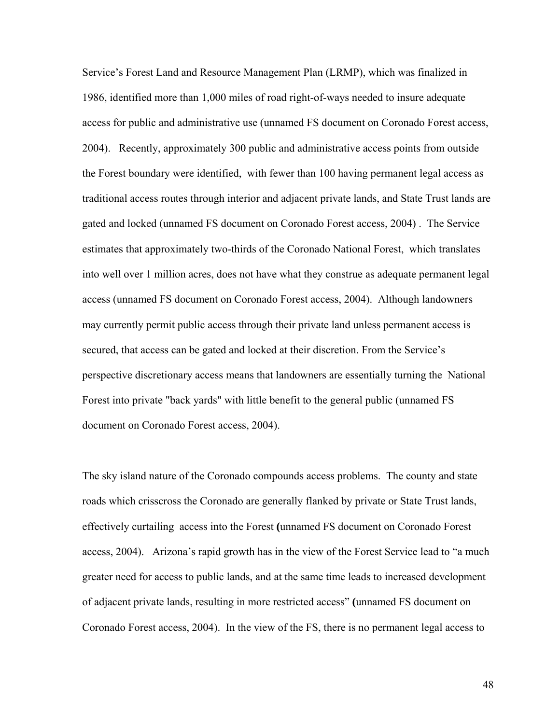Service's Forest Land and Resource Management Plan (LRMP), which was finalized in 1986, identified more than 1,000 miles of road right-of-ways needed to insure adequate access for public and administrative use (unnamed FS document on Coronado Forest access, 2004). Recently, approximately 300 public and administrative access points from outside the Forest boundary were identified, with fewer than 100 having permanent legal access as traditional access routes through interior and adjacent private lands, and State Trust lands are gated and locked (unnamed FS document on Coronado Forest access, 2004) . The Service estimates that approximately two-thirds of the Coronado National Forest, which translates into well over 1 million acres, does not have what they construe as adequate permanent legal access (unnamed FS document on Coronado Forest access, 2004). Although landowners may currently permit public access through their private land unless permanent access is secured, that access can be gated and locked at their discretion. From the Service's perspective discretionary access means that landowners are essentially turning the National Forest into private "back yards" with little benefit to the general public (unnamed FS document on Coronado Forest access, 2004).

The sky island nature of the Coronado compounds access problems. The county and state roads which crisscross the Coronado are generally flanked by private or State Trust lands, effectively curtailing access into the Forest **(**unnamed FS document on Coronado Forest access, 2004). Arizona's rapid growth has in the view of the Forest Service lead to "a much greater need for access to public lands, and at the same time leads to increased development of adjacent private lands, resulting in more restricted access" **(**unnamed FS document on Coronado Forest access, 2004). In the view of the FS, there is no permanent legal access to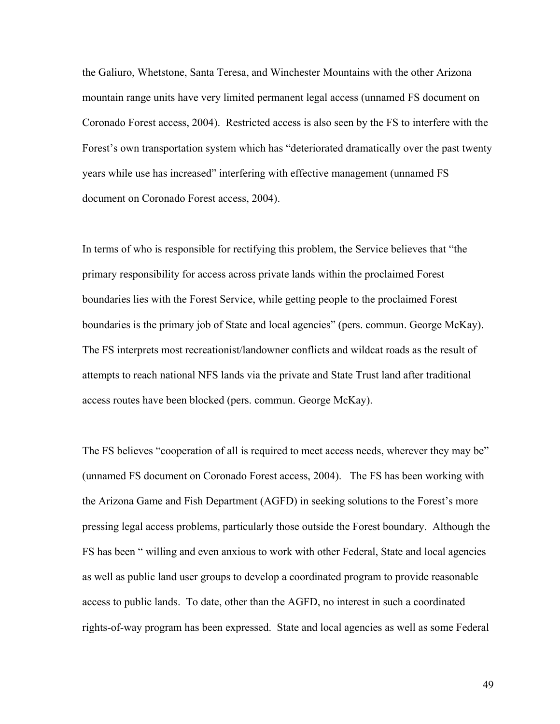the Galiuro, Whetstone, Santa Teresa, and Winchester Mountains with the other Arizona mountain range units have very limited permanent legal access (unnamed FS document on Coronado Forest access, 2004). Restricted access is also seen by the FS to interfere with the Forest's own transportation system which has "deteriorated dramatically over the past twenty years while use has increased" interfering with effective management (unnamed FS document on Coronado Forest access, 2004).

In terms of who is responsible for rectifying this problem, the Service believes that "the primary responsibility for access across private lands within the proclaimed Forest boundaries lies with the Forest Service, while getting people to the proclaimed Forest boundaries is the primary job of State and local agencies" (pers. commun. George McKay). The FS interprets most recreationist/landowner conflicts and wildcat roads as the result of attempts to reach national NFS lands via the private and State Trust land after traditional access routes have been blocked (pers. commun. George McKay).

The FS believes "cooperation of all is required to meet access needs, wherever they may be" (unnamed FS document on Coronado Forest access, 2004). The FS has been working with the Arizona Game and Fish Department (AGFD) in seeking solutions to the Forest's more pressing legal access problems, particularly those outside the Forest boundary. Although the FS has been " willing and even anxious to work with other Federal, State and local agencies as well as public land user groups to develop a coordinated program to provide reasonable access to public lands. To date, other than the AGFD, no interest in such a coordinated rights-of-way program has been expressed. State and local agencies as well as some Federal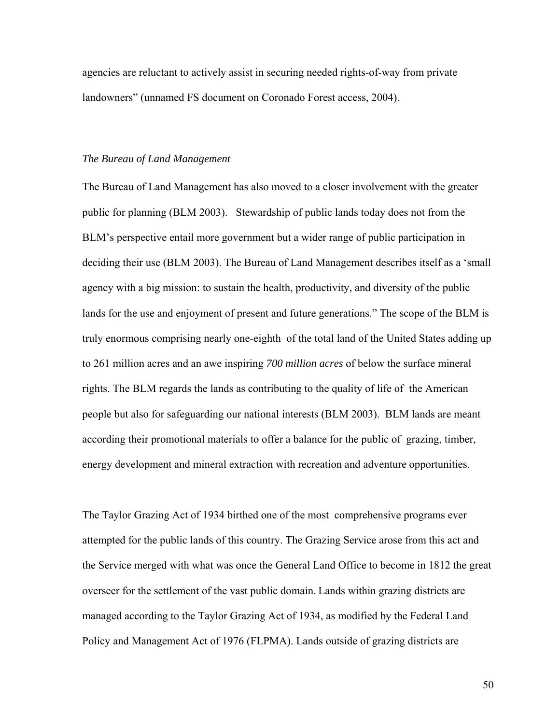agencies are reluctant to actively assist in securing needed rights-of-way from private landowners" (unnamed FS document on Coronado Forest access, 2004).

#### *The Bureau of Land Management*

The Bureau of Land Management has also moved to a closer involvement with the greater public for planning (BLM 2003). Stewardship of public lands today does not from the BLM's perspective entail more government but a wider range of public participation in deciding their use (BLM 2003). The Bureau of Land Management describes itself as a 'small agency with a big mission: to sustain the health, productivity, and diversity of the public lands for the use and enjoyment of present and future generations." The scope of the BLM is truly enormous comprising nearly one-eighth of the total land of the United States adding up to 261 million acres and an awe inspiring *700 million acres* of below the surface mineral rights. The BLM regards the lands as contributing to the quality of life of the American people but also for safeguarding our national interests (BLM 2003). BLM lands are meant according their promotional materials to offer a balance for the public of grazing, timber, energy development and mineral extraction with recreation and adventure opportunities.

The Taylor Grazing Act of 1934 birthed one of the most comprehensive programs ever attempted for the public lands of this country. The Grazing Service arose from this act and the Service merged with what was once the General Land Office to become in 1812 the great overseer for the settlement of the vast public domain. Lands within grazing districts are managed according to the Taylor Grazing Act of 1934, as modified by the Federal Land Policy and Management Act of 1976 (FLPMA). Lands outside of grazing districts are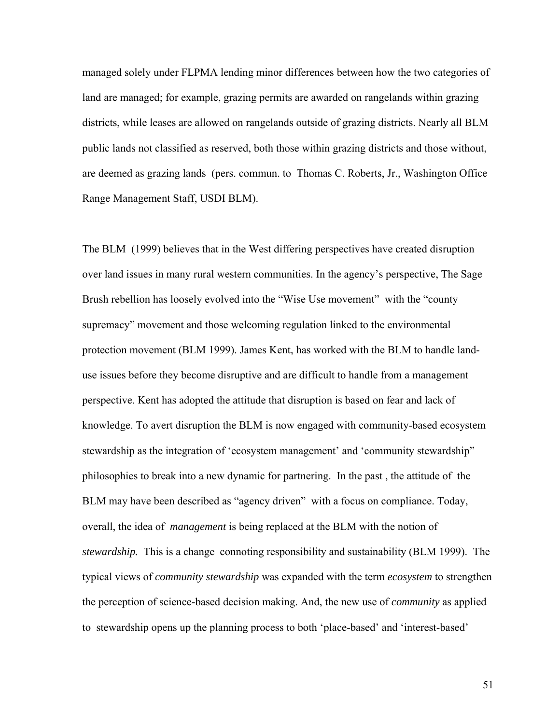managed solely under FLPMA lending minor differences between how the two categories of land are managed; for example, grazing permits are awarded on rangelands within grazing districts, while leases are allowed on rangelands outside of grazing districts. Nearly all BLM public lands not classified as reserved, both those within grazing districts and those without, are deemed as grazing lands (pers. commun. to Thomas C. Roberts, Jr., Washington Office Range Management Staff, USDI BLM).

The BLM (1999) believes that in the West differing perspectives have created disruption over land issues in many rural western communities. In the agency's perspective, The Sage Brush rebellion has loosely evolved into the "Wise Use movement" with the "county supremacy" movement and those welcoming regulation linked to the environmental protection movement (BLM 1999). James Kent, has worked with the BLM to handle landuse issues before they become disruptive and are difficult to handle from a management perspective. Kent has adopted the attitude that disruption is based on fear and lack of knowledge. To avert disruption the BLM is now engaged with community-based ecosystem stewardship as the integration of 'ecosystem management' and 'community stewardship" philosophies to break into a new dynamic for partnering. In the past , the attitude of the BLM may have been described as "agency driven" with a focus on compliance. Today, overall, the idea of *management* is being replaced at the BLM with the notion of *stewardship.* This is a change connoting responsibility and sustainability (BLM 1999). The typical views of *community stewardship* was expanded with the term *ecosystem* to strengthen the perception of science-based decision making. And, the new use of *community* as applied to stewardship opens up the planning process to both 'place-based' and 'interest-based'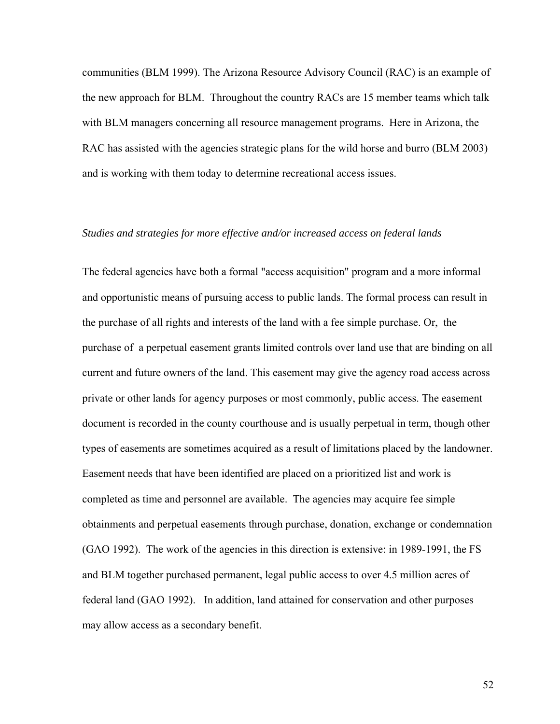communities (BLM 1999). The Arizona Resource Advisory Council (RAC) is an example of the new approach for BLM. Throughout the country RACs are 15 member teams which talk with BLM managers concerning all resource management programs. Here in Arizona, the RAC has assisted with the agencies strategic plans for the wild horse and burro (BLM 2003) and is working with them today to determine recreational access issues.

## *Studies and strategies for more effective and/or increased access on federal lands*

The federal agencies have both a formal "access acquisition" program and a more informal and opportunistic means of pursuing access to public lands. The formal process can result in the purchase of all rights and interests of the land with a fee simple purchase. Or, the purchase of a perpetual easement grants limited controls over land use that are binding on all current and future owners of the land. This easement may give the agency road access across private or other lands for agency purposes or most commonly, public access. The easement document is recorded in the county courthouse and is usually perpetual in term, though other types of easements are sometimes acquired as a result of limitations placed by the landowner. Easement needs that have been identified are placed on a prioritized list and work is completed as time and personnel are available. The agencies may acquire fee simple obtainments and perpetual easements through purchase, donation, exchange or condemnation (GAO 1992). The work of the agencies in this direction is extensive: in 1989-1991, the FS and BLM together purchased permanent, legal public access to over 4.5 million acres of federal land (GAO 1992). In addition, land attained for conservation and other purposes may allow access as a secondary benefit.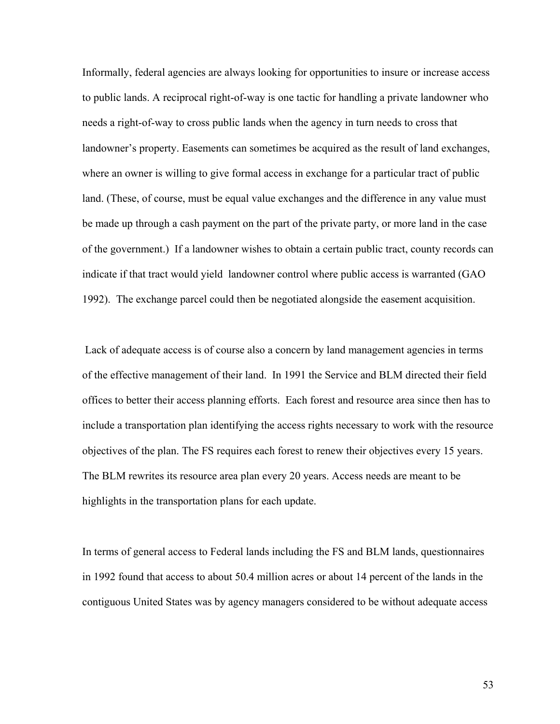Informally, federal agencies are always looking for opportunities to insure or increase access to public lands. A reciprocal right-of-way is one tactic for handling a private landowner who needs a right-of-way to cross public lands when the agency in turn needs to cross that landowner's property. Easements can sometimes be acquired as the result of land exchanges, where an owner is willing to give formal access in exchange for a particular tract of public land. (These, of course, must be equal value exchanges and the difference in any value must be made up through a cash payment on the part of the private party, or more land in the case of the government.) If a landowner wishes to obtain a certain public tract, county records can indicate if that tract would yield landowner control where public access is warranted (GAO 1992). The exchange parcel could then be negotiated alongside the easement acquisition.

 Lack of adequate access is of course also a concern by land management agencies in terms of the effective management of their land. In 1991 the Service and BLM directed their field offices to better their access planning efforts. Each forest and resource area since then has to include a transportation plan identifying the access rights necessary to work with the resource objectives of the plan. The FS requires each forest to renew their objectives every 15 years. The BLM rewrites its resource area plan every 20 years. Access needs are meant to be highlights in the transportation plans for each update.

In terms of general access to Federal lands including the FS and BLM lands, questionnaires in 1992 found that access to about 50.4 million acres or about 14 percent of the lands in the contiguous United States was by agency managers considered to be without adequate access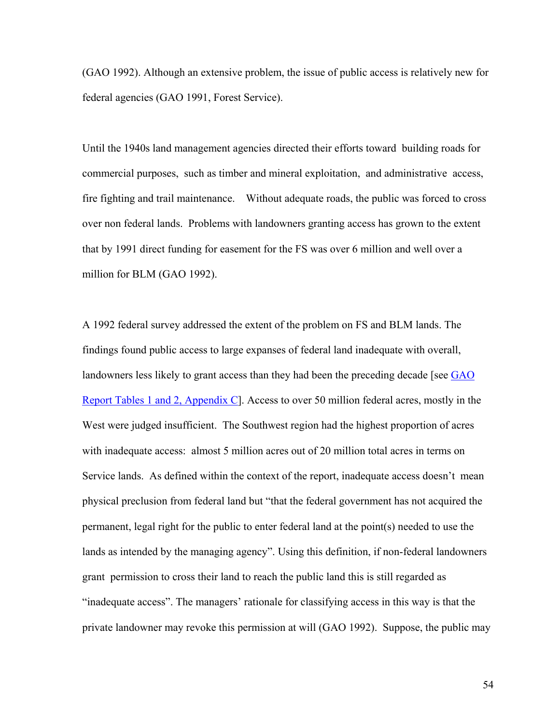(GAO 1992). Although an extensive problem, the issue of public access is relatively new for federal agencies (GAO 1991, Forest Service).

Until the 1940s land management agencies directed their efforts toward building roads for commercial purposes, such as timber and mineral exploitation, and administrative access, fire fighting and trail maintenance. Without adequate roads, the public was forced to cross over non federal lands. Problems with landowners granting access has grown to the extent that by 1991 direct funding for easement for the FS was over 6 million and well over a million for BLM (GAO 1992).

A 1992 federal survey addressed the extent of the problem on FS and BLM lands. The findings found public access to large expanses of federal land inadequate with overall, landowners less likely to grant access than they had been the preceding decade [see GAO [Report Tables 1 and 2, Appendix C](#page-201-0)]. Access to over 50 million federal acres, mostly in the West were judged insufficient. The Southwest region had the highest proportion of acres with inadequate access: almost 5 million acres out of 20 million total acres in terms on Service lands. As defined within the context of the report, inadequate access doesn't mean physical preclusion from federal land but "that the federal government has not acquired the permanent, legal right for the public to enter federal land at the point(s) needed to use the lands as intended by the managing agency". Using this definition, if non-federal landowners grant permission to cross their land to reach the public land this is still regarded as "inadequate access". The managers' rationale for classifying access in this way is that the private landowner may revoke this permission at will (GAO 1992). Suppose, the public may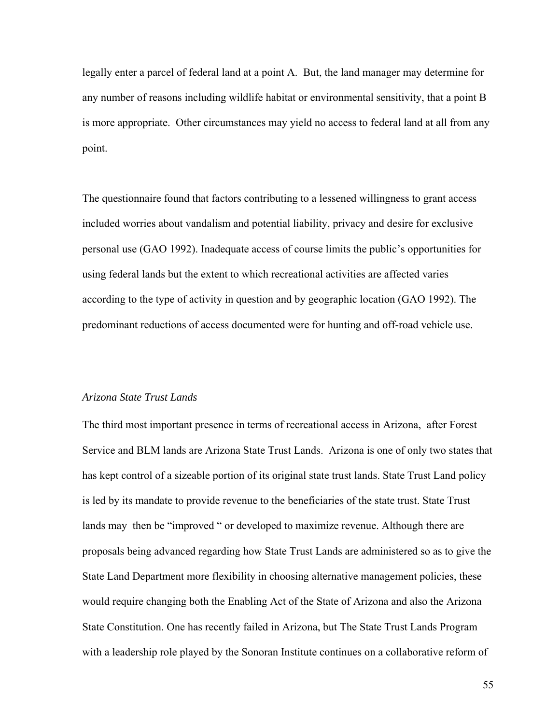legally enter a parcel of federal land at a point A. But, the land manager may determine for any number of reasons including wildlife habitat or environmental sensitivity, that a point B is more appropriate. Other circumstances may yield no access to federal land at all from any point.

The questionnaire found that factors contributing to a lessened willingness to grant access included worries about vandalism and potential liability, privacy and desire for exclusive personal use (GAO 1992). Inadequate access of course limits the public's opportunities for using federal lands but the extent to which recreational activities are affected varies according to the type of activity in question and by geographic location (GAO 1992). The predominant reductions of access documented were for hunting and off-road vehicle use.

## *Arizona State Trust Lands*

The third most important presence in terms of recreational access in Arizona, after Forest Service and BLM lands are Arizona State Trust Lands. Arizona is one of only two states that has kept control of a sizeable portion of its original state trust lands. State Trust Land policy is led by its mandate to provide revenue to the beneficiaries of the state trust. State Trust lands may then be "improved " or developed to maximize revenue. Although there are proposals being advanced regarding how State Trust Lands are administered so as to give the State Land Department more flexibility in choosing alternative management policies, these would require changing both the Enabling Act of the State of Arizona and also the Arizona State Constitution. One has recently failed in Arizona, but The State Trust Lands Program with a leadership role played by the Sonoran Institute continues on a collaborative reform of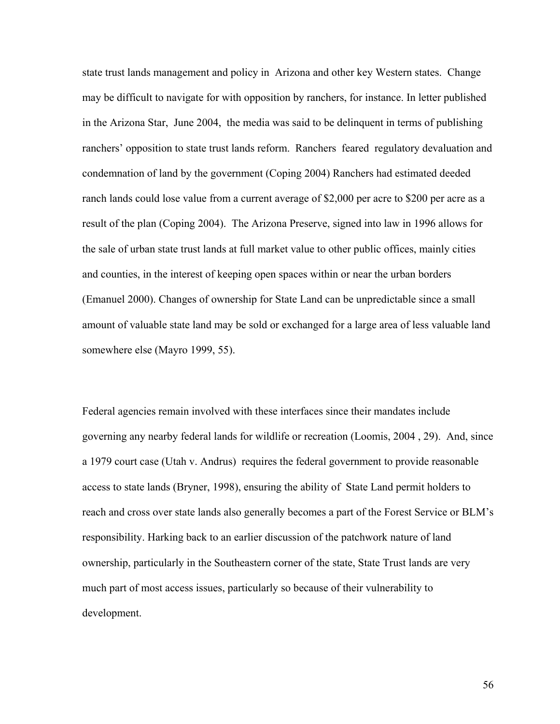state trust lands management and policy in Arizona and other key Western states. Change may be difficult to navigate for with opposition by ranchers, for instance. In letter published in the Arizona Star, June 2004, the media was said to be delinquent in terms of publishing ranchers' opposition to state trust lands reform. Ranchers feared regulatory devaluation and condemnation of land by the government (Coping 2004) Ranchers had estimated deeded ranch lands could lose value from a current average of \$2,000 per acre to \$200 per acre as a result of the plan (Coping 2004). The Arizona Preserve, signed into law in 1996 allows for the sale of urban state trust lands at full market value to other public offices, mainly cities and counties, in the interest of keeping open spaces within or near the urban borders (Emanuel 2000). Changes of ownership for State Land can be unpredictable since a small amount of valuable state land may be sold or exchanged for a large area of less valuable land somewhere else (Mayro 1999, 55).

Federal agencies remain involved with these interfaces since their mandates include governing any nearby federal lands for wildlife or recreation (Loomis, 2004 , 29). And, since a 1979 court case (Utah v. Andrus) requires the federal government to provide reasonable access to state lands (Bryner, 1998), ensuring the ability of State Land permit holders to reach and cross over state lands also generally becomes a part of the Forest Service or BLM's responsibility. Harking back to an earlier discussion of the patchwork nature of land ownership, particularly in the Southeastern corner of the state, State Trust lands are very much part of most access issues, particularly so because of their vulnerability to development.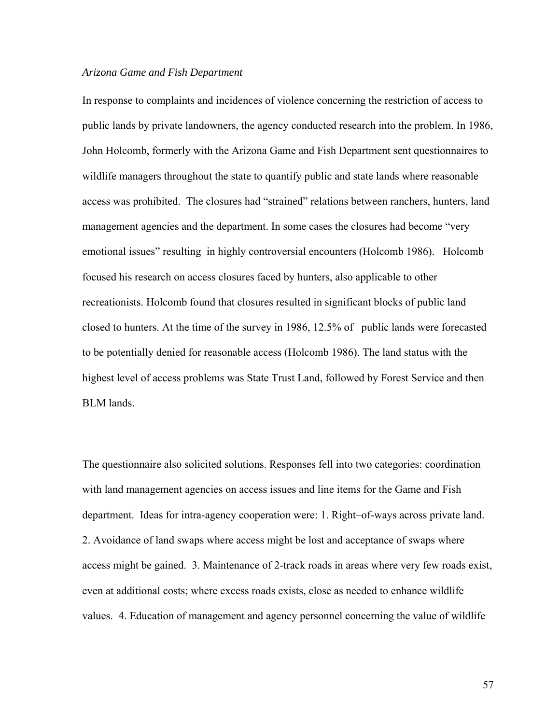#### *Arizona Game and Fish Department*

In response to complaints and incidences of violence concerning the restriction of access to public lands by private landowners, the agency conducted research into the problem. In 1986, John Holcomb, formerly with the Arizona Game and Fish Department sent questionnaires to wildlife managers throughout the state to quantify public and state lands where reasonable access was prohibited. The closures had "strained" relations between ranchers, hunters, land management agencies and the department. In some cases the closures had become "very emotional issues" resulting in highly controversial encounters (Holcomb 1986). Holcomb focused his research on access closures faced by hunters, also applicable to other recreationists. Holcomb found that closures resulted in significant blocks of public land closed to hunters. At the time of the survey in 1986, 12.5% of public lands were forecasted to be potentially denied for reasonable access (Holcomb 1986). The land status with the highest level of access problems was State Trust Land, followed by Forest Service and then BLM lands.

The questionnaire also solicited solutions. Responses fell into two categories: coordination with land management agencies on access issues and line items for the Game and Fish department. Ideas for intra-agency cooperation were: 1. Right–of-ways across private land. 2. Avoidance of land swaps where access might be lost and acceptance of swaps where access might be gained. 3. Maintenance of 2-track roads in areas where very few roads exist, even at additional costs; where excess roads exists, close as needed to enhance wildlife values. 4. Education of management and agency personnel concerning the value of wildlife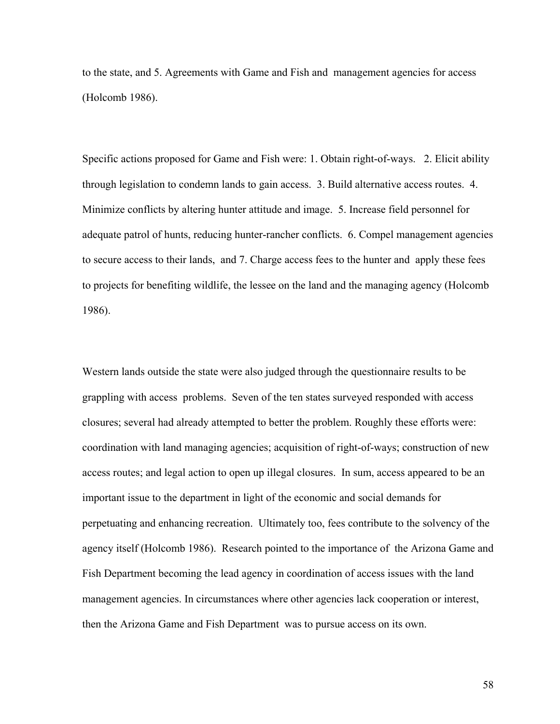to the state, and 5. Agreements with Game and Fish and management agencies for access (Holcomb 1986).

Specific actions proposed for Game and Fish were: 1. Obtain right-of-ways. 2. Elicit ability through legislation to condemn lands to gain access. 3. Build alternative access routes. 4. Minimize conflicts by altering hunter attitude and image. 5. Increase field personnel for adequate patrol of hunts, reducing hunter-rancher conflicts. 6. Compel management agencies to secure access to their lands, and 7. Charge access fees to the hunter and apply these fees to projects for benefiting wildlife, the lessee on the land and the managing agency (Holcomb 1986).

Western lands outside the state were also judged through the questionnaire results to be grappling with access problems. Seven of the ten states surveyed responded with access closures; several had already attempted to better the problem. Roughly these efforts were: coordination with land managing agencies; acquisition of right-of-ways; construction of new access routes; and legal action to open up illegal closures. In sum, access appeared to be an important issue to the department in light of the economic and social demands for perpetuating and enhancing recreation. Ultimately too, fees contribute to the solvency of the agency itself (Holcomb 1986). Research pointed to the importance of the Arizona Game and Fish Department becoming the lead agency in coordination of access issues with the land management agencies. In circumstances where other agencies lack cooperation or interest, then the Arizona Game and Fish Department was to pursue access on its own.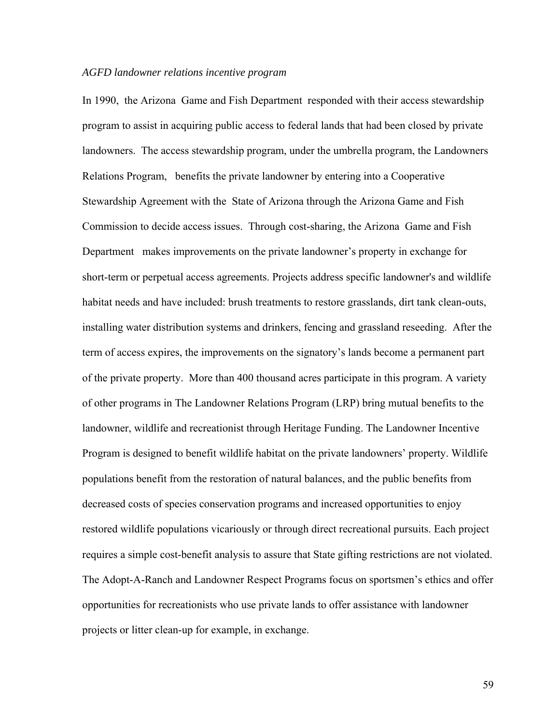## *AGFD landowner relations incentive program*

In 1990, the Arizona Game and Fish Department responded with their access stewardship program to assist in acquiring public access to federal lands that had been closed by private landowners. The access stewardship program, under the umbrella program, the Landowners Relations Program, benefits the private landowner by entering into a Cooperative Stewardship Agreement with the State of Arizona through the Arizona Game and Fish Commission to decide access issues. Through cost-sharing, the Arizona Game and Fish Department makes improvements on the private landowner's property in exchange for short-term or perpetual access agreements. Projects address specific landowner's and wildlife habitat needs and have included: brush treatments to restore grasslands, dirt tank clean-outs, installing water distribution systems and drinkers, fencing and grassland reseeding. After the term of access expires, the improvements on the signatory's lands become a permanent part of the private property. More than 400 thousand acres participate in this program. A variety of other programs in The Landowner Relations Program (LRP) bring mutual benefits to the landowner, wildlife and recreationist through Heritage Funding. The Landowner Incentive Program is designed to benefit wildlife habitat on the private landowners' property. Wildlife populations benefit from the restoration of natural balances, and the public benefits from decreased costs of species conservation programs and increased opportunities to enjoy restored wildlife populations vicariously or through direct recreational pursuits. Each project requires a simple cost-benefit analysis to assure that State gifting restrictions are not violated. The Adopt-A-Ranch and Landowner Respect Programs focus on sportsmen's ethics and offer opportunities for recreationists who use private lands to offer assistance with landowner projects or litter clean-up for example, in exchange.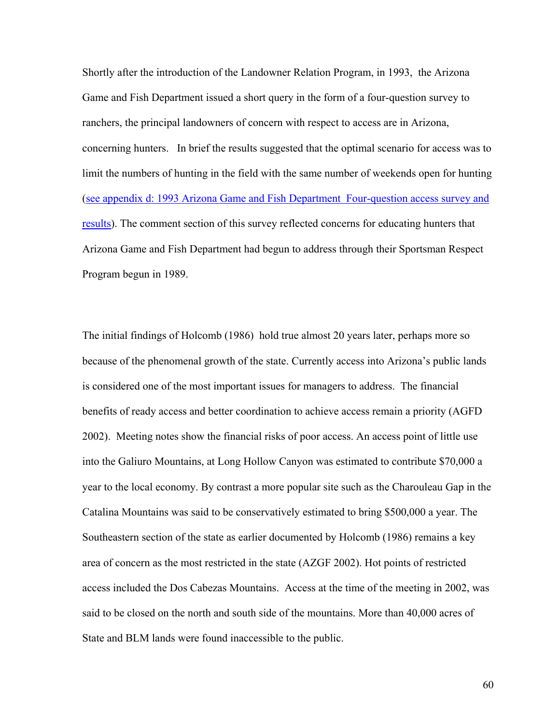Shortly after the introduction of the Landowner Relation Program, in 1993, the Arizona Game and Fish Department issued a short query in the form of a four-question survey to ranchers, the principal landowners of concern with respect to access are in Arizona, concerning hunters. In brief the results suggested that the optimal scenario for access was to limit the numbers of hunting in the field with the same number of weekends open for hunting ([see appendix d: 1993 Arizona Game and Fish Department Four-question access survey and](#page-203-0)  [results](#page-203-0)). The comment section of this survey reflected concerns for educating hunters that Arizona Game and Fish Department had begun to address through their Sportsman Respect Program begun in 1989.

The initial findings of Holcomb (1986) hold true almost 20 years later, perhaps more so because of the phenomenal growth of the state. Currently access into Arizona's public lands is considered one of the most important issues for managers to address. The financial benefits of ready access and better coordination to achieve access remain a priority (AGFD 2002). Meeting notes show the financial risks of poor access. An access point of little use into the Galiuro Mountains, at Long Hollow Canyon was estimated to contribute \$70,000 a year to the local economy. By contrast a more popular site such as the Charouleau Gap in the Catalina Mountains was said to be conservatively estimated to bring \$500,000 a year. The Southeastern section of the state as earlier documented by Holcomb (1986) remains a key area of concern as the most restricted in the state (AZGF 2002). Hot points of restricted access included the Dos Cabezas Mountains. Access at the time of the meeting in 2002, was said to be closed on the north and south side of the mountains. More than 40,000 acres of State and BLM lands were found inaccessible to the public.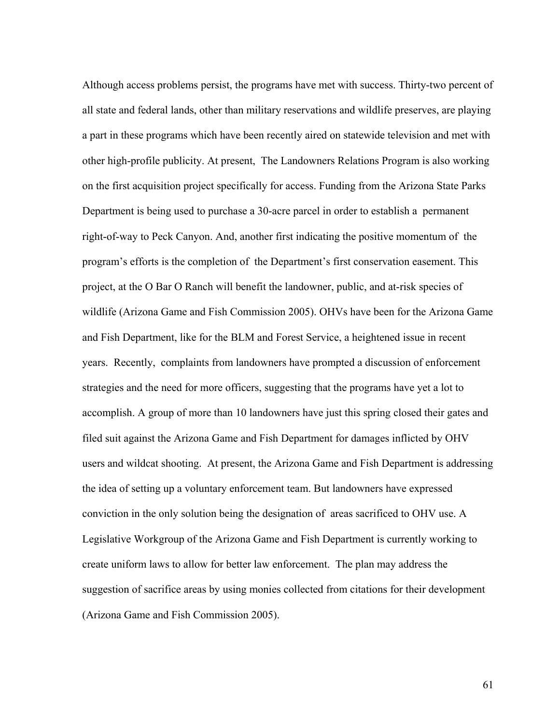Although access problems persist, the programs have met with success. Thirty-two percent of all state and federal lands, other than military reservations and wildlife preserves, are playing a part in these programs which have been recently aired on statewide television and met with other high-profile publicity. At present, The Landowners Relations Program is also working on the first acquisition project specifically for access. Funding from the Arizona State Parks Department is being used to purchase a 30-acre parcel in order to establish a permanent right-of-way to Peck Canyon. And, another first indicating the positive momentum of the program's efforts is the completion of the Department's first conservation easement. This project, at the O Bar O Ranch will benefit the landowner, public, and at-risk species of wildlife (Arizona Game and Fish Commission 2005). OHVs have been for the Arizona Game and Fish Department, like for the BLM and Forest Service, a heightened issue in recent years. Recently, complaints from landowners have prompted a discussion of enforcement strategies and the need for more officers, suggesting that the programs have yet a lot to accomplish. A group of more than 10 landowners have just this spring closed their gates and filed suit against the Arizona Game and Fish Department for damages inflicted by OHV users and wildcat shooting. At present, the Arizona Game and Fish Department is addressing the idea of setting up a voluntary enforcement team. But landowners have expressed conviction in the only solution being the designation of areas sacrificed to OHV use. A Legislative Workgroup of the Arizona Game and Fish Department is currently working to create uniform laws to allow for better law enforcement. The plan may address the suggestion of sacrifice areas by using monies collected from citations for their development (Arizona Game and Fish Commission 2005).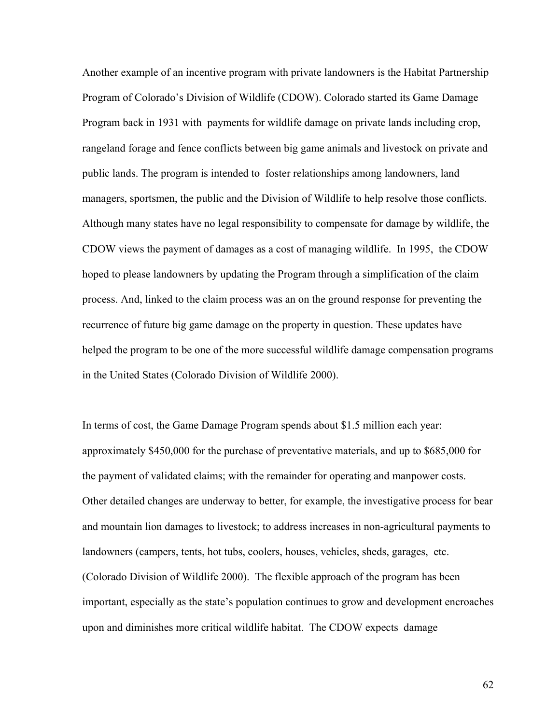Another example of an incentive program with private landowners is the Habitat Partnership Program of Colorado's Division of Wildlife (CDOW). Colorado started its Game Damage Program back in 1931 with payments for wildlife damage on private lands including crop, rangeland forage and fence conflicts between big game animals and livestock on private and public lands. The program is intended to foster relationships among landowners, land managers, sportsmen, the public and the Division of Wildlife to help resolve those conflicts. Although many states have no legal responsibility to compensate for damage by wildlife, the CDOW views the payment of damages as a cost of managing wildlife. In 1995, the CDOW hoped to please landowners by updating the Program through a simplification of the claim process. And, linked to the claim process was an on the ground response for preventing the recurrence of future big game damage on the property in question. These updates have helped the program to be one of the more successful wildlife damage compensation programs in the United States (Colorado Division of Wildlife 2000).

In terms of cost, the Game Damage Program spends about \$1.5 million each year: approximately \$450,000 for the purchase of preventative materials, and up to \$685,000 for the payment of validated claims; with the remainder for operating and manpower costs. Other detailed changes are underway to better, for example, the investigative process for bear and mountain lion damages to livestock; to address increases in non-agricultural payments to landowners (campers, tents, hot tubs, coolers, houses, vehicles, sheds, garages, etc. (Colorado Division of Wildlife 2000). The flexible approach of the program has been important, especially as the state's population continues to grow and development encroaches upon and diminishes more critical wildlife habitat. The CDOW expects damage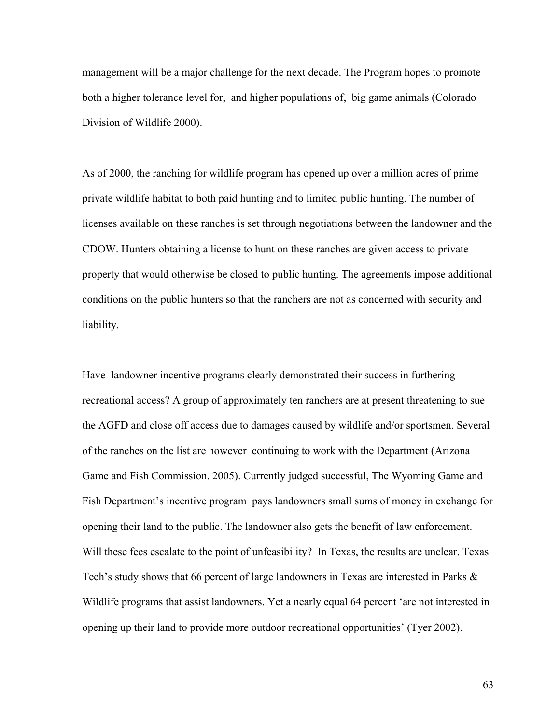management will be a major challenge for the next decade. The Program hopes to promote both a higher tolerance level for, and higher populations of, big game animals (Colorado Division of Wildlife 2000).

As of 2000, the ranching for wildlife program has opened up over a million acres of prime private wildlife habitat to both paid hunting and to limited public hunting. The number of licenses available on these ranches is set through negotiations between the landowner and the CDOW. Hunters obtaining a license to hunt on these ranches are given access to private property that would otherwise be closed to public hunting. The agreements impose additional conditions on the public hunters so that the ranchers are not as concerned with security and liability.

Have landowner incentive programs clearly demonstrated their success in furthering recreational access? A group of approximately ten ranchers are at present threatening to sue the AGFD and close off access due to damages caused by wildlife and/or sportsmen. Several of the ranches on the list are however continuing to work with the Department (Arizona Game and Fish Commission. 2005). Currently judged successful, The Wyoming Game and Fish Department's incentive program pays landowners small sums of money in exchange for opening their land to the public. The landowner also gets the benefit of law enforcement. Will these fees escalate to the point of unfeasibility? In Texas, the results are unclear. Texas Tech's study shows that 66 percent of large landowners in Texas are interested in Parks  $\&$ Wildlife programs that assist landowners. Yet a nearly equal 64 percent 'are not interested in opening up their land to provide more outdoor recreational opportunities' (Tyer 2002).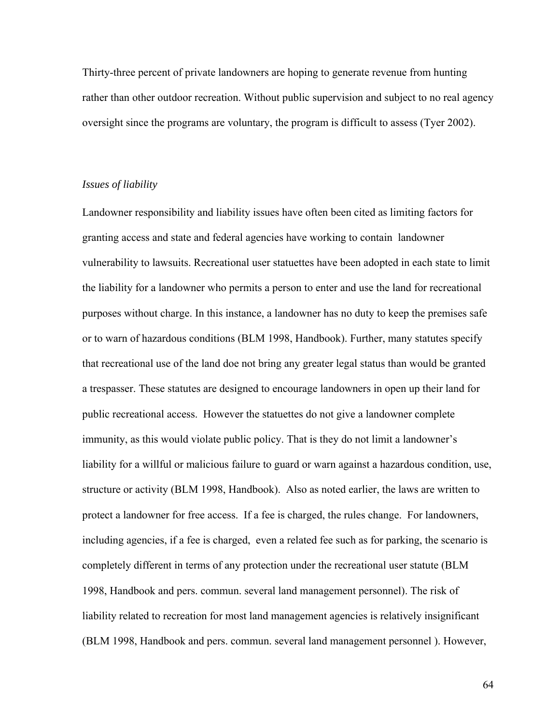Thirty-three percent of private landowners are hoping to generate revenue from hunting rather than other outdoor recreation. Without public supervision and subject to no real agency oversight since the programs are voluntary, the program is difficult to assess (Tyer 2002).

## *Issues of liability*

Landowner responsibility and liability issues have often been cited as limiting factors for granting access and state and federal agencies have working to contain landowner vulnerability to lawsuits. Recreational user statuettes have been adopted in each state to limit the liability for a landowner who permits a person to enter and use the land for recreational purposes without charge. In this instance, a landowner has no duty to keep the premises safe or to warn of hazardous conditions (BLM 1998, Handbook). Further, many statutes specify that recreational use of the land doe not bring any greater legal status than would be granted a trespasser. These statutes are designed to encourage landowners in open up their land for public recreational access. However the statuettes do not give a landowner complete immunity, as this would violate public policy. That is they do not limit a landowner's liability for a willful or malicious failure to guard or warn against a hazardous condition, use, structure or activity (BLM 1998, Handbook). Also as noted earlier, the laws are written to protect a landowner for free access. If a fee is charged, the rules change. For landowners, including agencies, if a fee is charged, even a related fee such as for parking, the scenario is completely different in terms of any protection under the recreational user statute (BLM 1998, Handbook and pers. commun. several land management personnel). The risk of liability related to recreation for most land management agencies is relatively insignificant (BLM 1998, Handbook and pers. commun. several land management personnel ). However,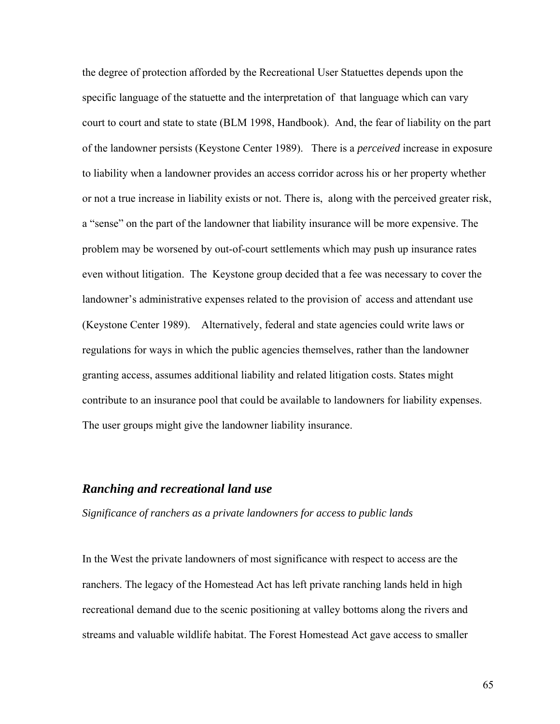the degree of protection afforded by the Recreational User Statuettes depends upon the specific language of the statuette and the interpretation of that language which can vary court to court and state to state (BLM 1998, Handbook). And, the fear of liability on the part of the landowner persists (Keystone Center 1989). There is a *perceived* increase in exposure to liability when a landowner provides an access corridor across his or her property whether or not a true increase in liability exists or not. There is, along with the perceived greater risk, a "sense" on the part of the landowner that liability insurance will be more expensive. The problem may be worsened by out-of-court settlements which may push up insurance rates even without litigation. The Keystone group decided that a fee was necessary to cover the landowner's administrative expenses related to the provision of access and attendant use (Keystone Center 1989). Alternatively, federal and state agencies could write laws or regulations for ways in which the public agencies themselves, rather than the landowner granting access, assumes additional liability and related litigation costs. States might contribute to an insurance pool that could be available to landowners for liability expenses. The user groups might give the landowner liability insurance.

# *Ranching and recreational land use*

*Significance of ranchers as a private landowners for access to public lands* 

In the West the private landowners of most significance with respect to access are the ranchers. The legacy of the Homestead Act has left private ranching lands held in high recreational demand due to the scenic positioning at valley bottoms along the rivers and streams and valuable wildlife habitat. The Forest Homestead Act gave access to smaller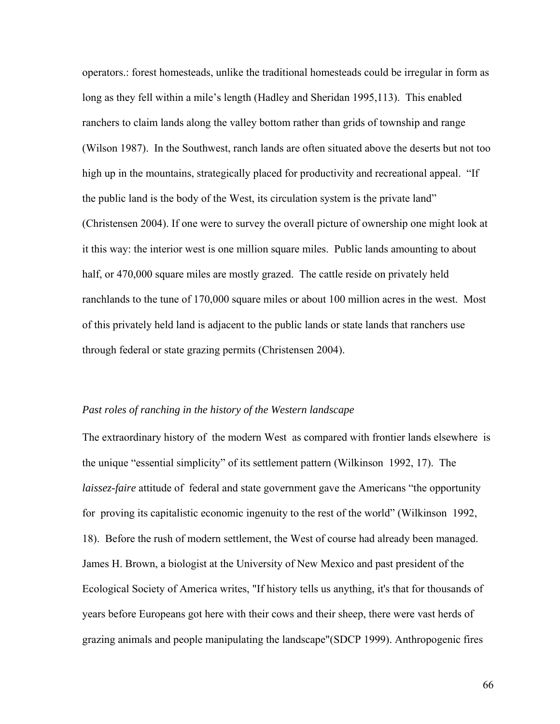operators.: forest homesteads, unlike the traditional homesteads could be irregular in form as long as they fell within a mile's length (Hadley and Sheridan 1995,113). This enabled ranchers to claim lands along the valley bottom rather than grids of township and range (Wilson 1987). In the Southwest, ranch lands are often situated above the deserts but not too high up in the mountains, strategically placed for productivity and recreational appeal. "If the public land is the body of the West, its circulation system is the private land" (Christensen 2004). If one were to survey the overall picture of ownership one might look at it this way: the interior west is one million square miles. Public lands amounting to about half, or 470,000 square miles are mostly grazed. The cattle reside on privately held ranchlands to the tune of 170,000 square miles or about 100 million acres in the west. Most of this privately held land is adjacent to the public lands or state lands that ranchers use through federal or state grazing permits (Christensen 2004).

## *Past roles of ranching in the history of the Western landscape*

The extraordinary history of the modern West as compared with frontier lands elsewhere is the unique "essential simplicity" of its settlement pattern (Wilkinson 1992, 17). The *laissez-faire* attitude of federal and state government gave the Americans "the opportunity for proving its capitalistic economic ingenuity to the rest of the world" (Wilkinson 1992, 18). Before the rush of modern settlement, the West of course had already been managed. James H. Brown, a biologist at the University of New Mexico and past president of the Ecological Society of America writes, "If history tells us anything, it's that for thousands of years before Europeans got here with their cows and their sheep, there were vast herds of grazing animals and people manipulating the landscape"(SDCP 1999). Anthropogenic fires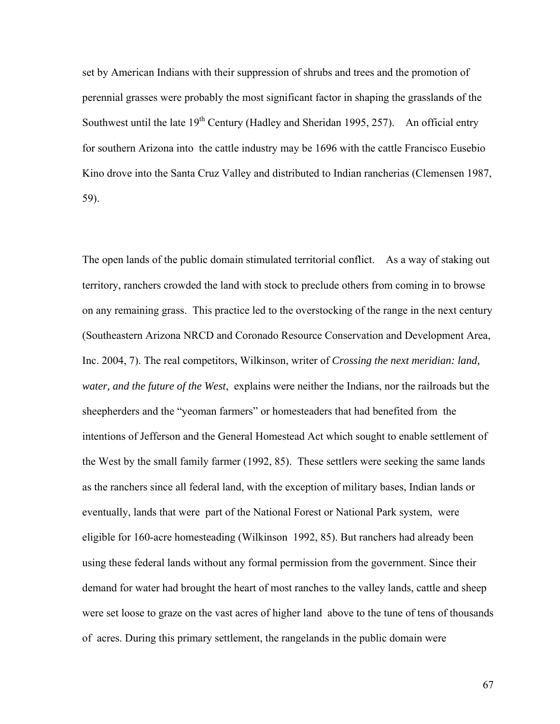set by American Indians with their suppression of shrubs and trees and the promotion of perennial grasses were probably the most significant factor in shaping the grasslands of the Southwest until the late  $19<sup>th</sup>$  Century (Hadley and Sheridan 1995, 257). An official entry for southern Arizona into the cattle industry may be 1696 with the cattle Francisco Eusebio Kino drove into the Santa Cruz Valley and distributed to Indian rancherias (Clemensen 1987, 59).

The open lands of the public domain stimulated territorial conflict. As a way of staking out territory, ranchers crowded the land with stock to preclude others from coming in to browse on any remaining grass. This practice led to the overstocking of the range in the next century (Southeastern Arizona NRCD and Coronado Resource Conservation and Development Area, Inc. 2004, 7). The real competitors, Wilkinson, writer of *Crossing the next meridian: land, water, and the future of the West*, explains were neither the Indians, nor the railroads but the sheepherders and the "yeoman farmers" or homesteaders that had benefited from the intentions of Jefferson and the General Homestead Act which sought to enable settlement of the West by the small family farmer (1992, 85). These settlers were seeking the same lands as the ranchers since all federal land, with the exception of military bases, Indian lands or eventually, lands that were part of the National Forest or National Park system, were eligible for 160-acre homesteading (Wilkinson 1992, 85). But ranchers had already been using these federal lands without any formal permission from the government. Since their demand for water had brought the heart of most ranches to the valley lands, cattle and sheep were set loose to graze on the vast acres of higher land above to the tune of tens of thousands of acres. During this primary settlement, the rangelands in the public domain were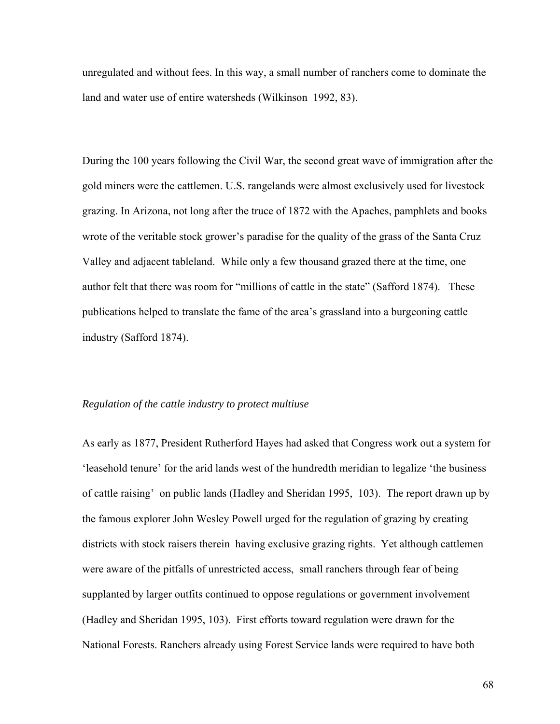unregulated and without fees. In this way, a small number of ranchers come to dominate the land and water use of entire watersheds (Wilkinson 1992, 83).

During the 100 years following the Civil War, the second great wave of immigration after the gold miners were the cattlemen. U.S. rangelands were almost exclusively used for livestock grazing. In Arizona, not long after the truce of 1872 with the Apaches, pamphlets and books wrote of the veritable stock grower's paradise for the quality of the grass of the Santa Cruz Valley and adjacent tableland. While only a few thousand grazed there at the time, one author felt that there was room for "millions of cattle in the state" (Safford 1874). These publications helped to translate the fame of the area's grassland into a burgeoning cattle industry (Safford 1874).

### *Regulation of the cattle industry to protect multiuse*

As early as 1877, President Rutherford Hayes had asked that Congress work out a system for 'leasehold tenure' for the arid lands west of the hundredth meridian to legalize 'the business of cattle raising' on public lands (Hadley and Sheridan 1995, 103). The report drawn up by the famous explorer John Wesley Powell urged for the regulation of grazing by creating districts with stock raisers therein having exclusive grazing rights. Yet although cattlemen were aware of the pitfalls of unrestricted access, small ranchers through fear of being supplanted by larger outfits continued to oppose regulations or government involvement (Hadley and Sheridan 1995, 103). First efforts toward regulation were drawn for the National Forests. Ranchers already using Forest Service lands were required to have both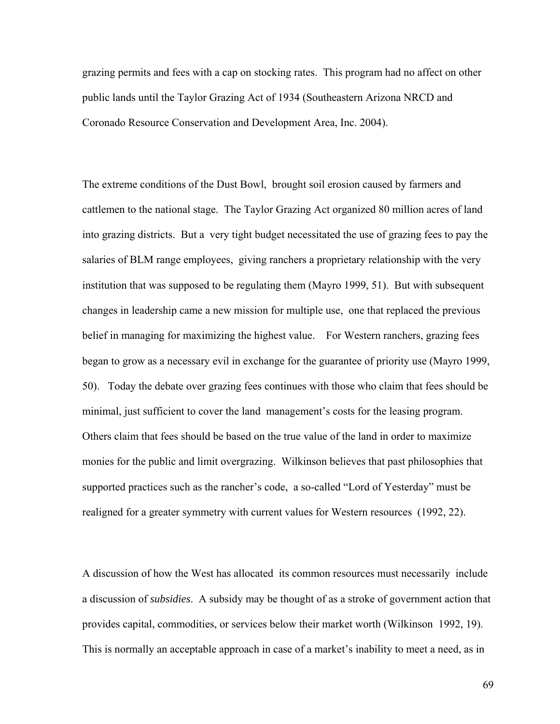grazing permits and fees with a cap on stocking rates. This program had no affect on other public lands until the Taylor Grazing Act of 1934 (Southeastern Arizona NRCD and Coronado Resource Conservation and Development Area, Inc. 2004).

The extreme conditions of the Dust Bowl, brought soil erosion caused by farmers and cattlemen to the national stage. The Taylor Grazing Act organized 80 million acres of land into grazing districts. But a very tight budget necessitated the use of grazing fees to pay the salaries of BLM range employees, giving ranchers a proprietary relationship with the very institution that was supposed to be regulating them (Mayro 1999, 51). But with subsequent changes in leadership came a new mission for multiple use, one that replaced the previous belief in managing for maximizing the highest value. For Western ranchers, grazing fees began to grow as a necessary evil in exchange for the guarantee of priority use (Mayro 1999, 50). Today the debate over grazing fees continues with those who claim that fees should be minimal, just sufficient to cover the land management's costs for the leasing program. Others claim that fees should be based on the true value of the land in order to maximize monies for the public and limit overgrazing. Wilkinson believes that past philosophies that supported practices such as the rancher's code, a so-called "Lord of Yesterday" must be realigned for a greater symmetry with current values for Western resources (1992, 22).

A discussion of how the West has allocated its common resources must necessarily include a discussion of *subsidies*. A subsidy may be thought of as a stroke of government action that provides capital, commodities, or services below their market worth (Wilkinson 1992, 19). This is normally an acceptable approach in case of a market's inability to meet a need, as in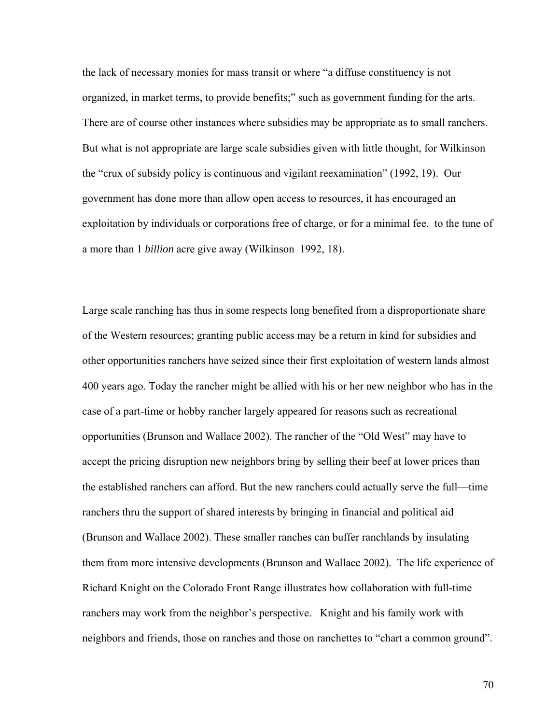the lack of necessary monies for mass transit or where "a diffuse constituency is not organized, in market terms, to provide benefits;" such as government funding for the arts. There are of course other instances where subsidies may be appropriate as to small ranchers. But what is not appropriate are large scale subsidies given with little thought, for Wilkinson the "crux of subsidy policy is continuous and vigilant reexamination" (1992, 19). Our government has done more than allow open access to resources, it has encouraged an exploitation by individuals or corporations free of charge, or for a minimal fee, to the tune of a more than 1 *billion* acre give away (Wilkinson 1992, 18).

Large scale ranching has thus in some respects long benefited from a disproportionate share of the Western resources; granting public access may be a return in kind for subsidies and other opportunities ranchers have seized since their first exploitation of western lands almost 400 years ago. Today the rancher might be allied with his or her new neighbor who has in the case of a part-time or hobby rancher largely appeared for reasons such as recreational opportunities (Brunson and Wallace 2002). The rancher of the "Old West" may have to accept the pricing disruption new neighbors bring by selling their beef at lower prices than the established ranchers can afford. But the new ranchers could actually serve the full—time ranchers thru the support of shared interests by bringing in financial and political aid (Brunson and Wallace 2002). These smaller ranches can buffer ranchlands by insulating them from more intensive developments (Brunson and Wallace 2002). The life experience of Richard Knight on the Colorado Front Range illustrates how collaboration with full-time ranchers may work from the neighbor's perspective. Knight and his family work with neighbors and friends, those on ranches and those on ranchettes to "chart a common ground".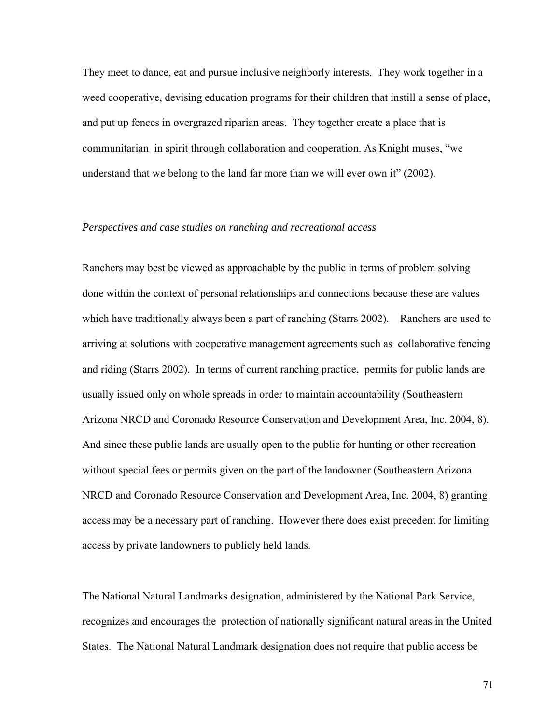They meet to dance, eat and pursue inclusive neighborly interests. They work together in a weed cooperative, devising education programs for their children that instill a sense of place, and put up fences in overgrazed riparian areas. They together create a place that is communitarian in spirit through collaboration and cooperation. As Knight muses, "we understand that we belong to the land far more than we will ever own it" (2002).

## *Perspectives and case studies on ranching and recreational access*

Ranchers may best be viewed as approachable by the public in terms of problem solving done within the context of personal relationships and connections because these are values which have traditionally always been a part of ranching (Starrs 2002). Ranchers are used to arriving at solutions with cooperative management agreements such as collaborative fencing and riding (Starrs 2002). In terms of current ranching practice, permits for public lands are usually issued only on whole spreads in order to maintain accountability (Southeastern Arizona NRCD and Coronado Resource Conservation and Development Area, Inc. 2004, 8). And since these public lands are usually open to the public for hunting or other recreation without special fees or permits given on the part of the landowner (Southeastern Arizona NRCD and Coronado Resource Conservation and Development Area, Inc. 2004, 8) granting access may be a necessary part of ranching. However there does exist precedent for limiting access by private landowners to publicly held lands.

The National Natural Landmarks designation, administered by the National Park Service, recognizes and encourages the protection of nationally significant natural areas in the United States. The National Natural Landmark designation does not require that public access be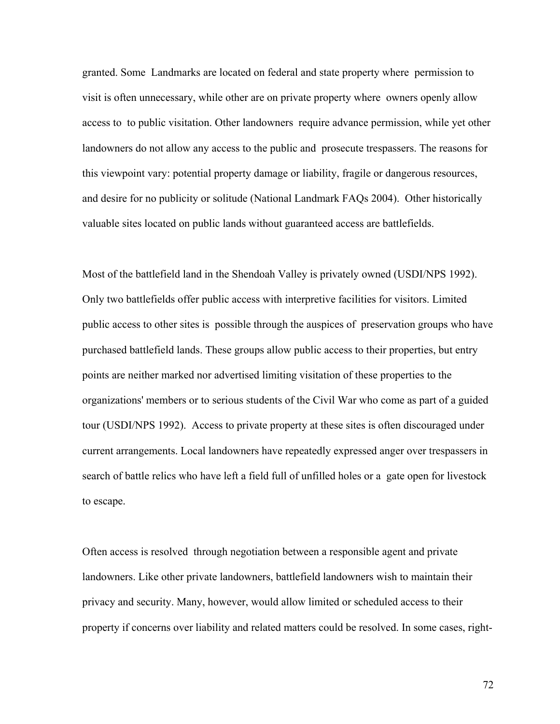granted. Some Landmarks are located on federal and state property where permission to visit is often unnecessary, while other are on private property where owners openly allow access to to public visitation. Other landowners require advance permission, while yet other landowners do not allow any access to the public and prosecute trespassers. The reasons for this viewpoint vary: potential property damage or liability, fragile or dangerous resources, and desire for no publicity or solitude (National Landmark FAQs 2004). Other historically valuable sites located on public lands without guaranteed access are battlefields.

Most of the battlefield land in the Shendoah Valley is privately owned (USDI/NPS 1992). Only two battlefields offer public access with interpretive facilities for visitors. Limited public access to other sites is possible through the auspices of preservation groups who have purchased battlefield lands. These groups allow public access to their properties, but entry points are neither marked nor advertised limiting visitation of these properties to the organizations' members or to serious students of the Civil War who come as part of a guided tour (USDI/NPS 1992). Access to private property at these sites is often discouraged under current arrangements. Local landowners have repeatedly expressed anger over trespassers in search of battle relics who have left a field full of unfilled holes or a gate open for livestock to escape.

Often access is resolved through negotiation between a responsible agent and private landowners. Like other private landowners, battlefield landowners wish to maintain their privacy and security. Many, however, would allow limited or scheduled access to their property if concerns over liability and related matters could be resolved. In some cases, right-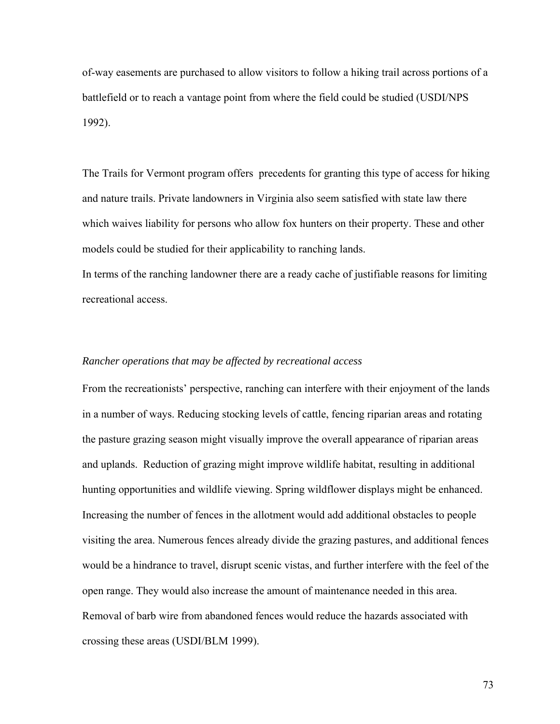of-way easements are purchased to allow visitors to follow a hiking trail across portions of a battlefield or to reach a vantage point from where the field could be studied (USDI/NPS 1992).

The Trails for Vermont program offers precedents for granting this type of access for hiking and nature trails. Private landowners in Virginia also seem satisfied with state law there which waives liability for persons who allow fox hunters on their property. These and other models could be studied for their applicability to ranching lands.

In terms of the ranching landowner there are a ready cache of justifiable reasons for limiting recreational access.

### *Rancher operations that may be affected by recreational access*

From the recreationists' perspective, ranching can interfere with their enjoyment of the lands in a number of ways. Reducing stocking levels of cattle, fencing riparian areas and rotating the pasture grazing season might visually improve the overall appearance of riparian areas and uplands. Reduction of grazing might improve wildlife habitat, resulting in additional hunting opportunities and wildlife viewing. Spring wildflower displays might be enhanced. Increasing the number of fences in the allotment would add additional obstacles to people visiting the area. Numerous fences already divide the grazing pastures, and additional fences would be a hindrance to travel, disrupt scenic vistas, and further interfere with the feel of the open range. They would also increase the amount of maintenance needed in this area. Removal of barb wire from abandoned fences would reduce the hazards associated with crossing these areas (USDI/BLM 1999).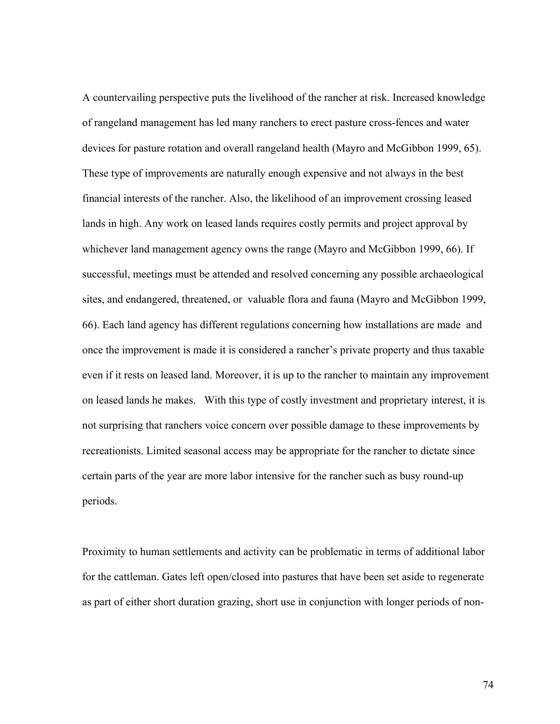A countervailing perspective puts the livelihood of the rancher at risk. Increased knowledge of rangeland management has led many ranchers to erect pasture cross-fences and water devices for pasture rotation and overall rangeland health (Mayro and McGibbon 1999, 65). These type of improvements are naturally enough expensive and not always in the best financial interests of the rancher. Also, the likelihood of an improvement crossing leased lands in high. Any work on leased lands requires costly permits and project approval by whichever land management agency owns the range (Mayro and McGibbon 1999, 66). If successful, meetings must be attended and resolved concerning any possible archaeological sites, and endangered, threatened, or valuable flora and fauna (Mayro and McGibbon 1999, 66). Each land agency has different regulations concerning how installations are made and once the improvement is made it is considered a rancher's private property and thus taxable even if it rests on leased land. Moreover, it is up to the rancher to maintain any improvement on leased lands he makes. With this type of costly investment and proprietary interest, it is not surprising that ranchers voice concern over possible damage to these improvements by recreationists. Limited seasonal access may be appropriate for the rancher to dictate since certain parts of the year are more labor intensive for the rancher such as busy round-up periods.

Proximity to human settlements and activity can be problematic in terms of additional labor for the cattleman. Gates left open/closed into pastures that have been set aside to regenerate as part of either short duration grazing, short use in conjunction with longer periods of non-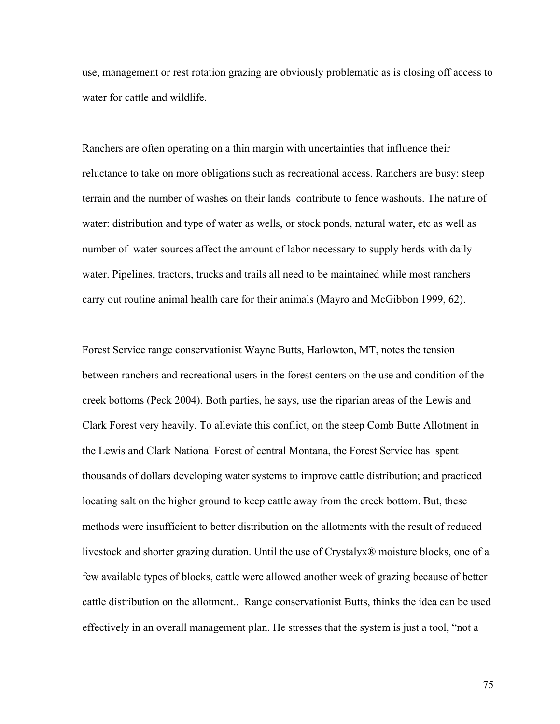use, management or rest rotation grazing are obviously problematic as is closing off access to water for cattle and wildlife.

Ranchers are often operating on a thin margin with uncertainties that influence their reluctance to take on more obligations such as recreational access. Ranchers are busy: steep terrain and the number of washes on their lands contribute to fence washouts. The nature of water: distribution and type of water as wells, or stock ponds, natural water, etc as well as number of water sources affect the amount of labor necessary to supply herds with daily water. Pipelines, tractors, trucks and trails all need to be maintained while most ranchers carry out routine animal health care for their animals (Mayro and McGibbon 1999, 62).

Forest Service range conservationist Wayne Butts, Harlowton, MT, notes the tension between ranchers and recreational users in the forest centers on the use and condition of the creek bottoms (Peck 2004). Both parties, he says, use the riparian areas of the Lewis and Clark Forest very heavily. To alleviate this conflict, on the steep Comb Butte Allotment in the Lewis and Clark National Forest of central Montana, the Forest Service has spent thousands of dollars developing water systems to improve cattle distribution; and practiced locating salt on the higher ground to keep cattle away from the creek bottom. But, these methods were insufficient to better distribution on the allotments with the result of reduced livestock and shorter grazing duration. Until the use of Crystalyx® moisture blocks, one of a few available types of blocks, cattle were allowed another week of grazing because of better cattle distribution on the allotment.. Range conservationist Butts, thinks the idea can be used effectively in an overall management plan. He stresses that the system is just a tool, "not a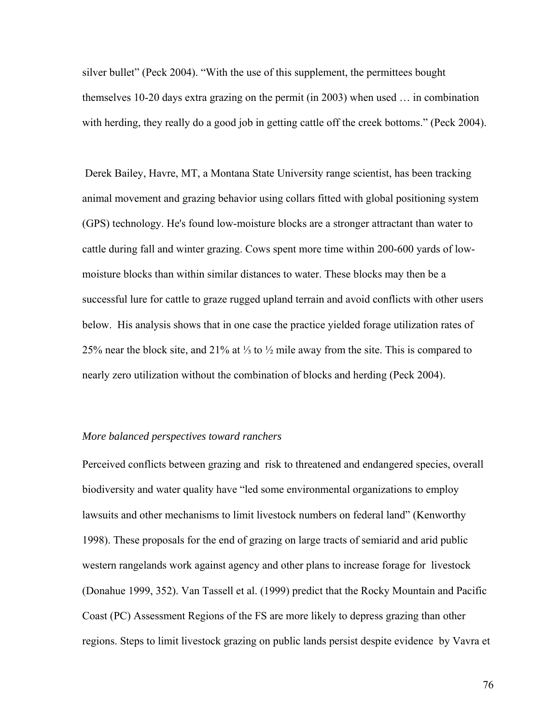silver bullet" (Peck 2004). "With the use of this supplement, the permittees bought themselves 10-20 days extra grazing on the permit (in 2003) when used … in combination with herding, they really do a good job in getting cattle off the creek bottoms." (Peck 2004).

 Derek Bailey, Havre, MT, a Montana State University range scientist, has been tracking animal movement and grazing behavior using collars fitted with global positioning system (GPS) technology. He's found low-moisture blocks are a stronger attractant than water to cattle during fall and winter grazing. Cows spent more time within 200-600 yards of lowmoisture blocks than within similar distances to water. These blocks may then be a successful lure for cattle to graze rugged upland terrain and avoid conflicts with other users below. His analysis shows that in one case the practice yielded forage utilization rates of 25% near the block site, and 21% at ⅓ to ½ mile away from the site. This is compared to nearly zero utilization without the combination of blocks and herding (Peck 2004).

### *More balanced perspectives toward ranchers*

Perceived conflicts between grazing and risk to threatened and endangered species, overall biodiversity and water quality have "led some environmental organizations to employ lawsuits and other mechanisms to limit livestock numbers on federal land" (Kenworthy 1998). These proposals for the end of grazing on large tracts of semiarid and arid public western rangelands work against agency and other plans to increase forage for livestock (Donahue 1999, 352). Van Tassell et al. (1999) predict that the Rocky Mountain and Pacific Coast (PC) Assessment Regions of the FS are more likely to depress grazing than other regions. Steps to limit livestock grazing on public lands persist despite evidence by Vavra et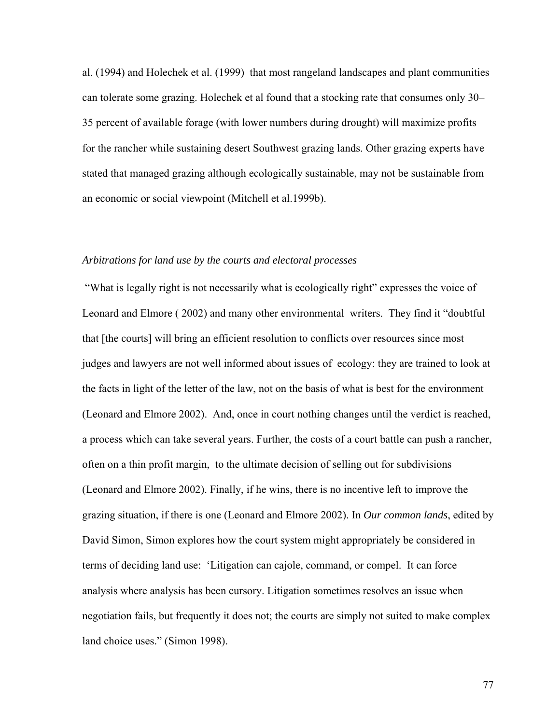al. (1994) and Holechek et al. (1999) that most rangeland landscapes and plant communities can tolerate some grazing. Holechek et al found that a stocking rate that consumes only 30– 35 percent of available forage (with lower numbers during drought) will maximize profits for the rancher while sustaining desert Southwest grazing lands. Other grazing experts have stated that managed grazing although ecologically sustainable, may not be sustainable from an economic or social viewpoint (Mitchell et al.1999b).

### *Arbitrations for land use by the courts and electoral processes*

 "What is legally right is not necessarily what is ecologically right" expresses the voice of Leonard and Elmore ( 2002) and many other environmental writers. They find it "doubtful that [the courts] will bring an efficient resolution to conflicts over resources since most judges and lawyers are not well informed about issues of ecology: they are trained to look at the facts in light of the letter of the law, not on the basis of what is best for the environment (Leonard and Elmore 2002). And, once in court nothing changes until the verdict is reached, a process which can take several years. Further, the costs of a court battle can push a rancher, often on a thin profit margin, to the ultimate decision of selling out for subdivisions (Leonard and Elmore 2002). Finally, if he wins, there is no incentive left to improve the grazing situation, if there is one (Leonard and Elmore 2002). In *Our common lands*, edited by David Simon, Simon explores how the court system might appropriately be considered in terms of deciding land use: 'Litigation can cajole, command, or compel. It can force analysis where analysis has been cursory. Litigation sometimes resolves an issue when negotiation fails, but frequently it does not; the courts are simply not suited to make complex land choice uses." (Simon 1998).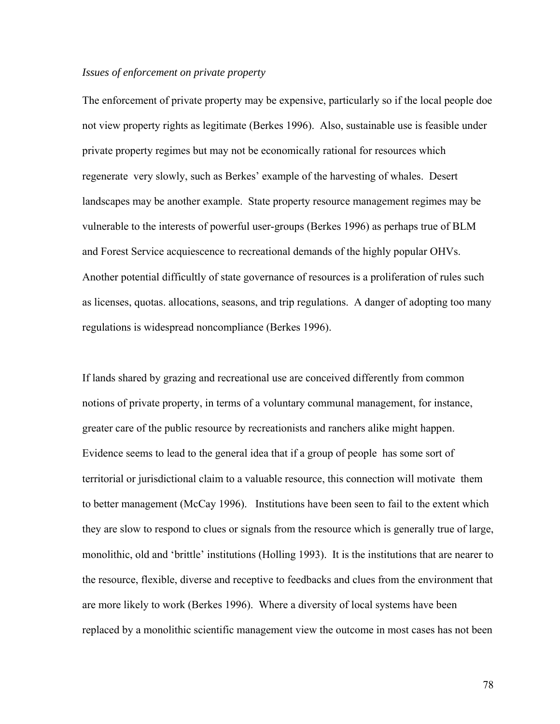### *Issues of enforcement on private property*

The enforcement of private property may be expensive, particularly so if the local people doe not view property rights as legitimate (Berkes 1996). Also, sustainable use is feasible under private property regimes but may not be economically rational for resources which regenerate very slowly, such as Berkes' example of the harvesting of whales. Desert landscapes may be another example. State property resource management regimes may be vulnerable to the interests of powerful user-groups (Berkes 1996) as perhaps true of BLM and Forest Service acquiescence to recreational demands of the highly popular OHVs. Another potential difficultly of state governance of resources is a proliferation of rules such as licenses, quotas. allocations, seasons, and trip regulations. A danger of adopting too many regulations is widespread noncompliance (Berkes 1996).

If lands shared by grazing and recreational use are conceived differently from common notions of private property, in terms of a voluntary communal management, for instance, greater care of the public resource by recreationists and ranchers alike might happen. Evidence seems to lead to the general idea that if a group of people has some sort of territorial or jurisdictional claim to a valuable resource, this connection will motivate them to better management (McCay 1996). Institutions have been seen to fail to the extent which they are slow to respond to clues or signals from the resource which is generally true of large, monolithic, old and 'brittle' institutions (Holling 1993). It is the institutions that are nearer to the resource, flexible, diverse and receptive to feedbacks and clues from the environment that are more likely to work (Berkes 1996). Where a diversity of local systems have been replaced by a monolithic scientific management view the outcome in most cases has not been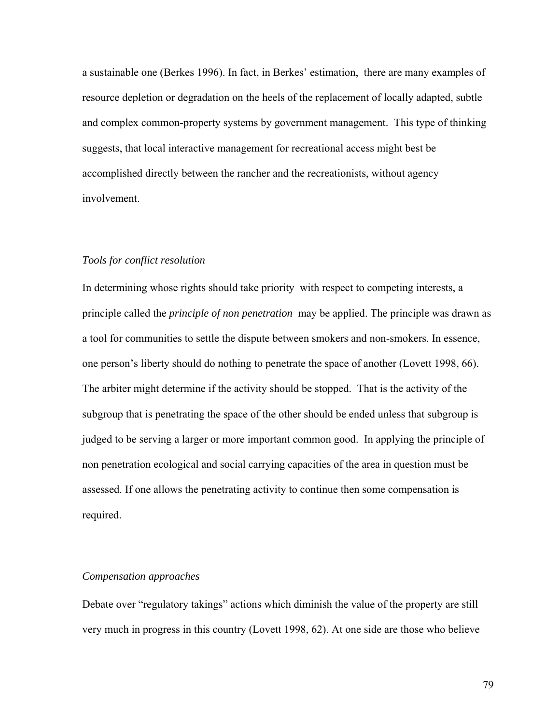a sustainable one (Berkes 1996). In fact, in Berkes' estimation, there are many examples of resource depletion or degradation on the heels of the replacement of locally adapted, subtle and complex common-property systems by government management. This type of thinking suggests, that local interactive management for recreational access might best be accomplished directly between the rancher and the recreationists, without agency involvement.

### *Tools for conflict resolution*

In determining whose rights should take priority with respect to competing interests, a principle called the *principle of non penetration* may be applied. The principle was drawn as a tool for communities to settle the dispute between smokers and non-smokers. In essence, one person's liberty should do nothing to penetrate the space of another (Lovett 1998, 66). The arbiter might determine if the activity should be stopped. That is the activity of the subgroup that is penetrating the space of the other should be ended unless that subgroup is judged to be serving a larger or more important common good. In applying the principle of non penetration ecological and social carrying capacities of the area in question must be assessed. If one allows the penetrating activity to continue then some compensation is required.

#### *Compensation approaches*

Debate over "regulatory takings" actions which diminish the value of the property are still very much in progress in this country (Lovett 1998, 62). At one side are those who believe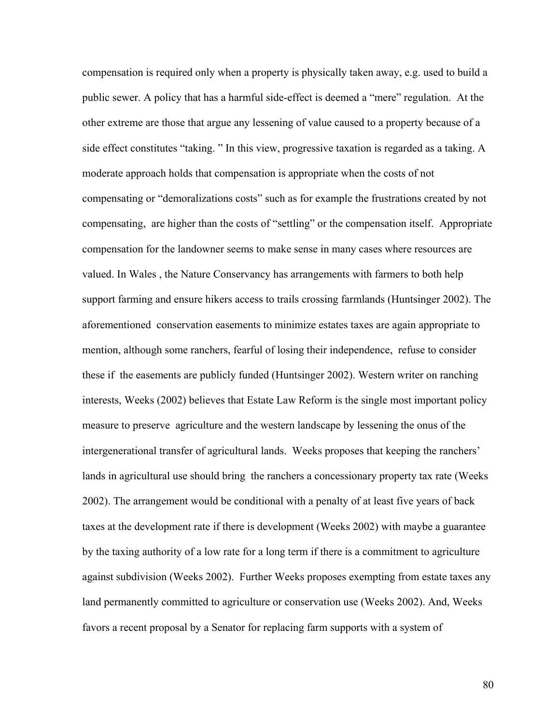compensation is required only when a property is physically taken away, e.g. used to build a public sewer. A policy that has a harmful side-effect is deemed a "mere" regulation. At the other extreme are those that argue any lessening of value caused to a property because of a side effect constitutes "taking. " In this view, progressive taxation is regarded as a taking. A moderate approach holds that compensation is appropriate when the costs of not compensating or "demoralizations costs" such as for example the frustrations created by not compensating, are higher than the costs of "settling" or the compensation itself. Appropriate compensation for the landowner seems to make sense in many cases where resources are valued. In Wales , the Nature Conservancy has arrangements with farmers to both help support farming and ensure hikers access to trails crossing farmlands (Huntsinger 2002). The aforementioned conservation easements to minimize estates taxes are again appropriate to mention, although some ranchers, fearful of losing their independence, refuse to consider these if the easements are publicly funded (Huntsinger 2002). Western writer on ranching interests, Weeks (2002) believes that Estate Law Reform is the single most important policy measure to preserve agriculture and the western landscape by lessening the onus of the intergenerational transfer of agricultural lands. Weeks proposes that keeping the ranchers' lands in agricultural use should bring the ranchers a concessionary property tax rate (Weeks 2002). The arrangement would be conditional with a penalty of at least five years of back taxes at the development rate if there is development (Weeks 2002) with maybe a guarantee by the taxing authority of a low rate for a long term if there is a commitment to agriculture against subdivision (Weeks 2002). Further Weeks proposes exempting from estate taxes any land permanently committed to agriculture or conservation use (Weeks 2002). And, Weeks favors a recent proposal by a Senator for replacing farm supports with a system of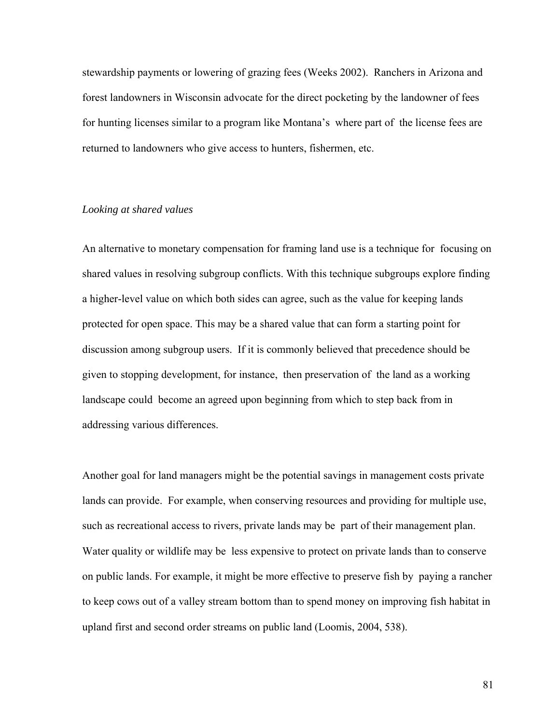stewardship payments or lowering of grazing fees (Weeks 2002). Ranchers in Arizona and forest landowners in Wisconsin advocate for the direct pocketing by the landowner of fees for hunting licenses similar to a program like Montana's where part of the license fees are returned to landowners who give access to hunters, fishermen, etc.

#### *Looking at shared values*

An alternative to monetary compensation for framing land use is a technique for focusing on shared values in resolving subgroup conflicts. With this technique subgroups explore finding a higher-level value on which both sides can agree, such as the value for keeping lands protected for open space. This may be a shared value that can form a starting point for discussion among subgroup users. If it is commonly believed that precedence should be given to stopping development, for instance, then preservation of the land as a working landscape could become an agreed upon beginning from which to step back from in addressing various differences.

Another goal for land managers might be the potential savings in management costs private lands can provide. For example, when conserving resources and providing for multiple use, such as recreational access to rivers, private lands may be part of their management plan. Water quality or wildlife may be less expensive to protect on private lands than to conserve on public lands. For example, it might be more effective to preserve fish by paying a rancher to keep cows out of a valley stream bottom than to spend money on improving fish habitat in upland first and second order streams on public land (Loomis, 2004, 538).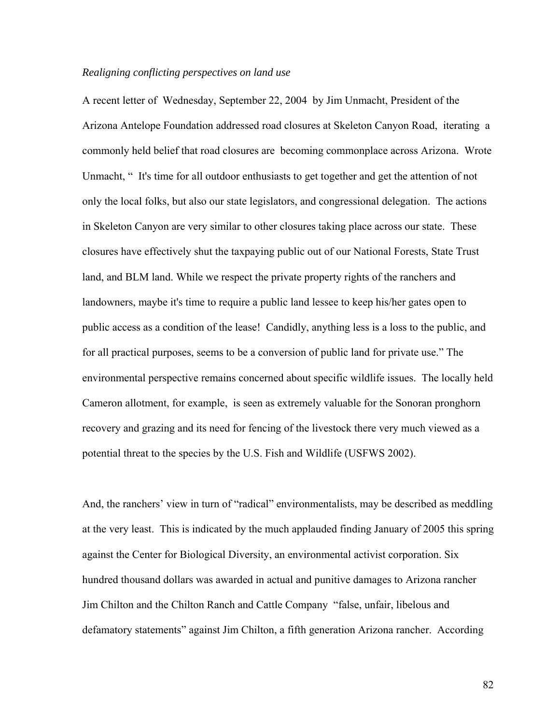### *Realigning conflicting perspectives on land use*

A recent letter of Wednesday, September 22, 2004 by Jim Unmacht, President of the Arizona Antelope Foundation addressed road closures at Skeleton Canyon Road, iterating a commonly held belief that road closures are becoming commonplace across Arizona. Wrote Unmacht, " It's time for all outdoor enthusiasts to get together and get the attention of not only the local folks, but also our state legislators, and congressional delegation. The actions in Skeleton Canyon are very similar to other closures taking place across our state. These closures have effectively shut the taxpaying public out of our National Forests, State Trust land, and BLM land. While we respect the private property rights of the ranchers and landowners, maybe it's time to require a public land lessee to keep his/her gates open to public access as a condition of the lease! Candidly, anything less is a loss to the public, and for all practical purposes, seems to be a conversion of public land for private use." The environmental perspective remains concerned about specific wildlife issues. The locally held Cameron allotment, for example, is seen as extremely valuable for the Sonoran pronghorn recovery and grazing and its need for fencing of the livestock there very much viewed as a potential threat to the species by the U.S. Fish and Wildlife (USFWS 2002).

And, the ranchers' view in turn of "radical" environmentalists, may be described as meddling at the very least. This is indicated by the much applauded finding January of 2005 this spring against the Center for Biological Diversity, an environmental activist corporation. Six hundred thousand dollars was awarded in actual and punitive damages to Arizona rancher Jim Chilton and the Chilton Ranch and Cattle Company "false, unfair, libelous and defamatory statements" against Jim Chilton, a fifth generation Arizona rancher. According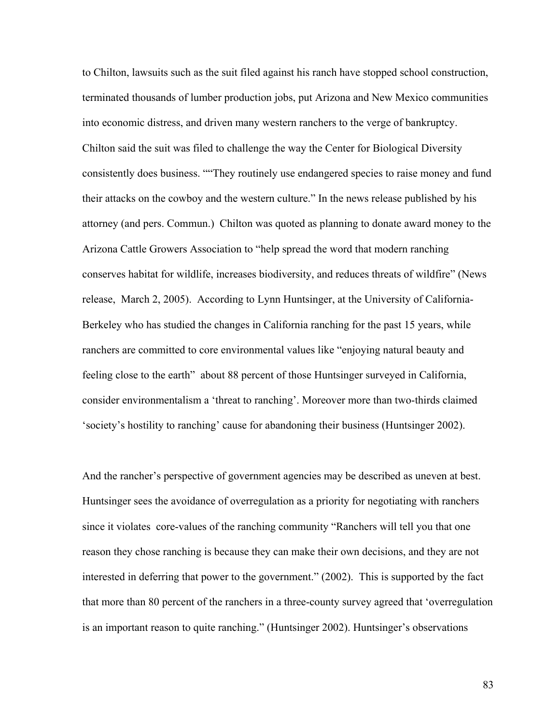to Chilton, lawsuits such as the suit filed against his ranch have stopped school construction, terminated thousands of lumber production jobs, put Arizona and New Mexico communities into economic distress, and driven many western ranchers to the verge of bankruptcy. Chilton said the suit was filed to challenge the way the Center for Biological Diversity consistently does business. ""They routinely use endangered species to raise money and fund their attacks on the cowboy and the western culture." In the news release published by his attorney (and pers. Commun.) Chilton was quoted as planning to donate award money to the Arizona Cattle Growers Association to "help spread the word that modern ranching conserves habitat for wildlife, increases biodiversity, and reduces threats of wildfire" (News release, March 2, 2005). According to Lynn Huntsinger, at the University of California-Berkeley who has studied the changes in California ranching for the past 15 years, while ranchers are committed to core environmental values like "enjoying natural beauty and feeling close to the earth" about 88 percent of those Huntsinger surveyed in California, consider environmentalism a 'threat to ranching'. Moreover more than two-thirds claimed 'society's hostility to ranching' cause for abandoning their business (Huntsinger 2002).

And the rancher's perspective of government agencies may be described as uneven at best. Huntsinger sees the avoidance of overregulation as a priority for negotiating with ranchers since it violates core-values of the ranching community "Ranchers will tell you that one reason they chose ranching is because they can make their own decisions, and they are not interested in deferring that power to the government." (2002). This is supported by the fact that more than 80 percent of the ranchers in a three-county survey agreed that 'overregulation is an important reason to quite ranching." (Huntsinger 2002). Huntsinger's observations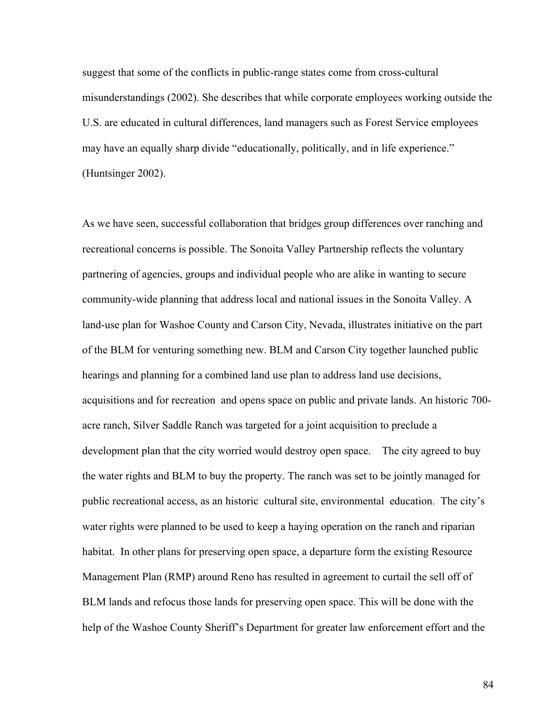suggest that some of the conflicts in public-range states come from cross-cultural misunderstandings (2002). She describes that while corporate employees working outside the U.S. are educated in cultural differences, land managers such as Forest Service employees may have an equally sharp divide "educationally, politically, and in life experience." (Huntsinger 2002).

As we have seen, successful collaboration that bridges group differences over ranching and recreational concerns is possible. The Sonoita Valley Partnership reflects the voluntary partnering of agencies, groups and individual people who are alike in wanting to secure community-wide planning that address local and national issues in the Sonoita Valley. A land-use plan for Washoe County and Carson City, Nevada, illustrates initiative on the part of the BLM for venturing something new. BLM and Carson City together launched public hearings and planning for a combined land use plan to address land use decisions, acquisitions and for recreation and opens space on public and private lands. An historic 700 acre ranch, Silver Saddle Ranch was targeted for a joint acquisition to preclude a development plan that the city worried would destroy open space. The city agreed to buy the water rights and BLM to buy the property. The ranch was set to be jointly managed for public recreational access, as an historic cultural site, environmental education. The city's water rights were planned to be used to keep a haying operation on the ranch and riparian habitat. In other plans for preserving open space, a departure form the existing Resource Management Plan (RMP) around Reno has resulted in agreement to curtail the sell off of BLM lands and refocus those lands for preserving open space. This will be done with the help of the Washoe County Sheriff's Department for greater law enforcement effort and the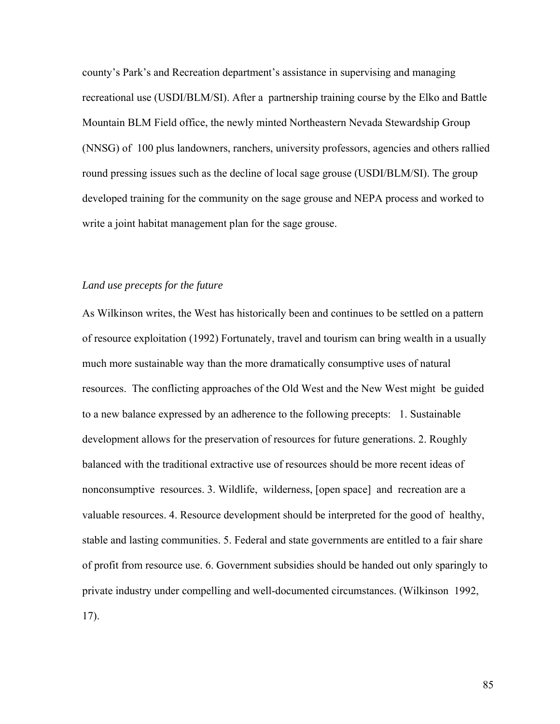county's Park's and Recreation department's assistance in supervising and managing recreational use (USDI/BLM/SI). After a partnership training course by the Elko and Battle Mountain BLM Field office, the newly minted Northeastern Nevada Stewardship Group (NNSG) of 100 plus landowners, ranchers, university professors, agencies and others rallied round pressing issues such as the decline of local sage grouse (USDI/BLM/SI). The group developed training for the community on the sage grouse and NEPA process and worked to write a joint habitat management plan for the sage grouse.

### *Land use precepts for the future*

As Wilkinson writes, the West has historically been and continues to be settled on a pattern of resource exploitation (1992) Fortunately, travel and tourism can bring wealth in a usually much more sustainable way than the more dramatically consumptive uses of natural resources. The conflicting approaches of the Old West and the New West might be guided to a new balance expressed by an adherence to the following precepts: 1. Sustainable development allows for the preservation of resources for future generations. 2. Roughly balanced with the traditional extractive use of resources should be more recent ideas of nonconsumptive resources. 3. Wildlife, wilderness, [open space] and recreation are a valuable resources. 4. Resource development should be interpreted for the good of healthy, stable and lasting communities. 5. Federal and state governments are entitled to a fair share of profit from resource use. 6. Government subsidies should be handed out only sparingly to private industry under compelling and well-documented circumstances. (Wilkinson 1992, 17).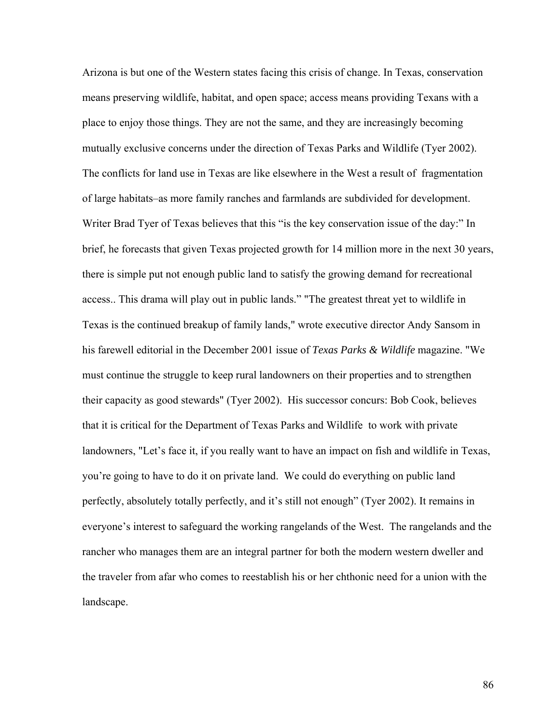Arizona is but one of the Western states facing this crisis of change. In Texas, conservation means preserving wildlife, habitat, and open space; access means providing Texans with a place to enjoy those things. They are not the same, and they are increasingly becoming mutually exclusive concerns under the direction of Texas Parks and Wildlife (Tyer 2002). The conflicts for land use in Texas are like elsewhere in the West a result of fragmentation of large habitats–as more family ranches and farmlands are subdivided for development. Writer Brad Tyer of Texas believes that this "is the key conservation issue of the day:" In brief, he forecasts that given Texas projected growth for 14 million more in the next 30 years, there is simple put not enough public land to satisfy the growing demand for recreational access.. This drama will play out in public lands." "The greatest threat yet to wildlife in Texas is the continued breakup of family lands," wrote executive director Andy Sansom in his farewell editorial in the December 2001 issue of *Texas Parks & Wildlife* magazine. "We must continue the struggle to keep rural landowners on their properties and to strengthen their capacity as good stewards" (Tyer 2002). His successor concurs: Bob Cook, believes that it is critical for the Department of Texas Parks and Wildlife to work with private landowners, "Let's face it, if you really want to have an impact on fish and wildlife in Texas, you're going to have to do it on private land. We could do everything on public land perfectly, absolutely totally perfectly, and it's still not enough" (Tyer 2002). It remains in everyone's interest to safeguard the working rangelands of the West. The rangelands and the rancher who manages them are an integral partner for both the modern western dweller and the traveler from afar who comes to reestablish his or her chthonic need for a union with the landscape.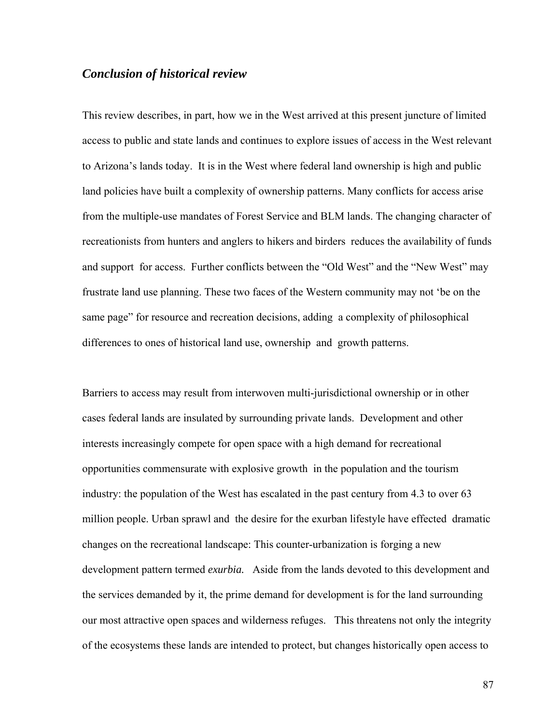# *Conclusion of historical review*

This review describes, in part, how we in the West arrived at this present juncture of limited access to public and state lands and continues to explore issues of access in the West relevant to Arizona's lands today. It is in the West where federal land ownership is high and public land policies have built a complexity of ownership patterns. Many conflicts for access arise from the multiple-use mandates of Forest Service and BLM lands. The changing character of recreationists from hunters and anglers to hikers and birders reduces the availability of funds and support for access. Further conflicts between the "Old West" and the "New West" may frustrate land use planning. These two faces of the Western community may not 'be on the same page" for resource and recreation decisions, adding a complexity of philosophical differences to ones of historical land use, ownership and growth patterns.

Barriers to access may result from interwoven multi-jurisdictional ownership or in other cases federal lands are insulated by surrounding private lands. Development and other interests increasingly compete for open space with a high demand for recreational opportunities commensurate with explosive growth in the population and the tourism industry: the population of the West has escalated in the past century from 4.3 to over 63 million people. Urban sprawl and the desire for the exurban lifestyle have effected dramatic changes on the recreational landscape: This counter-urbanization is forging a new development pattern termed *exurbia.* Aside from the lands devoted to this development and the services demanded by it, the prime demand for development is for the land surrounding our most attractive open spaces and wilderness refuges. This threatens not only the integrity of the ecosystems these lands are intended to protect, but changes historically open access to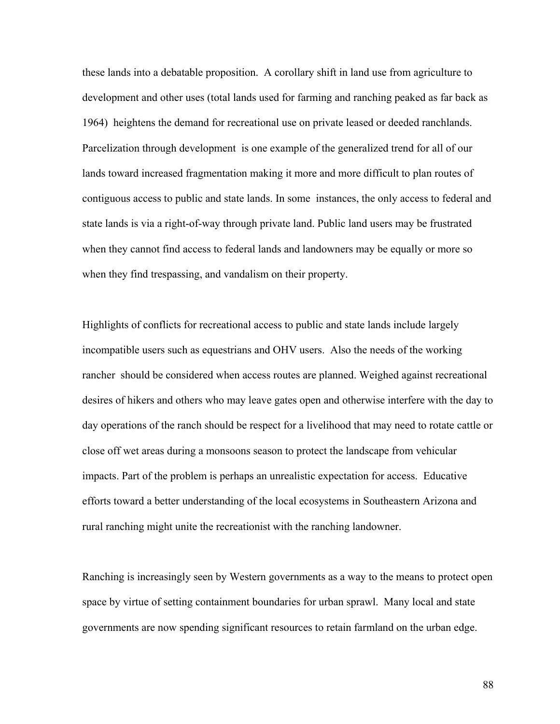these lands into a debatable proposition. A corollary shift in land use from agriculture to development and other uses (total lands used for farming and ranching peaked as far back as 1964) heightens the demand for recreational use on private leased or deeded ranchlands. Parcelization through development is one example of the generalized trend for all of our lands toward increased fragmentation making it more and more difficult to plan routes of contiguous access to public and state lands. In some instances, the only access to federal and state lands is via a right-of-way through private land. Public land users may be frustrated when they cannot find access to federal lands and landowners may be equally or more so when they find trespassing, and vandalism on their property.

Highlights of conflicts for recreational access to public and state lands include largely incompatible users such as equestrians and OHV users. Also the needs of the working rancher should be considered when access routes are planned. Weighed against recreational desires of hikers and others who may leave gates open and otherwise interfere with the day to day operations of the ranch should be respect for a livelihood that may need to rotate cattle or close off wet areas during a monsoons season to protect the landscape from vehicular impacts. Part of the problem is perhaps an unrealistic expectation for access. Educative efforts toward a better understanding of the local ecosystems in Southeastern Arizona and rural ranching might unite the recreationist with the ranching landowner.

Ranching is increasingly seen by Western governments as a way to the means to protect open space by virtue of setting containment boundaries for urban sprawl. Many local and state governments are now spending significant resources to retain farmland on the urban edge.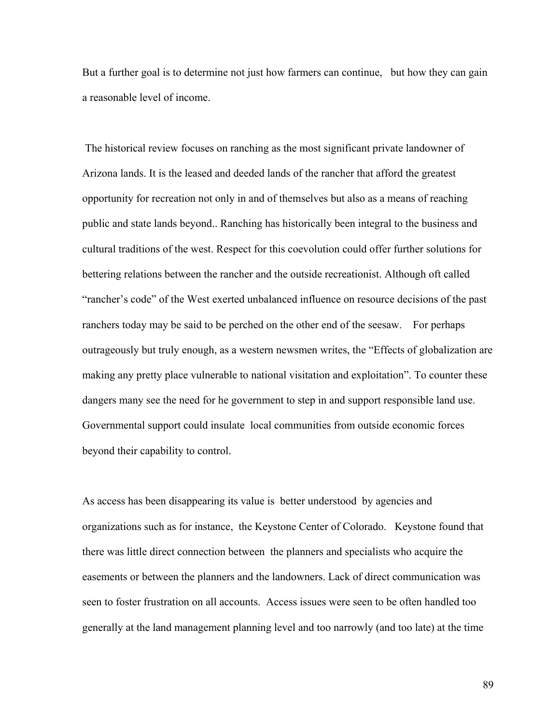But a further goal is to determine not just how farmers can continue, but how they can gain a reasonable level of income.

 The historical review focuses on ranching as the most significant private landowner of Arizona lands. It is the leased and deeded lands of the rancher that afford the greatest opportunity for recreation not only in and of themselves but also as a means of reaching public and state lands beyond.. Ranching has historically been integral to the business and cultural traditions of the west. Respect for this coevolution could offer further solutions for bettering relations between the rancher and the outside recreationist. Although oft called "rancher's code" of the West exerted unbalanced influence on resource decisions of the past ranchers today may be said to be perched on the other end of the seesaw. For perhaps outrageously but truly enough, as a western newsmen writes, the "Effects of globalization are making any pretty place vulnerable to national visitation and exploitation". To counter these dangers many see the need for he government to step in and support responsible land use. Governmental support could insulate local communities from outside economic forces beyond their capability to control.

As access has been disappearing its value is better understood by agencies and organizations such as for instance, the Keystone Center of Colorado. Keystone found that there was little direct connection between the planners and specialists who acquire the easements or between the planners and the landowners. Lack of direct communication was seen to foster frustration on all accounts. Access issues were seen to be often handled too generally at the land management planning level and too narrowly (and too late) at the time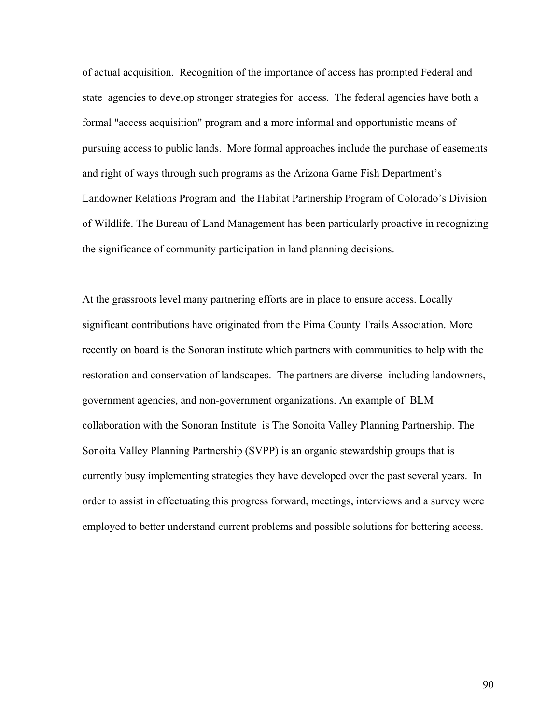of actual acquisition. Recognition of the importance of access has prompted Federal and state agencies to develop stronger strategies for access. The federal agencies have both a formal "access acquisition" program and a more informal and opportunistic means of pursuing access to public lands. More formal approaches include the purchase of easements and right of ways through such programs as the Arizona Game Fish Department's Landowner Relations Program and the Habitat Partnership Program of Colorado's Division of Wildlife. The Bureau of Land Management has been particularly proactive in recognizing the significance of community participation in land planning decisions.

At the grassroots level many partnering efforts are in place to ensure access. Locally significant contributions have originated from the Pima County Trails Association. More recently on board is the Sonoran institute which partners with communities to help with the restoration and conservation of landscapes. The partners are diverse including landowners, government agencies, and non-government organizations. An example of BLM collaboration with the Sonoran Institute is The Sonoita Valley Planning Partnership. The Sonoita Valley Planning Partnership (SVPP) is an organic stewardship groups that is currently busy implementing strategies they have developed over the past several years. In order to assist in effectuating this progress forward, meetings, interviews and a survey were employed to better understand current problems and possible solutions for bettering access.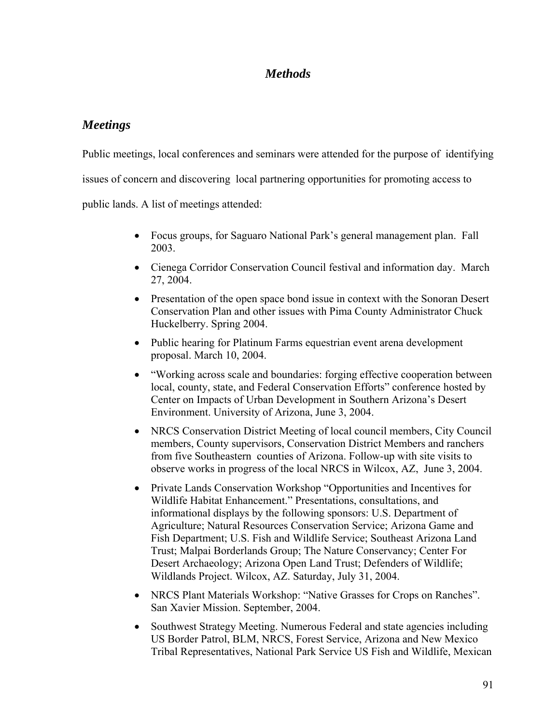# *Methods*

# *Meetings*

Public meetings, local conferences and seminars were attended for the purpose of identifying

issues of concern and discovering local partnering opportunities for promoting access to

public lands. A list of meetings attended:

- Focus groups, for Saguaro National Park's general management plan. Fall 2003.
- Cienega Corridor Conservation Council festival and information day. March 27, 2004.
- Presentation of the open space bond issue in context with the Sonoran Desert Conservation Plan and other issues with Pima County Administrator Chuck Huckelberry. Spring 2004.
- Public hearing for Platinum Farms equestrian event arena development proposal. March 10, 2004.
- "Working across scale and boundaries: forging effective cooperation between local, county, state, and Federal Conservation Efforts" conference hosted by Center on Impacts of Urban Development in Southern Arizona's Desert Environment. University of Arizona, June 3, 2004.
- NRCS Conservation District Meeting of local council members, City Council members, County supervisors, Conservation District Members and ranchers from five Southeastern counties of Arizona. Follow-up with site visits to observe works in progress of the local NRCS in Wilcox, AZ, June 3, 2004.
- Private Lands Conservation Workshop "Opportunities and Incentives for Wildlife Habitat Enhancement." Presentations, consultations, and informational displays by the following sponsors: U.S. Department of Agriculture; Natural Resources Conservation Service; Arizona Game and Fish Department; U.S. Fish and Wildlife Service; Southeast Arizona Land Trust; Malpai Borderlands Group; The Nature Conservancy; Center For Desert Archaeology; Arizona Open Land Trust; Defenders of Wildlife; Wildlands Project. Wilcox, AZ. Saturday, July 31, 2004.
- NRCS Plant Materials Workshop: "Native Grasses for Crops on Ranches". San Xavier Mission. September, 2004.
- Southwest Strategy Meeting. Numerous Federal and state agencies including US Border Patrol, BLM, NRCS, Forest Service, Arizona and New Mexico Tribal Representatives, National Park Service US Fish and Wildlife, Mexican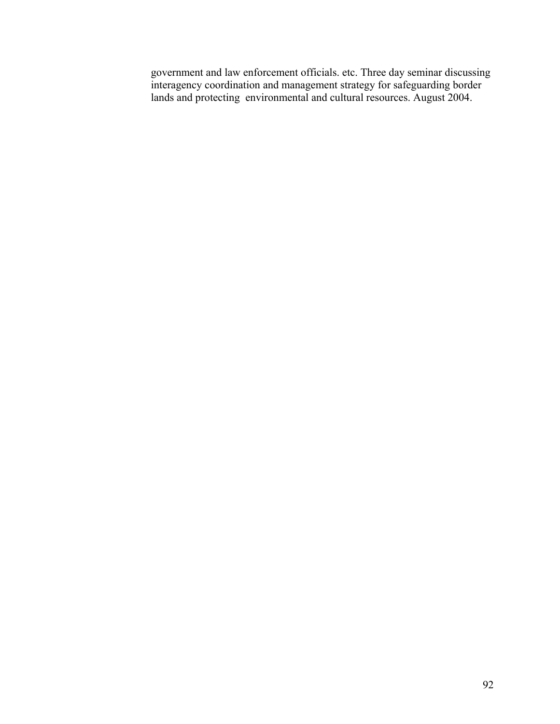government and law enforcement officials. etc. Three day seminar discussing interagency coordination and management strategy for safeguarding border lands and protecting environmental and cultural resources. August 2004.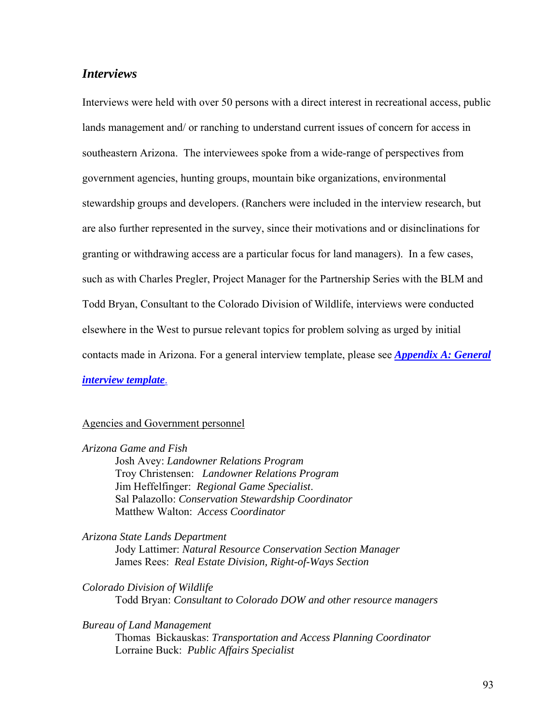# *Interviews*

Interviews were held with over 50 persons with a direct interest in recreational access, public lands management and/ or ranching to understand current issues of concern for access in southeastern Arizona. The interviewees spoke from a wide-range of perspectives from government agencies, hunting groups, mountain bike organizations, environmental stewardship groups and developers. (Ranchers were included in the interview research, but are also further represented in the survey, since their motivations and or disinclinations for granting or withdrawing access are a particular focus for land managers). In a few cases, such as with Charles Pregler, Project Manager for the Partnership Series with the BLM and Todd Bryan, Consultant to the Colorado Division of Wildlife, interviews were conducted elsewhere in the West to pursue relevant topics for problem solving as urged by initial contacts made in Arizona. For a general interview template, please see *[Appendix A: General](#page-167-0)  [interview template](#page-167-0)*.

# Agencies and Government personnel

### *Arizona Game and Fish*

Josh Avey: *Landowner Relations Program*  Troy Christensen: *Landowner Relations Program* Jim Heffelfinger: *Regional Game Specialist*. Sal Palazollo: *Conservation Stewardship Coordinator* Matthew Walton: *Access Coordinator*

### *Arizona State Lands Department*

Jody Lattimer: *Natural Resource Conservation Section Manager*  James Rees: *Real Estate Division, Right-of-Ways Section* 

*Colorado Division of Wildlife*  Todd Bryan: *Consultant to Colorado DOW and other resource managers* 

### *Bureau of Land Management*

Thomas Bickauskas: *Transportation and Access Planning Coordinator*  Lorraine Buck: *Public Affairs Specialist*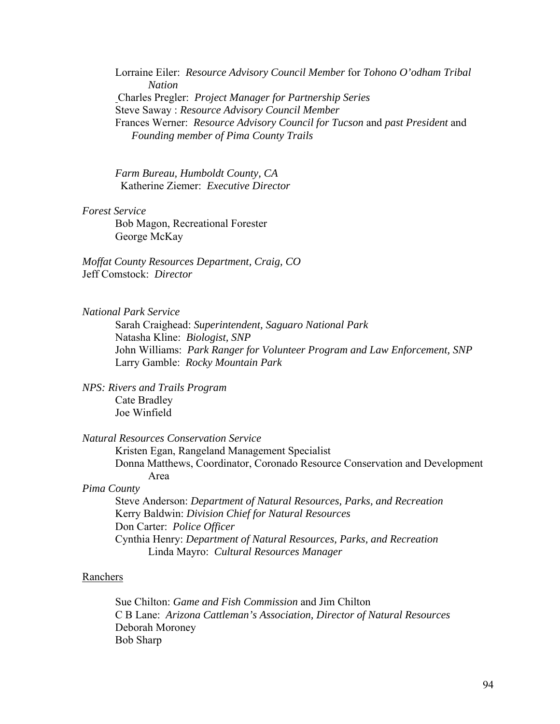Lorraine Eiler: *Resource Advisory Council Member* for *Tohono O'odham Tribal Nation*  Charles Pregler: *Project Manager for Partnership Series* Steve Saway : *Resource Advisory Council Member* Frances Werner: *Resource Advisory Council for Tucson* and *past President* and *Founding member of Pima County Trails* 

*Farm Bureau, Humboldt County, CA*  Katherine Ziemer: *Executive Director* 

*Forest Service* 

Bob Magon, Recreational Forester George McKay

*Moffat County Resources Department, Craig, CO*  Jeff Comstock: *Director*

*National Park Service* 

Sarah Craighead: *Superintendent, Saguaro National Park*  Natasha Kline: *Biologist, SNP*  John Williams: *Park Ranger for Volunteer Program and Law Enforcement, SNP*  Larry Gamble: *Rocky Mountain Park* 

*NPS: Rivers and Trails Program*  Cate Bradley Joe Winfield

*Natural Resources Conservation Service* 

Kristen Egan, Rangeland Management Specialist Donna Matthews, Coordinator, Coronado Resource Conservation and Development Area

# *Pima County*

Steve Anderson: *Department of Natural Resources, Parks, and Recreation* Kerry Baldwin: *Division Chief for Natural Resources* Don Carter: *Police Officer*  Cynthia Henry: *Department of Natural Resources, Parks, and Recreation* Linda Mayro: *Cultural Resources Manager*

#### Ranchers

Sue Chilton: *Game and Fish Commission* and Jim Chilton C B Lane: *Arizona Cattleman's Association, Director of Natural Resources* Deborah Moroney Bob Sharp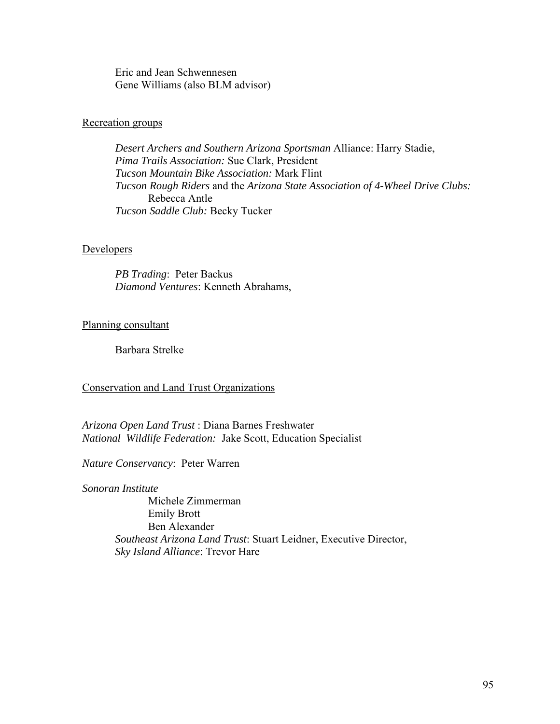Eric and Jean Schwennesen Gene Williams (also BLM advisor)

### Recreation groups

*Desert Archers and Southern Arizona Sportsman* Alliance: Harry Stadie,  *Pima Trails Association:* Sue Clark, President *Tucson Mountain Bike Association:* Mark Flint *Tucson Rough Riders* and the *Arizona State Association of 4-Wheel Drive Clubs:*  Rebecca Antle *Tucson Saddle Club:* Becky Tucker

### Developers

 *PB Trading*: Peter Backus *Diamond Ventures*: Kenneth Abrahams,

## Planning consultant

Barbara Strelke

### Conservation and Land Trust Organizations

*Arizona Open Land Trust* : Diana Barnes Freshwater *National Wildlife Federation:* Jake Scott, Education Specialist

*Nature Conservancy*: Peter Warren

*Sonoran Institute*  Michele Zimmerman Emily Brott Ben Alexander *Southeast Arizona Land Trust*: Stuart Leidner, Executive Director, *Sky Island Alliance*: Trevor Hare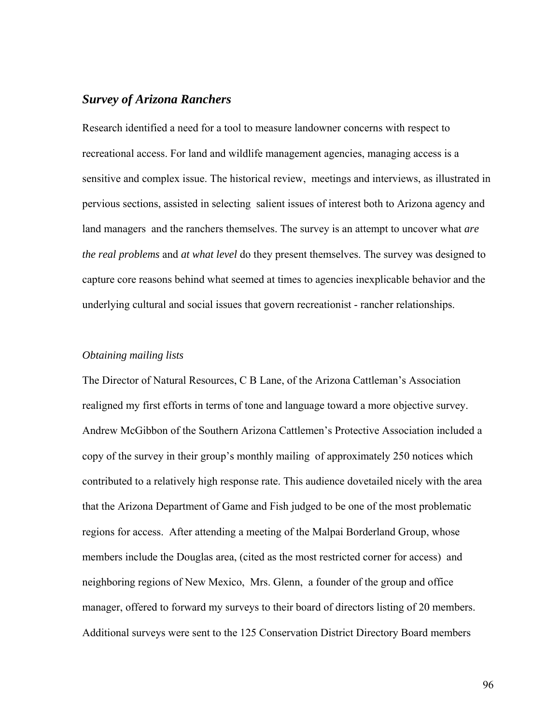# *Survey of Arizona Ranchers*

Research identified a need for a tool to measure landowner concerns with respect to recreational access. For land and wildlife management agencies, managing access is a sensitive and complex issue. The historical review, meetings and interviews, as illustrated in pervious sections, assisted in selecting salient issues of interest both to Arizona agency and land managers and the ranchers themselves. The survey is an attempt to uncover what *are the real problems* and *at what level* do they present themselves. The survey was designed to capture core reasons behind what seemed at times to agencies inexplicable behavior and the underlying cultural and social issues that govern recreationist - rancher relationships.

#### *Obtaining mailing lists*

The Director of Natural Resources, C B Lane, of the Arizona Cattleman's Association realigned my first efforts in terms of tone and language toward a more objective survey. Andrew McGibbon of the Southern Arizona Cattlemen's Protective Association included a copy of the survey in their group's monthly mailing of approximately 250 notices which contributed to a relatively high response rate. This audience dovetailed nicely with the area that the Arizona Department of Game and Fish judged to be one of the most problematic regions for access. After attending a meeting of the Malpai Borderland Group, whose members include the Douglas area, (cited as the most restricted corner for access) and neighboring regions of New Mexico, Mrs. Glenn, a founder of the group and office manager, offered to forward my surveys to their board of directors listing of 20 members. Additional surveys were sent to the 125 Conservation District Directory Board members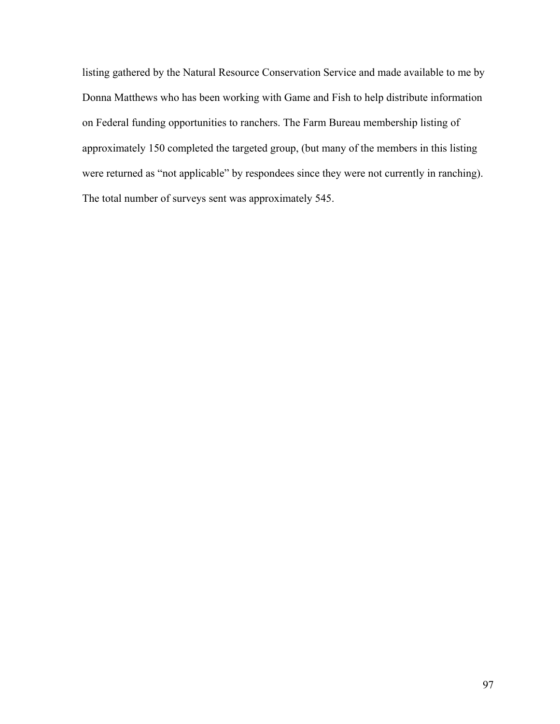listing gathered by the Natural Resource Conservation Service and made available to me by Donna Matthews who has been working with Game and Fish to help distribute information on Federal funding opportunities to ranchers. The Farm Bureau membership listing of approximately 150 completed the targeted group, (but many of the members in this listing were returned as "not applicable" by respondees since they were not currently in ranching). The total number of surveys sent was approximately 545.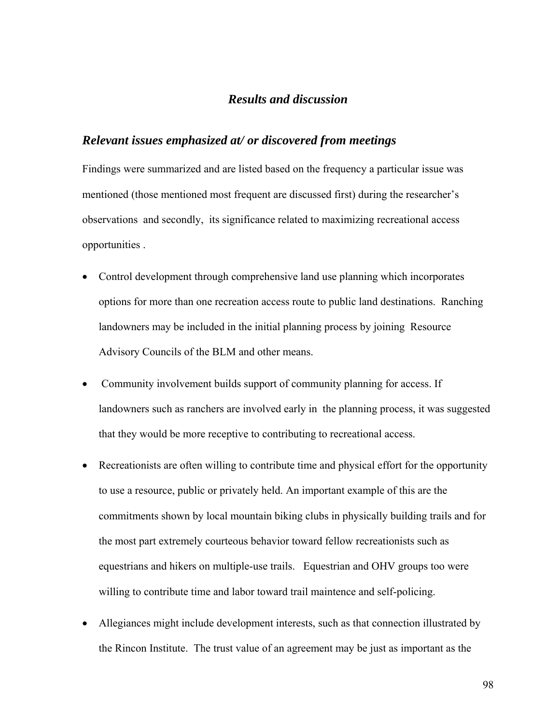# *Results and discussion*

## *Relevant issues emphasized at/ or discovered from meetings*

Findings were summarized and are listed based on the frequency a particular issue was mentioned (those mentioned most frequent are discussed first) during the researcher's observations and secondly, its significance related to maximizing recreational access opportunities .

- Control development through comprehensive land use planning which incorporates options for more than one recreation access route to public land destinations. Ranching landowners may be included in the initial planning process by joining Resource Advisory Councils of the BLM and other means.
- Community involvement builds support of community planning for access. If landowners such as ranchers are involved early in the planning process, it was suggested that they would be more receptive to contributing to recreational access.
- Recreationists are often willing to contribute time and physical effort for the opportunity to use a resource, public or privately held. An important example of this are the commitments shown by local mountain biking clubs in physically building trails and for the most part extremely courteous behavior toward fellow recreationists such as equestrians and hikers on multiple-use trails. Equestrian and OHV groups too were willing to contribute time and labor toward trail maintence and self-policing.
- Allegiances might include development interests, such as that connection illustrated by the Rincon Institute. The trust value of an agreement may be just as important as the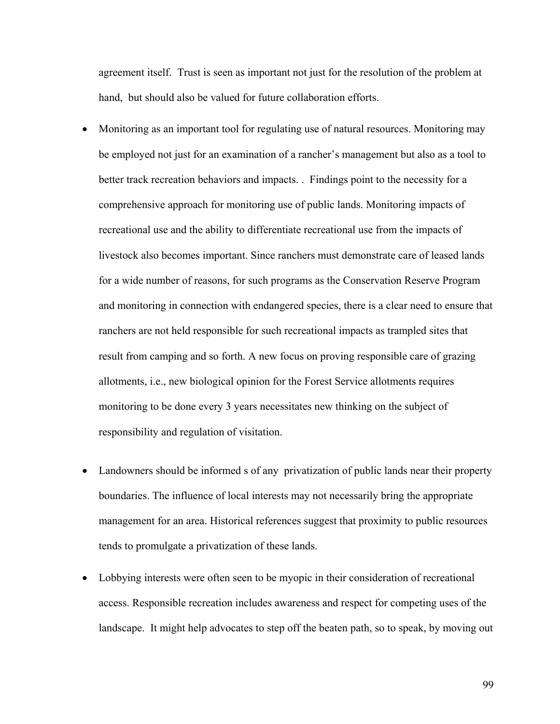agreement itself. Trust is seen as important not just for the resolution of the problem at hand, but should also be valued for future collaboration efforts.

- Monitoring as an important tool for regulating use of natural resources. Monitoring may be employed not just for an examination of a rancher's management but also as a tool to better track recreation behaviors and impacts. . Findings point to the necessity for a comprehensive approach for monitoring use of public lands. Monitoring impacts of recreational use and the ability to differentiate recreational use from the impacts of livestock also becomes important. Since ranchers must demonstrate care of leased lands for a wide number of reasons, for such programs as the Conservation Reserve Program and monitoring in connection with endangered species, there is a clear need to ensure that ranchers are not held responsible for such recreational impacts as trampled sites that result from camping and so forth. A new focus on proving responsible care of grazing allotments, i.e., new biological opinion for the Forest Service allotments requires monitoring to be done every 3 years necessitates new thinking on the subject of responsibility and regulation of visitation.
- Landowners should be informed s of any privatization of public lands near their property boundaries. The influence of local interests may not necessarily bring the appropriate management for an area. Historical references suggest that proximity to public resources tends to promulgate a privatization of these lands.
- Lobbying interests were often seen to be myopic in their consideration of recreational access. Responsible recreation includes awareness and respect for competing uses of the landscape. It might help advocates to step off the beaten path, so to speak, by moving out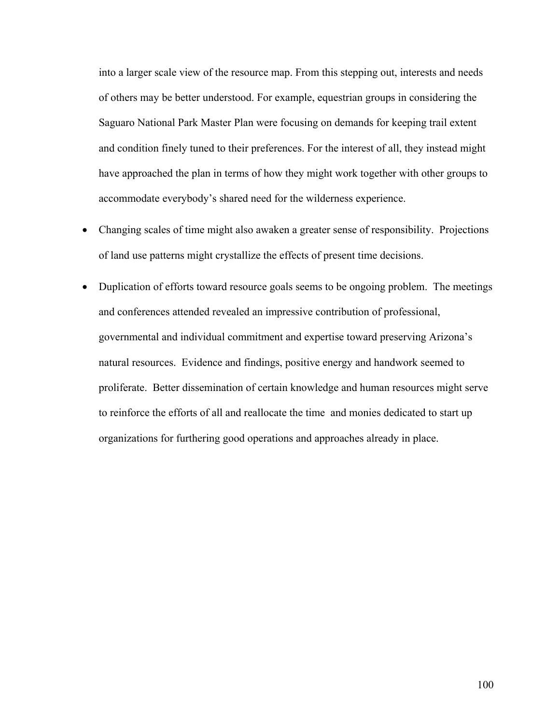into a larger scale view of the resource map. From this stepping out, interests and needs of others may be better understood. For example, equestrian groups in considering the Saguaro National Park Master Plan were focusing on demands for keeping trail extent and condition finely tuned to their preferences. For the interest of all, they instead might have approached the plan in terms of how they might work together with other groups to accommodate everybody's shared need for the wilderness experience.

- Changing scales of time might also awaken a greater sense of responsibility. Projections of land use patterns might crystallize the effects of present time decisions.
- Duplication of efforts toward resource goals seems to be ongoing problem. The meetings and conferences attended revealed an impressive contribution of professional, governmental and individual commitment and expertise toward preserving Arizona's natural resources. Evidence and findings, positive energy and handwork seemed to proliferate. Better dissemination of certain knowledge and human resources might serve to reinforce the efforts of all and reallocate the time and monies dedicated to start up organizations for furthering good operations and approaches already in place.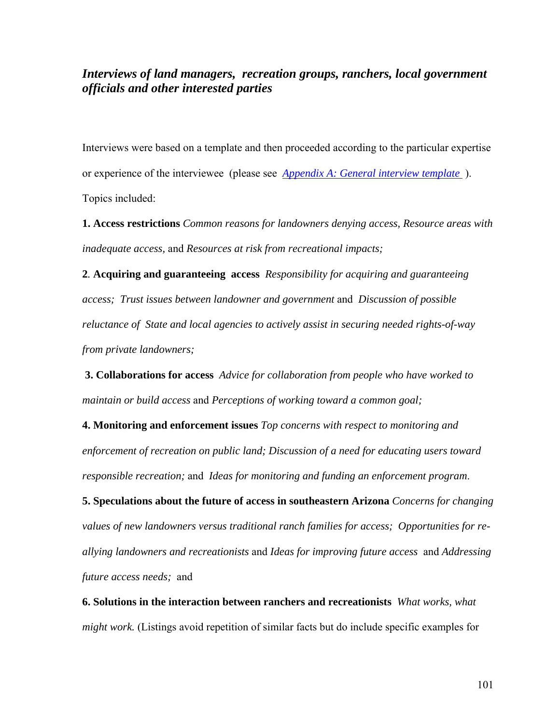# *Interviews of land managers, recreation groups, ranchers, local government officials and other interested parties*

Interviews were based on a template and then proceeded according to the particular expertise or experience of the interviewee (please see *Appendix A: General interview template* ). Topics included:

**1. Access restrictions** *Common reasons for landowners denying access, Resource areas with inadequate access,* and *Resources at risk from recreational impacts;* 

**2***.* **Acquiring and guaranteeing access** *Responsibility for acquiring and guaranteeing access; Trust issues between landowner and government* and *Discussion of possible reluctance of State and local agencies to actively assist in securing needed rights-of-way from private landowners;* 

**3. Collaborations for access** *Advice for collaboration from people who have worked to maintain or build access* and *Perceptions of working toward a common goal;*

**4. Monitoring and enforcement issues** *Top concerns with respect to monitoring and enforcement of recreation on public land; Discussion of a need for educating users toward responsible recreation;* and *Ideas for monitoring and funding an enforcement program*.

**5. Speculations about the future of access in southeastern Arizona** *Concerns for changing values of new landowners versus traditional ranch families for access; Opportunities for reallying landowners and recreationists* and *Ideas for improving future access* and *Addressing future access needs;* and

**6. Solutions in the interaction between ranchers and recreationists** *What works, what might work.* (Listings avoid repetition of similar facts but do include specific examples for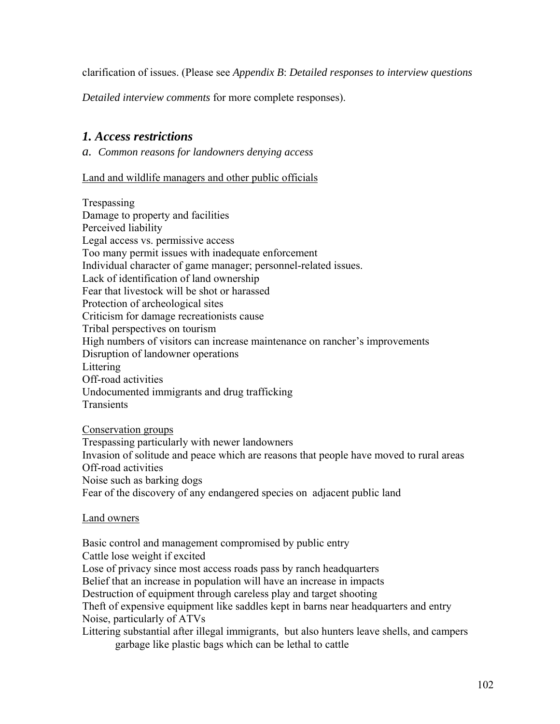clarification of issues. (Please see *Appendix B*: *Detailed responses to interview questions* 

*Detailed interview comments* for more complete responses).

# *1. Access restrictions*

*a. Common reasons for landowners denying access* 

# Land and wildlife managers and other public officials

Trespassing Damage to property and facilities Perceived liability Legal access vs. permissive access Too many permit issues with inadequate enforcement Individual character of game manager; personnel-related issues. Lack of identification of land ownership Fear that livestock will be shot or harassed Protection of archeological sites Criticism for damage recreationists cause Tribal perspectives on tourism High numbers of visitors can increase maintenance on rancher's improvements Disruption of landowner operations Littering Off-road activities Undocumented immigrants and drug trafficking **Transients** 

Conservation groups

Trespassing particularly with newer landowners Invasion of solitude and peace which are reasons that people have moved to rural areas Off-road activities Noise such as barking dogs

Fear of the discovery of any endangered species on adjacent public land

## Land owners

Basic control and management compromised by public entry Cattle lose weight if excited Lose of privacy since most access roads pass by ranch headquarters Belief that an increase in population will have an increase in impacts Destruction of equipment through careless play and target shooting Theft of expensive equipment like saddles kept in barns near headquarters and entry Noise, particularly of ATVs Littering substantial after illegal immigrants, but also hunters leave shells, and campers garbage like plastic bags which can be lethal to cattle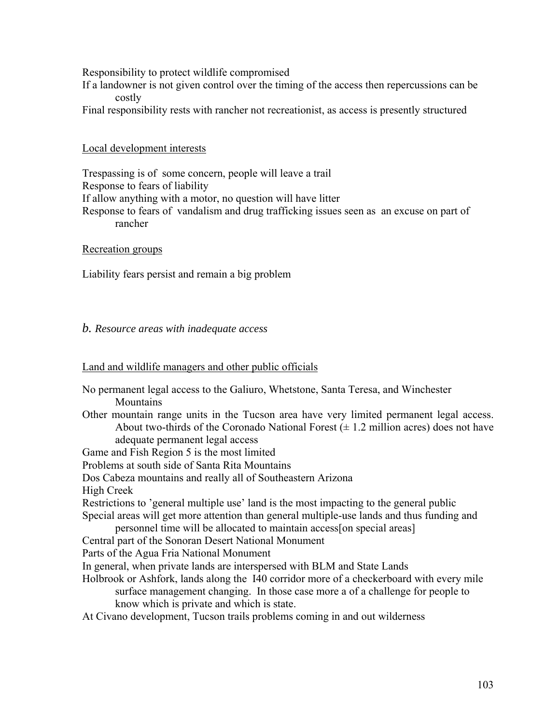Responsibility to protect wildlife compromised

If a landowner is not given control over the timing of the access then repercussions can be costly

Final responsibility rests with rancher not recreationist, as access is presently structured

## Local development interests

Trespassing is of some concern, people will leave a trail Response to fears of liability If allow anything with a motor, no question will have litter Response to fears of vandalism and drug trafficking issues seen as an excuse on part of rancher

## Recreation groups

Liability fears persist and remain a big problem

# *b. Resource areas with inadequate access*

## Land and wildlife managers and other public officials

No permanent legal access to the Galiuro, Whetstone, Santa Teresa, and Winchester **Mountains** Other mountain range units in the Tucson area have very limited permanent legal access. About two-thirds of the Coronado National Forest  $(\pm 1.2 \text{ million acres})$  does not have adequate permanent legal access Game and Fish Region 5 is the most limited Problems at south side of Santa Rita Mountains Dos Cabeza mountains and really all of Southeastern Arizona High Creek Restrictions to 'general multiple use' land is the most impacting to the general public Special areas will get more attention than general multiple-use lands and thus funding and personnel time will be allocated to maintain access[on special areas] Central part of the Sonoran Desert National Monument Parts of the Agua Fria National Monument In general, when private lands are interspersed with BLM and State Lands Holbrook or Ashfork, lands along the I40 corridor more of a checkerboard with every mile surface management changing. In those case more a of a challenge for people to know which is private and which is state. At Civano development, Tucson trails problems coming in and out wilderness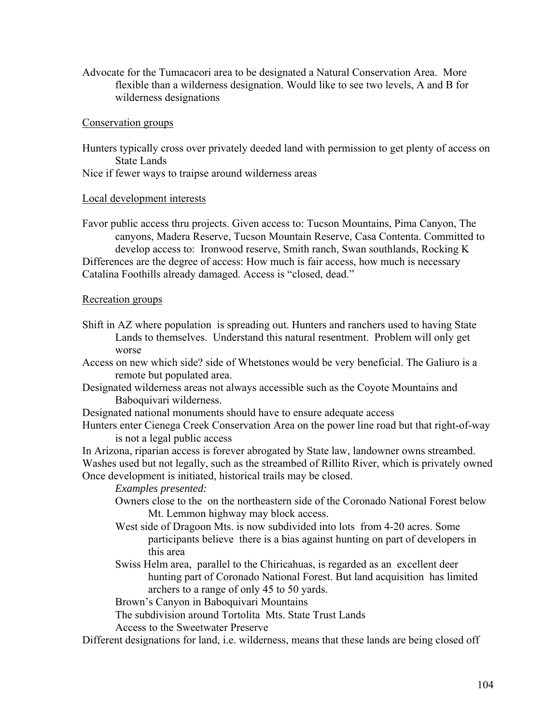Advocate for the Tumacacori area to be designated a Natural Conservation Area. More flexible than a wilderness designation. Would like to see two levels, A and B for wilderness designations

### Conservation groups

Hunters typically cross over privately deeded land with permission to get plenty of access on State Lands

Nice if fewer ways to traipse around wilderness areas

### Local development interests

Favor public access thru projects. Given access to: Tucson Mountains, Pima Canyon, The canyons, Madera Reserve, Tucson Mountain Reserve, Casa Contenta. Committed to develop access to: Ironwood reserve, Smith ranch, Swan southlands, Rocking K Differences are the degree of access: How much is fair access, how much is necessary Catalina Foothills already damaged. Access is "closed, dead."

### Recreation groups

- Shift in AZ where population is spreading out. Hunters and ranchers used to having State Lands to themselves. Understand this natural resentment. Problem will only get worse
- Access on new which side? side of Whetstones would be very beneficial. The Galiuro is a remote but populated area.
- Designated wilderness areas not always accessible such as the Coyote Mountains and Baboquivari wilderness.
- Designated national monuments should have to ensure adequate access
- Hunters enter Cienega Creek Conservation Area on the power line road but that right-of-way is not a legal public access

In Arizona, riparian access is forever abrogated by State law, landowner owns streambed. Washes used but not legally, such as the streambed of Rillito River, which is privately owned Once development is initiated, historical trails may be closed.

*Examples presented:* 

- Owners close to the on the northeastern side of the Coronado National Forest below Mt. Lemmon highway may block access.
- West side of Dragoon Mts. is now subdivided into lots from 4-20 acres. Some participants believe there is a bias against hunting on part of developers in this area
- Swiss Helm area, parallel to the Chiricahuas, is regarded as an excellent deer hunting part of Coronado National Forest. But land acquisition has limited archers to a range of only 45 to 50 yards.

Brown's Canyon in Baboquivari Mountains

The subdivision around Tortolita Mts. State Trust Lands

Access to the Sweetwater Preserve

Different designations for land, i.e. wilderness, means that these lands are being closed off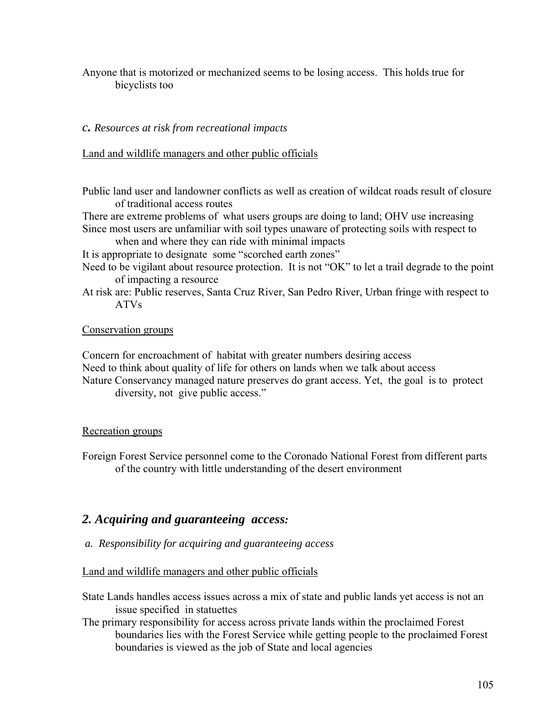Anyone that is motorized or mechanized seems to be losing access. This holds true for bicyclists too

*c. Resources at risk from recreational impacts*

Land and wildlife managers and other public officials

Public land user and landowner conflicts as well as creation of wildcat roads result of closure of traditional access routes

There are extreme problems of what users groups are doing to land; OHV use increasing Since most users are unfamiliar with soil types unaware of protecting soils with respect to

when and where they can ride with minimal impacts

It is appropriate to designate some "scorched earth zones"

- Need to be vigilant about resource protection. It is not "OK" to let a trail degrade to the point of impacting a resource
- At risk are: Public reserves, Santa Cruz River, San Pedro River, Urban fringe with respect to ATVs

## Conservation groups

Concern for encroachment of habitat with greater numbers desiring access Need to think about quality of life for others on lands when we talk about access Nature Conservancy managed nature preserves do grant access. Yet, the goal is to protect diversity, not give public access."

## Recreation groups

Foreign Forest Service personnel come to the Coronado National Forest from different parts of the country with little understanding of the desert environment

# *2. Acquiring and guaranteeing access:*

 *a. Responsibility for acquiring and guaranteeing access* 

Land and wildlife managers and other public officials

State Lands handles access issues across a mix of state and public lands yet access is not an issue specified in statuettes

The primary responsibility for access across private lands within the proclaimed Forest boundaries lies with the Forest Service while getting people to the proclaimed Forest boundaries is viewed as the job of State and local agencies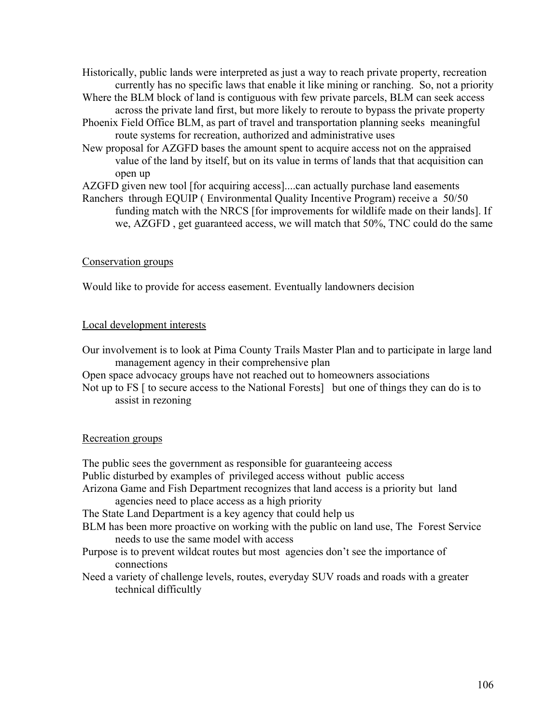Historically, public lands were interpreted as just a way to reach private property, recreation currently has no specific laws that enable it like mining or ranching. So, not a priority

- Where the BLM block of land is contiguous with few private parcels, BLM can seek access across the private land first, but more likely to reroute to bypass the private property
- Phoenix Field Office BLM, as part of travel and transportation planning seeks meaningful route systems for recreation, authorized and administrative uses
- New proposal for AZGFD bases the amount spent to acquire access not on the appraised value of the land by itself, but on its value in terms of lands that that acquisition can open up

AZGFD given new tool [for acquiring access]....can actually purchase land easements

Ranchers through EQUIP ( Environmental Quality Incentive Program) receive a 50/50 funding match with the NRCS [for improvements for wildlife made on their lands]. If we, AZGFD , get guaranteed access, we will match that 50%, TNC could do the same

## Conservation groups

Would like to provide for access easement. Eventually landowners decision

## Local development interests

Our involvement is to look at Pima County Trails Master Plan and to participate in large land management agency in their comprehensive plan

Open space advocacy groups have not reached out to homeowners associations

Not up to FS  $\lceil$  to secure access to the National Forests $\lceil$  but one of things they can do is to assist in rezoning

## Recreation groups

The public sees the government as responsible for guaranteeing access Public disturbed by examples of privileged access without public access Arizona Game and Fish Department recognizes that land access is a priority but land agencies need to place access as a high priority The State Land Department is a key agency that could help us BLM has been more proactive on working with the public on land use, The Forest Service needs to use the same model with access Purpose is to prevent wildcat routes but most agencies don't see the importance of connections Need a variety of challenge levels, routes, everyday SUV roads and roads with a greater technical difficultly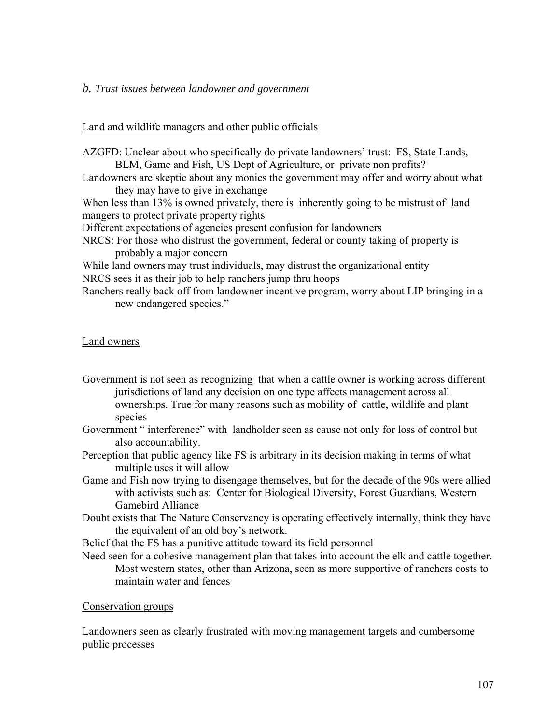### *b. Trust issues between landowner and government*

### Land and wildlife managers and other public officials

AZGFD: Unclear about who specifically do private landowners' trust: FS, State Lands, BLM, Game and Fish, US Dept of Agriculture, or private non profits?

Landowners are skeptic about any monies the government may offer and worry about what they may have to give in exchange

When less than 13% is owned privately, there is inherently going to be mistrust of land mangers to protect private property rights

Different expectations of agencies present confusion for landowners

NRCS: For those who distrust the government, federal or county taking of property is probably a major concern

While land owners may trust individuals, may distrust the organizational entity NRCS sees it as their job to help ranchers jump thru hoops

Ranchers really back off from landowner incentive program, worry about LIP bringing in a new endangered species."

### Land owners

- Government is not seen as recognizing that when a cattle owner is working across different jurisdictions of land any decision on one type affects management across all ownerships. True for many reasons such as mobility of cattle, wildlife and plant species
- Government " interference" with landholder seen as cause not only for loss of control but also accountability.
- Perception that public agency like FS is arbitrary in its decision making in terms of what multiple uses it will allow
- Game and Fish now trying to disengage themselves, but for the decade of the 90s were allied with activists such as: Center for Biological Diversity, Forest Guardians, Western Gamebird Alliance
- Doubt exists that The Nature Conservancy is operating effectively internally, think they have the equivalent of an old boy's network.

Belief that the FS has a punitive attitude toward its field personnel

Need seen for a cohesive management plan that takes into account the elk and cattle together. Most western states, other than Arizona, seen as more supportive of ranchers costs to maintain water and fences

### Conservation groups

Landowners seen as clearly frustrated with moving management targets and cumbersome public processes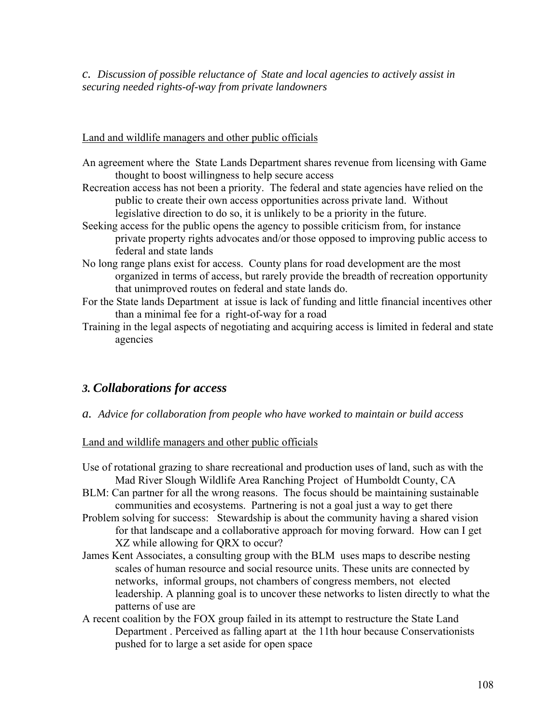*c. Discussion of possible reluctance of State and local agencies to actively assist in securing needed rights-of-way from private landowners* 

# Land and wildlife managers and other public officials

- An agreement where the State Lands Department shares revenue from licensing with Game thought to boost willingness to help secure access
- Recreation access has not been a priority. The federal and state agencies have relied on the public to create their own access opportunities across private land. Without legislative direction to do so, it is unlikely to be a priority in the future.
- Seeking access for the public opens the agency to possible criticism from, for instance private property rights advocates and/or those opposed to improving public access to federal and state lands
- No long range plans exist for access. County plans for road development are the most organized in terms of access, but rarely provide the breadth of recreation opportunity that unimproved routes on federal and state lands do.
- For the State lands Department at issue is lack of funding and little financial incentives other than a minimal fee for a right-of-way for a road
- Training in the legal aspects of negotiating and acquiring access is limited in federal and state agencies

# *3. Collaborations for access*

*a. Advice for collaboration from people who have worked to maintain or build access* 

# Land and wildlife managers and other public officials

- Use of rotational grazing to share recreational and production uses of land, such as with the Mad River Slough Wildlife Area Ranching Project of Humboldt County, CA
- BLM: Can partner for all the wrong reasons. The focus should be maintaining sustainable communities and ecosystems. Partnering is not a goal just a way to get there
- Problem solving for success: Stewardship is about the community having a shared vision for that landscape and a collaborative approach for moving forward. How can I get XZ while allowing for QRX to occur?
- James Kent Associates, a consulting group with the BLM uses maps to describe nesting scales of human resource and social resource units. These units are connected by networks, informal groups, not chambers of congress members, not elected leadership. A planning goal is to uncover these networks to listen directly to what the patterns of use are
- A recent coalition by the FOX group failed in its attempt to restructure the State Land Department . Perceived as falling apart at the 11th hour because Conservationists pushed for to large a set aside for open space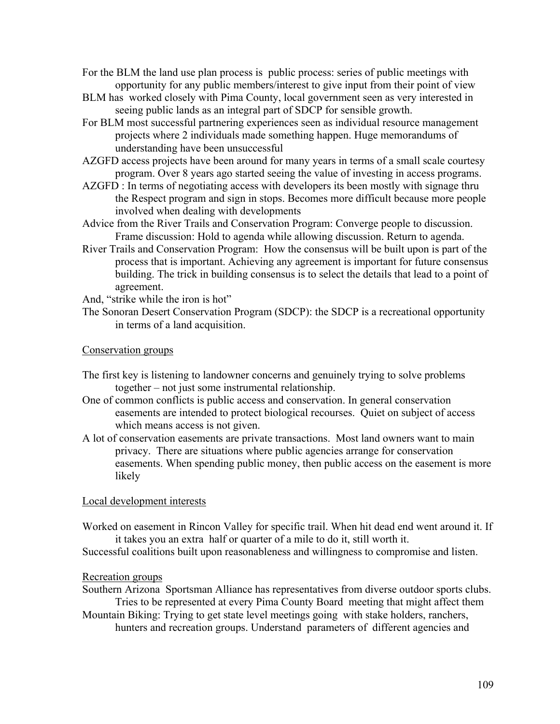- For the BLM the land use plan process is public process: series of public meetings with opportunity for any public members/interest to give input from their point of view
- BLM has worked closely with Pima County, local government seen as very interested in seeing public lands as an integral part of SDCP for sensible growth.
- For BLM most successful partnering experiences seen as individual resource management projects where 2 individuals made something happen. Huge memorandums of understanding have been unsuccessful
- AZGFD access projects have been around for many years in terms of a small scale courtesy program. Over 8 years ago started seeing the value of investing in access programs.
- AZGFD : In terms of negotiating access with developers its been mostly with signage thru the Respect program and sign in stops. Becomes more difficult because more people involved when dealing with developments
- Advice from the River Trails and Conservation Program: Converge people to discussion. Frame discussion: Hold to agenda while allowing discussion. Return to agenda.
- River Trails and Conservation Program: How the consensus will be built upon is part of the process that is important. Achieving any agreement is important for future consensus building. The trick in building consensus is to select the details that lead to a point of agreement.
- And, "strike while the iron is hot"
- The Sonoran Desert Conservation Program (SDCP): the SDCP is a recreational opportunity in terms of a land acquisition.

# Conservation groups

- The first key is listening to landowner concerns and genuinely trying to solve problems together – not just some instrumental relationship.
- One of common conflicts is public access and conservation. In general conservation easements are intended to protect biological recourses. Quiet on subject of access which means access is not given.
- A lot of conservation easements are private transactions. Most land owners want to main privacy. There are situations where public agencies arrange for conservation easements. When spending public money, then public access on the easement is more likely

### Local development interests

Worked on easement in Rincon Valley for specific trail. When hit dead end went around it. If it takes you an extra half or quarter of a mile to do it, still worth it.

Successful coalitions built upon reasonableness and willingness to compromise and listen.

### Recreation groups

Southern Arizona Sportsman Alliance has representatives from diverse outdoor sports clubs. Tries to be represented at every Pima County Board meeting that might affect them

Mountain Biking: Trying to get state level meetings going with stake holders, ranchers, hunters and recreation groups. Understand parameters of different agencies and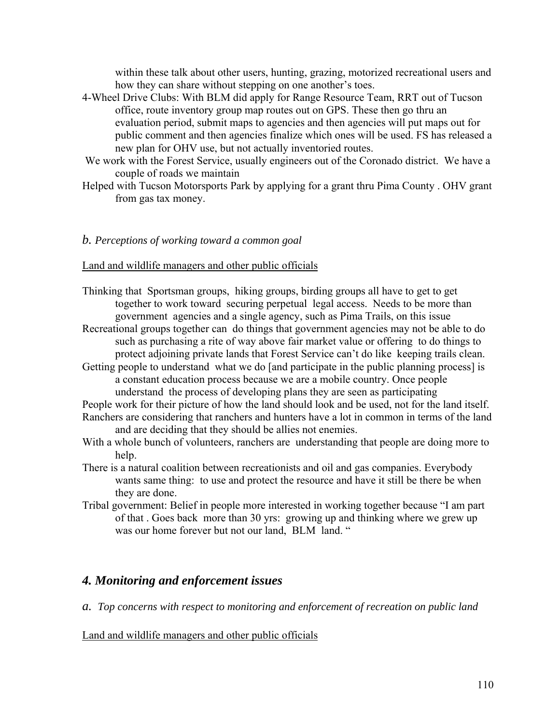within these talk about other users, hunting, grazing, motorized recreational users and how they can share without stepping on one another's toes.

- 4-Wheel Drive Clubs: With BLM did apply for Range Resource Team, RRT out of Tucson office, route inventory group map routes out on GPS. These then go thru an evaluation period, submit maps to agencies and then agencies will put maps out for public comment and then agencies finalize which ones will be used. FS has released a new plan for OHV use, but not actually inventoried routes.
- We work with the Forest Service, usually engineers out of the Coronado district. We have a couple of roads we maintain
- Helped with Tucson Motorsports Park by applying for a grant thru Pima County . OHV grant from gas tax money.

# *b. Perceptions of working toward a common goal*

# Land and wildlife managers and other public officials

- Thinking that Sportsman groups, hiking groups, birding groups all have to get to get together to work toward securing perpetual legal access. Needs to be more than government agencies and a single agency, such as Pima Trails, on this issue
- Recreational groups together can do things that government agencies may not be able to do such as purchasing a rite of way above fair market value or offering to do things to protect adjoining private lands that Forest Service can't do like keeping trails clean.
- Getting people to understand what we do [and participate in the public planning process] is a constant education process because we are a mobile country. Once people understand the process of developing plans they are seen as participating

People work for their picture of how the land should look and be used, not for the land itself. Ranchers are considering that ranchers and hunters have a lot in common in terms of the land and are deciding that they should be allies not enemies.

- With a whole bunch of volunteers, ranchers are understanding that people are doing more to help.
- There is a natural coalition between recreationists and oil and gas companies. Everybody wants same thing: to use and protect the resource and have it still be there be when they are done.
- Tribal government: Belief in people more interested in working together because "I am part of that . Goes back more than 30 yrs: growing up and thinking where we grew up was our home forever but not our land. BLM land. "

# *4. Monitoring and enforcement issues*

*a. Top concerns with respect to monitoring and enforcement of recreation on public land* 

# Land and wildlife managers and other public officials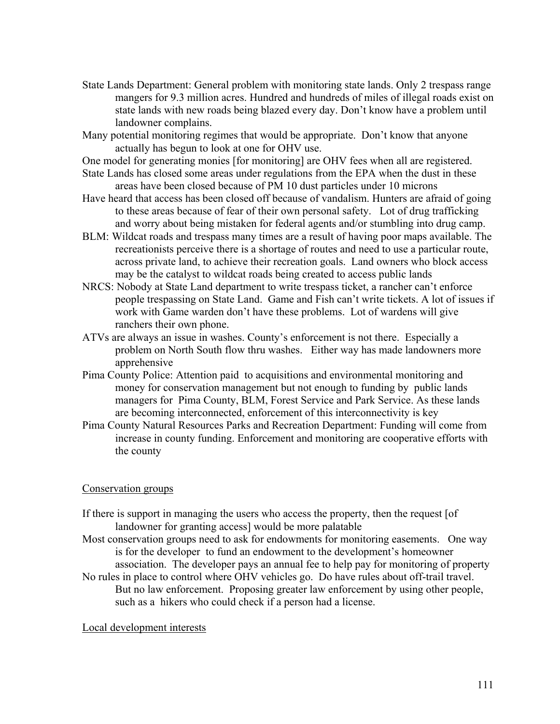- State Lands Department: General problem with monitoring state lands. Only 2 trespass range mangers for 9.3 million acres. Hundred and hundreds of miles of illegal roads exist on state lands with new roads being blazed every day. Don't know have a problem until landowner complains.
- Many potential monitoring regimes that would be appropriate. Don't know that anyone actually has begun to look at one for OHV use.
- One model for generating monies [for monitoring] are OHV fees when all are registered.
- State Lands has closed some areas under regulations from the EPA when the dust in these areas have been closed because of PM 10 dust particles under 10 microns
- Have heard that access has been closed off because of vandalism. Hunters are afraid of going to these areas because of fear of their own personal safety. Lot of drug trafficking and worry about being mistaken for federal agents and/or stumbling into drug camp.
- BLM: Wildcat roads and trespass many times are a result of having poor maps available. The recreationists perceive there is a shortage of routes and need to use a particular route, across private land, to achieve their recreation goals. Land owners who block access may be the catalyst to wildcat roads being created to access public lands
- NRCS: Nobody at State Land department to write trespass ticket, a rancher can't enforce people trespassing on State Land. Game and Fish can't write tickets. A lot of issues if work with Game warden don't have these problems. Lot of wardens will give ranchers their own phone.
- ATVs are always an issue in washes. County's enforcement is not there. Especially a problem on North South flow thru washes. Either way has made landowners more apprehensive
- Pima County Police: Attention paid to acquisitions and environmental monitoring and money for conservation management but not enough to funding by public lands managers for Pima County, BLM, Forest Service and Park Service. As these lands are becoming interconnected, enforcement of this interconnectivity is key
- Pima County Natural Resources Parks and Recreation Department: Funding will come from increase in county funding. Enforcement and monitoring are cooperative efforts with the county

# Conservation groups

- If there is support in managing the users who access the property, then the request [of landowner for granting access] would be more palatable
- Most conservation groups need to ask for endowments for monitoring easements. One way is for the developer to fund an endowment to the development's homeowner association. The developer pays an annual fee to help pay for monitoring of property
- No rules in place to control where OHV vehicles go. Do have rules about off-trail travel. But no law enforcement. Proposing greater law enforcement by using other people, such as a hikers who could check if a person had a license.

# Local development interests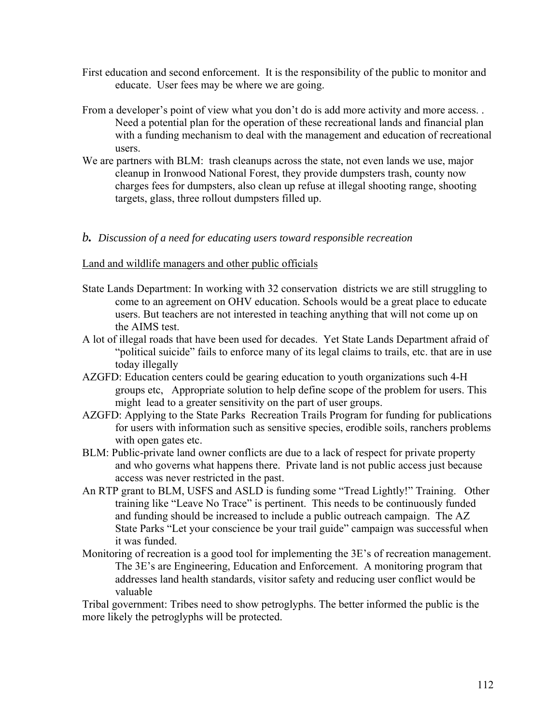- First education and second enforcement. It is the responsibility of the public to monitor and educate. User fees may be where we are going.
- From a developer's point of view what you don't do is add more activity and more access. . Need a potential plan for the operation of these recreational lands and financial plan with a funding mechanism to deal with the management and education of recreational users.
- We are partners with BLM: trash cleanups across the state, not even lands we use, major cleanup in Ironwood National Forest, they provide dumpsters trash, county now charges fees for dumpsters, also clean up refuse at illegal shooting range, shooting targets, glass, three rollout dumpsters filled up.

# *b. Discussion of a need for educating users toward responsible recreation*

# Land and wildlife managers and other public officials

- State Lands Department: In working with 32 conservation districts we are still struggling to come to an agreement on OHV education. Schools would be a great place to educate users. But teachers are not interested in teaching anything that will not come up on the AIMS test.
- A lot of illegal roads that have been used for decades. Yet State Lands Department afraid of "political suicide" fails to enforce many of its legal claims to trails, etc. that are in use today illegally
- AZGFD: Education centers could be gearing education to youth organizations such 4-H groups etc, Appropriate solution to help define scope of the problem for users. This might lead to a greater sensitivity on the part of user groups.
- AZGFD: Applying to the State Parks Recreation Trails Program for funding for publications for users with information such as sensitive species, erodible soils, ranchers problems with open gates etc.
- BLM: Public-private land owner conflicts are due to a lack of respect for private property and who governs what happens there. Private land is not public access just because access was never restricted in the past.
- An RTP grant to BLM, USFS and ASLD is funding some "Tread Lightly!" Training. Other training like "Leave No Trace" is pertinent. This needs to be continuously funded and funding should be increased to include a public outreach campaign. The AZ State Parks "Let your conscience be your trail guide" campaign was successful when it was funded.
- Monitoring of recreation is a good tool for implementing the 3E's of recreation management. The 3E's are Engineering, Education and Enforcement. A monitoring program that addresses land health standards, visitor safety and reducing user conflict would be valuable

Tribal government: Tribes need to show petroglyphs. The better informed the public is the more likely the petroglyphs will be protected.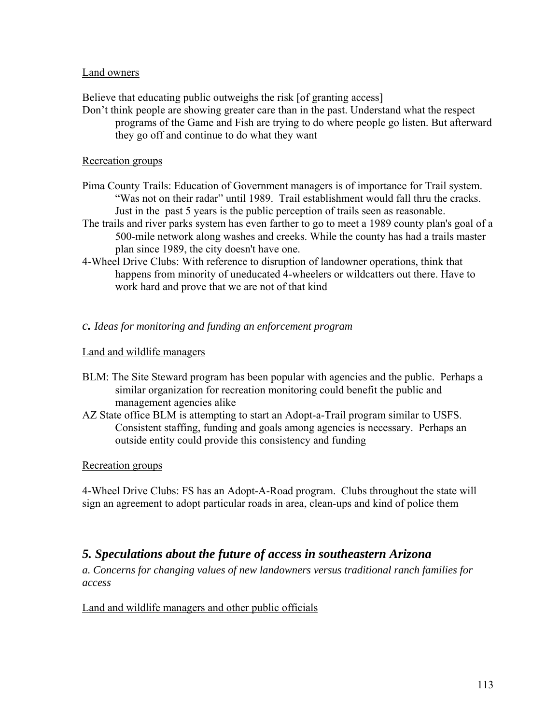# Land owners

Believe that educating public outweighs the risk [of granting access]

Don't think people are showing greater care than in the past. Understand what the respect programs of the Game and Fish are trying to do where people go listen. But afterward they go off and continue to do what they want

# Recreation groups

- Pima County Trails: Education of Government managers is of importance for Trail system. "Was not on their radar" until 1989. Trail establishment would fall thru the cracks. Just in the past 5 years is the public perception of trails seen as reasonable.
- The trails and river parks system has even farther to go to meet a 1989 county plan's goal of a 500-mile network along washes and creeks. While the county has had a trails master plan since 1989, the city doesn't have one.
- 4-Wheel Drive Clubs: With reference to disruption of landowner operations, think that happens from minority of uneducated 4-wheelers or wildcatters out there. Have to work hard and prove that we are not of that kind

# *c. Ideas for monitoring and funding an enforcement program*

# Land and wildlife managers

- BLM: The Site Steward program has been popular with agencies and the public. Perhaps a similar organization for recreation monitoring could benefit the public and management agencies alike
- AZ State office BLM is attempting to start an Adopt-a-Trail program similar to USFS. Consistent staffing, funding and goals among agencies is necessary. Perhaps an outside entity could provide this consistency and funding

# Recreation groups

4-Wheel Drive Clubs: FS has an Adopt-A-Road program. Clubs throughout the state will sign an agreement to adopt particular roads in area, clean-ups and kind of police them

# *5. Speculations about the future of access in southeastern Arizona*

*a. Concerns for changing values of new landowners versus traditional ranch families for access* 

# Land and wildlife managers and other public officials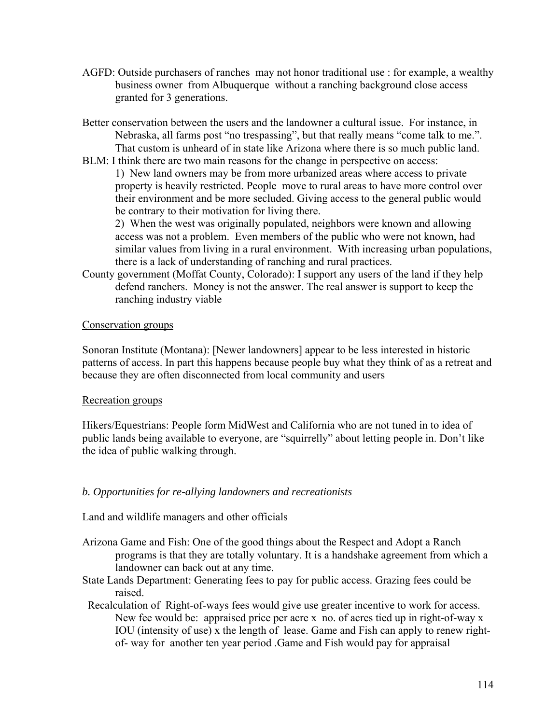- AGFD: Outside purchasers of ranches may not honor traditional use : for example, a wealthy business owner from Albuquerque without a ranching background close access granted for 3 generations.
- Better conservation between the users and the landowner a cultural issue. For instance, in Nebraska, all farms post "no trespassing", but that really means "come talk to me.". That custom is unheard of in state like Arizona where there is so much public land.
- BLM: I think there are two main reasons for the change in perspective on access: 1) New land owners may be from more urbanized areas where access to private

property is heavily restricted. People move to rural areas to have more control over their environment and be more secluded. Giving access to the general public would be contrary to their motivation for living there.

2) When the west was originally populated, neighbors were known and allowing access was not a problem. Even members of the public who were not known, had similar values from living in a rural environment. With increasing urban populations, there is a lack of understanding of ranching and rural practices.

County government (Moffat County, Colorado): I support any users of the land if they help defend ranchers. Money is not the answer. The real answer is support to keep the ranching industry viable

# Conservation groups

Sonoran Institute (Montana): [Newer landowners] appear to be less interested in historic patterns of access. In part this happens because people buy what they think of as a retreat and because they are often disconnected from local community and users

# Recreation groups

Hikers/Equestrians: People form MidWest and California who are not tuned in to idea of public lands being available to everyone, are "squirrelly" about letting people in. Don't like the idea of public walking through.

# *b. Opportunities for re-allying landowners and recreationists*

# Land and wildlife managers and other officials

- Arizona Game and Fish: One of the good things about the Respect and Adopt a Ranch programs is that they are totally voluntary. It is a handshake agreement from which a landowner can back out at any time.
- State Lands Department: Generating fees to pay for public access. Grazing fees could be raised.
- Recalculation of Right-of-ways fees would give use greater incentive to work for access. New fee would be: appraised price per acre x no. of acres tied up in right-of-way x IOU (intensity of use) x the length of lease. Game and Fish can apply to renew rightof- way for another ten year period .Game and Fish would pay for appraisal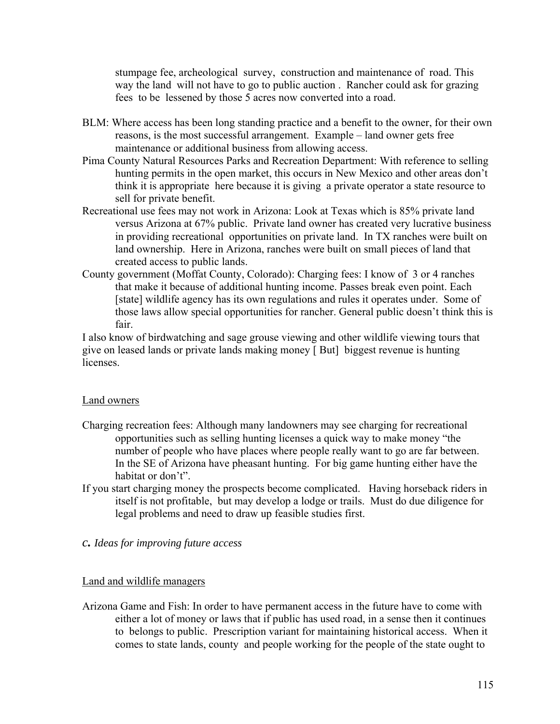stumpage fee, archeological survey, construction and maintenance of road. This way the land will not have to go to public auction . Rancher could ask for grazing fees to be lessened by those 5 acres now converted into a road.

- BLM: Where access has been long standing practice and a benefit to the owner, for their own reasons, is the most successful arrangement. Example – land owner gets free maintenance or additional business from allowing access.
- Pima County Natural Resources Parks and Recreation Department: With reference to selling hunting permits in the open market, this occurs in New Mexico and other areas don't think it is appropriate here because it is giving a private operator a state resource to sell for private benefit.
- Recreational use fees may not work in Arizona: Look at Texas which is 85% private land versus Arizona at 67% public. Private land owner has created very lucrative business in providing recreational opportunities on private land. In TX ranches were built on land ownership. Here in Arizona, ranches were built on small pieces of land that created access to public lands.
- County government (Moffat County, Colorado): Charging fees: I know of 3 or 4 ranches that make it because of additional hunting income. Passes break even point. Each [state] wildlife agency has its own regulations and rules it operates under. Some of those laws allow special opportunities for rancher. General public doesn't think this is fair.

I also know of birdwatching and sage grouse viewing and other wildlife viewing tours that give on leased lands or private lands making money [ But] biggest revenue is hunting **licenses** 

# Land owners

- Charging recreation fees: Although many landowners may see charging for recreational opportunities such as selling hunting licenses a quick way to make money "the number of people who have places where people really want to go are far between. In the SE of Arizona have pheasant hunting. For big game hunting either have the habitat or don't".
- If you start charging money the prospects become complicated. Having horseback riders in itself is not profitable, but may develop a lodge or trails. Must do due diligence for legal problems and need to draw up feasible studies first.

# *c. Ideas for improving future access*

# Land and wildlife managers

Arizona Game and Fish: In order to have permanent access in the future have to come with either a lot of money or laws that if public has used road, in a sense then it continues to belongs to public. Prescription variant for maintaining historical access. When it comes to state lands, county and people working for the people of the state ought to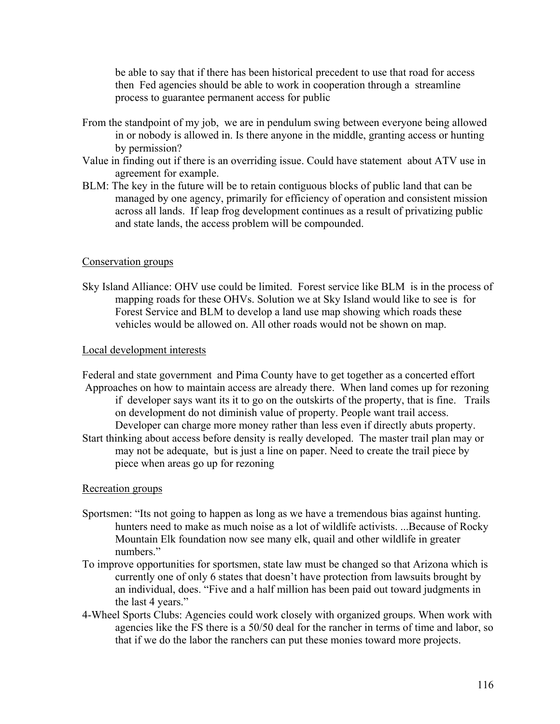be able to say that if there has been historical precedent to use that road for access then Fed agencies should be able to work in cooperation through a streamline process to guarantee permanent access for public

- From the standpoint of my job, we are in pendulum swing between everyone being allowed in or nobody is allowed in. Is there anyone in the middle, granting access or hunting by permission?
- Value in finding out if there is an overriding issue. Could have statement about ATV use in agreement for example.
- BLM: The key in the future will be to retain contiguous blocks of public land that can be managed by one agency, primarily for efficiency of operation and consistent mission across all lands. If leap frog development continues as a result of privatizing public and state lands, the access problem will be compounded.

# Conservation groups

Sky Island Alliance: OHV use could be limited. Forest service like BLM is in the process of mapping roads for these OHVs. Solution we at Sky Island would like to see is for Forest Service and BLM to develop a land use map showing which roads these vehicles would be allowed on. All other roads would not be shown on map.

# Local development interests

Federal and state government and Pima County have to get together as a concerted effort Approaches on how to maintain access are already there. When land comes up for rezoning if developer says want its it to go on the outskirts of the property, that is fine. Trails on development do not diminish value of property. People want trail access. Developer can charge more money rather than less even if directly abuts property. Start thinking about access before density is really developed. The master trail plan may or may not be adequate, but is just a line on paper. Need to create the trail piece by piece when areas go up for rezoning

# Recreation groups

- Sportsmen: "Its not going to happen as long as we have a tremendous bias against hunting. hunters need to make as much noise as a lot of wildlife activists. ...Because of Rocky Mountain Elk foundation now see many elk, quail and other wildlife in greater numbers."
- To improve opportunities for sportsmen, state law must be changed so that Arizona which is currently one of only 6 states that doesn't have protection from lawsuits brought by an individual, does. "Five and a half million has been paid out toward judgments in the last 4 years."
- 4-Wheel Sports Clubs: Agencies could work closely with organized groups. When work with agencies like the FS there is a 50/50 deal for the rancher in terms of time and labor, so that if we do the labor the ranchers can put these monies toward more projects.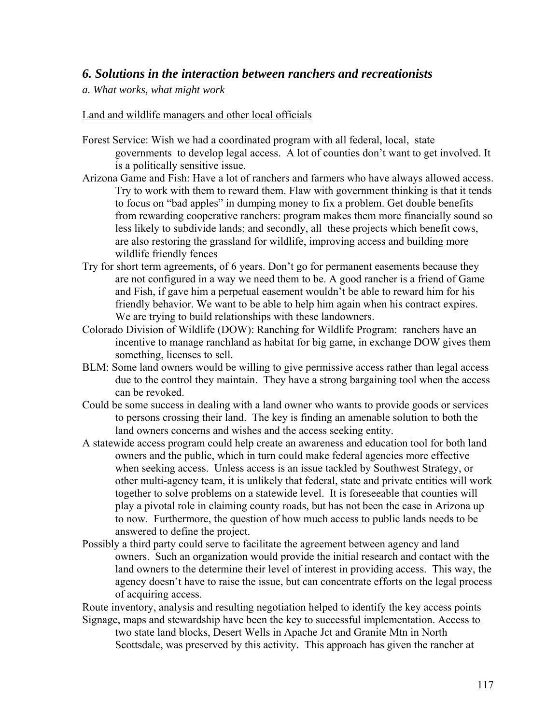# *6. Solutions in the interaction between ranchers and recreationists*

# *a. What works, what might work*

### Land and wildlife managers and other local officials

- Forest Service: Wish we had a coordinated program with all federal, local, state governments to develop legal access. A lot of counties don't want to get involved. It is a politically sensitive issue.
- Arizona Game and Fish: Have a lot of ranchers and farmers who have always allowed access. Try to work with them to reward them. Flaw with government thinking is that it tends to focus on "bad apples" in dumping money to fix a problem. Get double benefits from rewarding cooperative ranchers: program makes them more financially sound so less likely to subdivide lands; and secondly, all these projects which benefit cows, are also restoring the grassland for wildlife, improving access and building more wildlife friendly fences
- Try for short term agreements, of 6 years. Don't go for permanent easements because they are not configured in a way we need them to be. A good rancher is a friend of Game and Fish, if gave him a perpetual easement wouldn't be able to reward him for his friendly behavior. We want to be able to help him again when his contract expires. We are trying to build relationships with these landowners.
- Colorado Division of Wildlife (DOW): Ranching for Wildlife Program: ranchers have an incentive to manage ranchland as habitat for big game, in exchange DOW gives them something, licenses to sell.
- BLM: Some land owners would be willing to give permissive access rather than legal access due to the control they maintain. They have a strong bargaining tool when the access can be revoked.
- Could be some success in dealing with a land owner who wants to provide goods or services to persons crossing their land. The key is finding an amenable solution to both the land owners concerns and wishes and the access seeking entity.
- A statewide access program could help create an awareness and education tool for both land owners and the public, which in turn could make federal agencies more effective when seeking access. Unless access is an issue tackled by Southwest Strategy, or other multi-agency team, it is unlikely that federal, state and private entities will work together to solve problems on a statewide level. It is foreseeable that counties will play a pivotal role in claiming county roads, but has not been the case in Arizona up to now. Furthermore, the question of how much access to public lands needs to be answered to define the project.
- Possibly a third party could serve to facilitate the agreement between agency and land owners. Such an organization would provide the initial research and contact with the land owners to the determine their level of interest in providing access. This way, the agency doesn't have to raise the issue, but can concentrate efforts on the legal process of acquiring access.

Route inventory, analysis and resulting negotiation helped to identify the key access points Signage, maps and stewardship have been the key to successful implementation. Access to

two state land blocks, Desert Wells in Apache Jct and Granite Mtn in North Scottsdale, was preserved by this activity. This approach has given the rancher at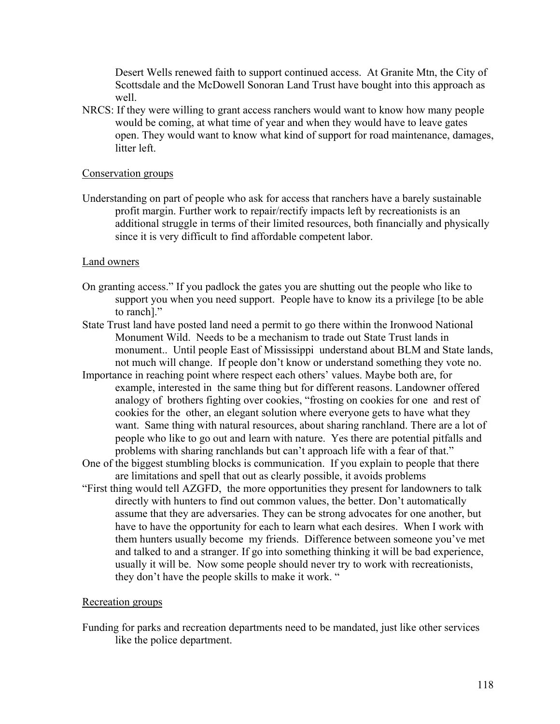Desert Wells renewed faith to support continued access. At Granite Mtn, the City of Scottsdale and the McDowell Sonoran Land Trust have bought into this approach as well.

NRCS: If they were willing to grant access ranchers would want to know how many people would be coming, at what time of year and when they would have to leave gates open. They would want to know what kind of support for road maintenance, damages, litter left.

### Conservation groups

Understanding on part of people who ask for access that ranchers have a barely sustainable profit margin. Further work to repair/rectify impacts left by recreationists is an additional struggle in terms of their limited resources, both financially and physically since it is very difficult to find affordable competent labor.

### Land owners

- On granting access." If you padlock the gates you are shutting out the people who like to support you when you need support. People have to know its a privilege [to be able to ranch]."
- State Trust land have posted land need a permit to go there within the Ironwood National Monument Wild. Needs to be a mechanism to trade out State Trust lands in monument.. Until people East of Mississippi understand about BLM and State lands, not much will change. If people don't know or understand something they vote no.
- Importance in reaching point where respect each others' values. Maybe both are, for example, interested in the same thing but for different reasons. Landowner offered analogy of brothers fighting over cookies, "frosting on cookies for one and rest of cookies for the other, an elegant solution where everyone gets to have what they want. Same thing with natural resources, about sharing ranchland. There are a lot of people who like to go out and learn with nature. Yes there are potential pitfalls and problems with sharing ranchlands but can't approach life with a fear of that."
- One of the biggest stumbling blocks is communication. If you explain to people that there are limitations and spell that out as clearly possible, it avoids problems
- "First thing would tell AZGFD, the more opportunities they present for landowners to talk directly with hunters to find out common values, the better. Don't automatically assume that they are adversaries. They can be strong advocates for one another, but have to have the opportunity for each to learn what each desires. When I work with them hunters usually become my friends. Difference between someone you've met and talked to and a stranger. If go into something thinking it will be bad experience, usually it will be. Now some people should never try to work with recreationists, they don't have the people skills to make it work. "

# Recreation groups

Funding for parks and recreation departments need to be mandated, just like other services like the police department.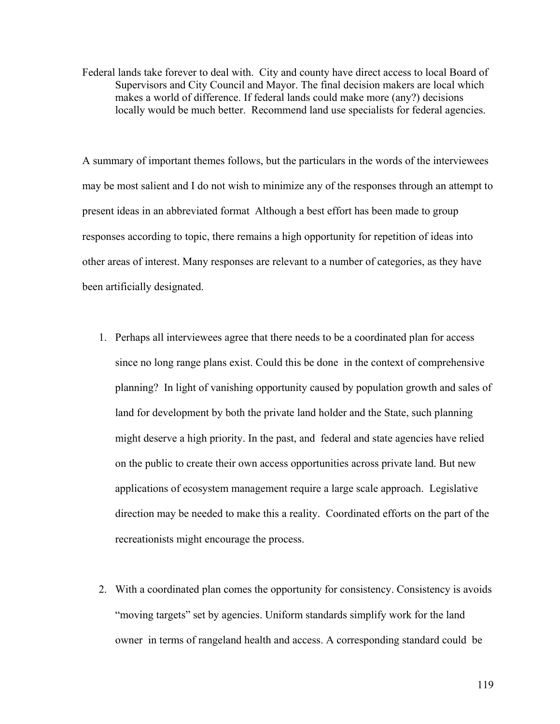Federal lands take forever to deal with. City and county have direct access to local Board of Supervisors and City Council and Mayor. The final decision makers are local which makes a world of difference. If federal lands could make more (any?) decisions locally would be much better. Recommend land use specialists for federal agencies.

A summary of important themes follows, but the particulars in the words of the interviewees may be most salient and I do not wish to minimize any of the responses through an attempt to present ideas in an abbreviated format Although a best effort has been made to group responses according to topic, there remains a high opportunity for repetition of ideas into other areas of interest. Many responses are relevant to a number of categories, as they have been artificially designated.

- 1. Perhaps all interviewees agree that there needs to be a coordinated plan for access since no long range plans exist. Could this be done in the context of comprehensive planning? In light of vanishing opportunity caused by population growth and sales of land for development by both the private land holder and the State, such planning might deserve a high priority. In the past, and federal and state agencies have relied on the public to create their own access opportunities across private land. But new applications of ecosystem management require a large scale approach. Legislative direction may be needed to make this a reality. Coordinated efforts on the part of the recreationists might encourage the process.
- 2. With a coordinated plan comes the opportunity for consistency. Consistency is avoids "moving targets" set by agencies. Uniform standards simplify work for the land owner in terms of rangeland health and access. A corresponding standard could be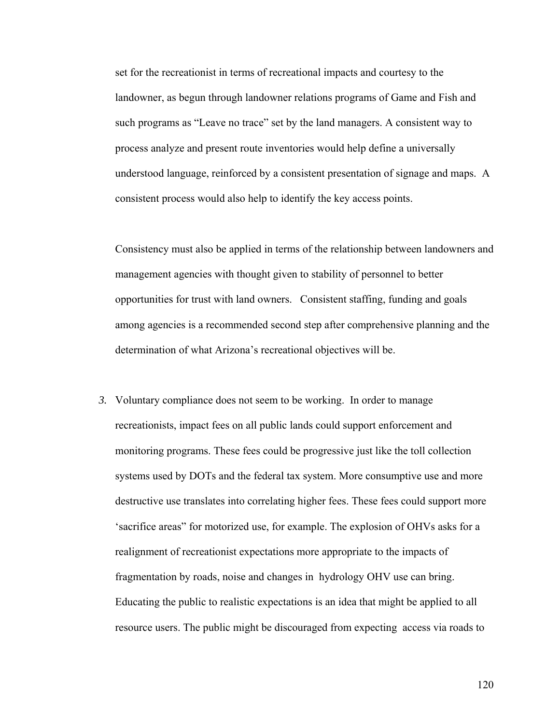set for the recreationist in terms of recreational impacts and courtesy to the landowner, as begun through landowner relations programs of Game and Fish and such programs as "Leave no trace" set by the land managers. A consistent way to process analyze and present route inventories would help define a universally understood language, reinforced by a consistent presentation of signage and maps. A consistent process would also help to identify the key access points.

Consistency must also be applied in terms of the relationship between landowners and management agencies with thought given to stability of personnel to better opportunities for trust with land owners. Consistent staffing, funding and goals among agencies is a recommended second step after comprehensive planning and the determination of what Arizona's recreational objectives will be.

*3.* Voluntary compliance does not seem to be working. In order to manage recreationists, impact fees on all public lands could support enforcement and monitoring programs. These fees could be progressive just like the toll collection systems used by DOTs and the federal tax system. More consumptive use and more destructive use translates into correlating higher fees. These fees could support more 'sacrifice areas" for motorized use, for example. The explosion of OHVs asks for a realignment of recreationist expectations more appropriate to the impacts of fragmentation by roads, noise and changes in hydrology OHV use can bring. Educating the public to realistic expectations is an idea that might be applied to all resource users. The public might be discouraged from expecting access via roads to

120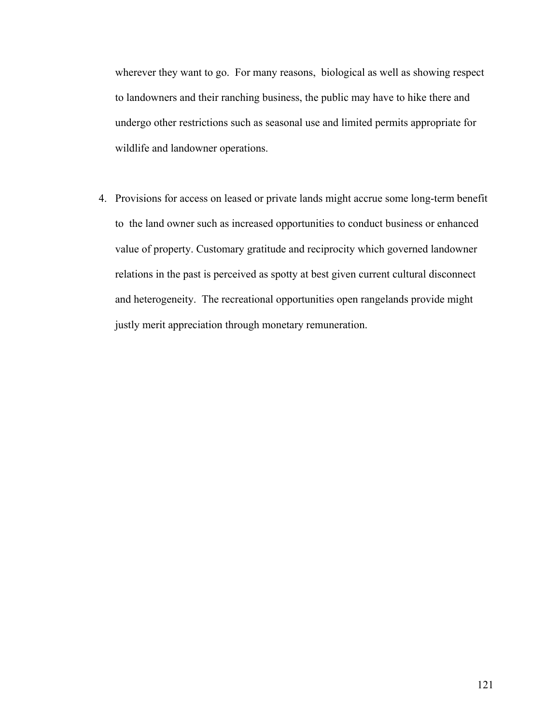wherever they want to go. For many reasons, biological as well as showing respect to landowners and their ranching business, the public may have to hike there and undergo other restrictions such as seasonal use and limited permits appropriate for wildlife and landowner operations.

4. Provisions for access on leased or private lands might accrue some long-term benefit to the land owner such as increased opportunities to conduct business or enhanced value of property. Customary gratitude and reciprocity which governed landowner relations in the past is perceived as spotty at best given current cultural disconnect and heterogeneity. The recreational opportunities open rangelands provide might justly merit appreciation through monetary remuneration.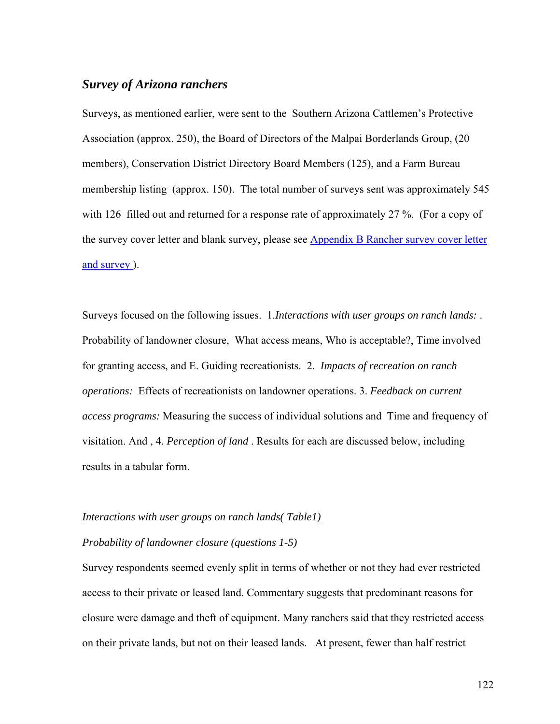# *Survey of Arizona ranchers*

Surveys, as mentioned earlier, were sent to the Southern Arizona Cattlemen's Protective Association (approx. 250), the Board of Directors of the Malpai Borderlands Group, (20 members), Conservation District Directory Board Members (125), and a Farm Bureau membership listing (approx. 150). The total number of surveys sent was approximately 545 with 126 filled out and returned for a response rate of approximately 27 %. (For a copy of the survey cover letter and blank survey, please see **Appendix B Rancher survey cover letter** [and survey](#page-170-0) ).

Surveys focused on the following issues. 1.*Interactions with user groups on ranch lands:* . Probability of landowner closure, What access means, Who is acceptable?, Time involved for granting access, and E. Guiding recreationists. 2. *Impacts of recreation on ranch operations:* Effects of recreationists on landowner operations. 3. *Feedback on current access programs:* Measuring the success of individual solutions and Time and frequency of visitation. And , 4. *Perception of land* . Results for each are discussed below, including results in a tabular form.

#### *Interactions with user groups on ranch lands( Table1)*

### *Probability of landowner closure (questions 1-5)*

Survey respondents seemed evenly split in terms of whether or not they had ever restricted access to their private or leased land. Commentary suggests that predominant reasons for closure were damage and theft of equipment. Many ranchers said that they restricted access on their private lands, but not on their leased lands. At present, fewer than half restrict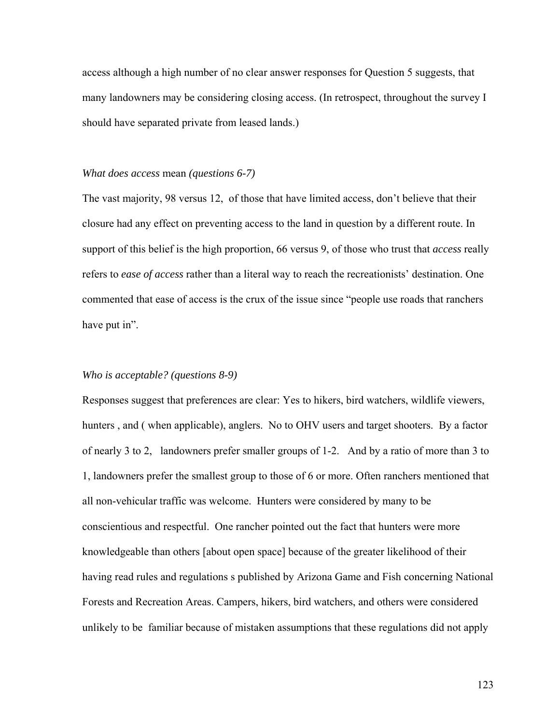access although a high number of no clear answer responses for Question 5 suggests, that many landowners may be considering closing access. (In retrospect, throughout the survey I should have separated private from leased lands.)

#### *What does access* mean *(questions 6-7)*

The vast majority, 98 versus 12, of those that have limited access, don't believe that their closure had any effect on preventing access to the land in question by a different route. In support of this belief is the high proportion, 66 versus 9, of those who trust that *access* really refers to *ease of access* rather than a literal way to reach the recreationists' destination. One commented that ease of access is the crux of the issue since "people use roads that ranchers have put in".

#### *Who is acceptable? (questions 8-9)*

Responses suggest that preferences are clear: Yes to hikers, bird watchers, wildlife viewers, hunters , and ( when applicable), anglers. No to OHV users and target shooters. By a factor of nearly 3 to 2, landowners prefer smaller groups of 1-2. And by a ratio of more than 3 to 1, landowners prefer the smallest group to those of 6 or more. Often ranchers mentioned that all non-vehicular traffic was welcome. Hunters were considered by many to be conscientious and respectful. One rancher pointed out the fact that hunters were more knowledgeable than others [about open space] because of the greater likelihood of their having read rules and regulations s published by Arizona Game and Fish concerning National Forests and Recreation Areas. Campers, hikers, bird watchers, and others were considered unlikely to be familiar because of mistaken assumptions that these regulations did not apply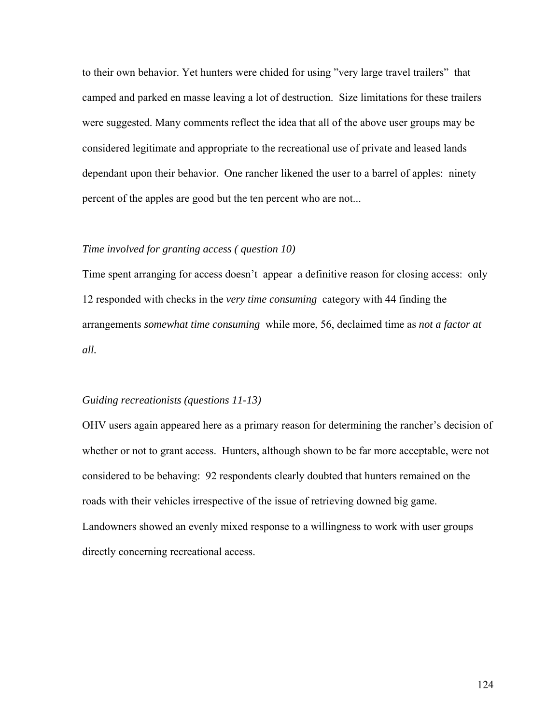to their own behavior. Yet hunters were chided for using "very large travel trailers" that camped and parked en masse leaving a lot of destruction. Size limitations for these trailers were suggested. Many comments reflect the idea that all of the above user groups may be considered legitimate and appropriate to the recreational use of private and leased lands dependant upon their behavior. One rancher likened the user to a barrel of apples: ninety percent of the apples are good but the ten percent who are not...

### *Time involved for granting access ( question 10)*

Time spent arranging for access doesn't appear a definitive reason for closing access: only 12 responded with checks in the *very time consuming* category with 44 finding the arrangements *somewhat time consuming* while more, 56, declaimed time as *not a factor at all.* 

#### *Guiding recreationists (questions 11-13)*

OHV users again appeared here as a primary reason for determining the rancher's decision of whether or not to grant access. Hunters, although shown to be far more acceptable, were not considered to be behaving: 92 respondents clearly doubted that hunters remained on the roads with their vehicles irrespective of the issue of retrieving downed big game. Landowners showed an evenly mixed response to a willingness to work with user groups directly concerning recreational access.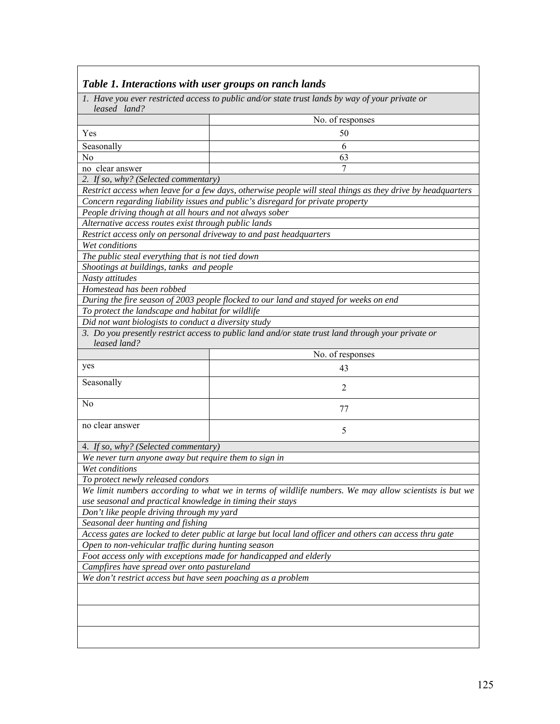| Table 1. Interactions with user groups on ranch lands              |                                                                                                             |  |  |  |  |  |  |
|--------------------------------------------------------------------|-------------------------------------------------------------------------------------------------------------|--|--|--|--|--|--|
| leased land?                                                       | 1. Have you ever restricted access to public and/or state trust lands by way of your private or             |  |  |  |  |  |  |
|                                                                    | No. of responses                                                                                            |  |  |  |  |  |  |
| Yes                                                                | 50                                                                                                          |  |  |  |  |  |  |
| Seasonally                                                         | 6                                                                                                           |  |  |  |  |  |  |
| N <sub>0</sub>                                                     | 63                                                                                                          |  |  |  |  |  |  |
| no clear answer                                                    | 7                                                                                                           |  |  |  |  |  |  |
| 2. If so, why? (Selected commentary)                               |                                                                                                             |  |  |  |  |  |  |
|                                                                    | Restrict access when leave for a few days, otherwise people will steal things as they drive by headquarters |  |  |  |  |  |  |
|                                                                    | Concern regarding liability issues and public's disregard for private property                              |  |  |  |  |  |  |
| People driving though at all hours and not always sober            |                                                                                                             |  |  |  |  |  |  |
| Alternative access routes exist through public lands               |                                                                                                             |  |  |  |  |  |  |
| Restrict access only on personal driveway to and past headquarters |                                                                                                             |  |  |  |  |  |  |
| Wet conditions                                                     |                                                                                                             |  |  |  |  |  |  |
| The public steal everything that is not tied down                  |                                                                                                             |  |  |  |  |  |  |
| Shootings at buildings, tanks and people                           |                                                                                                             |  |  |  |  |  |  |
| Nasty attitudes                                                    |                                                                                                             |  |  |  |  |  |  |
| Homestead has been robbed                                          |                                                                                                             |  |  |  |  |  |  |
|                                                                    | During the fire season of 2003 people flocked to our land and stayed for weeks on end                       |  |  |  |  |  |  |
| To protect the landscape and habitat for wildlife                  |                                                                                                             |  |  |  |  |  |  |
| Did not want biologists to conduct a diversity study               |                                                                                                             |  |  |  |  |  |  |
|                                                                    | 3. Do you presently restrict access to public land and/or state trust land through your private or          |  |  |  |  |  |  |
| leased land?                                                       |                                                                                                             |  |  |  |  |  |  |
|                                                                    | No. of responses                                                                                            |  |  |  |  |  |  |
| yes                                                                | 43                                                                                                          |  |  |  |  |  |  |
| Seasonally                                                         | 2                                                                                                           |  |  |  |  |  |  |
| N <sub>0</sub>                                                     | 77                                                                                                          |  |  |  |  |  |  |
|                                                                    |                                                                                                             |  |  |  |  |  |  |
| no clear answer                                                    | 5                                                                                                           |  |  |  |  |  |  |
| 4. If so, why? (Selected commentary)                               |                                                                                                             |  |  |  |  |  |  |
| We never turn anyone away but require them to sign in              |                                                                                                             |  |  |  |  |  |  |
| Wet conditions                                                     |                                                                                                             |  |  |  |  |  |  |
| To protect newly released condors                                  |                                                                                                             |  |  |  |  |  |  |
|                                                                    | We limit numbers according to what we in terms of wildlife numbers. We may allow scientists is but we       |  |  |  |  |  |  |
| use seasonal and practical knowledge in timing their stays         |                                                                                                             |  |  |  |  |  |  |
| Don't like people driving through my yard                          |                                                                                                             |  |  |  |  |  |  |
| Seasonal deer hunting and fishing                                  |                                                                                                             |  |  |  |  |  |  |
|                                                                    | Access gates are locked to deter public at large but local land officer and others can access thru gate     |  |  |  |  |  |  |
| Open to non-vehicular traffic during hunting season                |                                                                                                             |  |  |  |  |  |  |
|                                                                    | Foot access only with exceptions made for handicapped and elderly                                           |  |  |  |  |  |  |
| Campfires have spread over onto pastureland                        |                                                                                                             |  |  |  |  |  |  |
| We don't restrict access but have seen poaching as a problem       |                                                                                                             |  |  |  |  |  |  |
|                                                                    |                                                                                                             |  |  |  |  |  |  |
|                                                                    |                                                                                                             |  |  |  |  |  |  |
|                                                                    |                                                                                                             |  |  |  |  |  |  |
|                                                                    |                                                                                                             |  |  |  |  |  |  |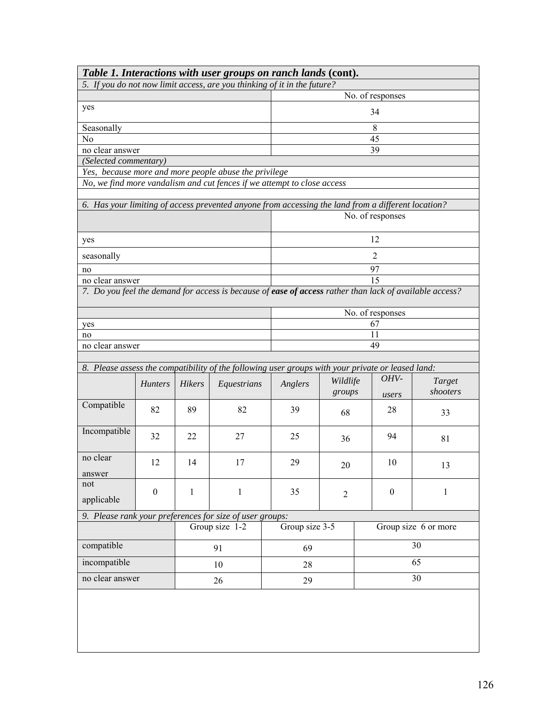|                       |                  |              | Table 1. Interactions with user groups on ranch lands (cont).                                           |                  |                    |                  |                      |  |  |
|-----------------------|------------------|--------------|---------------------------------------------------------------------------------------------------------|------------------|--------------------|------------------|----------------------|--|--|
|                       |                  |              | 5. If you do not now limit access, are you thinking of it in the future?                                |                  |                    |                  |                      |  |  |
|                       |                  |              |                                                                                                         | No. of responses |                    |                  |                      |  |  |
| yes                   |                  |              |                                                                                                         | 34               |                    |                  |                      |  |  |
| Seasonally            |                  |              |                                                                                                         |                  |                    | 8                |                      |  |  |
| N <sub>0</sub>        |                  |              |                                                                                                         |                  |                    | 45               |                      |  |  |
| no clear answer       |                  |              |                                                                                                         |                  |                    | 39               |                      |  |  |
| (Selected commentary) |                  |              |                                                                                                         |                  |                    |                  |                      |  |  |
|                       |                  |              | Yes, because more and more people abuse the privilege                                                   |                  |                    |                  |                      |  |  |
|                       |                  |              | No, we find more vandalism and cut fences if we attempt to close access                                 |                  |                    |                  |                      |  |  |
|                       |                  |              | 6. Has your limiting of access prevented anyone from accessing the land from a different location?      |                  |                    |                  |                      |  |  |
|                       |                  |              |                                                                                                         |                  |                    | No. of responses |                      |  |  |
|                       |                  |              |                                                                                                         |                  |                    |                  |                      |  |  |
| yes                   |                  |              |                                                                                                         |                  |                    | 12               |                      |  |  |
| seasonally            |                  |              |                                                                                                         |                  |                    | $\overline{2}$   |                      |  |  |
| no                    |                  |              |                                                                                                         |                  |                    | 97               |                      |  |  |
| no clear answer       |                  |              |                                                                                                         |                  |                    | 15               |                      |  |  |
|                       |                  |              | 7. Do you feel the demand for access is because of ease of access rather than lack of available access? |                  |                    |                  |                      |  |  |
|                       |                  |              |                                                                                                         | No. of responses |                    |                  |                      |  |  |
| yes                   |                  |              |                                                                                                         | 67               |                    |                  |                      |  |  |
| no                    |                  |              |                                                                                                         | 11               |                    |                  |                      |  |  |
| no clear answer       |                  |              |                                                                                                         | 49               |                    |                  |                      |  |  |
|                       |                  |              |                                                                                                         |                  |                    |                  |                      |  |  |
|                       |                  |              | 8. Please assess the compatibility of the following user groups with your private or leased land:       |                  |                    | OHV-             |                      |  |  |
|                       | <b>Hunters</b>   | Hikers       | Equestrians                                                                                             | Anglers          | Wildlife<br>groups | users            | Target<br>shooters   |  |  |
| Compatible            | 82               | 89           | 82                                                                                                      | 39               | 68                 | 28               | 33                   |  |  |
| Incompatible          | 32               | 22           | 27                                                                                                      | 25               | 36                 | 94               | 81                   |  |  |
| no clear<br>answer    | 12               | 14           | 17                                                                                                      | 29               | 20                 | 10               | 13                   |  |  |
| not<br>applicable     | $\boldsymbol{0}$ | $\mathbf{1}$ | 1                                                                                                       | 35               | $\overline{2}$     | $\boldsymbol{0}$ | 1                    |  |  |
|                       |                  |              | 9. Please rank your preferences for size of user groups:                                                |                  |                    |                  |                      |  |  |
|                       |                  |              | Group size $1-2$                                                                                        | Group size 3-5   |                    |                  | Group size 6 or more |  |  |
| compatible            |                  |              | 91                                                                                                      | 69               |                    | 30               |                      |  |  |
| incompatible          |                  |              | 10                                                                                                      | 28               |                    | 65               |                      |  |  |
| no clear answer       |                  |              | 26                                                                                                      | 30<br>29         |                    |                  |                      |  |  |
|                       |                  |              |                                                                                                         |                  |                    |                  |                      |  |  |
|                       |                  |              |                                                                                                         |                  |                    |                  |                      |  |  |
|                       |                  |              |                                                                                                         |                  |                    |                  |                      |  |  |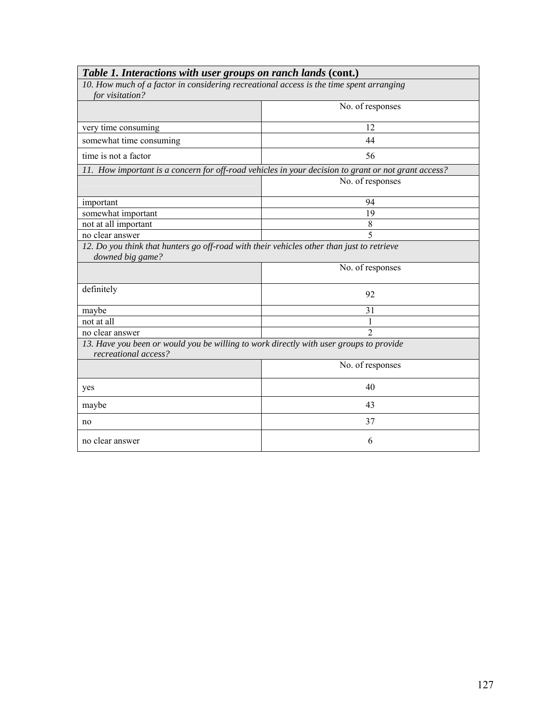| Table 1. Interactions with user groups on ranch lands (cont.)                                                  |                  |  |  |  |  |
|----------------------------------------------------------------------------------------------------------------|------------------|--|--|--|--|
| 10. How much of a factor in considering recreational access is the time spent arranging                        |                  |  |  |  |  |
| for visitation?                                                                                                |                  |  |  |  |  |
|                                                                                                                | No. of responses |  |  |  |  |
| very time consuming                                                                                            | 12               |  |  |  |  |
| somewhat time consuming                                                                                        | 44               |  |  |  |  |
| time is not a factor                                                                                           | 56               |  |  |  |  |
| 11. How important is a concern for off-road vehicles in your decision to grant or not grant access?            |                  |  |  |  |  |
|                                                                                                                | No. of responses |  |  |  |  |
| important                                                                                                      | 94               |  |  |  |  |
| somewhat important                                                                                             | 19               |  |  |  |  |
| not at all important                                                                                           | 8                |  |  |  |  |
| $\overline{5}$<br>no clear answer                                                                              |                  |  |  |  |  |
| 12. Do you think that hunters go off-road with their vehicles other than just to retrieve<br>downed big game?  |                  |  |  |  |  |
|                                                                                                                | No. of responses |  |  |  |  |
| definitely                                                                                                     | 92               |  |  |  |  |
| maybe                                                                                                          | 31               |  |  |  |  |
| not at all                                                                                                     | 1                |  |  |  |  |
| no clear answer                                                                                                | $\overline{2}$   |  |  |  |  |
| 13. Have you been or would you be willing to work directly with user groups to provide<br>recreational access? |                  |  |  |  |  |
|                                                                                                                | No. of responses |  |  |  |  |
| yes                                                                                                            | 40               |  |  |  |  |
| maybe                                                                                                          | 43               |  |  |  |  |
| no                                                                                                             | 37               |  |  |  |  |
| no clear answer                                                                                                | 6                |  |  |  |  |

٦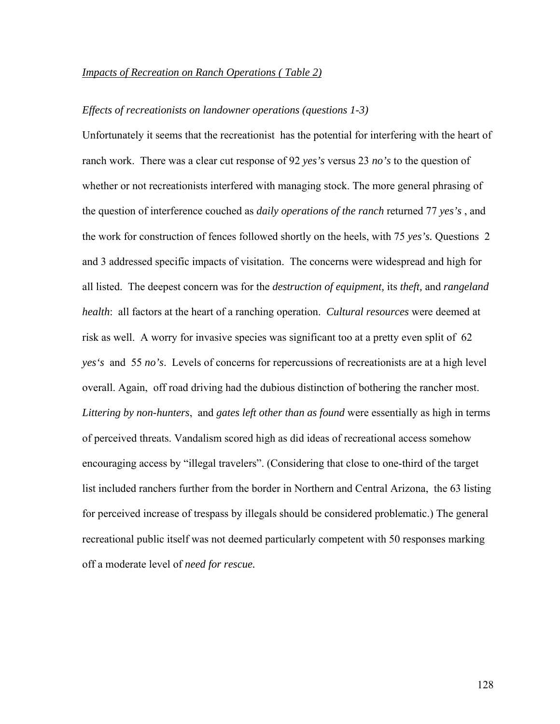#### *Impacts of Recreation on Ranch Operations ( Table 2)*

### *Effects of recreationists on landowner operations (questions 1-3)*

Unfortunately it seems that the recreationist has the potential for interfering with the heart of ranch work. There was a clear cut response of 92 *yes's* versus 23 *no's* to the question of whether or not recreationists interfered with managing stock. The more general phrasing of the question of interference couched as *daily operations of the ranch* returned 77 *yes's* , and the work for construction of fences followed shortly on the heels, with 75 *yes's.* Questions 2 and 3 addressed specific impacts of visitation. The concerns were widespread and high for all listed. The deepest concern was for the *destruction of equipment,* its *theft,* and *rangeland health*: all factors at the heart of a ranching operation. *Cultural resources* were deemed at risk as well. A worry for invasive species was significant too at a pretty even split of 62 *yes's* and 55 *no's*. Levels of concerns for repercussions of recreationists are at a high level overall. Again, off road driving had the dubious distinction of bothering the rancher most. *Littering by non-hunters*, and *gates left other than as found* were essentially as high in terms of perceived threats. Vandalism scored high as did ideas of recreational access somehow encouraging access by "illegal travelers". (Considering that close to one-third of the target list included ranchers further from the border in Northern and Central Arizona, the 63 listing for perceived increase of trespass by illegals should be considered problematic.) The general recreational public itself was not deemed particularly competent with 50 responses marking off a moderate level of *need for rescue.*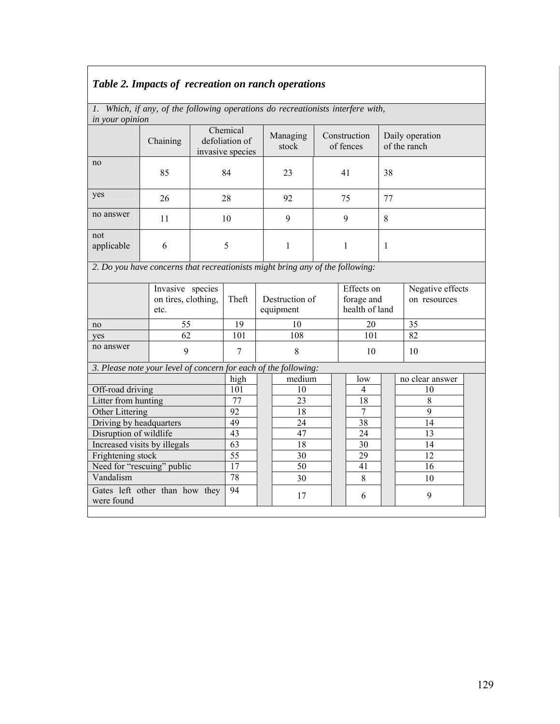# *Table 2. Impacts of recreation on ranch operations*

|                        | 1. Which, if any, of the following operations do recreationists interfere with, |  |  |
|------------------------|---------------------------------------------------------------------------------|--|--|
| <i>in your opinion</i> |                                                                                 |  |  |

| ut your optition        |                                                                               |   |                                                |   |                   |    |                           |                                 |                  |
|-------------------------|-------------------------------------------------------------------------------|---|------------------------------------------------|---|-------------------|----|---------------------------|---------------------------------|------------------|
|                         | Chaining                                                                      |   | Chemical<br>defoliation of<br>invasive species |   | Managing<br>stock |    | Construction<br>of fences | Daily operation<br>of the ranch |                  |
| no                      | 85                                                                            |   | 84                                             |   | 23                |    | 41                        | 38                              |                  |
| yes                     | 26                                                                            |   | 28                                             |   | 92                |    | 75                        |                                 |                  |
| no answer               | 11                                                                            |   | 10                                             |   | 9                 |    | 9                         | 8                               |                  |
| not<br>applicable       | 6                                                                             | 5 |                                                |   | 1                 |    | $\mathbf{1}$              | $\mathbf{1}$                    |                  |
|                         | 2. Do you have concerns that recreationists might bring any of the following: |   |                                                |   |                   |    |                           |                                 |                  |
|                         | Invasive species                                                              |   |                                                |   |                   |    | Effects on                |                                 | Negative effects |
|                         | on tires, clothing,                                                           |   | Theft                                          |   | Destruction of    |    | forage and                |                                 | on resources     |
|                         | etc.                                                                          |   |                                                |   | equipment         |    | health of land            |                                 |                  |
| no                      | 55                                                                            |   | 19                                             |   | 10                |    | 20                        |                                 | 35               |
| yes                     | 62                                                                            |   | 101                                            |   | 108               |    | 101                       |                                 | 82               |
| no answer               | 9                                                                             |   | 7                                              | 8 |                   | 10 |                           |                                 | 10               |
|                         | 3. Please note your level of concern for each of the following:               |   |                                                |   |                   |    |                           |                                 |                  |
|                         |                                                                               |   | high                                           |   | medium            |    | low                       |                                 | no clear answer  |
| Off-road driving        |                                                                               |   | 101                                            |   | 10                |    | 4                         |                                 | 10               |
| Litter from hunting     |                                                                               |   | 77                                             |   | 23                |    | 18                        |                                 | 8                |
| Other Littering         |                                                                               |   | 92                                             |   | 18                |    | 7                         |                                 | 9                |
| Driving by headquarters |                                                                               |   | 49                                             |   | 24                |    | 38                        |                                 | 14               |
| Disruption of wildlife  |                                                                               |   | 43                                             |   | 47                |    | 24                        |                                 | 13               |
|                         | Increased visits by illegals                                                  |   | 63                                             |   | 18                |    | 30                        |                                 | 14               |

Frightening stock  $\begin{array}{|c|c|c|c|c|c|c|c|c|} \hline \end{array}$  55 1 30 1 29 12 Need for "rescuing" public  $\begin{array}{|c|c|c|c|c|c|c|c|c|} \hline 17 & 16 & 50 & 41 & 41 & 16 \ \hline \end{array}$ Vandalism 78 30 8 10

94 |  $\begin{array}{|c|c|c|c|c|c|c|c|} \hline 9 & 6 & 9 \\ \hline \end{array}$ 

Gates left other than how they

were found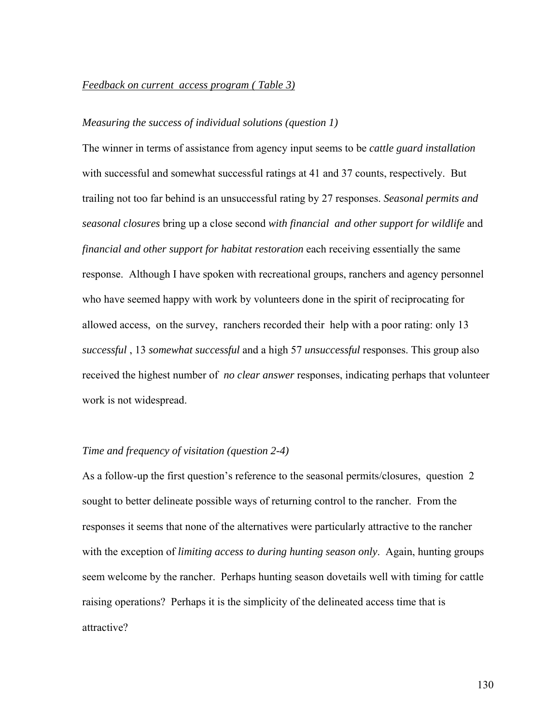### *Feedback on current access program ( Table 3)*

### *Measuring the success of individual solutions (question 1)*

The winner in terms of assistance from agency input seems to be *cattle guard installation*  with successful and somewhat successful ratings at 41 and 37 counts, respectively. But trailing not too far behind is an unsuccessful rating by 27 responses. *Seasonal permits and seasonal closures* bring up a close second *with financial and other support for wildlife* and *financial and other support for habitat restoration* each receiving essentially the same response. Although I have spoken with recreational groups, ranchers and agency personnel who have seemed happy with work by volunteers done in the spirit of reciprocating for allowed access, on the survey, ranchers recorded their help with a poor rating: only 13 *successful* , 13 *somewhat successful* and a high 57 *unsuccessful* responses. This group also received the highest number of *no clear answer* responses, indicating perhaps that volunteer work is not widespread.

### *Time and frequency of visitation (question 2-4)*

As a follow-up the first question's reference to the seasonal permits/closures, question 2 sought to better delineate possible ways of returning control to the rancher. From the responses it seems that none of the alternatives were particularly attractive to the rancher with the exception of *limiting access to during hunting season only*. Again, hunting groups seem welcome by the rancher. Perhaps hunting season dovetails well with timing for cattle raising operations? Perhaps it is the simplicity of the delineated access time that is attractive?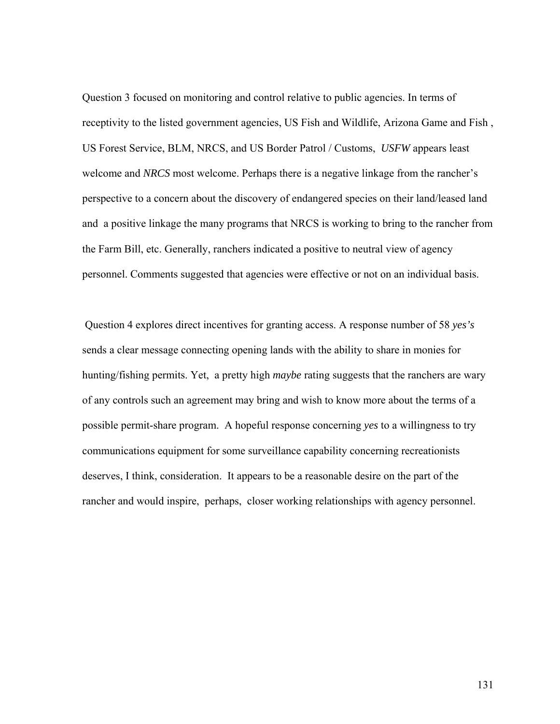Question 3 focused on monitoring and control relative to public agencies. In terms of receptivity to the listed government agencies, US Fish and Wildlife, Arizona Game and Fish , US Forest Service, BLM, NRCS, and US Border Patrol / Customs, *USFW* appears least welcome and *NRCS* most welcome. Perhaps there is a negative linkage from the rancher's perspective to a concern about the discovery of endangered species on their land/leased land and a positive linkage the many programs that NRCS is working to bring to the rancher from the Farm Bill, etc. Generally, ranchers indicated a positive to neutral view of agency personnel. Comments suggested that agencies were effective or not on an individual basis.

 Question 4 explores direct incentives for granting access. A response number of 58 *yes's*  sends a clear message connecting opening lands with the ability to share in monies for hunting/fishing permits. Yet, a pretty high *maybe* rating suggests that the ranchers are wary of any controls such an agreement may bring and wish to know more about the terms of a possible permit-share program. A hopeful response concerning *yes* to a willingness to try communications equipment for some surveillance capability concerning recreationists deserves, I think, consideration. It appears to be a reasonable desire on the part of the rancher and would inspire, perhaps, closer working relationships with agency personnel.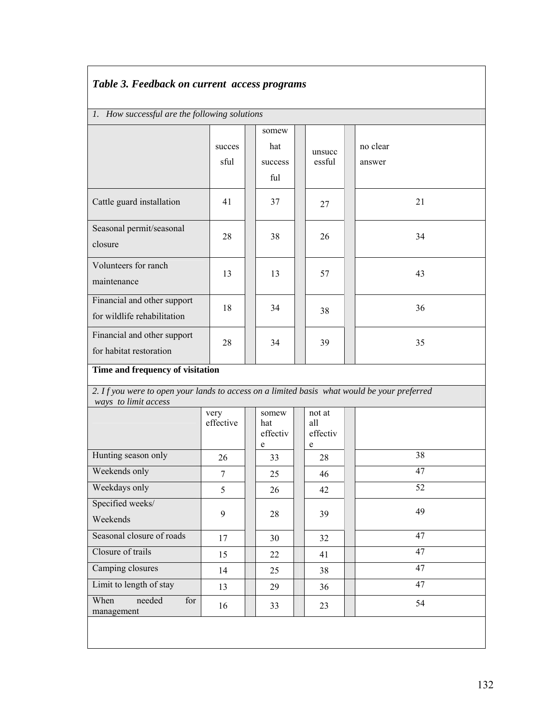# *Table 3. Feedback on current access programs*

# *1. How successful are the following solutions*

|                                                                                                                     | succes<br>sful    | somew<br>hat<br>success<br>ful |   | unsucc<br>essful          | no clear<br>answer |
|---------------------------------------------------------------------------------------------------------------------|-------------------|--------------------------------|---|---------------------------|--------------------|
| Cattle guard installation                                                                                           | 41                | 37                             |   | 27                        | 21                 |
| Seasonal permit/seasonal<br>closure                                                                                 | 28                | 38                             |   | 26                        | 34                 |
| Volunteers for ranch<br>maintenance                                                                                 | 13                | 13                             |   | 57                        | 43                 |
| Financial and other support<br>for wildlife rehabilitation                                                          | 18                | 34                             |   | 38                        | 36                 |
| Financial and other support<br>for habitat restoration                                                              | 28                | 34                             |   | 39                        | 35                 |
| Time and frequency of visitation                                                                                    |                   |                                |   |                           |                    |
|                                                                                                                     |                   |                                |   |                           |                    |
| 2. If you were to open your lands to access on a limited basis what would be your preferred<br>ways to limit access |                   |                                |   |                           |                    |
|                                                                                                                     | very<br>effective | somew<br>hat<br>effectiv       |   | not at<br>all<br>effectiv |                    |
| Hunting season only                                                                                                 | 26                | e<br>33                        | e | 28                        | 38                 |
| Weekends only                                                                                                       | 7                 | 25                             |   | 46                        | 47                 |
| Weekdays only                                                                                                       | 5                 | 26                             |   | 42                        | 52                 |
| Specified weeks/<br>Weekends                                                                                        | 9                 | 28                             |   | 39                        | 49                 |
| Seasonal closure of roads                                                                                           | 17                | 30                             |   | 32                        | 47                 |
| Closure of trails                                                                                                   | 15                | 22                             |   | 41                        | 47                 |
| Camping closures                                                                                                    | 14                | 25                             |   | 38                        | 47                 |
| Limit to length of stay                                                                                             | 13                | 29                             |   | 36                        | 47                 |
| needed<br>When<br>for<br>management                                                                                 | 16                | 33                             |   | 23                        | 54                 |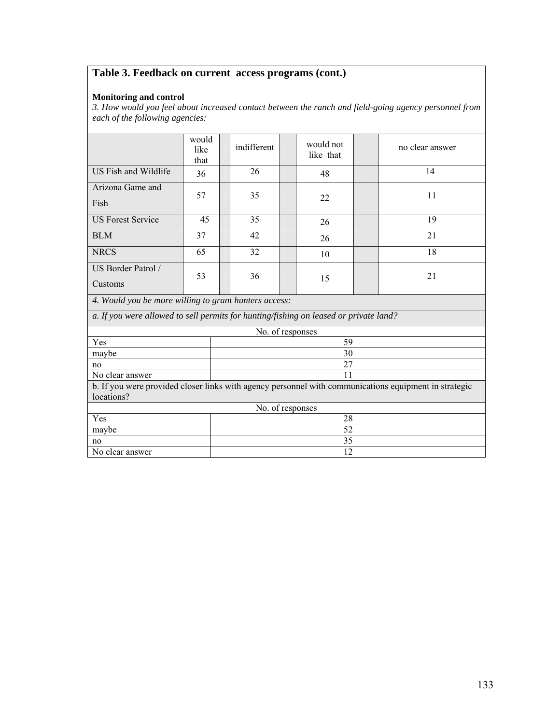# **Table 3. Feedback on current access programs (cont.)**

#### **Monitoring and control**

*3. How would you feel about increased contact between the ranch and field-going agency personnel from each of the following agencies:* 

|                                                                                       | would<br>like<br>that |                 | indifferent      |  | would not<br>like that |  | no clear answer                                                                                       |  |
|---------------------------------------------------------------------------------------|-----------------------|-----------------|------------------|--|------------------------|--|-------------------------------------------------------------------------------------------------------|--|
| US Fish and Wildlife                                                                  | 36                    |                 | 26               |  | 48                     |  | 14                                                                                                    |  |
| Arizona Game and<br>Fish                                                              | 57                    |                 | 35               |  | 22                     |  | 11                                                                                                    |  |
| <b>US Forest Service</b>                                                              | 45                    |                 | 35               |  | 26                     |  | 19                                                                                                    |  |
| <b>BLM</b>                                                                            | 37                    |                 | 42               |  | 26                     |  | 21                                                                                                    |  |
| <b>NRCS</b>                                                                           | 65                    |                 | 32               |  | 10                     |  | 18                                                                                                    |  |
| US Border Patrol /                                                                    | 53                    |                 | 36               |  |                        |  | 21                                                                                                    |  |
| Customs                                                                               |                       |                 |                  |  | 15                     |  |                                                                                                       |  |
| 4. Would you be more willing to grant hunters access:                                 |                       |                 |                  |  |                        |  |                                                                                                       |  |
| a. If you were allowed to sell permits for hunting/fishing on leased or private land? |                       |                 |                  |  |                        |  |                                                                                                       |  |
|                                                                                       |                       |                 | No. of responses |  |                        |  |                                                                                                       |  |
| Yes                                                                                   |                       |                 |                  |  | 59                     |  |                                                                                                       |  |
| maybe                                                                                 |                       |                 |                  |  | 30                     |  |                                                                                                       |  |
| no                                                                                    |                       |                 |                  |  | 27                     |  |                                                                                                       |  |
| No clear answer                                                                       |                       |                 |                  |  | 11                     |  |                                                                                                       |  |
|                                                                                       |                       |                 |                  |  |                        |  | b. If you were provided closer links with agency personnel with communications equipment in strategic |  |
| locations?                                                                            |                       |                 |                  |  |                        |  |                                                                                                       |  |
|                                                                                       |                       |                 | No. of responses |  |                        |  |                                                                                                       |  |
| Yes                                                                                   |                       | 28              |                  |  |                        |  |                                                                                                       |  |
| maybe                                                                                 |                       |                 |                  |  | 52                     |  |                                                                                                       |  |
| no                                                                                    |                       |                 |                  |  | 35                     |  |                                                                                                       |  |
| No clear answer                                                                       |                       | $\overline{12}$ |                  |  |                        |  |                                                                                                       |  |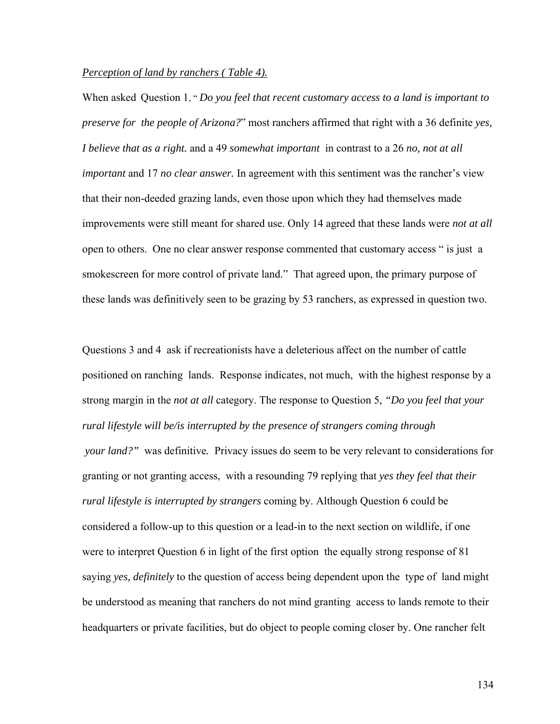### *Perception of land by ranchers ( Table 4).*

When asked Question 1, " *Do you feel that recent customary access to a land is important to preserve for the people of Arizona?*" most ranchers affirmed that right with a 36 definite *yes, I believe that as a right.* and a 49 *somewhat important* in contrast to a 26 *no, not at all important* and 17 *no clear answer.* In agreement with this sentiment was the rancher's view that their non-deeded grazing lands, even those upon which they had themselves made improvements were still meant for shared use. Only 14 agreed that these lands were *not at all* open to others. One no clear answer response commented that customary access " is just a smokescreen for more control of private land." That agreed upon, the primary purpose of these lands was definitively seen to be grazing by 53 ranchers, as expressed in question two.

Questions 3 and 4 ask if recreationists have a deleterious affect on the number of cattle positioned on ranching lands. Response indicates, not much, with the highest response by a strong margin in the *not at all* category. The response to Question 5, *"Do you feel that your rural lifestyle will be/is interrupted by the presence of strangers coming through your land?"* was definitive*.* Privacy issues do seem to be very relevant to considerations for granting or not granting access, with a resounding 79 replying that *yes they feel that their rural lifestyle is interrupted by strangers* coming by. Although Question 6 could be considered a follow-up to this question or a lead-in to the next section on wildlife, if one were to interpret Question 6 in light of the first option the equally strong response of 81 saying *yes, definitely* to the question of access being dependent upon the type of land might be understood as meaning that ranchers do not mind granting access to lands remote to their headquarters or private facilities, but do object to people coming closer by. One rancher felt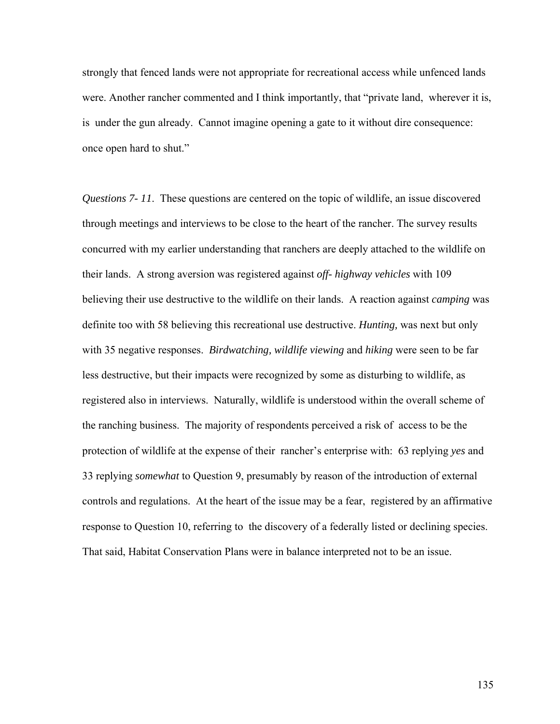strongly that fenced lands were not appropriate for recreational access while unfenced lands were. Another rancher commented and I think importantly, that "private land, wherever it is, is under the gun already. Cannot imagine opening a gate to it without dire consequence: once open hard to shut."

*Questions 7- 11*. These questions are centered on the topic of wildlife, an issue discovered through meetings and interviews to be close to the heart of the rancher. The survey results concurred with my earlier understanding that ranchers are deeply attached to the wildlife on their lands. A strong aversion was registered against *off- highway vehicles* with 109 believing their use destructive to the wildlife on their lands. A reaction against *camping* was definite too with 58 believing this recreational use destructive. *Hunting,* was next but only with 35 negative responses. *Birdwatching, wildlife viewing* and *hiking* were seen to be far less destructive, but their impacts were recognized by some as disturbing to wildlife, as registered also in interviews. Naturally, wildlife is understood within the overall scheme of the ranching business. The majority of respondents perceived a risk of access to be the protection of wildlife at the expense of their rancher's enterprise with: 63 replying *yes* and 33 replying *somewhat* to Question 9, presumably by reason of the introduction of external controls and regulations. At the heart of the issue may be a fear, registered by an affirmative response to Question 10, referring to the discovery of a federally listed or declining species. That said, Habitat Conservation Plans were in balance interpreted not to be an issue.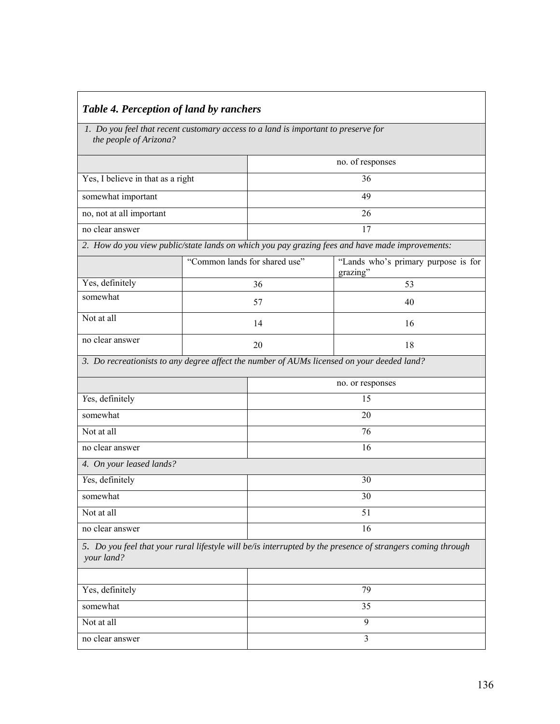| Table 4. Perception of land by ranchers |  |
|-----------------------------------------|--|
|                                         |  |

 *1. Do you feel that recent customary access to a land is important to preserve for the people of Arizona?* 

|                                                                                                                           |                               | no. of responses |                                                                                                 |  |  |  |  |
|---------------------------------------------------------------------------------------------------------------------------|-------------------------------|------------------|-------------------------------------------------------------------------------------------------|--|--|--|--|
| Yes, I believe in that as a right                                                                                         |                               | 36               |                                                                                                 |  |  |  |  |
| somewhat important                                                                                                        |                               | 49               |                                                                                                 |  |  |  |  |
| no, not at all important                                                                                                  | 26                            |                  |                                                                                                 |  |  |  |  |
| no clear answer                                                                                                           |                               | 17               |                                                                                                 |  |  |  |  |
|                                                                                                                           |                               |                  | 2. How do you view public/state lands on which you pay grazing fees and have made improvements: |  |  |  |  |
|                                                                                                                           | "Common lands for shared use" |                  | "Lands who's primary purpose is for<br>grazing"                                                 |  |  |  |  |
| Yes, definitely                                                                                                           |                               | 36               | 53                                                                                              |  |  |  |  |
| somewhat                                                                                                                  |                               | 57               | 40                                                                                              |  |  |  |  |
| Not at all                                                                                                                |                               | 14               | 16                                                                                              |  |  |  |  |
| no clear answer                                                                                                           |                               | 20               | 18                                                                                              |  |  |  |  |
|                                                                                                                           |                               |                  | 3. Do recreationists to any degree affect the number of AUMs licensed on your deeded land?      |  |  |  |  |
|                                                                                                                           |                               |                  | no. or responses                                                                                |  |  |  |  |
| Yes, definitely                                                                                                           |                               | 15               |                                                                                                 |  |  |  |  |
| somewhat                                                                                                                  |                               | 20               |                                                                                                 |  |  |  |  |
| Not at all                                                                                                                |                               | 76               |                                                                                                 |  |  |  |  |
| no clear answer                                                                                                           |                               | 16               |                                                                                                 |  |  |  |  |
| 4. On your leased lands?                                                                                                  |                               |                  |                                                                                                 |  |  |  |  |
| Yes, definitely                                                                                                           |                               | 30               |                                                                                                 |  |  |  |  |
| somewhat                                                                                                                  |                               | 30               |                                                                                                 |  |  |  |  |
| Not at all                                                                                                                |                               | 51               |                                                                                                 |  |  |  |  |
| no clear answer                                                                                                           |                               |                  | 16                                                                                              |  |  |  |  |
| 5. Do you feel that your rural lifestyle will be/is interrupted by the presence of strangers coming through<br>your land? |                               |                  |                                                                                                 |  |  |  |  |
| Yes, definitely                                                                                                           |                               | 79               |                                                                                                 |  |  |  |  |
| somewhat                                                                                                                  |                               | 35               |                                                                                                 |  |  |  |  |
| Not at all                                                                                                                |                               | 9                |                                                                                                 |  |  |  |  |
| no clear answer                                                                                                           |                               | $\overline{3}$   |                                                                                                 |  |  |  |  |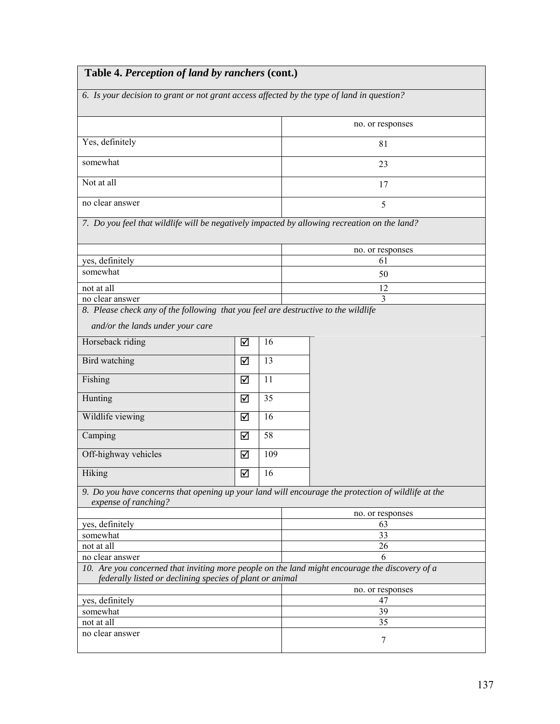| Table 4. Perception of land by ranchers (cont.)                                            |   |     |                                                                                                       |  |  |  |  |
|--------------------------------------------------------------------------------------------|---|-----|-------------------------------------------------------------------------------------------------------|--|--|--|--|
| 6. Is your decision to grant or not grant access affected by the type of land in question? |   |     |                                                                                                       |  |  |  |  |
|                                                                                            |   |     | no. or responses                                                                                      |  |  |  |  |
| Yes, definitely                                                                            |   | 81  |                                                                                                       |  |  |  |  |
| somewhat                                                                                   |   |     | 23                                                                                                    |  |  |  |  |
| Not at all                                                                                 |   |     | 17                                                                                                    |  |  |  |  |
| no clear answer                                                                            |   |     | 5                                                                                                     |  |  |  |  |
|                                                                                            |   |     | 7. Do you feel that wildlife will be negatively impacted by allowing recreation on the land?          |  |  |  |  |
|                                                                                            |   |     | no. or responses                                                                                      |  |  |  |  |
| yes, definitely                                                                            |   |     | 61                                                                                                    |  |  |  |  |
| somewhat                                                                                   |   |     | 50                                                                                                    |  |  |  |  |
| not at all                                                                                 |   |     | 12                                                                                                    |  |  |  |  |
| no clear answer                                                                            |   |     | 3                                                                                                     |  |  |  |  |
| 8. Please check any of the following that you feel are destructive to the wildlife         |   |     |                                                                                                       |  |  |  |  |
| and/or the lands under your care                                                           |   |     |                                                                                                       |  |  |  |  |
| Horseback riding                                                                           | ☑ | 16  |                                                                                                       |  |  |  |  |
| Bird watching                                                                              | ☑ | 13  |                                                                                                       |  |  |  |  |
| Fishing                                                                                    | ☑ | 11  |                                                                                                       |  |  |  |  |
| Hunting                                                                                    | ☑ | 35  |                                                                                                       |  |  |  |  |
| Wildlife viewing                                                                           | ☑ | 16  |                                                                                                       |  |  |  |  |
| Camping                                                                                    | ☑ | 58  |                                                                                                       |  |  |  |  |
| Off-highway vehicles                                                                       | ☑ | 109 |                                                                                                       |  |  |  |  |
| Hiking                                                                                     | ☑ | 16  |                                                                                                       |  |  |  |  |
| expense of ranching?                                                                       |   |     | 9. Do you have concerns that opening up your land will encourage the protection of wildlife at the    |  |  |  |  |
|                                                                                            |   |     | no. or responses                                                                                      |  |  |  |  |
| yes, definitely                                                                            |   |     | 63                                                                                                    |  |  |  |  |
| somewhat                                                                                   |   |     | 33                                                                                                    |  |  |  |  |
| not at all                                                                                 |   |     | 26                                                                                                    |  |  |  |  |
| no clear answer                                                                            |   |     | 6<br>10. Are you concerned that inviting more people on the land might encourage the discovery of $a$ |  |  |  |  |
| federally listed or declining species of plant or animal                                   |   |     |                                                                                                       |  |  |  |  |
|                                                                                            |   |     | no. or responses                                                                                      |  |  |  |  |
| yes, definitely                                                                            |   |     | 47                                                                                                    |  |  |  |  |
| somewhat                                                                                   |   |     | 39                                                                                                    |  |  |  |  |
| not at all                                                                                 |   |     | 35                                                                                                    |  |  |  |  |
| no clear answer                                                                            |   |     | 7                                                                                                     |  |  |  |  |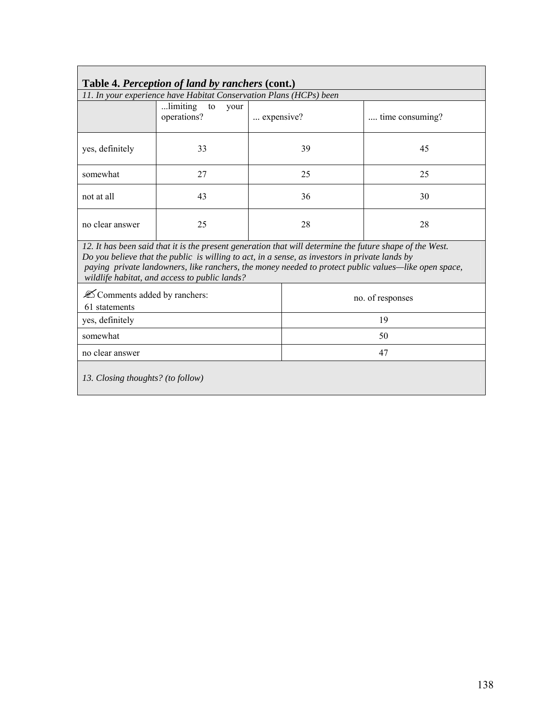| Table 4. Perception of land by ranchers (cont.)                                                                                                                                                                                                                                                                                                                     |                                                                    |                  |    |                 |  |  |  |  |
|---------------------------------------------------------------------------------------------------------------------------------------------------------------------------------------------------------------------------------------------------------------------------------------------------------------------------------------------------------------------|--------------------------------------------------------------------|------------------|----|-----------------|--|--|--|--|
|                                                                                                                                                                                                                                                                                                                                                                     | 11. In your experience have Habitat Conservation Plans (HCPs) been |                  |    |                 |  |  |  |  |
|                                                                                                                                                                                                                                                                                                                                                                     | limiting<br>to<br>your<br>operations?                              | expensive?       |    | time consuming? |  |  |  |  |
| yes, definitely                                                                                                                                                                                                                                                                                                                                                     | 33                                                                 |                  | 39 | 45              |  |  |  |  |
| somewhat                                                                                                                                                                                                                                                                                                                                                            | 27                                                                 |                  | 25 | 25              |  |  |  |  |
| not at all                                                                                                                                                                                                                                                                                                                                                          | 43                                                                 |                  | 36 | 30              |  |  |  |  |
| no clear answer                                                                                                                                                                                                                                                                                                                                                     | 25                                                                 |                  | 28 | 28              |  |  |  |  |
| 12. It has been said that it is the present generation that will determine the future shape of the West.<br>Do you believe that the public is willing to act, in a sense, as investors in private lands by<br>paying private landowners, like ranchers, the money needed to protect public values—like open space,<br>wildlife habitat, and access to public lands? |                                                                    |                  |    |                 |  |  |  |  |
| <b><i>E</i></b> Comments added by ranchers:<br>61 statements                                                                                                                                                                                                                                                                                                        |                                                                    | no. of responses |    |                 |  |  |  |  |
| yes, definitely                                                                                                                                                                                                                                                                                                                                                     |                                                                    |                  | 19 |                 |  |  |  |  |
| somewhat                                                                                                                                                                                                                                                                                                                                                            |                                                                    | 50               |    |                 |  |  |  |  |
| no clear answer                                                                                                                                                                                                                                                                                                                                                     |                                                                    | 47               |    |                 |  |  |  |  |
| 13. Closing thoughts? (to follow)                                                                                                                                                                                                                                                                                                                                   |                                                                    |                  |    |                 |  |  |  |  |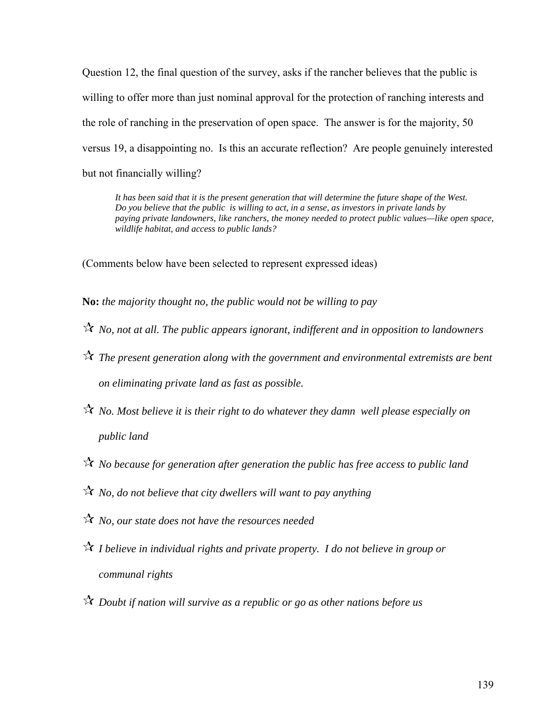Question 12, the final question of the survey, asks if the rancher believes that the public is willing to offer more than just nominal approval for the protection of ranching interests and the role of ranching in the preservation of open space. The answer is for the majority, 50 versus 19, a disappointing no. Is this an accurate reflection? Are people genuinely interested but not financially willing?

*It has been said that it is the present generation that will determine the future shape of the West. Do you believe that the public is willing to act, in a sense, as investors in private lands by paying private landowners, like ranchers, the money needed to protect public values—like open space, wildlife habitat, and access to public lands?* 

(Comments below have been selected to represent expressed ideas)

**No:** *the majority thought no, the public would not be willing to pay* 

- *No, not at all. The public appears ignorant, indifferent and in opposition to landowners*
- *The present generation along with the government and environmental extremists are bent on eliminating private land as fast as possible.*
- *No. Most believe it is their right to do whatever they damn well please especially on public land*
- *No because for generation after generation the public has free access to public land*
- *No, do not believe that city dwellers will want to pay anything*
- *No, our state does not have the resources needed*
- *I believe in individual rights and private property. I do not believe in group or communal rights*
- *Doubt if nation will survive as a republic or go as other nations before us*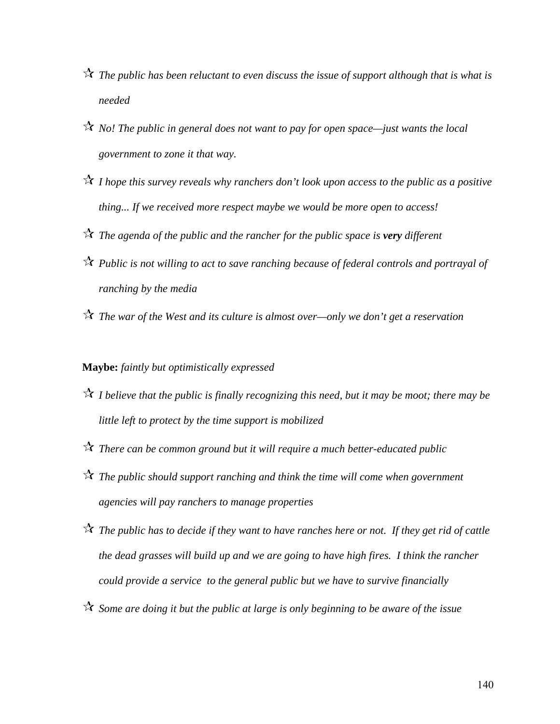- *The public has been reluctant to even discuss the issue of support although that is what is needed*
- *No! The public in general does not want to pay for open space—just wants the local government to zone it that way.*
- *I hope this survey reveals why ranchers don't look upon access to the public as a positive thing... If we received more respect maybe we would be more open to access!*
- *The agenda of the public and the rancher for the public space is very different*
- *Public is not willing to act to save ranching because of federal controls and portrayal of ranching by the media*
- *The war of the West and its culture is almost over—only we don't get a reservation*

# **Maybe:** *faintly but optimistically expressed*

- *I believe that the public is finally recognizing this need, but it may be moot; there may be little left to protect by the time support is mobilized*
- *There can be common ground but it will require a much better-educated public*
- *The public should support ranching and think the time will come when government agencies will pay ranchers to manage properties*
- *The public has to decide if they want to have ranches here or not. If they get rid of cattle the dead grasses will build up and we are going to have high fires. I think the rancher could provide a service to the general public but we have to survive financially*
- *Some are doing it but the public at large is only beginning to be aware of the issue*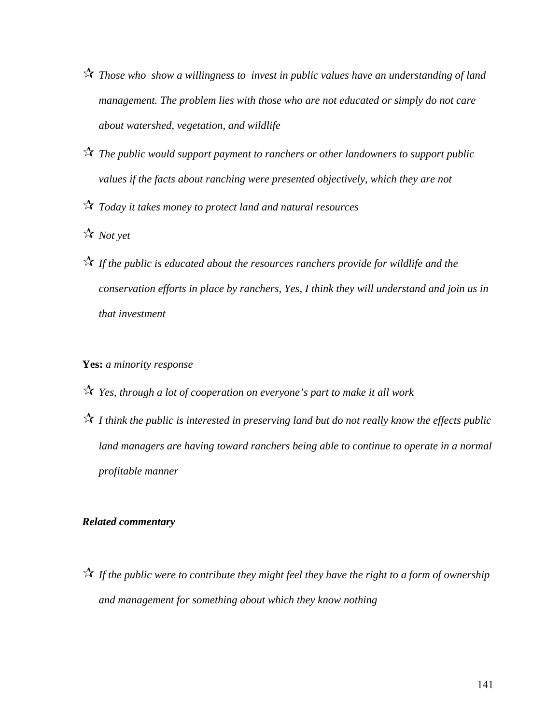- *Those who show a willingness to invest in public values have an understanding of land management. The problem lies with those who are not educated or simply do not care about watershed, vegetation, and wildlife*
- *The public would support payment to ranchers or other landowners to support public values if the facts about ranching were presented objectively, which they are not*
- *Today it takes money to protect land and natural resources*
- *Not yet*
- *If the public is educated about the resources ranchers provide for wildlife and the conservation efforts in place by ranchers, Yes, I think they will understand and join us in that investment*

### **Yes:** *a minority response*

- *Yes, through a lot of cooperation on everyone's part to make it all work*
- *I think the public is interested in preserving land but do not really know the effects public*  land managers are having toward ranchers being able to continue to operate in a normal *profitable manner*

### *Related commentary*

 *If the public were to contribute they might feel they have the right to a form of ownership and management for something about which they know nothing*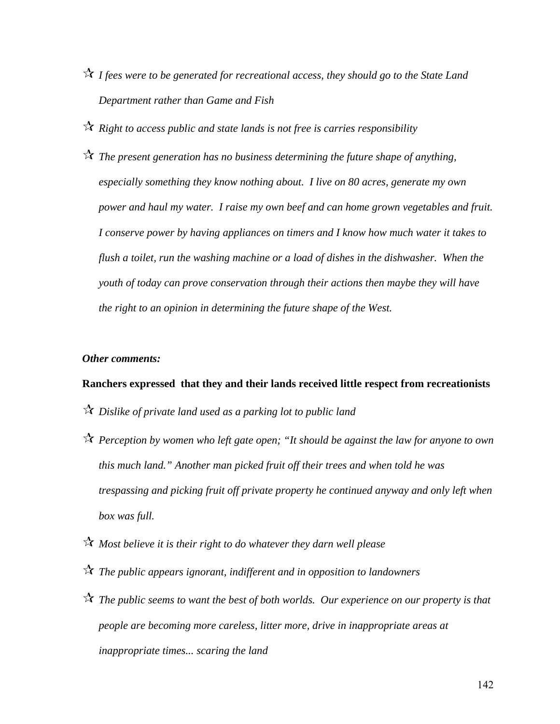- *I fees were to be generated for recreational access, they should go to the State Land Department rather than Game and Fish*
- *Right to access public and state lands is not free is carries responsibility*
- *The present generation has no business determining the future shape of anything, especially something they know nothing about. I live on 80 acres, generate my own power and haul my water. I raise my own beef and can home grown vegetables and fruit. I conserve power by having appliances on timers and I know how much water it takes to flush a toilet, run the washing machine or a load of dishes in the dishwasher. When the youth of today can prove conservation through their actions then maybe they will have the right to an opinion in determining the future shape of the West.*

#### *Other comments:*

### **Ranchers expressed that they and their lands received little respect from recreationists**

- *Dislike of private land used as a parking lot to public land*
- *Perception by women who left gate open; "It should be against the law for anyone to own this much land." Another man picked fruit off their trees and when told he was trespassing and picking fruit off private property he continued anyway and only left when box was full.*
- *Most believe it is their right to do whatever they darn well please*
- *The public appears ignorant, indifferent and in opposition to landowners*
- *The public seems to want the best of both worlds. Our experience on our property is that people are becoming more careless, litter more, drive in inappropriate areas at inappropriate times... scaring the land*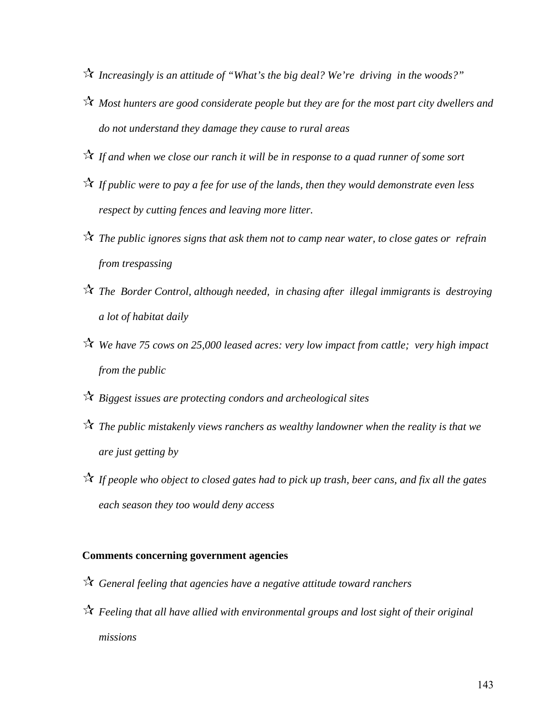- *Increasingly is an attitude of "What's the big deal? We're driving in the woods?"*
- *Most hunters are good considerate people but they are for the most part city dwellers and do not understand they damage they cause to rural areas*
- *If and when we close our ranch it will be in response to a quad runner of some sort*
- *If public were to pay a fee for use of the lands, then they would demonstrate even less respect by cutting fences and leaving more litter.*
- *The public ignores signs that ask them not to camp near water, to close gates or refrain from trespassing*
- *The Border Control, although needed, in chasing after illegal immigrants is destroying a lot of habitat daily*
- *We have 75 cows on 25,000 leased acres: very low impact from cattle; very high impact from the public*
- *Biggest issues are protecting condors and archeological sites*
- *The public mistakenly views ranchers as wealthy landowner when the reality is that we are just getting by*
- *If people who object to closed gates had to pick up trash, beer cans, and fix all the gates each season they too would deny access*

# **Comments concerning government agencies**

- *General feeling that agencies have a negative attitude toward ranchers*
- *Feeling that all have allied with environmental groups and lost sight of their original missions*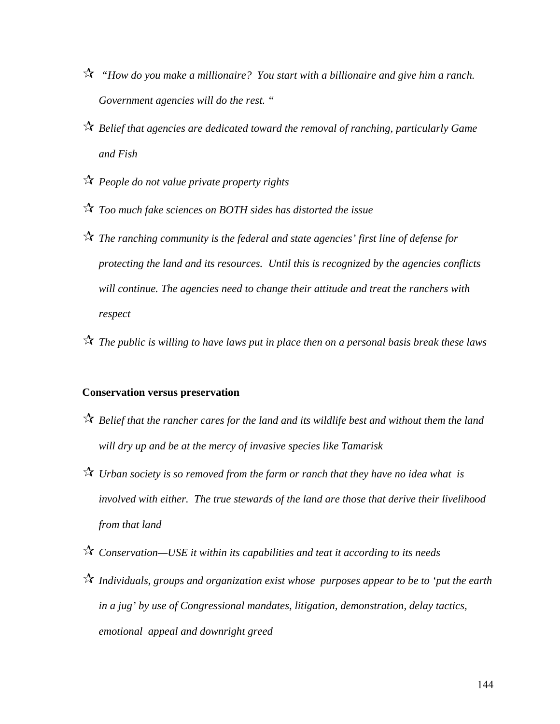- *"How do you make a millionaire? You start with a billionaire and give him a ranch. Government agencies will do the rest. "*
- *Belief that agencies are dedicated toward the removal of ranching, particularly Game and Fish*
- *People do not value private property rights*
- *Too much fake sciences on BOTH sides has distorted the issue*
- *The ranching community is the federal and state agencies' first line of defense for protecting the land and its resources. Until this is recognized by the agencies conflicts will continue. The agencies need to change their attitude and treat the ranchers with respect*
- *The public is willing to have laws put in place then on a personal basis break these laws*

# **Conservation versus preservation**

- *Belief that the rancher cares for the land and its wildlife best and without them the land will dry up and be at the mercy of invasive species like Tamarisk*
- *Urban society is so removed from the farm or ranch that they have no idea what is involved with either. The true stewards of the land are those that derive their livelihood from that land*
- *Conservation—USE it within its capabilities and teat it according to its needs*
- *Individuals, groups and organization exist whose purposes appear to be to 'put the earth in a jug' by use of Congressional mandates, litigation, demonstration, delay tactics, emotional appeal and downright greed*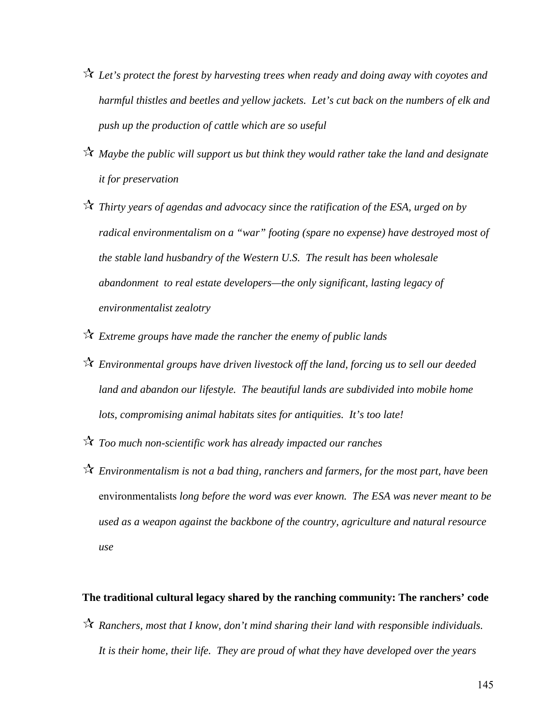- *Let's protect the forest by harvesting trees when ready and doing away with coyotes and harmful thistles and beetles and yellow jackets. Let's cut back on the numbers of elk and push up the production of cattle which are so useful*
- *Maybe the public will support us but think they would rather take the land and designate it for preservation*
- *Thirty years of agendas and advocacy since the ratification of the ESA, urged on by radical environmentalism on a "war" footing (spare no expense) have destroyed most of the stable land husbandry of the Western U.S. The result has been wholesale abandonment to real estate developers—the only significant, lasting legacy of environmentalist zealotry*
- *Extreme groups have made the rancher the enemy of public lands*
- *Environmental groups have driven livestock off the land, forcing us to sell our deeded*  land and abandon our lifestyle. The beautiful lands are subdivided into mobile home *lots, compromising animal habitats sites for antiquities. It's too late!*
- *Too much non-scientific work has already impacted our ranches*
- *Environmentalism is not a bad thing, ranchers and farmers, for the most part, have been*  environmentalists *long before the word was ever known. The ESA was never meant to be used as a weapon against the backbone of the country, agriculture and natural resource use*

#### **The traditional cultural legacy shared by the ranching community: The ranchers' code**

 *Ranchers, most that I know, don't mind sharing their land with responsible individuals. It is their home, their life. They are proud of what they have developed over the years*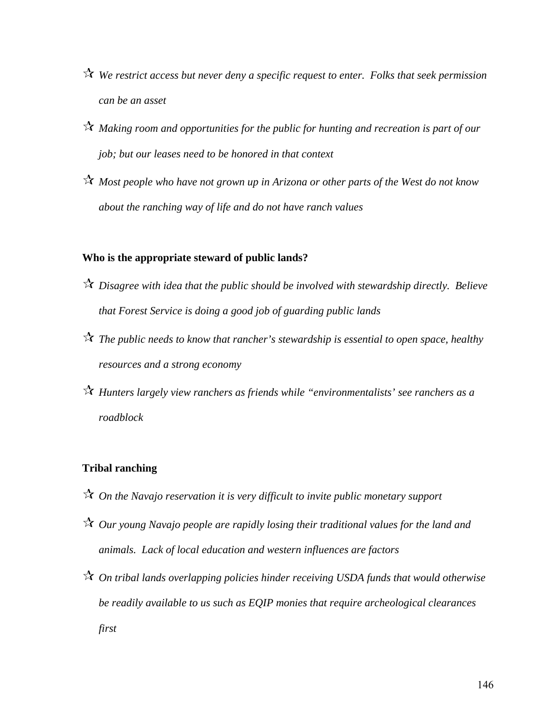- *We restrict access but never deny a specific request to enter. Folks that seek permission can be an asset*
- *Making room and opportunities for the public for hunting and recreation is part of our job; but our leases need to be honored in that context*
- *Most people who have not grown up in Arizona or other parts of the West do not know about the ranching way of life and do not have ranch values*

#### **Who is the appropriate steward of public lands?**

- *Disagree with idea that the public should be involved with stewardship directly. Believe that Forest Service is doing a good job of guarding public lands*
- *The public needs to know that rancher's stewardship is essential to open space, healthy resources and a strong economy*
- *Hunters largely view ranchers as friends while "environmentalists' see ranchers as a roadblock*

#### **Tribal ranching**

- *On the Navajo reservation it is very difficult to invite public monetary support*
- *Our young Navajo people are rapidly losing their traditional values for the land and animals. Lack of local education and western influences are factors*
- *On tribal lands overlapping policies hinder receiving USDA funds that would otherwise be readily available to us such as EQIP monies that require archeological clearances first*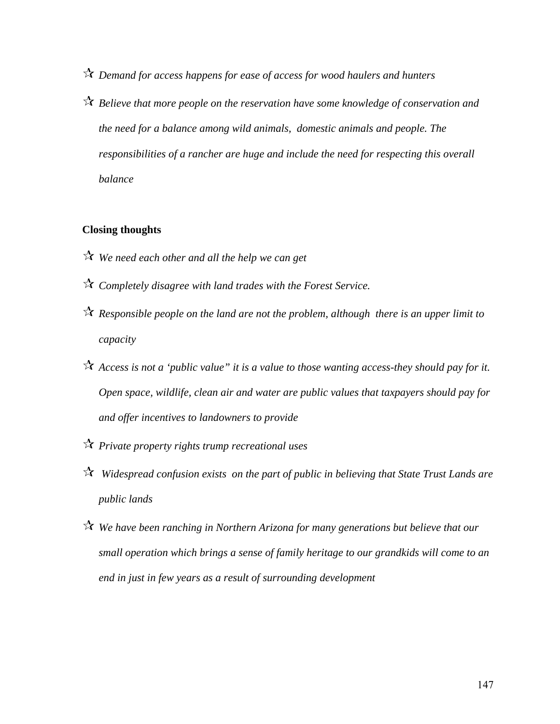- *Demand for access happens for ease of access for wood haulers and hunters*
- *Believe that more people on the reservation have some knowledge of conservation and the need for a balance among wild animals, domestic animals and people. The responsibilities of a rancher are huge and include the need for respecting this overall balance*

#### **Closing thoughts**

- *We need each other and all the help we can get*
- *Completely disagree with land trades with the Forest Service.*
- *Responsible people on the land are not the problem, although there is an upper limit to capacity*
- *Access is not a 'public value" it is a value to those wanting access-they should pay for it. Open space, wildlife, clean air and water are public values that taxpayers should pay for and offer incentives to landowners to provide*
- *Private property rights trump recreational uses*
- *Widespread confusion exists on the part of public in believing that State Trust Lands are public lands*
- *We have been ranching in Northern Arizona for many generations but believe that our small operation which brings a sense of family heritage to our grandkids will come to an end in just in few years as a result of surrounding development*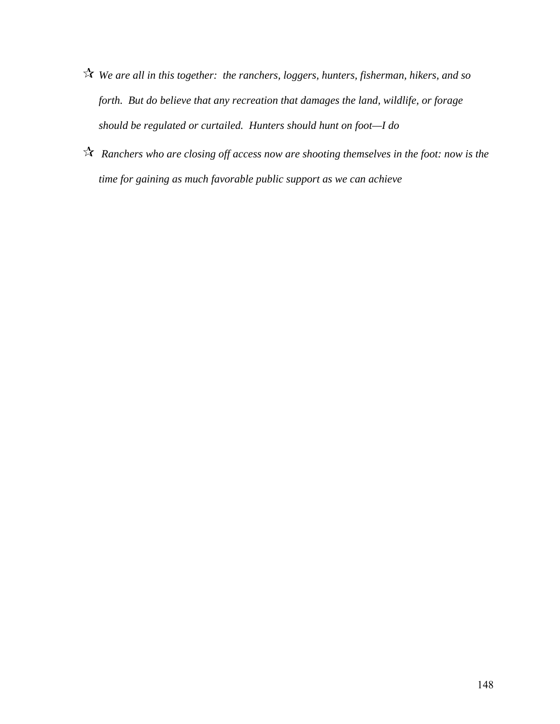- *We are all in this together: the ranchers, loggers, hunters, fisherman, hikers, and so forth. But do believe that any recreation that damages the land, wildlife, or forage should be regulated or curtailed. Hunters should hunt on foot—I do*
- *Ranchers who are closing off access now are shooting themselves in the foot: now is the time for gaining as much favorable public support as we can achieve*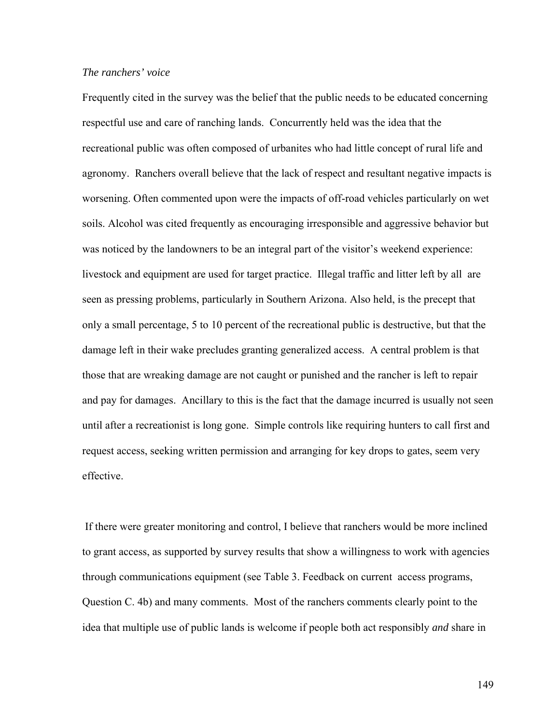#### *The ranchers' voice*

Frequently cited in the survey was the belief that the public needs to be educated concerning respectful use and care of ranching lands. Concurrently held was the idea that the recreational public was often composed of urbanites who had little concept of rural life and agronomy. Ranchers overall believe that the lack of respect and resultant negative impacts is worsening. Often commented upon were the impacts of off-road vehicles particularly on wet soils. Alcohol was cited frequently as encouraging irresponsible and aggressive behavior but was noticed by the landowners to be an integral part of the visitor's weekend experience: livestock and equipment are used for target practice. Illegal traffic and litter left by all are seen as pressing problems, particularly in Southern Arizona. Also held, is the precept that only a small percentage, 5 to 10 percent of the recreational public is destructive, but that the damage left in their wake precludes granting generalized access. A central problem is that those that are wreaking damage are not caught or punished and the rancher is left to repair and pay for damages. Ancillary to this is the fact that the damage incurred is usually not seen until after a recreationist is long gone. Simple controls like requiring hunters to call first and request access, seeking written permission and arranging for key drops to gates, seem very effective.

 If there were greater monitoring and control, I believe that ranchers would be more inclined to grant access, as supported by survey results that show a willingness to work with agencies through communications equipment (see Table 3. Feedback on current access programs, Question C. 4b) and many comments. Most of the ranchers comments clearly point to the idea that multiple use of public lands is welcome if people both act responsibly *and* share in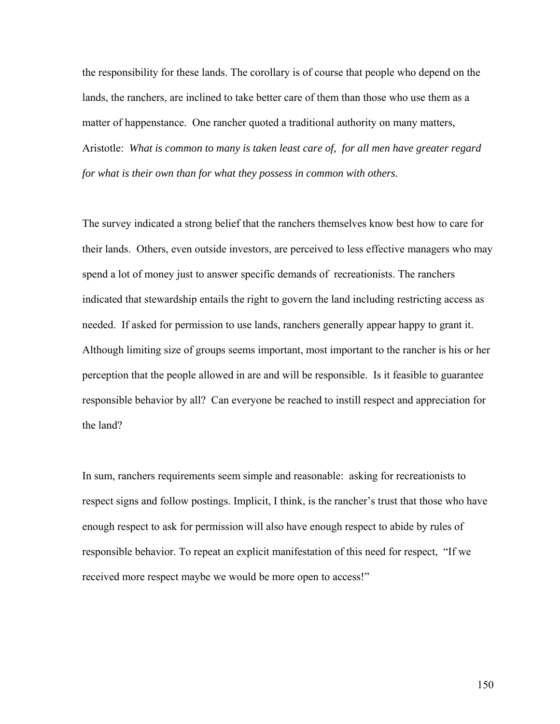the responsibility for these lands. The corollary is of course that people who depend on the lands, the ranchers, are inclined to take better care of them than those who use them as a matter of happenstance. One rancher quoted a traditional authority on many matters, Aristotle: *What is common to many is taken least care of, for all men have greater regard for what is their own than for what they possess in common with others.* 

The survey indicated a strong belief that the ranchers themselves know best how to care for their lands. Others, even outside investors, are perceived to less effective managers who may spend a lot of money just to answer specific demands of recreationists. The ranchers indicated that stewardship entails the right to govern the land including restricting access as needed. If asked for permission to use lands, ranchers generally appear happy to grant it. Although limiting size of groups seems important, most important to the rancher is his or her perception that the people allowed in are and will be responsible. Is it feasible to guarantee responsible behavior by all? Can everyone be reached to instill respect and appreciation for the land?

In sum, ranchers requirements seem simple and reasonable: asking for recreationists to respect signs and follow postings. Implicit, I think, is the rancher's trust that those who have enough respect to ask for permission will also have enough respect to abide by rules of responsible behavior. To repeat an explicit manifestation of this need for respect, "If we received more respect maybe we would be more open to access!"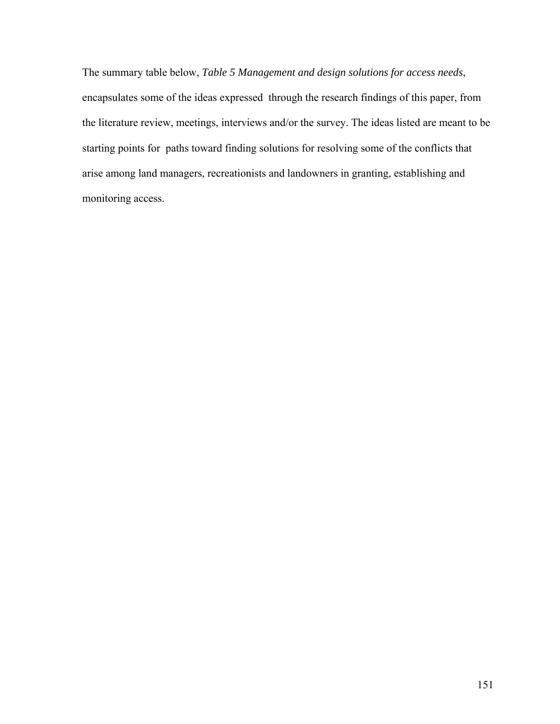The summary table below, *Table 5 Management and design solutions for access needs*, encapsulates some of the ideas expressed through the research findings of this paper, from the literature review, meetings, interviews and/or the survey. The ideas listed are meant to be starting points for paths toward finding solutions for resolving some of the conflicts that arise among land managers, recreationists and landowners in granting, establishing and monitoring access.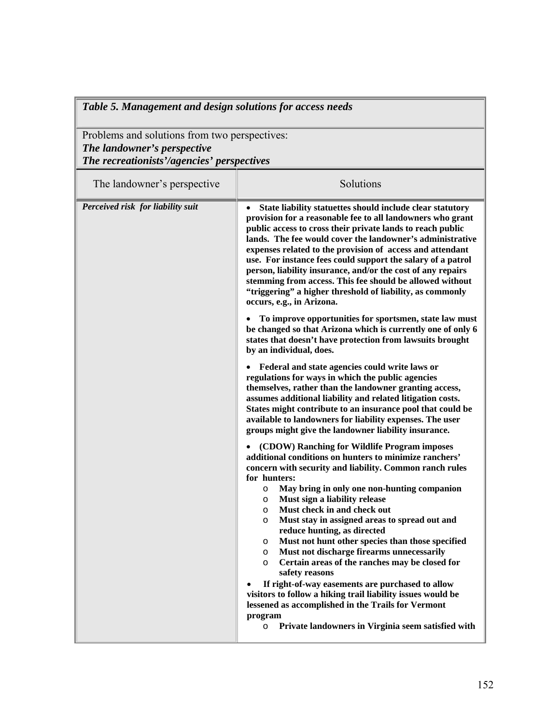Problems and solutions from two perspectives: *The landowner's perspective The recreationists'/agencies' perspectives* 

| The landowner's perspective       | Solutions                                                                                                                                                                                                                                                                                                                                                                                                                                                                                                                                                                                           |
|-----------------------------------|-----------------------------------------------------------------------------------------------------------------------------------------------------------------------------------------------------------------------------------------------------------------------------------------------------------------------------------------------------------------------------------------------------------------------------------------------------------------------------------------------------------------------------------------------------------------------------------------------------|
| Perceived risk for liability suit | State liability statuettes should include clear statutory<br>provision for a reasonable fee to all landowners who grant<br>public access to cross their private lands to reach public<br>lands. The fee would cover the landowner's administrative<br>expenses related to the provision of access and attendant<br>use. For instance fees could support the salary of a patrol<br>person, liability insurance, and/or the cost of any repairs<br>stemming from access. This fee should be allowed without<br>"triggering" a higher threshold of liability, as commonly<br>occurs, e.g., in Arizona. |
|                                   | To improve opportunities for sportsmen, state law must<br>be changed so that Arizona which is currently one of only 6<br>states that doesn't have protection from lawsuits brought<br>by an individual, does.                                                                                                                                                                                                                                                                                                                                                                                       |
|                                   | • Federal and state agencies could write laws or<br>regulations for ways in which the public agencies<br>themselves, rather than the landowner granting access,<br>assumes additional liability and related litigation costs.<br>States might contribute to an insurance pool that could be<br>available to landowners for liability expenses. The user<br>groups might give the landowner liability insurance.                                                                                                                                                                                     |
|                                   | (CDOW) Ranching for Wildlife Program imposes<br>additional conditions on hunters to minimize ranchers'<br>concern with security and liability. Common ranch rules                                                                                                                                                                                                                                                                                                                                                                                                                                   |
|                                   | for hunters:<br>May bring in only one non-hunting companion<br>$\circ$<br>Must sign a liability release<br>$\circ$<br>Must check in and check out<br>$\circ$<br>Must stay in assigned areas to spread out and<br>$\circ$                                                                                                                                                                                                                                                                                                                                                                            |
|                                   | reduce hunting, as directed<br>Must not hunt other species than those specified<br>$\circ$<br>Must not discharge firearms unnecessarily<br>$\circ$<br>Certain areas of the ranches may be closed for<br>$\circ$<br>safety reasons                                                                                                                                                                                                                                                                                                                                                                   |
|                                   | If right-of-way easements are purchased to allow<br>visitors to follow a hiking trail liability issues would be<br>lessened as accomplished in the Trails for Vermont<br>program                                                                                                                                                                                                                                                                                                                                                                                                                    |
|                                   | Private landowners in Virginia seem satisfied with<br>$\circ$                                                                                                                                                                                                                                                                                                                                                                                                                                                                                                                                       |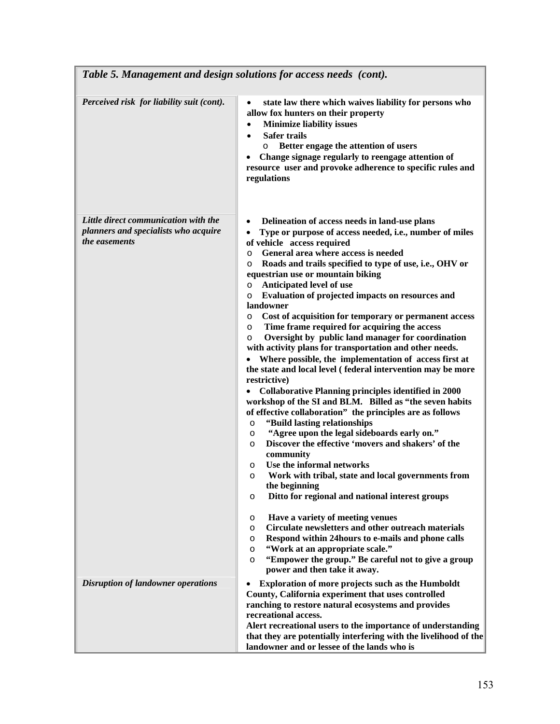| Table 5. Management and design solutions for access needs (cont).                             |                                                                                                                                                                                                                                                                                                                                                                                                                                                                                                                                                                                                                                                                                                                                                                                                                                                                                                                                                                                                                                                                                                                                                                                                                                                                                                                                                                                                                                                                                                                                                                                                                                     |
|-----------------------------------------------------------------------------------------------|-------------------------------------------------------------------------------------------------------------------------------------------------------------------------------------------------------------------------------------------------------------------------------------------------------------------------------------------------------------------------------------------------------------------------------------------------------------------------------------------------------------------------------------------------------------------------------------------------------------------------------------------------------------------------------------------------------------------------------------------------------------------------------------------------------------------------------------------------------------------------------------------------------------------------------------------------------------------------------------------------------------------------------------------------------------------------------------------------------------------------------------------------------------------------------------------------------------------------------------------------------------------------------------------------------------------------------------------------------------------------------------------------------------------------------------------------------------------------------------------------------------------------------------------------------------------------------------------------------------------------------------|
| Perceived risk for liability suit (cont).                                                     | state law there which waives liability for persons who<br>$\bullet$<br>allow fox hunters on their property<br><b>Minimize liability issues</b><br>$\bullet$<br><b>Safer trails</b><br>$\bullet$<br>Better engage the attention of users<br>$\circ$<br>Change signage regularly to reengage attention of<br>$\bullet$<br>resource user and provoke adherence to specific rules and<br>regulations                                                                                                                                                                                                                                                                                                                                                                                                                                                                                                                                                                                                                                                                                                                                                                                                                                                                                                                                                                                                                                                                                                                                                                                                                                    |
| Little direct communication with the<br>planners and specialists who acquire<br>the easements | Delineation of access needs in land-use plans<br>$\bullet$<br>Type or purpose of access needed, i.e., number of miles<br>$\bullet$<br>of vehicle access required<br>General area where access is needed<br>$\circ$<br>Roads and trails specified to type of use, i.e., OHV or<br>$\circ$<br>equestrian use or mountain biking<br>Anticipated level of use<br>$\circ$<br>Evaluation of projected impacts on resources and<br>$\circ$<br>landowner<br>Cost of acquisition for temporary or permanent access<br>$\circ$<br>Time frame required for acquiring the access<br>$\circ$<br>Oversight by public land manager for coordination<br>$\circ$<br>with activity plans for transportation and other needs.<br>• Where possible, the implementation of access first at<br>the state and local level (federal intervention may be more<br>restrictive)<br><b>Collaborative Planning principles identified in 2000</b><br>workshop of the SI and BLM. Billed as "the seven habits<br>of effective collaboration" the principles are as follows<br>"Build lasting relationships<br>O<br>"Agree upon the legal sideboards early on."<br>$\circ$<br>Discover the effective 'movers and shakers' of the<br>$\circ$<br>community<br>Use the informal networks<br>O<br>Work with tribal, state and local governments from<br>$\circ$<br>the beginning<br>Ditto for regional and national interest groups<br>$\circ$<br>Have a variety of meeting venues<br>$\circ$<br>Circulate newsletters and other outreach materials<br>$\circ$<br>Respond within 24 hours to e-mails and phone calls<br>$\circ$<br>"Work at an appropriate scale."<br>O |
| <b>Disruption of landowner operations</b>                                                     | "Empower the group." Be careful not to give a group<br>$\circ$<br>power and then take it away.<br>Exploration of more projects such as the Humboldt<br>$\bullet$                                                                                                                                                                                                                                                                                                                                                                                                                                                                                                                                                                                                                                                                                                                                                                                                                                                                                                                                                                                                                                                                                                                                                                                                                                                                                                                                                                                                                                                                    |
|                                                                                               | County, California experiment that uses controlled<br>ranching to restore natural ecosystems and provides<br>recreational access.<br>Alert recreational users to the importance of understanding<br>that they are potentially interfering with the livelihood of the<br>landowner and or lessee of the lands who is                                                                                                                                                                                                                                                                                                                                                                                                                                                                                                                                                                                                                                                                                                                                                                                                                                                                                                                                                                                                                                                                                                                                                                                                                                                                                                                 |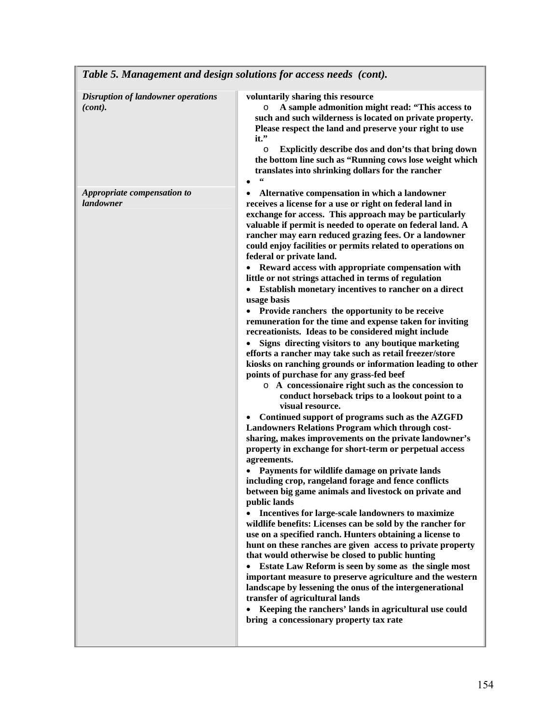| Tuble 5. management and design solutions for access heeds (com). |                                                                                                                                                                                                                                                                                                                                                                                                                                                                                                                                                                                                                                                                                                                                                                                                                                                                                                                                                                                                                                                                                                                                                                                                                                                                                                                                                                                                                                                                                                                                                                                                                                                                                                                                                                                                                                                                                                                                                                                                                                                                                                                                                                                 |
|------------------------------------------------------------------|---------------------------------------------------------------------------------------------------------------------------------------------------------------------------------------------------------------------------------------------------------------------------------------------------------------------------------------------------------------------------------------------------------------------------------------------------------------------------------------------------------------------------------------------------------------------------------------------------------------------------------------------------------------------------------------------------------------------------------------------------------------------------------------------------------------------------------------------------------------------------------------------------------------------------------------------------------------------------------------------------------------------------------------------------------------------------------------------------------------------------------------------------------------------------------------------------------------------------------------------------------------------------------------------------------------------------------------------------------------------------------------------------------------------------------------------------------------------------------------------------------------------------------------------------------------------------------------------------------------------------------------------------------------------------------------------------------------------------------------------------------------------------------------------------------------------------------------------------------------------------------------------------------------------------------------------------------------------------------------------------------------------------------------------------------------------------------------------------------------------------------------------------------------------------------|
| <b>Disruption of landowner operations</b><br>(cont).             | voluntarily sharing this resource<br>A sample admonition might read: "This access to<br>$\circ$<br>such and such wilderness is located on private property.<br>Please respect the land and preserve your right to use<br>it."<br>Explicitly describe dos and don'ts that bring down<br>$\circ$<br>the bottom line such as "Running cows lose weight which<br>translates into shrinking dollars for the rancher                                                                                                                                                                                                                                                                                                                                                                                                                                                                                                                                                                                                                                                                                                                                                                                                                                                                                                                                                                                                                                                                                                                                                                                                                                                                                                                                                                                                                                                                                                                                                                                                                                                                                                                                                                  |
| Appropriate compensation to<br>landowner                         | Alternative compensation in which a landowner<br>receives a license for a use or right on federal land in<br>exchange for access. This approach may be particularly<br>valuable if permit is needed to operate on federal land. A<br>rancher may earn reduced grazing fees. Or a landowner<br>could enjoy facilities or permits related to operations on<br>federal or private land.<br>• Reward access with appropriate compensation with<br>little or not strings attached in terms of regulation<br>• Establish monetary incentives to rancher on a direct<br>usage basis<br>• Provide ranchers the opportunity to be receive<br>remuneration for the time and expense taken for inviting<br>recreationists. Ideas to be considered might include<br>Signs directing visitors to any boutique marketing<br>efforts a rancher may take such as retail freezer/store<br>kiosks on ranching grounds or information leading to other<br>points of purchase for any grass-fed beef<br>o A concessionaire right such as the concession to<br>conduct horseback trips to a lookout point to a<br>visual resource.<br>Continued support of programs such as the AZGFD<br>Landowners Relations Program which through cost-<br>sharing, makes improvements on the private landowner's<br>property in exchange for short-term or perpetual access<br>agreements.<br>Payments for wildlife damage on private lands<br>including crop, rangeland forage and fence conflicts<br>between big game animals and livestock on private and<br>public lands<br>Incentives for large-scale landowners to maximize<br>wildlife benefits: Licenses can be sold by the rancher for<br>use on a specified ranch. Hunters obtaining a license to<br>hunt on these ranches are given access to private property<br>that would otherwise be closed to public hunting<br>Estate Law Reform is seen by some as the single most<br>$\bullet$<br>important measure to preserve agriculture and the western<br>landscape by lessening the onus of the intergenerational<br>transfer of agricultural lands<br>Keeping the ranchers' lands in agricultural use could<br>bring a concessionary property tax rate |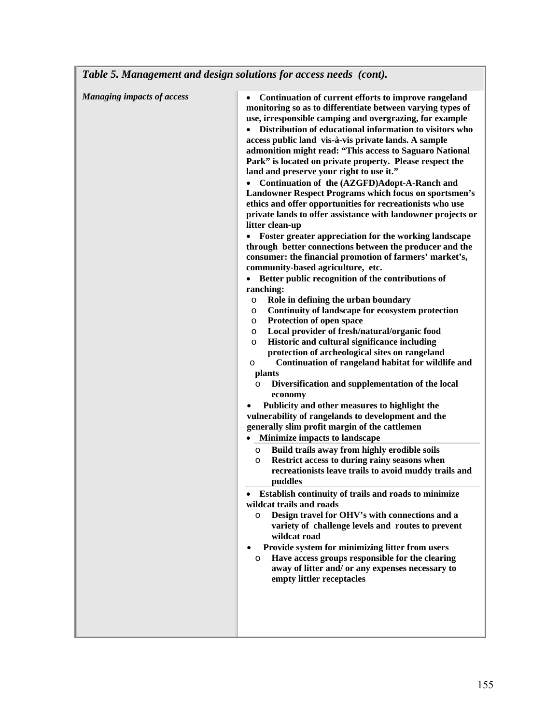|                                   | Continuation of current efforts to improve rangeland                                                                                                                                                                                     |
|-----------------------------------|------------------------------------------------------------------------------------------------------------------------------------------------------------------------------------------------------------------------------------------|
| <b>Managing impacts of access</b> | monitoring so as to differentiate between varying types of<br>use, irresponsible camping and overgrazing, for example<br>Distribution of educational information to visitors who<br>access public land vis-à-vis private lands. A sample |
|                                   | admonition might read: "This access to Saguaro National<br>Park" is located on private property. Please respect the                                                                                                                      |
|                                   | land and preserve your right to use it."                                                                                                                                                                                                 |
|                                   | Continuation of the (AZGFD)Adopt-A-Ranch and<br>Landowner Respect Programs which focus on sportsmen's<br>ethics and offer opportunities for recreationists who use                                                                       |
|                                   | private lands to offer assistance with landowner projects or<br>litter clean-up                                                                                                                                                          |
|                                   | Foster greater appreciation for the working landscape<br>$\bullet$<br>through better connections between the producer and the<br>consumer: the financial promotion of farmers' market's,                                                 |
|                                   | community-based agriculture, etc.                                                                                                                                                                                                        |
|                                   | Better public recognition of the contributions of<br>$\bullet$                                                                                                                                                                           |
|                                   | ranching:<br>Role in defining the urban boundary<br>O                                                                                                                                                                                    |
|                                   | Continuity of landscape for ecosystem protection<br>O                                                                                                                                                                                    |
|                                   | Protection of open space<br>O                                                                                                                                                                                                            |
|                                   | Local provider of fresh/natural/organic food<br>O                                                                                                                                                                                        |
|                                   | Historic and cultural significance including<br>O<br>protection of archeological sites on rangeland                                                                                                                                      |
|                                   | Continuation of rangeland habitat for wildlife and<br>$\circ$                                                                                                                                                                            |
|                                   | plants                                                                                                                                                                                                                                   |
|                                   | Diversification and supplementation of the local<br>$\circ$                                                                                                                                                                              |
|                                   | economy                                                                                                                                                                                                                                  |
|                                   | Publicity and other measures to highlight the                                                                                                                                                                                            |
|                                   | vulnerability of rangelands to development and the<br>generally slim profit margin of the cattlemen                                                                                                                                      |
|                                   | Minimize impacts to landscape                                                                                                                                                                                                            |
|                                   | Build trails away from highly erodible soils<br>$\circ$                                                                                                                                                                                  |
|                                   | Restrict access to during rainy seasons when<br>$\circ$                                                                                                                                                                                  |
|                                   | recreationists leave trails to avoid muddy trails and<br>puddles                                                                                                                                                                         |
|                                   | Establish continuity of trails and roads to minimize<br>$\bullet$                                                                                                                                                                        |
|                                   | wildcat trails and roads<br>Design travel for OHV's with connections and a<br>$\circ$                                                                                                                                                    |
|                                   | variety of challenge levels and routes to prevent<br>wildcat road                                                                                                                                                                        |
|                                   | Provide system for minimizing litter from users<br>Have access groups responsible for the clearing<br>O<br>away of litter and/ or any expenses necessary to                                                                              |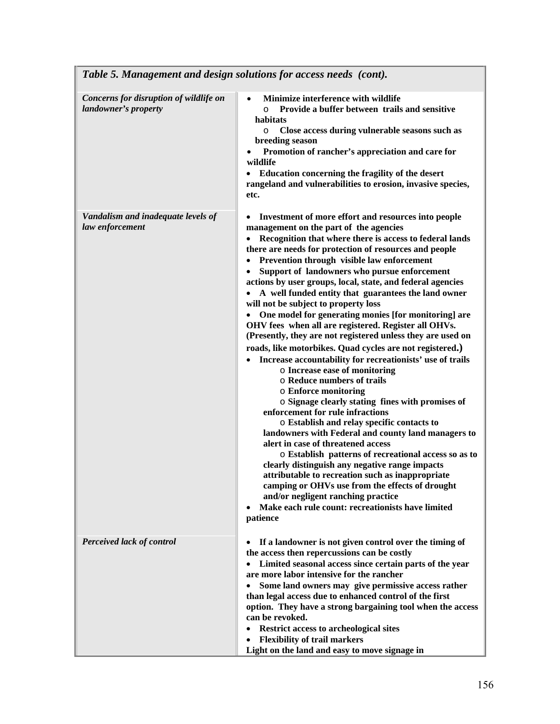| Table 5. Management and design solutions for access needs (cont). |                                                                                                                                                                                                                                                                                                                                                                                                                                                                                                                                                                                                                                                                                                                                                                                                                                                                                                                                                                                                                                                                                                                                                                                                                                                                                                                                                                                                                                                                                                                 |
|-------------------------------------------------------------------|-----------------------------------------------------------------------------------------------------------------------------------------------------------------------------------------------------------------------------------------------------------------------------------------------------------------------------------------------------------------------------------------------------------------------------------------------------------------------------------------------------------------------------------------------------------------------------------------------------------------------------------------------------------------------------------------------------------------------------------------------------------------------------------------------------------------------------------------------------------------------------------------------------------------------------------------------------------------------------------------------------------------------------------------------------------------------------------------------------------------------------------------------------------------------------------------------------------------------------------------------------------------------------------------------------------------------------------------------------------------------------------------------------------------------------------------------------------------------------------------------------------------|
| Concerns for disruption of wildlife on<br>landowner's property    | Minimize interference with wildlife<br>$\bullet$<br>Provide a buffer between trails and sensitive<br>$\circ$<br>habitats<br>Close access during vulnerable seasons such as<br>O<br>breeding season<br>Promotion of rancher's appreciation and care for<br>wildlife<br>Education concerning the fragility of the desert<br>rangeland and vulnerabilities to erosion, invasive species,<br>etc.                                                                                                                                                                                                                                                                                                                                                                                                                                                                                                                                                                                                                                                                                                                                                                                                                                                                                                                                                                                                                                                                                                                   |
| Vandalism and inadequate levels of<br>law enforcement             | Investment of more effort and resources into people<br>$\bullet$<br>management on the part of the agencies<br>Recognition that where there is access to federal lands<br>$\bullet$<br>there are needs for protection of resources and people<br>Prevention through visible law enforcement<br>$\bullet$<br>Support of landowners who pursue enforcement<br>actions by user groups, local, state, and federal agencies<br>A well funded entity that guarantees the land owner<br>will not be subject to property loss<br>One model for generating monies [for monitoring] are<br>OHV fees when all are registered. Register all OHVs.<br>(Presently, they are not registered unless they are used on<br>roads, like motorbikes. Quad cycles are not registered.)<br>Increase accountability for recreationists' use of trails<br>$\bullet$<br>o Increase ease of monitoring<br>○ Reduce numbers of trails<br><b>o</b> Enforce monitoring<br>o Signage clearly stating fines with promises of<br>enforcement for rule infractions<br>o Establish and relay specific contacts to<br>landowners with Federal and county land managers to<br>alert in case of threatened access<br>o Establish patterns of recreational access so as to<br>clearly distinguish any negative range impacts<br>attributable to recreation such as inappropriate<br>camping or OHVs use from the effects of drought<br>and/or negligent ranching practice<br>Make each rule count: recreationists have limited<br>$\bullet$<br>patience |
| Perceived lack of control                                         | If a landowner is not given control over the timing of<br>$\bullet$<br>the access then repercussions can be costly<br>Limited seasonal access since certain parts of the year<br>$\bullet$<br>are more labor intensive for the rancher<br>Some land owners may give permissive access rather<br>$\bullet$<br>than legal access due to enhanced control of the first<br>option. They have a strong bargaining tool when the access<br>can be revoked.<br><b>Restrict access to archeological sites</b><br>$\bullet$<br><b>Flexibility of trail markers</b><br>٠<br>Light on the land and easy to move signage in                                                                                                                                                                                                                                                                                                                                                                                                                                                                                                                                                                                                                                                                                                                                                                                                                                                                                                 |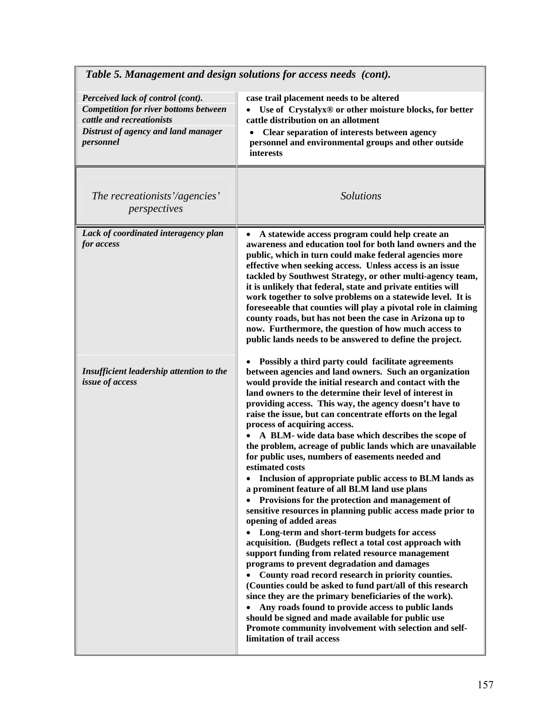| Table 5. Management and design solutions for access needs (cont).                                                                                                  |                                                                                                                                                                                                                                                                                                                                                                                                                                                                                                                                                                                                                                                                                                                                                                                                                                                                                                                                                                                                                                                                                                                                                                                                                                                                                                                                                                                                                                                                       |
|--------------------------------------------------------------------------------------------------------------------------------------------------------------------|-----------------------------------------------------------------------------------------------------------------------------------------------------------------------------------------------------------------------------------------------------------------------------------------------------------------------------------------------------------------------------------------------------------------------------------------------------------------------------------------------------------------------------------------------------------------------------------------------------------------------------------------------------------------------------------------------------------------------------------------------------------------------------------------------------------------------------------------------------------------------------------------------------------------------------------------------------------------------------------------------------------------------------------------------------------------------------------------------------------------------------------------------------------------------------------------------------------------------------------------------------------------------------------------------------------------------------------------------------------------------------------------------------------------------------------------------------------------------|
| Perceived lack of control (cont).<br><b>Competition for river bottoms between</b><br>cattle and recreationists<br>Distrust of agency and land manager<br>personnel | case trail placement needs to be altered<br>Use of Crystalyx® or other moisture blocks, for better<br>$\bullet$<br>cattle distribution on an allotment<br>Clear separation of interests between agency<br>personnel and environmental groups and other outside<br>interests                                                                                                                                                                                                                                                                                                                                                                                                                                                                                                                                                                                                                                                                                                                                                                                                                                                                                                                                                                                                                                                                                                                                                                                           |
| The recreationists'/agencies'<br>perspectives                                                                                                                      | <b>Solutions</b>                                                                                                                                                                                                                                                                                                                                                                                                                                                                                                                                                                                                                                                                                                                                                                                                                                                                                                                                                                                                                                                                                                                                                                                                                                                                                                                                                                                                                                                      |
| Lack of coordinated interagency plan<br>for access                                                                                                                 | A statewide access program could help create an<br>$\bullet$<br>awareness and education tool for both land owners and the<br>public, which in turn could make federal agencies more<br>effective when seeking access. Unless access is an issue<br>tackled by Southwest Strategy, or other multi-agency team,<br>it is unlikely that federal, state and private entities will<br>work together to solve problems on a statewide level. It is<br>foreseeable that counties will play a pivotal role in claiming<br>county roads, but has not been the case in Arizona up to<br>now. Furthermore, the question of how much access to<br>public lands needs to be answered to define the project.                                                                                                                                                                                                                                                                                                                                                                                                                                                                                                                                                                                                                                                                                                                                                                        |
| Insufficient leadership attention to the<br>issue of access                                                                                                        | Possibly a third party could facilitate agreements<br>between agencies and land owners. Such an organization<br>would provide the initial research and contact with the<br>land owners to the determine their level of interest in<br>providing access. This way, the agency doesn't have to<br>raise the issue, but can concentrate efforts on the legal<br>process of acquiring access.<br>A BLM- wide data base which describes the scope of<br>the problem, acreage of public lands which are unavailable<br>for public uses, numbers of easements needed and<br>estimated costs<br>Inclusion of appropriate public access to BLM lands as<br>a prominent feature of all BLM land use plans<br>• Provisions for the protection and management of<br>sensitive resources in planning public access made prior to<br>opening of added areas<br>Long-term and short-term budgets for access<br>$\bullet$<br>acquisition. (Budgets reflect a total cost approach with<br>support funding from related resource management<br>programs to prevent degradation and damages<br>County road record research in priority counties.<br>(Counties could be asked to fund part/all of this research<br>since they are the primary beneficiaries of the work).<br>Any roads found to provide access to public lands<br>$\bullet$<br>should be signed and made available for public use<br>Promote community involvement with selection and self-<br>limitation of trail access |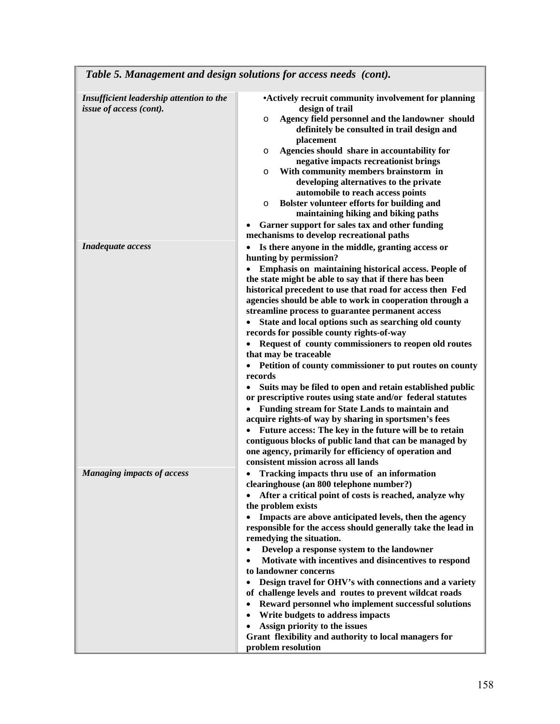| Insufficient leadership attention to the<br>issue of access (cont). | • Actively recruit community involvement for planning<br>design of trail<br>Agency field personnel and the landowner should<br>O<br>definitely be consulted in trail design and<br>placement<br>Agencies should share in accountability for<br>O<br>negative impacts recreationist brings<br>With community members brainstorm in<br>O<br>developing alternatives to the private<br>automobile to reach access points<br>Bolster volunteer efforts for building and<br>O<br>maintaining hiking and biking paths<br>Garner support for sales tax and other funding<br>٠<br>mechanisms to develop recreational paths                                                                                                                                                                                                                                                                                                                                                                                                                                                                                                                                              |
|---------------------------------------------------------------------|-----------------------------------------------------------------------------------------------------------------------------------------------------------------------------------------------------------------------------------------------------------------------------------------------------------------------------------------------------------------------------------------------------------------------------------------------------------------------------------------------------------------------------------------------------------------------------------------------------------------------------------------------------------------------------------------------------------------------------------------------------------------------------------------------------------------------------------------------------------------------------------------------------------------------------------------------------------------------------------------------------------------------------------------------------------------------------------------------------------------------------------------------------------------|
| Inadequate access                                                   | Is there anyone in the middle, granting access or<br>$\bullet$<br>hunting by permission?<br>Emphasis on maintaining historical access. People of<br>$\bullet$<br>the state might be able to say that if there has been<br>historical precedent to use that road for access then Fed<br>agencies should be able to work in cooperation through a<br>streamline process to guarantee permanent access<br>State and local options such as searching old county<br>records for possible county rights-of-way<br>Request of county commissioners to reopen old routes<br>that may be traceable<br>Petition of county commissioner to put routes on county<br>$\bullet$<br>records<br>Suits may be filed to open and retain established public<br>$\bullet$<br>or prescriptive routes using state and/or federal statutes<br>Funding stream for State Lands to maintain and<br>acquire rights-of way by sharing in sportsmen's fees<br>Future access: The key in the future will be to retain<br>$\bullet$<br>contiguous blocks of public land that can be managed by<br>one agency, primarily for efficiency of operation and<br>consistent mission across all lands |
| <b>Managing impacts of access</b>                                   | Tracking impacts thru use of an information<br>clearinghouse (an 800 telephone number?)<br>After a critical point of costs is reached, analyze why<br>$\bullet$<br>the problem exists<br>Impacts are above anticipated levels, then the agency<br>$\bullet$<br>responsible for the access should generally take the lead in<br>remedying the situation.<br>Develop a response system to the landowner<br>$\bullet$<br>Motivate with incentives and disincentives to respond<br>$\bullet$<br>to landowner concerns<br>Design travel for OHV's with connections and a variety<br>$\bullet$<br>of challenge levels and routes to prevent wildcat roads<br>Reward personnel who implement successful solutions<br>$\bullet$<br>Write budgets to address impacts<br>$\bullet$<br>Assign priority to the issues<br>$\bullet$<br>Grant flexibility and authority to local managers for<br>problem resolution                                                                                                                                                                                                                                                           |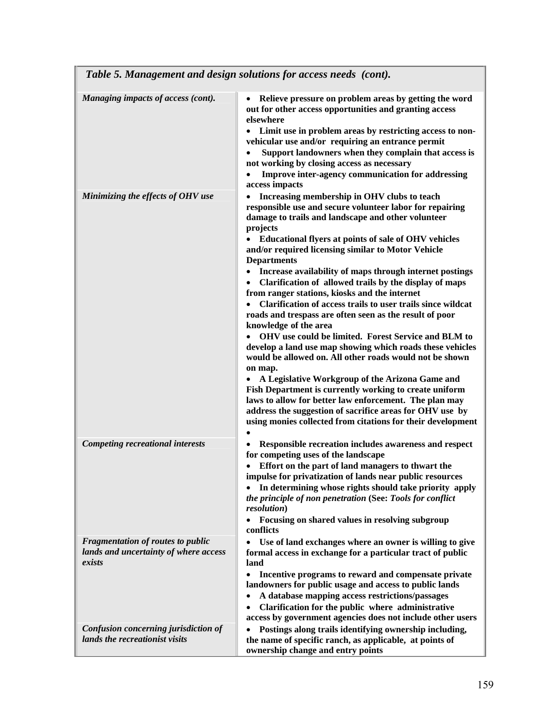| Table 5. Management and design solutions for access needs (cont).                           |                                                                                                                                                                                                                                                                                                                                                                                                                                                                                                                                                                                                                                                                                                                                                                                                                                                                                                                                                                                                                                                                                                                                                              |
|---------------------------------------------------------------------------------------------|--------------------------------------------------------------------------------------------------------------------------------------------------------------------------------------------------------------------------------------------------------------------------------------------------------------------------------------------------------------------------------------------------------------------------------------------------------------------------------------------------------------------------------------------------------------------------------------------------------------------------------------------------------------------------------------------------------------------------------------------------------------------------------------------------------------------------------------------------------------------------------------------------------------------------------------------------------------------------------------------------------------------------------------------------------------------------------------------------------------------------------------------------------------|
| Managing impacts of access (cont).                                                          | Relieve pressure on problem areas by getting the word<br>out for other access opportunities and granting access<br>elsewhere<br>Limit use in problem areas by restricting access to non-<br>$\bullet$<br>vehicular use and/or requiring an entrance permit<br>Support landowners when they complain that access is<br>not working by closing access as necessary<br>Improve inter-agency communication for addressing<br>access impacts                                                                                                                                                                                                                                                                                                                                                                                                                                                                                                                                                                                                                                                                                                                      |
| Minimizing the effects of OHV use                                                           | Increasing membership in OHV clubs to teach<br>responsible use and secure volunteer labor for repairing<br>damage to trails and landscape and other volunteer<br>projects<br>Educational flyers at points of sale of OHV vehicles<br>and/or required licensing similar to Motor Vehicle<br><b>Departments</b><br>Increase availability of maps through internet postings<br>Clarification of allowed trails by the display of maps<br>$\bullet$<br>from ranger stations, kiosks and the internet<br>Clarification of access trails to user trails since wildcat<br>$\bullet$<br>roads and trespass are often seen as the result of poor<br>knowledge of the area<br>OHV use could be limited. Forest Service and BLM to<br>develop a land use map showing which roads these vehicles<br>would be allowed on. All other roads would not be shown<br>on map.<br>A Legislative Workgroup of the Arizona Game and<br>Fish Department is currently working to create uniform<br>laws to allow for better law enforcement. The plan may<br>address the suggestion of sacrifice areas for OHV use by<br>using monies collected from citations for their development |
| <b>Competing recreational interests</b>                                                     | Responsible recreation includes awareness and respect<br>for competing uses of the landscape<br>Effort on the part of land managers to thwart the<br>impulse for privatization of lands near public resources<br>In determining whose rights should take priority apply<br>the principle of non penetration (See: Tools for conflict<br><i>resolution</i> )<br>Focusing on shared values in resolving subgroup<br>$\bullet$<br>conflicts                                                                                                                                                                                                                                                                                                                                                                                                                                                                                                                                                                                                                                                                                                                     |
| <b>Fragmentation of routes to public</b><br>lands and uncertainty of where access<br>exists | Use of land exchanges where an owner is willing to give<br>$\bullet$<br>formal access in exchange for a particular tract of public<br>land<br>Incentive programs to reward and compensate private<br>$\bullet$<br>landowners for public usage and access to public lands<br>A database mapping access restrictions/passages<br>$\bullet$<br>Clarification for the public where administrative<br>$\bullet$<br>access by government agencies does not include other users                                                                                                                                                                                                                                                                                                                                                                                                                                                                                                                                                                                                                                                                                     |
| Confusion concerning jurisdiction of<br>lands the recreationist visits                      | Postings along trails identifying ownership including,<br>$\bullet$<br>the name of specific ranch, as applicable, at points of<br>ownership change and entry points                                                                                                                                                                                                                                                                                                                                                                                                                                                                                                                                                                                                                                                                                                                                                                                                                                                                                                                                                                                          |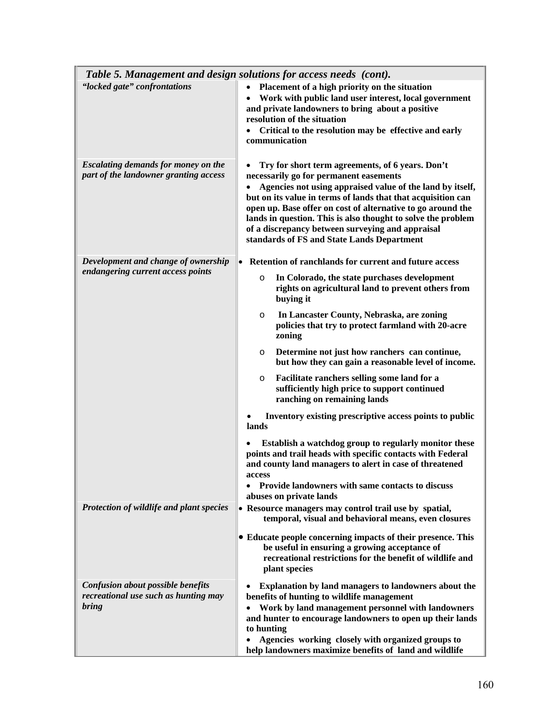|                                                                                           | Table 5. Management and design solutions for access needs (cont).                                                                                                                                                                                                                                                                                                                                                                                                                                                                                                                                                                                                                                                                                                                                                                                                                                                 |
|-------------------------------------------------------------------------------------------|-------------------------------------------------------------------------------------------------------------------------------------------------------------------------------------------------------------------------------------------------------------------------------------------------------------------------------------------------------------------------------------------------------------------------------------------------------------------------------------------------------------------------------------------------------------------------------------------------------------------------------------------------------------------------------------------------------------------------------------------------------------------------------------------------------------------------------------------------------------------------------------------------------------------|
| "locked gate" confrontations                                                              | Placement of a high priority on the situation<br>$\bullet$<br>Work with public land user interest, local government<br>$\bullet$<br>and private landowners to bring about a positive<br>resolution of the situation<br>Critical to the resolution may be effective and early<br>communication                                                                                                                                                                                                                                                                                                                                                                                                                                                                                                                                                                                                                     |
| <b>Escalating demands for money on the</b><br>part of the landowner granting access       | Try for short term agreements, of 6 years. Don't<br>necessarily go for permanent easements<br>Agencies not using appraised value of the land by itself,<br>$\bullet$<br>but on its value in terms of lands that that acquisition can<br>open up. Base offer on cost of alternative to go around the<br>lands in question. This is also thought to solve the problem<br>of a discrepancy between surveying and appraisal<br>standards of FS and State Lands Department                                                                                                                                                                                                                                                                                                                                                                                                                                             |
| Development and change of ownership<br>endangering current access points                  | • Retention of ranchlands for current and future access<br>In Colorado, the state purchases development<br>O<br>rights on agricultural land to prevent others from<br>buying it<br>In Lancaster County, Nebraska, are zoning<br>O<br>policies that try to protect farmland with 20-acre<br>zoning<br>Determine not just how ranchers can continue,<br>$\circ$<br>but how they can gain a reasonable level of income.<br>Facilitate ranchers selling some land for a<br>$\circ$<br>sufficiently high price to support continued<br>ranching on remaining lands<br>Inventory existing prescriptive access points to public<br>lands<br>Establish a watchdog group to regularly monitor these<br>points and trail heads with specific contacts with Federal<br>and county land managers to alert in case of threatened<br>access<br>Provide landowners with same contacts to discuss<br>٠<br>abuses on private lands |
| Protection of wildlife and plant species                                                  | • Resource managers may control trail use by spatial,<br>temporal, visual and behavioral means, even closures<br>• Educate people concerning impacts of their presence. This<br>be useful in ensuring a growing acceptance of<br>recreational restrictions for the benefit of wildlife and<br>plant species                                                                                                                                                                                                                                                                                                                                                                                                                                                                                                                                                                                                       |
| <b>Confusion about possible benefits</b><br>recreational use such as hunting may<br>bring | <b>Explanation by land managers to landowners about the</b><br>benefits of hunting to wildlife management<br>Work by land management personnel with landowners<br>$\bullet$<br>and hunter to encourage landowners to open up their lands<br>to hunting<br>Agencies working closely with organized groups to<br>$\bullet$<br>help landowners maximize benefits of land and wildlife                                                                                                                                                                                                                                                                                                                                                                                                                                                                                                                                |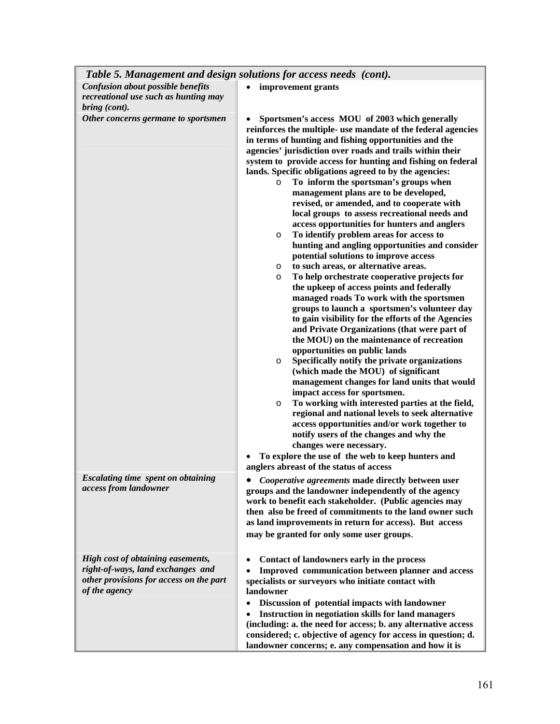|                                                                                                                                    | Table 5. Management and design solutions for access needs (cont).                                                                                                                                                                                                                                                                                                                                                                                                                                                                                                                                                                                                                                                                                                                                                                                                                                                                                                                                                                                                                                                                                                                                                                                                                                                                                                                                                                                                                                                                                                                                                                                                                                                                 |
|------------------------------------------------------------------------------------------------------------------------------------|-----------------------------------------------------------------------------------------------------------------------------------------------------------------------------------------------------------------------------------------------------------------------------------------------------------------------------------------------------------------------------------------------------------------------------------------------------------------------------------------------------------------------------------------------------------------------------------------------------------------------------------------------------------------------------------------------------------------------------------------------------------------------------------------------------------------------------------------------------------------------------------------------------------------------------------------------------------------------------------------------------------------------------------------------------------------------------------------------------------------------------------------------------------------------------------------------------------------------------------------------------------------------------------------------------------------------------------------------------------------------------------------------------------------------------------------------------------------------------------------------------------------------------------------------------------------------------------------------------------------------------------------------------------------------------------------------------------------------------------|
| <b>Confusion about possible benefits</b><br>recreational use such as hunting may<br>bring (cont).                                  | improvement grants<br>$\bullet$                                                                                                                                                                                                                                                                                                                                                                                                                                                                                                                                                                                                                                                                                                                                                                                                                                                                                                                                                                                                                                                                                                                                                                                                                                                                                                                                                                                                                                                                                                                                                                                                                                                                                                   |
| Other concerns germane to sportsmen                                                                                                | Sportsmen's access MOU of 2003 which generally<br>reinforces the multiple- use mandate of the federal agencies<br>in terms of hunting and fishing opportunities and the<br>agencies' jurisdiction over roads and trails within their<br>system to provide access for hunting and fishing on federal<br>lands. Specific obligations agreed to by the agencies:<br>To inform the sportsman's groups when<br>$\circ$<br>management plans are to be developed,<br>revised, or amended, and to cooperate with<br>local groups to assess recreational needs and<br>access opportunities for hunters and anglers<br>To identify problem areas for access to<br>$\circ$<br>hunting and angling opportunities and consider<br>potential solutions to improve access<br>to such areas, or alternative areas.<br>$\circ$<br>To help orchestrate cooperative projects for<br>$\circ$<br>the upkeep of access points and federally<br>managed roads To work with the sportsmen<br>groups to launch a sportsmen's volunteer day<br>to gain visibility for the efforts of the Agencies<br>and Private Organizations (that were part of<br>the MOU) on the maintenance of recreation<br>opportunities on public lands<br>Specifically notify the private organizations<br>$\circ$<br>(which made the MOU) of significant<br>management changes for land units that would<br>impact access for sportsmen.<br>To working with interested parties at the field,<br>$\circ$<br>regional and national levels to seek alternative<br>access opportunities and/or work together to<br>notify users of the changes and why the<br>changes were necessary.<br>To explore the use of the web to keep hunters and<br>anglers abreast of the status of access |
| <b>Escalating time spent on obtaining</b><br>access from landowner                                                                 | Cooperative agreements made directly between user<br>groups and the landowner independently of the agency<br>work to benefit each stakeholder. (Public agencies may<br>then also be freed of commitments to the land owner such<br>as land improvements in return for access). But access<br>may be granted for only some user groups.                                                                                                                                                                                                                                                                                                                                                                                                                                                                                                                                                                                                                                                                                                                                                                                                                                                                                                                                                                                                                                                                                                                                                                                                                                                                                                                                                                                            |
| High cost of obtaining easements,<br>right-of-ways, land exchanges and<br>other provisions for access on the part<br>of the agency | Contact of landowners early in the process<br>Improved communication between planner and access<br>specialists or surveyors who initiate contact with<br>landowner<br>Discussion of potential impacts with landowner<br>$\bullet$<br>Instruction in negotiation skills for land managers<br>(including: a. the need for access; b. any alternative access<br>considered; c. objective of agency for access in question; d.<br>landowner concerns; e. any compensation and how it is                                                                                                                                                                                                                                                                                                                                                                                                                                                                                                                                                                                                                                                                                                                                                                                                                                                                                                                                                                                                                                                                                                                                                                                                                                               |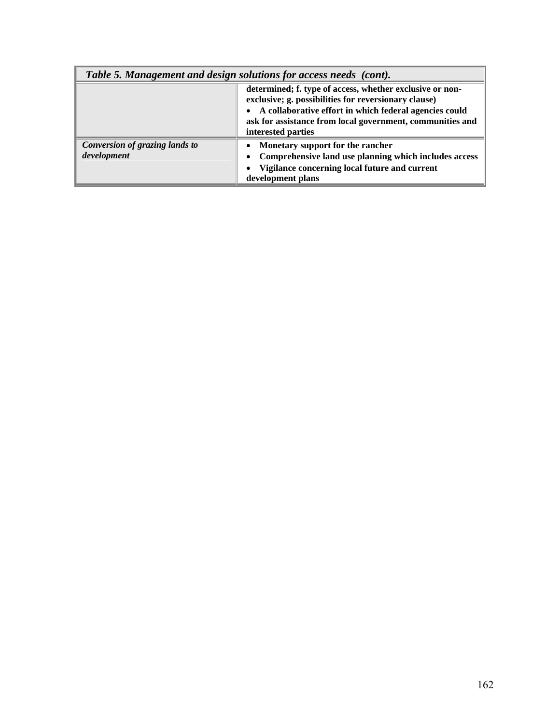| Table 5. Management and design solutions for access needs (cont). |                                                                                                                                                                                                                                                                 |
|-------------------------------------------------------------------|-----------------------------------------------------------------------------------------------------------------------------------------------------------------------------------------------------------------------------------------------------------------|
|                                                                   | determined; f. type of access, whether exclusive or non-<br>exclusive; g. possibilities for reversionary clause)<br>• A collaborative effort in which federal agencies could<br>ask for assistance from local government, communities and<br>interested parties |
| Conversion of grazing lands to<br>development                     | • Monetary support for the rancher<br>Comprehensive land use planning which includes access<br>$\bullet$<br>Vigilance concerning local future and current<br>$\bullet$<br>development plans                                                                     |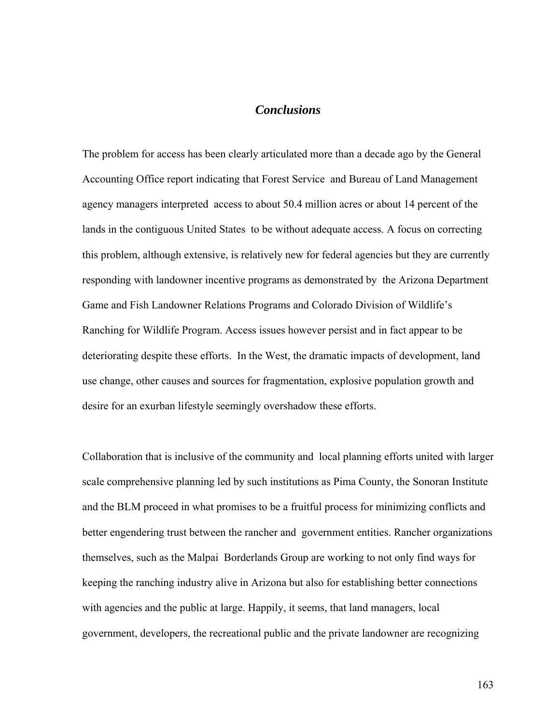## *Conclusions*

The problem for access has been clearly articulated more than a decade ago by the General Accounting Office report indicating that Forest Service and Bureau of Land Management agency managers interpreted access to about 50.4 million acres or about 14 percent of the lands in the contiguous United States to be without adequate access. A focus on correcting this problem, although extensive, is relatively new for federal agencies but they are currently responding with landowner incentive programs as demonstrated by the Arizona Department Game and Fish Landowner Relations Programs and Colorado Division of Wildlife's Ranching for Wildlife Program. Access issues however persist and in fact appear to be deteriorating despite these efforts. In the West, the dramatic impacts of development, land use change, other causes and sources for fragmentation, explosive population growth and desire for an exurban lifestyle seemingly overshadow these efforts.

Collaboration that is inclusive of the community and local planning efforts united with larger scale comprehensive planning led by such institutions as Pima County, the Sonoran Institute and the BLM proceed in what promises to be a fruitful process for minimizing conflicts and better engendering trust between the rancher and government entities. Rancher organizations themselves, such as the Malpai Borderlands Group are working to not only find ways for keeping the ranching industry alive in Arizona but also for establishing better connections with agencies and the public at large. Happily, it seems, that land managers, local government, developers, the recreational public and the private landowner are recognizing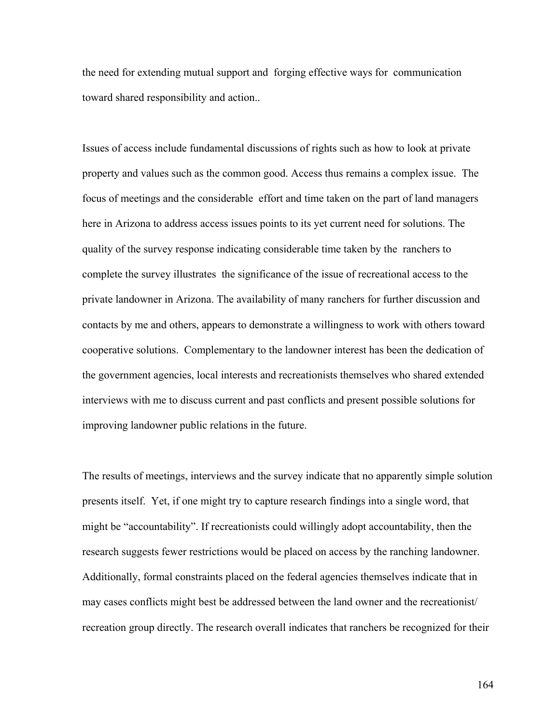the need for extending mutual support and forging effective ways for communication toward shared responsibility and action..

Issues of access include fundamental discussions of rights such as how to look at private property and values such as the common good. Access thus remains a complex issue. The focus of meetings and the considerable effort and time taken on the part of land managers here in Arizona to address access issues points to its yet current need for solutions. The quality of the survey response indicating considerable time taken by the ranchers to complete the survey illustrates the significance of the issue of recreational access to the private landowner in Arizona. The availability of many ranchers for further discussion and contacts by me and others, appears to demonstrate a willingness to work with others toward cooperative solutions. Complementary to the landowner interest has been the dedication of the government agencies, local interests and recreationists themselves who shared extended interviews with me to discuss current and past conflicts and present possible solutions for improving landowner public relations in the future.

The results of meetings, interviews and the survey indicate that no apparently simple solution presents itself. Yet, if one might try to capture research findings into a single word, that might be "accountability". If recreationists could willingly adopt accountability, then the research suggests fewer restrictions would be placed on access by the ranching landowner. Additionally, formal constraints placed on the federal agencies themselves indicate that in may cases conflicts might best be addressed between the land owner and the recreationist/ recreation group directly. The research overall indicates that ranchers be recognized for their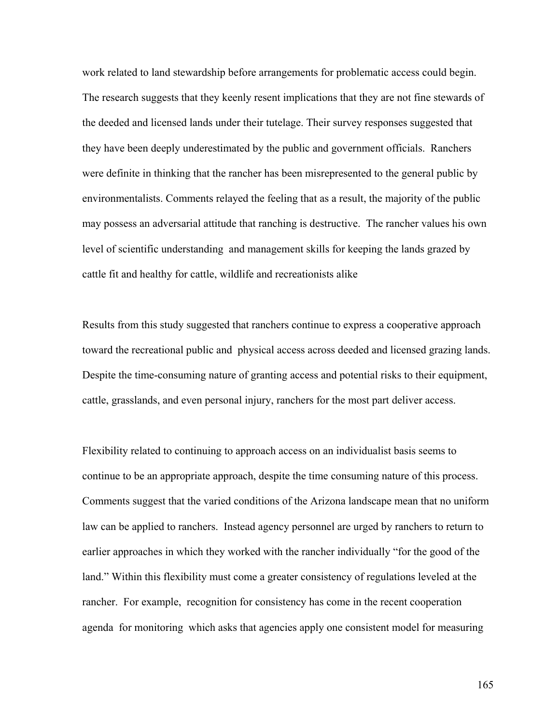work related to land stewardship before arrangements for problematic access could begin. The research suggests that they keenly resent implications that they are not fine stewards of the deeded and licensed lands under their tutelage. Their survey responses suggested that they have been deeply underestimated by the public and government officials. Ranchers were definite in thinking that the rancher has been misrepresented to the general public by environmentalists. Comments relayed the feeling that as a result, the majority of the public may possess an adversarial attitude that ranching is destructive. The rancher values his own level of scientific understanding and management skills for keeping the lands grazed by cattle fit and healthy for cattle, wildlife and recreationists alike

Results from this study suggested that ranchers continue to express a cooperative approach toward the recreational public and physical access across deeded and licensed grazing lands. Despite the time-consuming nature of granting access and potential risks to their equipment, cattle, grasslands, and even personal injury, ranchers for the most part deliver access.

Flexibility related to continuing to approach access on an individualist basis seems to continue to be an appropriate approach, despite the time consuming nature of this process. Comments suggest that the varied conditions of the Arizona landscape mean that no uniform law can be applied to ranchers. Instead agency personnel are urged by ranchers to return to earlier approaches in which they worked with the rancher individually "for the good of the land." Within this flexibility must come a greater consistency of regulations leveled at the rancher. For example, recognition for consistency has come in the recent cooperation agenda for monitoring which asks that agencies apply one consistent model for measuring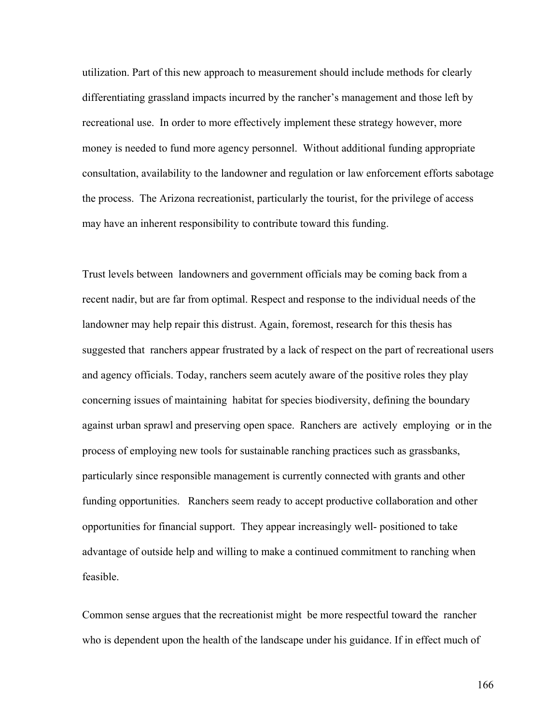utilization. Part of this new approach to measurement should include methods for clearly differentiating grassland impacts incurred by the rancher's management and those left by recreational use. In order to more effectively implement these strategy however, more money is needed to fund more agency personnel. Without additional funding appropriate consultation, availability to the landowner and regulation or law enforcement efforts sabotage the process. The Arizona recreationist, particularly the tourist, for the privilege of access may have an inherent responsibility to contribute toward this funding.

Trust levels between landowners and government officials may be coming back from a recent nadir, but are far from optimal. Respect and response to the individual needs of the landowner may help repair this distrust. Again, foremost, research for this thesis has suggested that ranchers appear frustrated by a lack of respect on the part of recreational users and agency officials. Today, ranchers seem acutely aware of the positive roles they play concerning issues of maintaining habitat for species biodiversity, defining the boundary against urban sprawl and preserving open space. Ranchers are actively employing or in the process of employing new tools for sustainable ranching practices such as grassbanks, particularly since responsible management is currently connected with grants and other funding opportunities. Ranchers seem ready to accept productive collaboration and other opportunities for financial support. They appear increasingly well- positioned to take advantage of outside help and willing to make a continued commitment to ranching when feasible.

Common sense argues that the recreationist might be more respectful toward the rancher who is dependent upon the health of the landscape under his guidance. If in effect much of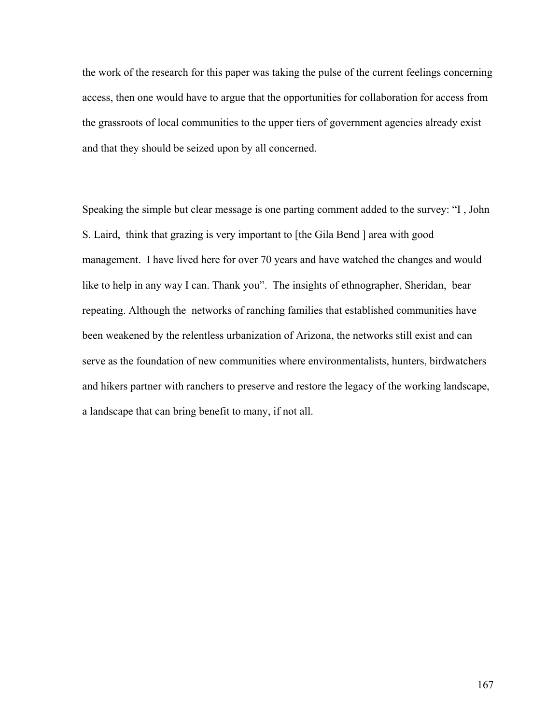the work of the research for this paper was taking the pulse of the current feelings concerning access, then one would have to argue that the opportunities for collaboration for access from the grassroots of local communities to the upper tiers of government agencies already exist and that they should be seized upon by all concerned.

Speaking the simple but clear message is one parting comment added to the survey: "I , John S. Laird, think that grazing is very important to [the Gila Bend ] area with good management. I have lived here for over 70 years and have watched the changes and would like to help in any way I can. Thank you". The insights of ethnographer, Sheridan, bear repeating. Although the networks of ranching families that established communities have been weakened by the relentless urbanization of Arizona, the networks still exist and can serve as the foundation of new communities where environmentalists, hunters, birdwatchers and hikers partner with ranchers to preserve and restore the legacy of the working landscape, a landscape that can bring benefit to many, if not all.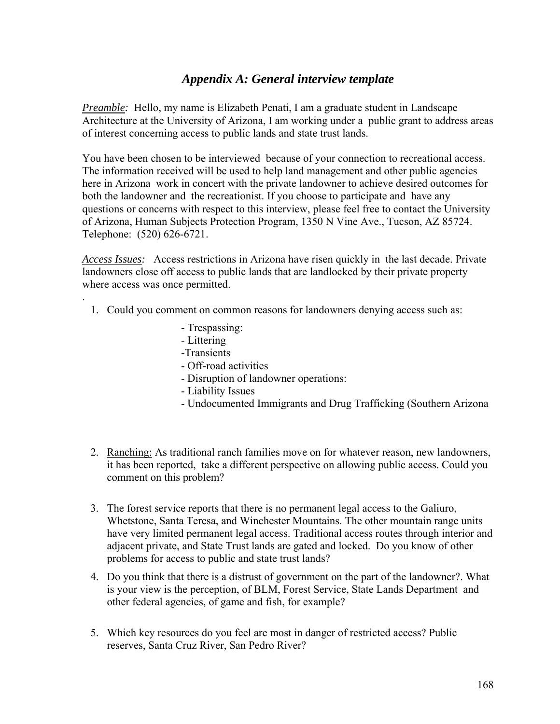## *Appendix A: General interview template*

*Preamble:* Hello, my name is Elizabeth Penati, I am a graduate student in Landscape Architecture at the University of Arizona, I am working under a public grant to address areas of interest concerning access to public lands and state trust lands.

You have been chosen to be interviewed because of your connection to recreational access. The information received will be used to help land management and other public agencies here in Arizona work in concert with the private landowner to achieve desired outcomes for both the landowner and the recreationist. If you choose to participate and have any questions or concerns with respect to this interview, please feel free to contact the University of Arizona, Human Subjects Protection Program, 1350 N Vine Ave., Tucson, AZ 85724. Telephone: (520) 626-6721.

*Access Issues:* Access restrictions in Arizona have risen quickly in the last decade. Private landowners close off access to public lands that are landlocked by their private property where access was once permitted.

- 1. Could you comment on common reasons for landowners denying access such as:
	- Trespassing:
	- Littering

.

- -Transients
- Off-road activities
- Disruption of landowner operations:
- Liability Issues
- Undocumented Immigrants and Drug Trafficking (Southern Arizona
- 2. Ranching: As traditional ranch families move on for whatever reason, new landowners, it has been reported, take a different perspective on allowing public access. Could you comment on this problem?
- 3. The forest service reports that there is no permanent legal access to the Galiuro, Whetstone, Santa Teresa, and Winchester Mountains. The other mountain range units have very limited permanent legal access. Traditional access routes through interior and adjacent private, and State Trust lands are gated and locked. Do you know of other problems for access to public and state trust lands?
- 4. Do you think that there is a distrust of government on the part of the landowner?. What is your view is the perception, of BLM, Forest Service, State Lands Department and other federal agencies, of game and fish, for example?
- 5. Which key resources do you feel are most in danger of restricted access? Public reserves, Santa Cruz River, San Pedro River?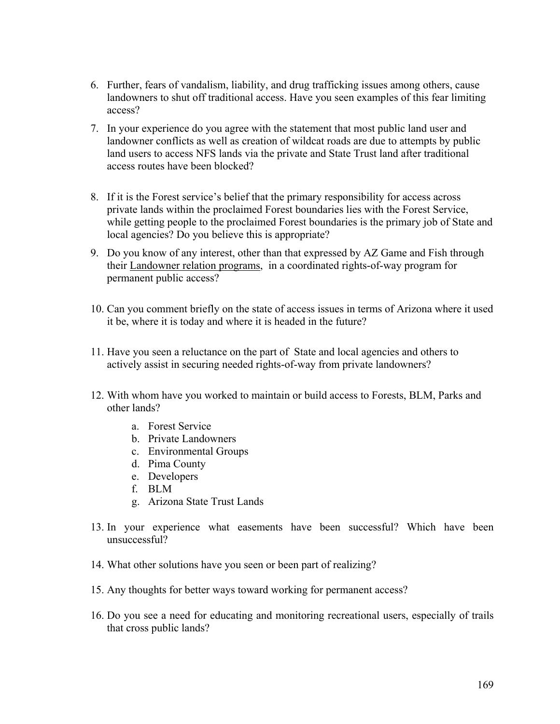- 6. Further, fears of vandalism, liability, and drug trafficking issues among others, cause landowners to shut off traditional access. Have you seen examples of this fear limiting access?
- 7. In your experience do you agree with the statement that most public land user and landowner conflicts as well as creation of wildcat roads are due to attempts by public land users to access NFS lands via the private and State Trust land after traditional access routes have been blocked?
- 8. If it is the Forest service's belief that the primary responsibility for access across private lands within the proclaimed Forest boundaries lies with the Forest Service, while getting people to the proclaimed Forest boundaries is the primary job of State and local agencies? Do you believe this is appropriate?
- 9. Do you know of any interest, other than that expressed by AZ Game and Fish through their Landowner relation programs, in a coordinated rights-of-way program for permanent public access?
- 10. Can you comment briefly on the state of access issues in terms of Arizona where it used it be, where it is today and where it is headed in the future?
- 11. Have you seen a reluctance on the part of State and local agencies and others to actively assist in securing needed rights-of-way from private landowners?
- 12. With whom have you worked to maintain or build access to Forests, BLM, Parks and other lands?
	- a. Forest Service
	- b. Private Landowners
	- c. Environmental Groups
	- d. Pima County
	- e. Developers
	- f. BLM
	- g. Arizona State Trust Lands
- 13. In your experience what easements have been successful? Which have been unsuccessful?
- 14. What other solutions have you seen or been part of realizing?
- 15. Any thoughts for better ways toward working for permanent access?
- 16. Do you see a need for educating and monitoring recreational users, especially of trails that cross public lands?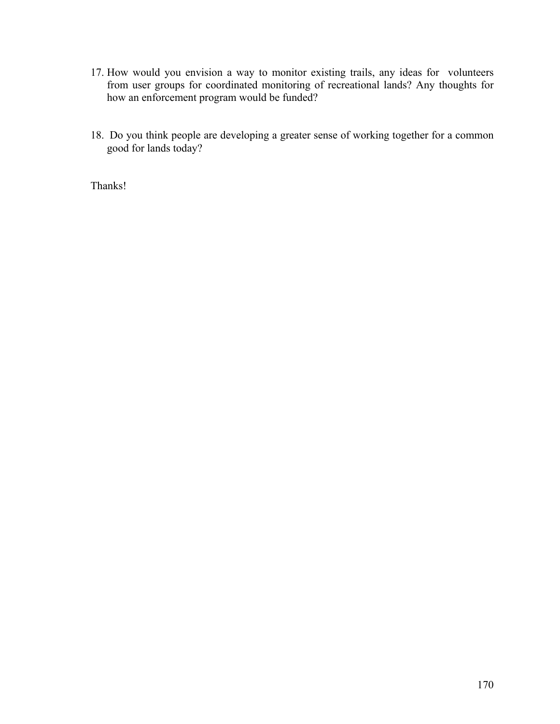- 17. How would you envision a way to monitor existing trails, any ideas for volunteers from user groups for coordinated monitoring of recreational lands? Any thoughts for how an enforcement program would be funded?
- 18. Do you think people are developing a greater sense of working together for a common good for lands today?

Thanks!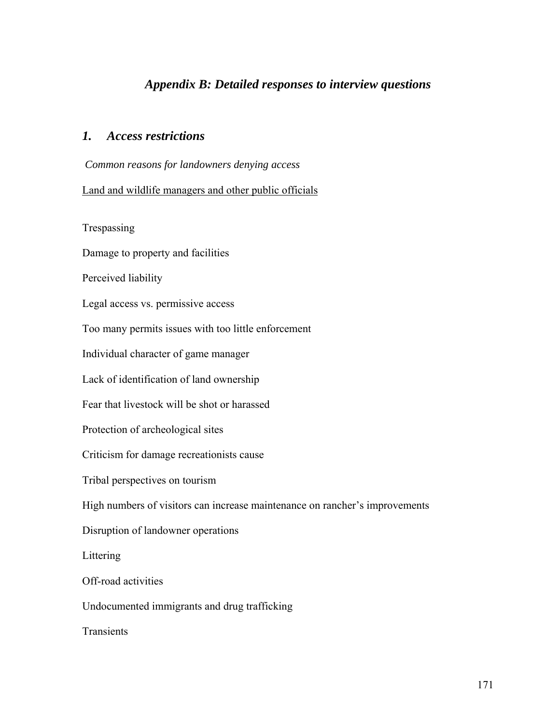## *Appendix B: Detailed responses to interview questions*

## *1. Access restrictions*

*Common reasons for landowners denying access* 

#### Land and wildlife managers and other public officials

Trespassing

Damage to property and facilities

Perceived liability

Legal access vs. permissive access

Too many permits issues with too little enforcement

Individual character of game manager

Lack of identification of land ownership

Fear that livestock will be shot or harassed

Protection of archeological sites

Criticism for damage recreationists cause

Tribal perspectives on tourism

High numbers of visitors can increase maintenance on rancher's improvements

Disruption of landowner operations

Littering

Off-road activities

Undocumented immigrants and drug trafficking

**Transients**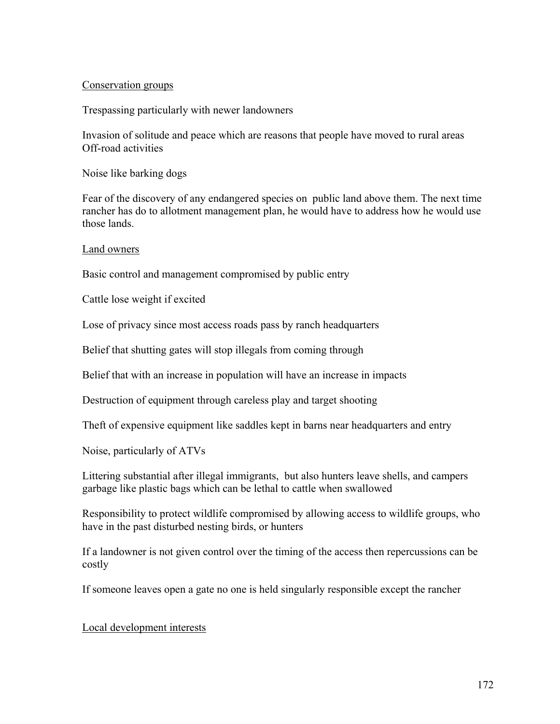#### Conservation groups

Trespassing particularly with newer landowners

Invasion of solitude and peace which are reasons that people have moved to rural areas Off-road activities

Noise like barking dogs

Fear of the discovery of any endangered species on public land above them. The next time rancher has do to allotment management plan, he would have to address how he would use those lands.

Land owners

Basic control and management compromised by public entry

Cattle lose weight if excited

Lose of privacy since most access roads pass by ranch headquarters

Belief that shutting gates will stop illegals from coming through

Belief that with an increase in population will have an increase in impacts

Destruction of equipment through careless play and target shooting

Theft of expensive equipment like saddles kept in barns near headquarters and entry

Noise, particularly of ATVs

Littering substantial after illegal immigrants, but also hunters leave shells, and campers garbage like plastic bags which can be lethal to cattle when swallowed

Responsibility to protect wildlife compromised by allowing access to wildlife groups, who have in the past disturbed nesting birds, or hunters

If a landowner is not given control over the timing of the access then repercussions can be costly

If someone leaves open a gate no one is held singularly responsible except the rancher

#### Local development interests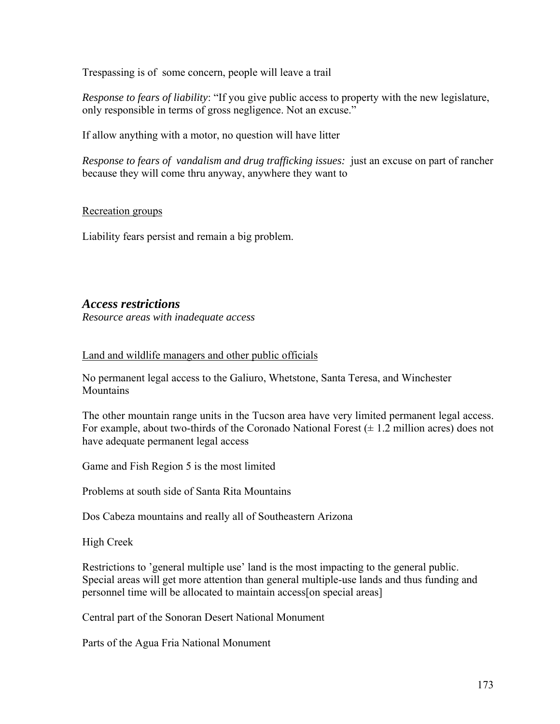Trespassing is of some concern, people will leave a trail

*Response to fears of liability*: "If you give public access to property with the new legislature, only responsible in terms of gross negligence. Not an excuse."

If allow anything with a motor, no question will have litter

*Response to fears of vandalism and drug trafficking issues:* just an excuse on part of rancher because they will come thru anyway, anywhere they want to

#### Recreation groups

Liability fears persist and remain a big problem.

## *Access restrictions*

*Resource areas with inadequate access* 

#### Land and wildlife managers and other public officials

No permanent legal access to the Galiuro, Whetstone, Santa Teresa, and Winchester Mountains

The other mountain range units in the Tucson area have very limited permanent legal access. For example, about two-thirds of the Coronado National Forest  $(\pm 1.2 \text{ million acres})$  does not have adequate permanent legal access

Game and Fish Region 5 is the most limited

Problems at south side of Santa Rita Mountains

Dos Cabeza mountains and really all of Southeastern Arizona

High Creek

Restrictions to 'general multiple use' land is the most impacting to the general public. Special areas will get more attention than general multiple-use lands and thus funding and personnel time will be allocated to maintain access[on special areas]

Central part of the Sonoran Desert National Monument

Parts of the Agua Fria National Monument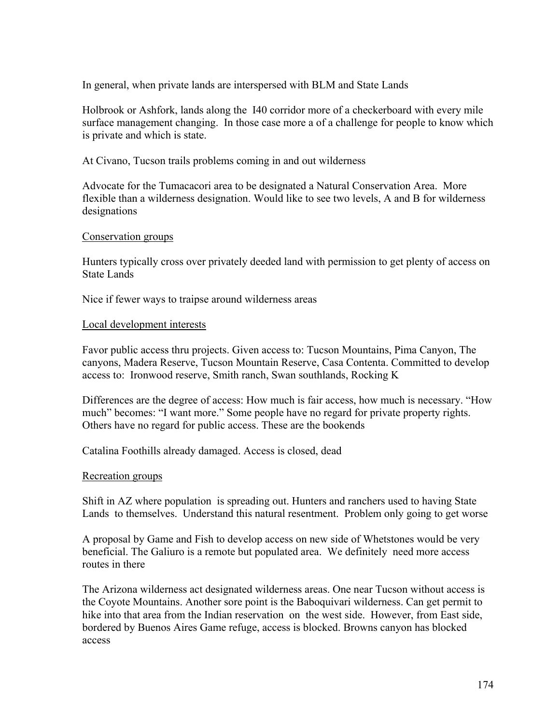In general, when private lands are interspersed with BLM and State Lands

Holbrook or Ashfork, lands along the I40 corridor more of a checkerboard with every mile surface management changing. In those case more a of a challenge for people to know which is private and which is state.

At Civano, Tucson trails problems coming in and out wilderness

Advocate for the Tumacacori area to be designated a Natural Conservation Area. More flexible than a wilderness designation. Would like to see two levels, A and B for wilderness designations

#### Conservation groups

Hunters typically cross over privately deeded land with permission to get plenty of access on State Lands

Nice if fewer ways to traipse around wilderness areas

#### Local development interests

Favor public access thru projects. Given access to: Tucson Mountains, Pima Canyon, The canyons, Madera Reserve, Tucson Mountain Reserve, Casa Contenta. Committed to develop access to: Ironwood reserve, Smith ranch, Swan southlands, Rocking K

Differences are the degree of access: How much is fair access, how much is necessary. "How much" becomes: "I want more." Some people have no regard for private property rights. Others have no regard for public access. These are the bookends

Catalina Foothills already damaged. Access is closed, dead

#### Recreation groups

Shift in AZ where population is spreading out. Hunters and ranchers used to having State Lands to themselves. Understand this natural resentment. Problem only going to get worse

A proposal by Game and Fish to develop access on new side of Whetstones would be very beneficial. The Galiuro is a remote but populated area. We definitely need more access routes in there

The Arizona wilderness act designated wilderness areas. One near Tucson without access is the Coyote Mountains. Another sore point is the Baboquivari wilderness. Can get permit to hike into that area from the Indian reservation on the west side. However, from East side, bordered by Buenos Aires Game refuge, access is blocked. Browns canyon has blocked access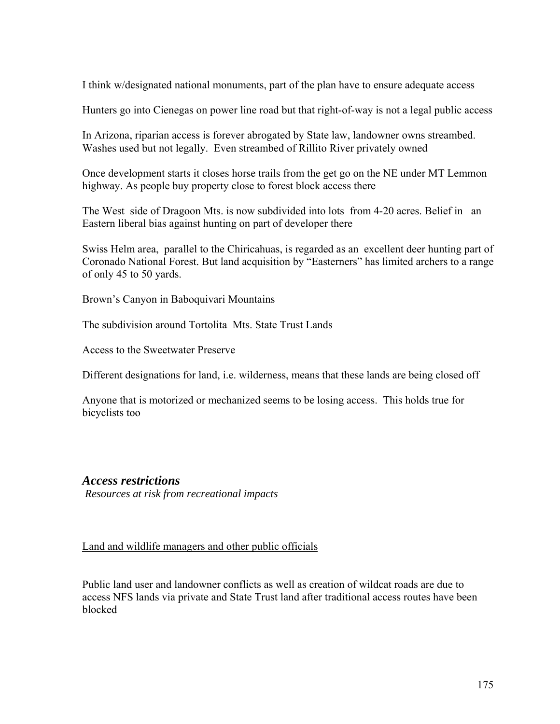I think w/designated national monuments, part of the plan have to ensure adequate access

Hunters go into Cienegas on power line road but that right-of-way is not a legal public access

In Arizona, riparian access is forever abrogated by State law, landowner owns streambed. Washes used but not legally. Even streambed of Rillito River privately owned

Once development starts it closes horse trails from the get go on the NE under MT Lemmon highway. As people buy property close to forest block access there

The West side of Dragoon Mts. is now subdivided into lots from 4-20 acres. Belief in an Eastern liberal bias against hunting on part of developer there

Swiss Helm area, parallel to the Chiricahuas, is regarded as an excellent deer hunting part of Coronado National Forest. But land acquisition by "Easterners" has limited archers to a range of only 45 to 50 yards.

Brown's Canyon in Baboquivari Mountains

The subdivision around Tortolita Mts. State Trust Lands

Access to the Sweetwater Preserve

Different designations for land, i.e. wilderness, means that these lands are being closed off

Anyone that is motorized or mechanized seems to be losing access. This holds true for bicyclists too

## *Access restrictions*

*Resources at risk from recreational impacts*

Land and wildlife managers and other public officials

Public land user and landowner conflicts as well as creation of wildcat roads are due to access NFS lands via private and State Trust land after traditional access routes have been blocked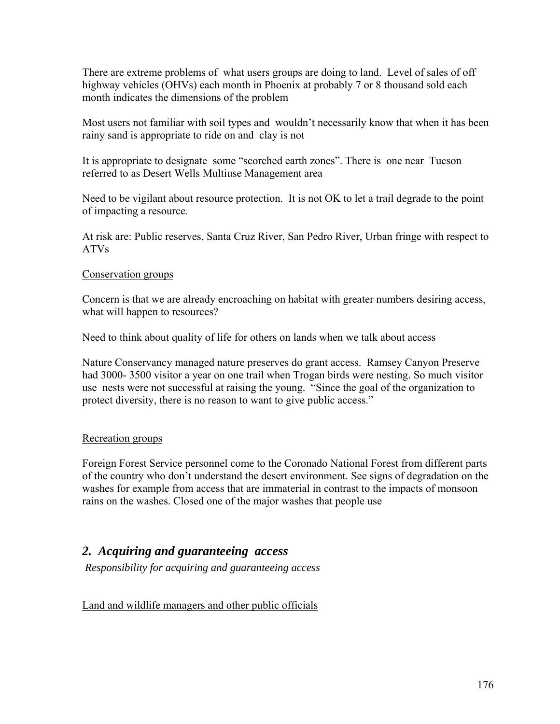There are extreme problems of what users groups are doing to land. Level of sales of off highway vehicles (OHVs) each month in Phoenix at probably 7 or 8 thousand sold each month indicates the dimensions of the problem

Most users not familiar with soil types and wouldn't necessarily know that when it has been rainy sand is appropriate to ride on and clay is not

It is appropriate to designate some "scorched earth zones". There is one near Tucson referred to as Desert Wells Multiuse Management area

Need to be vigilant about resource protection. It is not OK to let a trail degrade to the point of impacting a resource.

At risk are: Public reserves, Santa Cruz River, San Pedro River, Urban fringe with respect to ATVs

## Conservation groups

Concern is that we are already encroaching on habitat with greater numbers desiring access, what will happen to resources?

Need to think about quality of life for others on lands when we talk about access

Nature Conservancy managed nature preserves do grant access. Ramsey Canyon Preserve had 3000- 3500 visitor a year on one trail when Trogan birds were nesting. So much visitor use nests were not successful at raising the young. "Since the goal of the organization to protect diversity, there is no reason to want to give public access."

#### Recreation groups

Foreign Forest Service personnel come to the Coronado National Forest from different parts of the country who don't understand the desert environment. See signs of degradation on the washes for example from access that are immaterial in contrast to the impacts of monsoon rains on the washes. Closed one of the major washes that people use

## *2. Acquiring and guaranteeing access*

 *Responsibility for acquiring and guaranteeing access* 

Land and wildlife managers and other public officials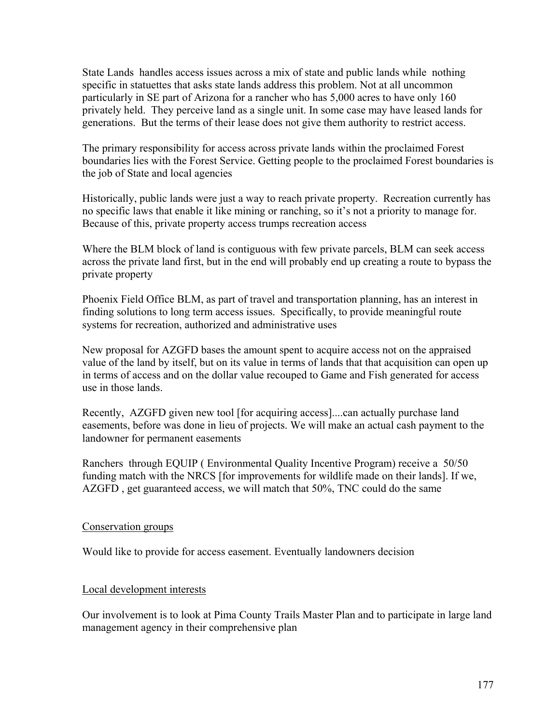State Lands handles access issues across a mix of state and public lands while nothing specific in statuettes that asks state lands address this problem. Not at all uncommon particularly in SE part of Arizona for a rancher who has 5,000 acres to have only 160 privately held. They perceive land as a single unit. In some case may have leased lands for generations. But the terms of their lease does not give them authority to restrict access.

The primary responsibility for access across private lands within the proclaimed Forest boundaries lies with the Forest Service. Getting people to the proclaimed Forest boundaries is the job of State and local agencies

Historically, public lands were just a way to reach private property. Recreation currently has no specific laws that enable it like mining or ranching, so it's not a priority to manage for. Because of this, private property access trumps recreation access

Where the BLM block of land is contiguous with few private parcels, BLM can seek access across the private land first, but in the end will probably end up creating a route to bypass the private property

Phoenix Field Office BLM, as part of travel and transportation planning, has an interest in finding solutions to long term access issues. Specifically, to provide meaningful route systems for recreation, authorized and administrative uses

New proposal for AZGFD bases the amount spent to acquire access not on the appraised value of the land by itself, but on its value in terms of lands that that acquisition can open up in terms of access and on the dollar value recouped to Game and Fish generated for access use in those lands.

Recently, AZGFD given new tool [for acquiring access]....can actually purchase land easements, before was done in lieu of projects. We will make an actual cash payment to the landowner for permanent easements

Ranchers through EQUIP ( Environmental Quality Incentive Program) receive a 50/50 funding match with the NRCS [for improvements for wildlife made on their lands]. If we, AZGFD , get guaranteed access, we will match that 50%, TNC could do the same

#### Conservation groups

Would like to provide for access easement. Eventually landowners decision

## Local development interests

Our involvement is to look at Pima County Trails Master Plan and to participate in large land management agency in their comprehensive plan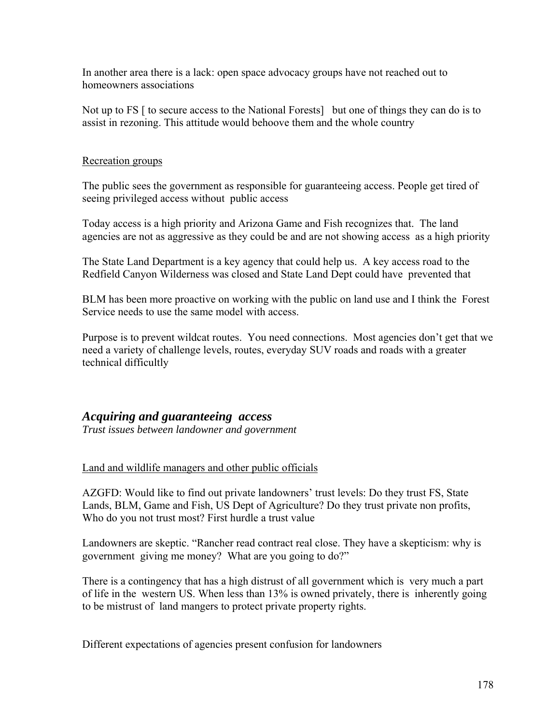In another area there is a lack: open space advocacy groups have not reached out to homeowners associations

Not up to FS  $\lceil$  to secure access to the National Forests $\lceil$  but one of things they can do is to assist in rezoning. This attitude would behoove them and the whole country

#### Recreation groups

The public sees the government as responsible for guaranteeing access. People get tired of seeing privileged access without public access

Today access is a high priority and Arizona Game and Fish recognizes that. The land agencies are not as aggressive as they could be and are not showing access as a high priority

The State Land Department is a key agency that could help us. A key access road to the Redfield Canyon Wilderness was closed and State Land Dept could have prevented that

BLM has been more proactive on working with the public on land use and I think the Forest Service needs to use the same model with access.

Purpose is to prevent wildcat routes. You need connections. Most agencies don't get that we need a variety of challenge levels, routes, everyday SUV roads and roads with a greater technical difficultly

## *Acquiring and guaranteeing access*

*Trust issues between landowner and government* 

## Land and wildlife managers and other public officials

AZGFD: Would like to find out private landowners' trust levels: Do they trust FS, State Lands, BLM, Game and Fish, US Dept of Agriculture? Do they trust private non profits, Who do you not trust most? First hurdle a trust value

Landowners are skeptic. "Rancher read contract real close. They have a skepticism: why is government giving me money? What are you going to do?"

There is a contingency that has a high distrust of all government which is very much a part of life in the western US. When less than 13% is owned privately, there is inherently going to be mistrust of land mangers to protect private property rights.

Different expectations of agencies present confusion for landowners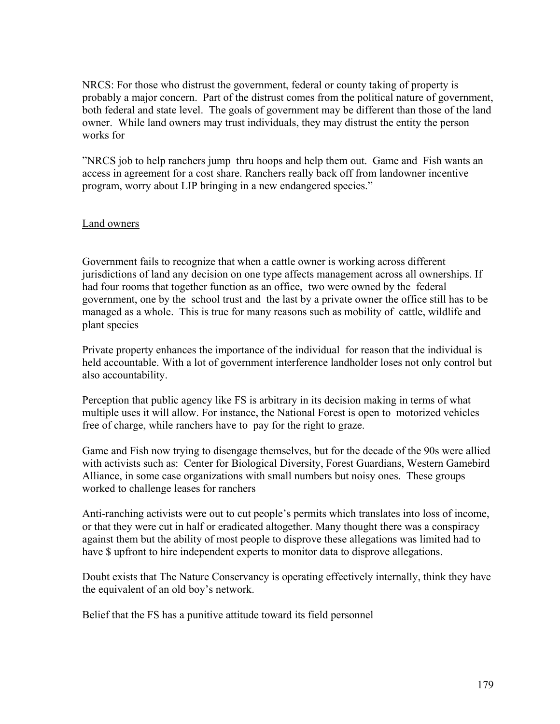NRCS: For those who distrust the government, federal or county taking of property is probably a major concern. Part of the distrust comes from the political nature of government, both federal and state level. The goals of government may be different than those of the land owner. While land owners may trust individuals, they may distrust the entity the person works for

"NRCS job to help ranchers jump thru hoops and help them out. Game and Fish wants an access in agreement for a cost share. Ranchers really back off from landowner incentive program, worry about LIP bringing in a new endangered species."

#### Land owners

Government fails to recognize that when a cattle owner is working across different jurisdictions of land any decision on one type affects management across all ownerships. If had four rooms that together function as an office, two were owned by the federal government, one by the school trust and the last by a private owner the office still has to be managed as a whole. This is true for many reasons such as mobility of cattle, wildlife and plant species

Private property enhances the importance of the individual for reason that the individual is held accountable. With a lot of government interference landholder loses not only control but also accountability.

Perception that public agency like FS is arbitrary in its decision making in terms of what multiple uses it will allow. For instance, the National Forest is open to motorized vehicles free of charge, while ranchers have to pay for the right to graze.

Game and Fish now trying to disengage themselves, but for the decade of the 90s were allied with activists such as: Center for Biological Diversity, Forest Guardians, Western Gamebird Alliance, in some case organizations with small numbers but noisy ones. These groups worked to challenge leases for ranchers

Anti-ranching activists were out to cut people's permits which translates into loss of income, or that they were cut in half or eradicated altogether. Many thought there was a conspiracy against them but the ability of most people to disprove these allegations was limited had to have \$ upfront to hire independent experts to monitor data to disprove allegations.

Doubt exists that The Nature Conservancy is operating effectively internally, think they have the equivalent of an old boy's network.

Belief that the FS has a punitive attitude toward its field personnel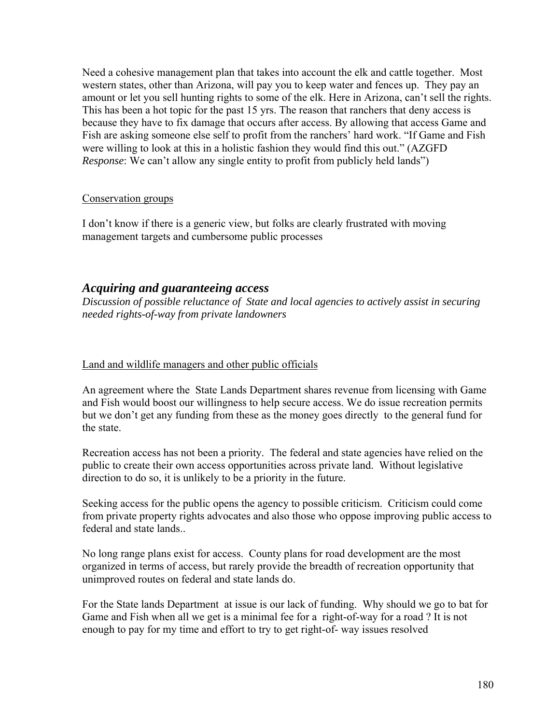Need a cohesive management plan that takes into account the elk and cattle together. Most western states, other than Arizona, will pay you to keep water and fences up. They pay an amount or let you sell hunting rights to some of the elk. Here in Arizona, can't sell the rights. This has been a hot topic for the past 15 yrs. The reason that ranchers that deny access is because they have to fix damage that occurs after access. By allowing that access Game and Fish are asking someone else self to profit from the ranchers' hard work. "If Game and Fish were willing to look at this in a holistic fashion they would find this out." (AZGFD *Response*: We can't allow any single entity to profit from publicly held lands")

#### Conservation groups

I don't know if there is a generic view, but folks are clearly frustrated with moving management targets and cumbersome public processes

## *Acquiring and guaranteeing access*

*Discussion of possible reluctance of State and local agencies to actively assist in securing needed rights-of-way from private landowners* 

#### Land and wildlife managers and other public officials

An agreement where the State Lands Department shares revenue from licensing with Game and Fish would boost our willingness to help secure access. We do issue recreation permits but we don't get any funding from these as the money goes directly to the general fund for the state.

Recreation access has not been a priority. The federal and state agencies have relied on the public to create their own access opportunities across private land. Without legislative direction to do so, it is unlikely to be a priority in the future.

Seeking access for the public opens the agency to possible criticism. Criticism could come from private property rights advocates and also those who oppose improving public access to federal and state lands..

No long range plans exist for access. County plans for road development are the most organized in terms of access, but rarely provide the breadth of recreation opportunity that unimproved routes on federal and state lands do.

For the State lands Department at issue is our lack of funding. Why should we go to bat for Game and Fish when all we get is a minimal fee for a right-of-way for a road ? It is not enough to pay for my time and effort to try to get right-of- way issues resolved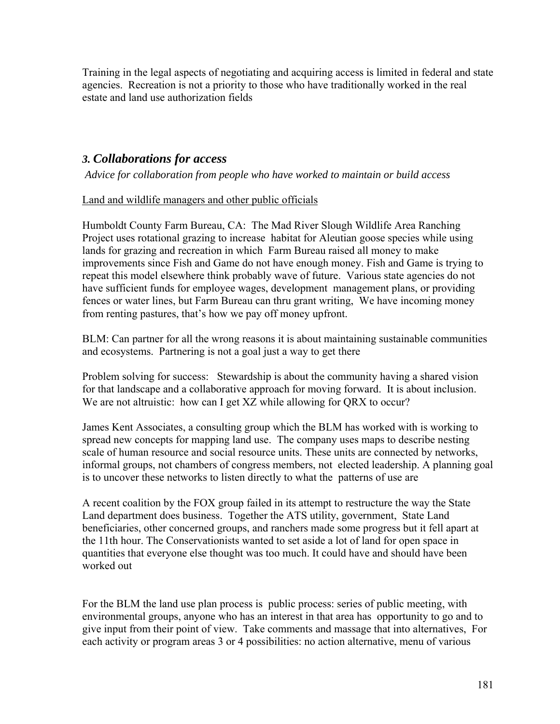Training in the legal aspects of negotiating and acquiring access is limited in federal and state agencies. Recreation is not a priority to those who have traditionally worked in the real estate and land use authorization fields

## *3. Collaborations for access*

 *Advice for collaboration from people who have worked to maintain or build access* 

## Land and wildlife managers and other public officials

Humboldt County Farm Bureau, CA: The Mad River Slough Wildlife Area Ranching Project uses rotational grazing to increase habitat for Aleutian goose species while using lands for grazing and recreation in which Farm Bureau raised all money to make improvements since Fish and Game do not have enough money. Fish and Game is trying to repeat this model elsewhere think probably wave of future. Various state agencies do not have sufficient funds for employee wages, development management plans, or providing fences or water lines, but Farm Bureau can thru grant writing, We have incoming money from renting pastures, that's how we pay off money upfront.

BLM: Can partner for all the wrong reasons it is about maintaining sustainable communities and ecosystems. Partnering is not a goal just a way to get there

Problem solving for success: Stewardship is about the community having a shared vision for that landscape and a collaborative approach for moving forward. It is about inclusion. We are not altruistic: how can I get XZ while allowing for QRX to occur?

James Kent Associates, a consulting group which the BLM has worked with is working to spread new concepts for mapping land use. The company uses maps to describe nesting scale of human resource and social resource units. These units are connected by networks, informal groups, not chambers of congress members, not elected leadership. A planning goal is to uncover these networks to listen directly to what the patterns of use are

A recent coalition by the FOX group failed in its attempt to restructure the way the State Land department does business. Together the ATS utility, government, State Land beneficiaries, other concerned groups, and ranchers made some progress but it fell apart at the 11th hour. The Conservationists wanted to set aside a lot of land for open space in quantities that everyone else thought was too much. It could have and should have been worked out

For the BLM the land use plan process is public process: series of public meeting, with environmental groups, anyone who has an interest in that area has opportunity to go and to give input from their point of view. Take comments and massage that into alternatives, For each activity or program areas 3 or 4 possibilities: no action alternative, menu of various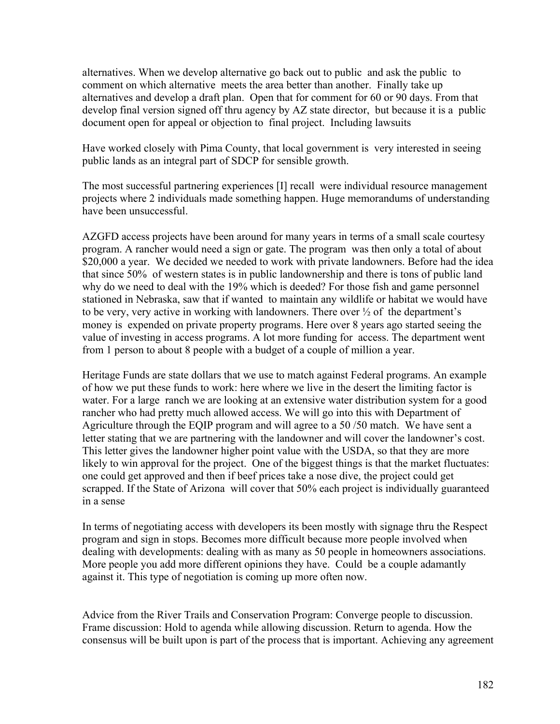alternatives. When we develop alternative go back out to public and ask the public to comment on which alternative meets the area better than another. Finally take up alternatives and develop a draft plan. Open that for comment for 60 or 90 days. From that develop final version signed off thru agency by AZ state director, but because it is a public document open for appeal or objection to final project. Including lawsuits

Have worked closely with Pima County, that local government is very interested in seeing public lands as an integral part of SDCP for sensible growth.

The most successful partnering experiences [I] recall were individual resource management projects where 2 individuals made something happen. Huge memorandums of understanding have been unsuccessful.

AZGFD access projects have been around for many years in terms of a small scale courtesy program. A rancher would need a sign or gate. The program was then only a total of about \$20,000 a year. We decided we needed to work with private landowners. Before had the idea that since 50% of western states is in public landownership and there is tons of public land why do we need to deal with the 19% which is deeded? For those fish and game personnel stationed in Nebraska, saw that if wanted to maintain any wildlife or habitat we would have to be very, very active in working with landowners. There over ½ of the department's money is expended on private property programs. Here over 8 years ago started seeing the value of investing in access programs. A lot more funding for access. The department went from 1 person to about 8 people with a budget of a couple of million a year.

Heritage Funds are state dollars that we use to match against Federal programs. An example of how we put these funds to work: here where we live in the desert the limiting factor is water. For a large ranch we are looking at an extensive water distribution system for a good rancher who had pretty much allowed access. We will go into this with Department of Agriculture through the EQIP program and will agree to a 50 /50 match. We have sent a letter stating that we are partnering with the landowner and will cover the landowner's cost. This letter gives the landowner higher point value with the USDA, so that they are more likely to win approval for the project. One of the biggest things is that the market fluctuates: one could get approved and then if beef prices take a nose dive, the project could get scrapped. If the State of Arizona will cover that 50% each project is individually guaranteed in a sense

In terms of negotiating access with developers its been mostly with signage thru the Respect program and sign in stops. Becomes more difficult because more people involved when dealing with developments: dealing with as many as 50 people in homeowners associations. More people you add more different opinions they have. Could be a couple adamantly against it. This type of negotiation is coming up more often now.

Advice from the River Trails and Conservation Program: Converge people to discussion. Frame discussion: Hold to agenda while allowing discussion. Return to agenda. How the consensus will be built upon is part of the process that is important. Achieving any agreement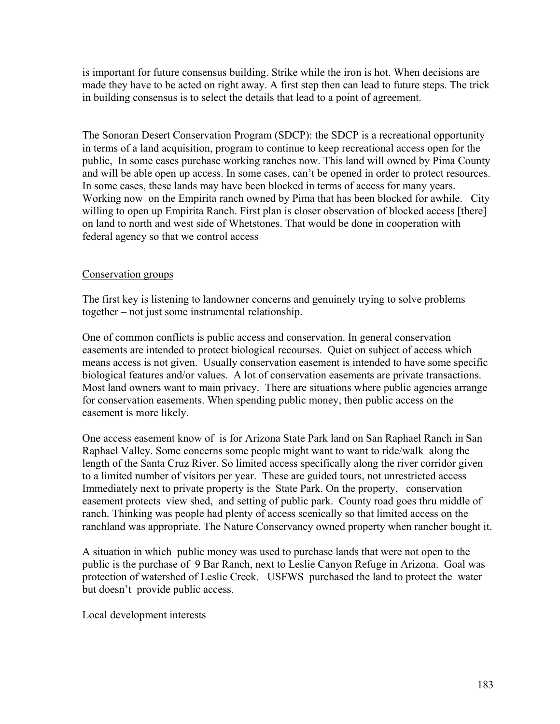is important for future consensus building. Strike while the iron is hot. When decisions are made they have to be acted on right away. A first step then can lead to future steps. The trick in building consensus is to select the details that lead to a point of agreement.

The Sonoran Desert Conservation Program (SDCP): the SDCP is a recreational opportunity in terms of a land acquisition, program to continue to keep recreational access open for the public, In some cases purchase working ranches now. This land will owned by Pima County and will be able open up access. In some cases, can't be opened in order to protect resources. In some cases, these lands may have been blocked in terms of access for many years. Working now on the Empirita ranch owned by Pima that has been blocked for awhile. City willing to open up Empirita Ranch. First plan is closer observation of blocked access [there] on land to north and west side of Whetstones. That would be done in cooperation with federal agency so that we control access

## Conservation groups

The first key is listening to landowner concerns and genuinely trying to solve problems together – not just some instrumental relationship.

One of common conflicts is public access and conservation. In general conservation easements are intended to protect biological recourses. Quiet on subject of access which means access is not given. Usually conservation easement is intended to have some specific biological features and/or values. A lot of conservation easements are private transactions. Most land owners want to main privacy. There are situations where public agencies arrange for conservation easements. When spending public money, then public access on the easement is more likely.

One access easement know of is for Arizona State Park land on San Raphael Ranch in San Raphael Valley. Some concerns some people might want to want to ride/walk along the length of the Santa Cruz River. So limited access specifically along the river corridor given to a limited number of visitors per year. These are guided tours, not unrestricted access Immediately next to private property is the State Park. On the property, conservation easement protects view shed, and setting of public park. County road goes thru middle of ranch. Thinking was people had plenty of access scenically so that limited access on the ranchland was appropriate. The Nature Conservancy owned property when rancher bought it.

A situation in which public money was used to purchase lands that were not open to the public is the purchase of 9 Bar Ranch, next to Leslie Canyon Refuge in Arizona. Goal was protection of watershed of Leslie Creek. USFWS purchased the land to protect the water but doesn't provide public access.

### Local development interests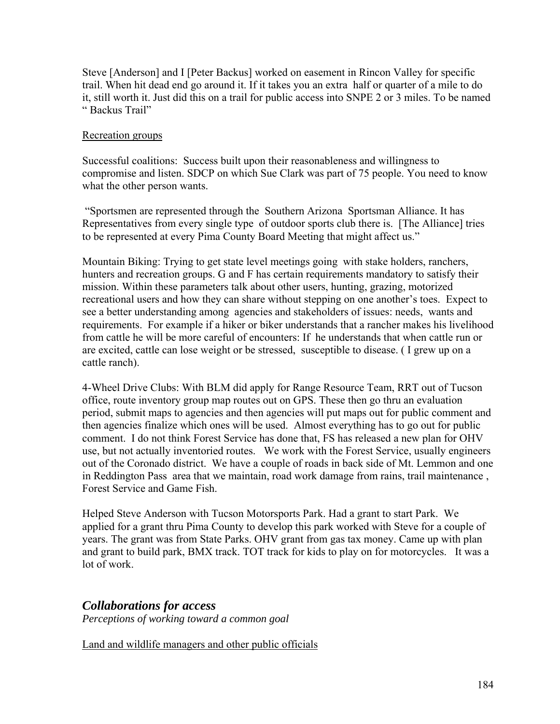Steve [Anderson] and I [Peter Backus] worked on easement in Rincon Valley for specific trail. When hit dead end go around it. If it takes you an extra half or quarter of a mile to do it, still worth it. Just did this on a trail for public access into SNPE 2 or 3 miles. To be named " Backus Trail"

## Recreation groups

Successful coalitions: Success built upon their reasonableness and willingness to compromise and listen. SDCP on which Sue Clark was part of 75 people. You need to know what the other person wants.

 "Sportsmen are represented through the Southern Arizona Sportsman Alliance. It has Representatives from every single type of outdoor sports club there is. [The Alliance] tries to be represented at every Pima County Board Meeting that might affect us."

Mountain Biking: Trying to get state level meetings going with stake holders, ranchers, hunters and recreation groups. G and F has certain requirements mandatory to satisfy their mission. Within these parameters talk about other users, hunting, grazing, motorized recreational users and how they can share without stepping on one another's toes. Expect to see a better understanding among agencies and stakeholders of issues: needs, wants and requirements. For example if a hiker or biker understands that a rancher makes his livelihood from cattle he will be more careful of encounters: If he understands that when cattle run or are excited, cattle can lose weight or be stressed, susceptible to disease. ( I grew up on a cattle ranch).

4-Wheel Drive Clubs: With BLM did apply for Range Resource Team, RRT out of Tucson office, route inventory group map routes out on GPS. These then go thru an evaluation period, submit maps to agencies and then agencies will put maps out for public comment and then agencies finalize which ones will be used. Almost everything has to go out for public comment. I do not think Forest Service has done that, FS has released a new plan for OHV use, but not actually inventoried routes. We work with the Forest Service, usually engineers out of the Coronado district. We have a couple of roads in back side of Mt. Lemmon and one in Reddington Pass area that we maintain, road work damage from rains, trail maintenance , Forest Service and Game Fish.

Helped Steve Anderson with Tucson Motorsports Park. Had a grant to start Park. We applied for a grant thru Pima County to develop this park worked with Steve for a couple of years. The grant was from State Parks. OHV grant from gas tax money. Came up with plan and grant to build park, BMX track. TOT track for kids to play on for motorcycles. It was a lot of work.

## *Collaborations for access*

*Perceptions of working toward a common goal* 

Land and wildlife managers and other public officials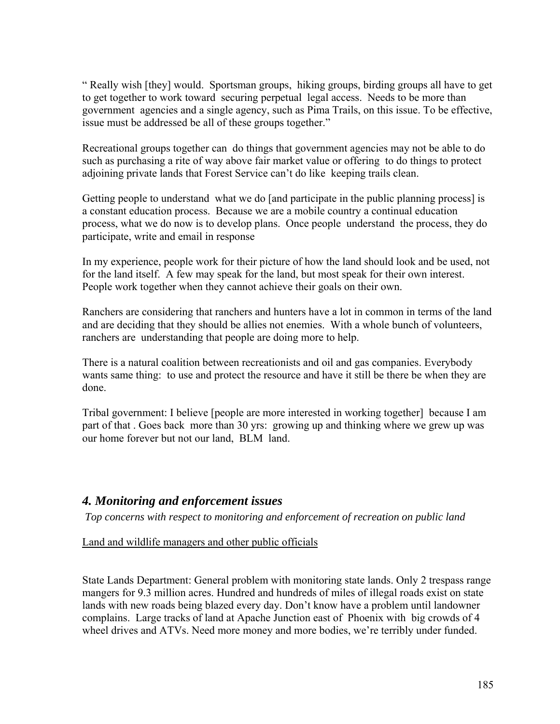" Really wish [they] would. Sportsman groups, hiking groups, birding groups all have to get to get together to work toward securing perpetual legal access. Needs to be more than government agencies and a single agency, such as Pima Trails, on this issue. To be effective, issue must be addressed be all of these groups together."

Recreational groups together can do things that government agencies may not be able to do such as purchasing a rite of way above fair market value or offering to do things to protect adjoining private lands that Forest Service can't do like keeping trails clean.

Getting people to understand what we do [and participate in the public planning process] is a constant education process. Because we are a mobile country a continual education process, what we do now is to develop plans. Once people understand the process, they do participate, write and email in response

In my experience, people work for their picture of how the land should look and be used, not for the land itself. A few may speak for the land, but most speak for their own interest. People work together when they cannot achieve their goals on their own.

Ranchers are considering that ranchers and hunters have a lot in common in terms of the land and are deciding that they should be allies not enemies. With a whole bunch of volunteers, ranchers are understanding that people are doing more to help.

There is a natural coalition between recreationists and oil and gas companies. Everybody wants same thing: to use and protect the resource and have it still be there be when they are done.

Tribal government: I believe [people are more interested in working together] because I am part of that . Goes back more than 30 yrs: growing up and thinking where we grew up was our home forever but not our land, BLM land.

## *4. Monitoring and enforcement issues*

*Top concerns with respect to monitoring and enforcement of recreation on public land* 

Land and wildlife managers and other public officials

State Lands Department: General problem with monitoring state lands. Only 2 trespass range mangers for 9.3 million acres. Hundred and hundreds of miles of illegal roads exist on state lands with new roads being blazed every day. Don't know have a problem until landowner complains. Large tracks of land at Apache Junction east of Phoenix with big crowds of 4 wheel drives and ATVs. Need more money and more bodies, we're terribly under funded.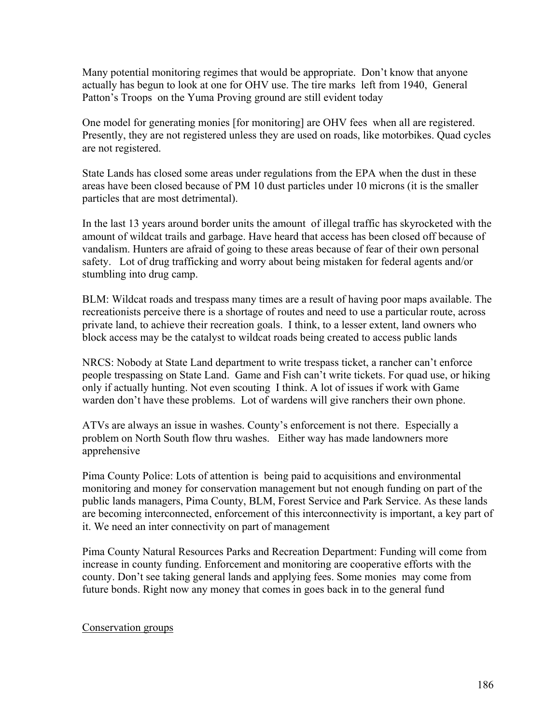Many potential monitoring regimes that would be appropriate. Don't know that anyone actually has begun to look at one for OHV use. The tire marks left from 1940, General Patton's Troops on the Yuma Proving ground are still evident today

One model for generating monies [for monitoring] are OHV fees when all are registered. Presently, they are not registered unless they are used on roads, like motorbikes. Quad cycles are not registered.

State Lands has closed some areas under regulations from the EPA when the dust in these areas have been closed because of PM 10 dust particles under 10 microns (it is the smaller particles that are most detrimental).

In the last 13 years around border units the amount of illegal traffic has skyrocketed with the amount of wildcat trails and garbage. Have heard that access has been closed off because of vandalism. Hunters are afraid of going to these areas because of fear of their own personal safety. Lot of drug trafficking and worry about being mistaken for federal agents and/or stumbling into drug camp.

BLM: Wildcat roads and trespass many times are a result of having poor maps available. The recreationists perceive there is a shortage of routes and need to use a particular route, across private land, to achieve their recreation goals. I think, to a lesser extent, land owners who block access may be the catalyst to wildcat roads being created to access public lands

NRCS: Nobody at State Land department to write trespass ticket, a rancher can't enforce people trespassing on State Land. Game and Fish can't write tickets. For quad use, or hiking only if actually hunting. Not even scouting I think. A lot of issues if work with Game warden don't have these problems. Lot of wardens will give ranchers their own phone.

ATVs are always an issue in washes. County's enforcement is not there. Especially a problem on North South flow thru washes. Either way has made landowners more apprehensive

Pima County Police: Lots of attention is being paid to acquisitions and environmental monitoring and money for conservation management but not enough funding on part of the public lands managers, Pima County, BLM, Forest Service and Park Service. As these lands are becoming interconnected, enforcement of this interconnectivity is important, a key part of it. We need an inter connectivity on part of management

Pima County Natural Resources Parks and Recreation Department: Funding will come from increase in county funding. Enforcement and monitoring are cooperative efforts with the county. Don't see taking general lands and applying fees. Some monies may come from future bonds. Right now any money that comes in goes back in to the general fund

### Conservation groups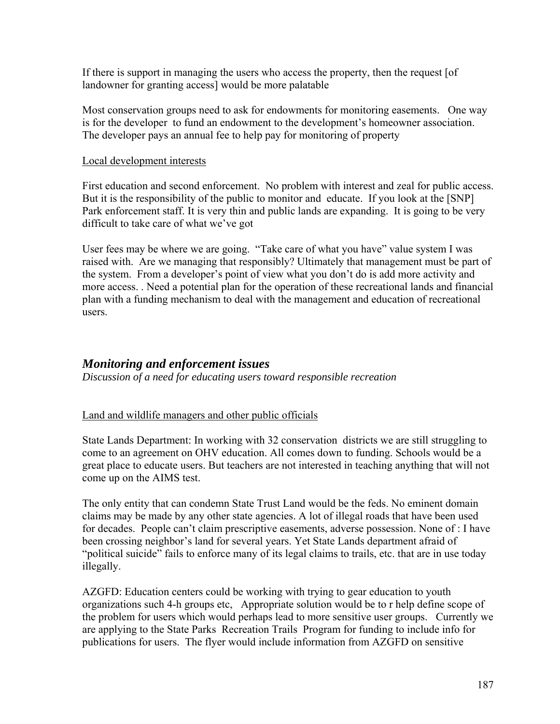If there is support in managing the users who access the property, then the request [of landowner for granting access] would be more palatable

Most conservation groups need to ask for endowments for monitoring easements. One way is for the developer to fund an endowment to the development's homeowner association. The developer pays an annual fee to help pay for monitoring of property

### Local development interests

First education and second enforcement. No problem with interest and zeal for public access. But it is the responsibility of the public to monitor and educate. If you look at the [SNP] Park enforcement staff. It is very thin and public lands are expanding. It is going to be very difficult to take care of what we've got

User fees may be where we are going. "Take care of what you have" value system I was raised with. Are we managing that responsibly? Ultimately that management must be part of the system. From a developer's point of view what you don't do is add more activity and more access. . Need a potential plan for the operation of these recreational lands and financial plan with a funding mechanism to deal with the management and education of recreational users.

## *Monitoring and enforcement issues*

*Discussion of a need for educating users toward responsible recreation* 

## Land and wildlife managers and other public officials

State Lands Department: In working with 32 conservation districts we are still struggling to come to an agreement on OHV education. All comes down to funding. Schools would be a great place to educate users. But teachers are not interested in teaching anything that will not come up on the AIMS test.

The only entity that can condemn State Trust Land would be the feds. No eminent domain claims may be made by any other state agencies. A lot of illegal roads that have been used for decades. People can't claim prescriptive easements, adverse possession. None of : I have been crossing neighbor's land for several years. Yet State Lands department afraid of "political suicide" fails to enforce many of its legal claims to trails, etc. that are in use today illegally.

AZGFD: Education centers could be working with trying to gear education to youth organizations such 4-h groups etc, Appropriate solution would be to r help define scope of the problem for users which would perhaps lead to more sensitive user groups. Currently we are applying to the State Parks Recreation Trails Program for funding to include info for publications for users. The flyer would include information from AZGFD on sensitive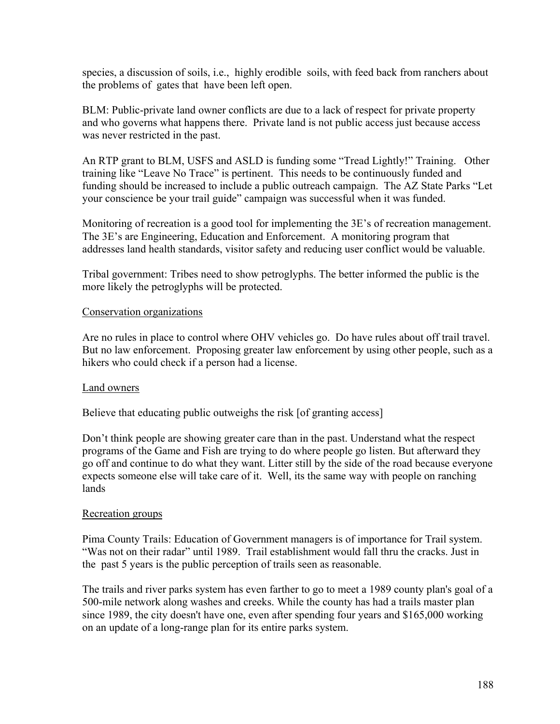species, a discussion of soils, i.e., highly erodible soils, with feed back from ranchers about the problems of gates that have been left open.

BLM: Public-private land owner conflicts are due to a lack of respect for private property and who governs what happens there. Private land is not public access just because access was never restricted in the past.

An RTP grant to BLM, USFS and ASLD is funding some "Tread Lightly!" Training. Other training like "Leave No Trace" is pertinent. This needs to be continuously funded and funding should be increased to include a public outreach campaign. The AZ State Parks "Let your conscience be your trail guide" campaign was successful when it was funded.

Monitoring of recreation is a good tool for implementing the 3E's of recreation management. The 3E's are Engineering, Education and Enforcement. A monitoring program that addresses land health standards, visitor safety and reducing user conflict would be valuable.

Tribal government: Tribes need to show petroglyphs. The better informed the public is the more likely the petroglyphs will be protected.

## Conservation organizations

Are no rules in place to control where OHV vehicles go. Do have rules about off trail travel. But no law enforcement. Proposing greater law enforcement by using other people, such as a hikers who could check if a person had a license.

## Land owners

Believe that educating public outweighs the risk [of granting access]

Don't think people are showing greater care than in the past. Understand what the respect programs of the Game and Fish are trying to do where people go listen. But afterward they go off and continue to do what they want. Litter still by the side of the road because everyone expects someone else will take care of it. Well, its the same way with people on ranching lands

### Recreation groups

Pima County Trails: Education of Government managers is of importance for Trail system. "Was not on their radar" until 1989. Trail establishment would fall thru the cracks. Just in the past 5 years is the public perception of trails seen as reasonable.

The trails and river parks system has even farther to go to meet a 1989 county plan's goal of a 500-mile network along washes and creeks. While the county has had a trails master plan since 1989, the city doesn't have one, even after spending four years and \$165,000 working on an update of a long-range plan for its entire parks system.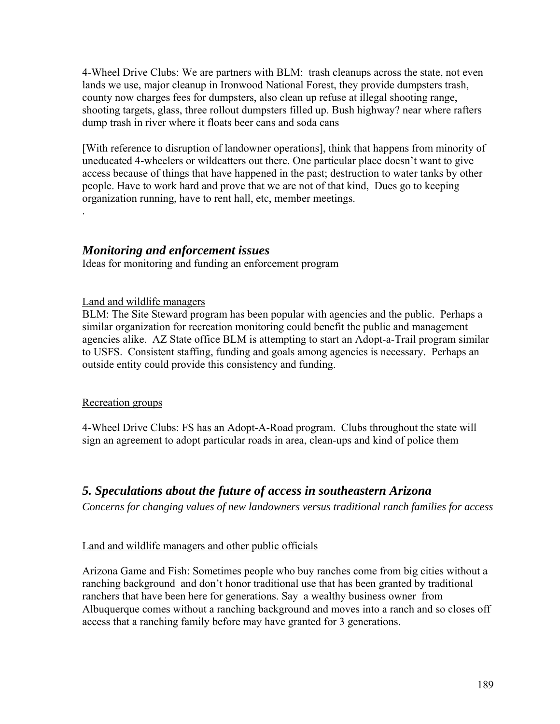4-Wheel Drive Clubs: We are partners with BLM: trash cleanups across the state, not even lands we use, major cleanup in Ironwood National Forest, they provide dumpsters trash, county now charges fees for dumpsters, also clean up refuse at illegal shooting range, shooting targets, glass, three rollout dumpsters filled up. Bush highway? near where rafters dump trash in river where it floats beer cans and soda cans

[With reference to disruption of landowner operations], think that happens from minority of uneducated 4-wheelers or wildcatters out there. One particular place doesn't want to give access because of things that have happened in the past; destruction to water tanks by other people. Have to work hard and prove that we are not of that kind, Dues go to keeping organization running, have to rent hall, etc, member meetings.

## *Monitoring and enforcement issues*

Ideas for monitoring and funding an enforcement program

## Land and wildlife managers

BLM: The Site Steward program has been popular with agencies and the public. Perhaps a similar organization for recreation monitoring could benefit the public and management agencies alike. AZ State office BLM is attempting to start an Adopt-a-Trail program similar to USFS. Consistent staffing, funding and goals among agencies is necessary. Perhaps an outside entity could provide this consistency and funding.

### Recreation groups

.

4-Wheel Drive Clubs: FS has an Adopt-A-Road program. Clubs throughout the state will sign an agreement to adopt particular roads in area, clean-ups and kind of police them

## *5. Speculations about the future of access in southeastern Arizona*

*Concerns for changing values of new landowners versus traditional ranch families for access* 

## Land and wildlife managers and other public officials

Arizona Game and Fish: Sometimes people who buy ranches come from big cities without a ranching background and don't honor traditional use that has been granted by traditional ranchers that have been here for generations. Say a wealthy business owner from Albuquerque comes without a ranching background and moves into a ranch and so closes off access that a ranching family before may have granted for 3 generations.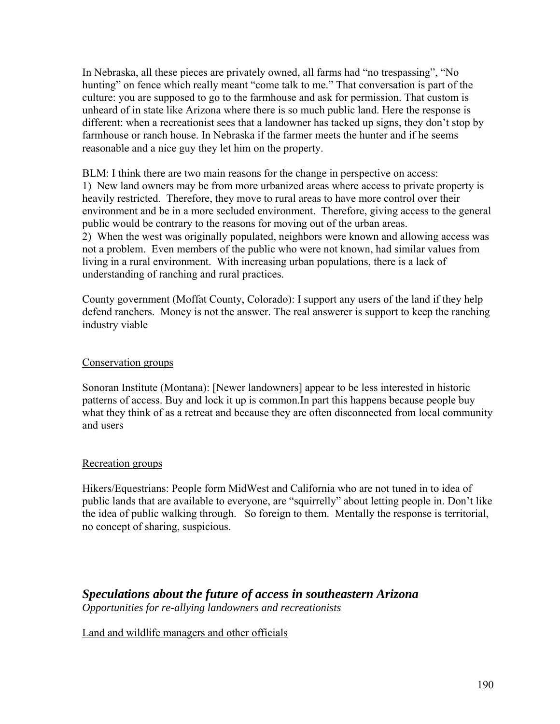In Nebraska, all these pieces are privately owned, all farms had "no trespassing", "No hunting" on fence which really meant "come talk to me." That conversation is part of the culture: you are supposed to go to the farmhouse and ask for permission. That custom is unheard of in state like Arizona where there is so much public land. Here the response is different: when a recreationist sees that a landowner has tacked up signs, they don't stop by farmhouse or ranch house. In Nebraska if the farmer meets the hunter and if he seems reasonable and a nice guy they let him on the property.

BLM: I think there are two main reasons for the change in perspective on access: 1) New land owners may be from more urbanized areas where access to private property is heavily restricted. Therefore, they move to rural areas to have more control over their environment and be in a more secluded environment. Therefore, giving access to the general public would be contrary to the reasons for moving out of the urban areas. 2) When the west was originally populated, neighbors were known and allowing access was not a problem. Even members of the public who were not known, had similar values from living in a rural environment. With increasing urban populations, there is a lack of understanding of ranching and rural practices.

County government (Moffat County, Colorado): I support any users of the land if they help defend ranchers. Money is not the answer. The real answerer is support to keep the ranching industry viable

### Conservation groups

Sonoran Institute (Montana): [Newer landowners] appear to be less interested in historic patterns of access. Buy and lock it up is common.In part this happens because people buy what they think of as a retreat and because they are often disconnected from local community and users

### Recreation groups

Hikers/Equestrians: People form MidWest and California who are not tuned in to idea of public lands that are available to everyone, are "squirrelly" about letting people in. Don't like the idea of public walking through. So foreign to them. Mentally the response is territorial, no concept of sharing, suspicious.

## *Speculations about the future of access in southeastern Arizona Opportunities for re-allying landowners and recreationists*

Land and wildlife managers and other officials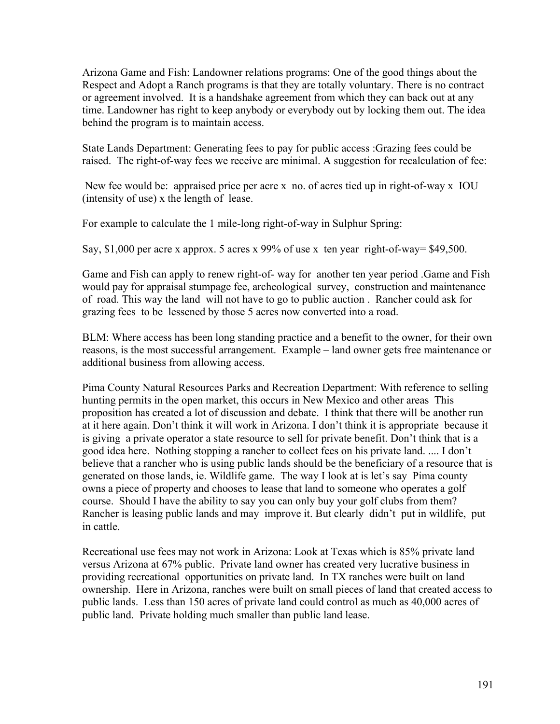Arizona Game and Fish: Landowner relations programs: One of the good things about the Respect and Adopt a Ranch programs is that they are totally voluntary. There is no contract or agreement involved. It is a handshake agreement from which they can back out at any time. Landowner has right to keep anybody or everybody out by locking them out. The idea behind the program is to maintain access.

State Lands Department: Generating fees to pay for public access :Grazing fees could be raised. The right-of-way fees we receive are minimal. A suggestion for recalculation of fee:

 New fee would be: appraised price per acre x no. of acres tied up in right-of-way x IOU (intensity of use) x the length of lease.

For example to calculate the 1 mile-long right-of-way in Sulphur Spring:

Say, \$1,000 per acre x approx. 5 acres x 99% of use x ten year right-of-way= \$49,500.

Game and Fish can apply to renew right-of- way for another ten year period .Game and Fish would pay for appraisal stumpage fee, archeological survey, construction and maintenance of road. This way the land will not have to go to public auction . Rancher could ask for grazing fees to be lessened by those 5 acres now converted into a road.

BLM: Where access has been long standing practice and a benefit to the owner, for their own reasons, is the most successful arrangement. Example – land owner gets free maintenance or additional business from allowing access.

Pima County Natural Resources Parks and Recreation Department: With reference to selling hunting permits in the open market, this occurs in New Mexico and other areas This proposition has created a lot of discussion and debate. I think that there will be another run at it here again. Don't think it will work in Arizona. I don't think it is appropriate because it is giving a private operator a state resource to sell for private benefit. Don't think that is a good idea here. Nothing stopping a rancher to collect fees on his private land. .... I don't believe that a rancher who is using public lands should be the beneficiary of a resource that is generated on those lands, ie. Wildlife game. The way I look at is let's say Pima county owns a piece of property and chooses to lease that land to someone who operates a golf course. Should I have the ability to say you can only buy your golf clubs from them? Rancher is leasing public lands and may improve it. But clearly didn't put in wildlife, put in cattle.

Recreational use fees may not work in Arizona: Look at Texas which is 85% private land versus Arizona at 67% public. Private land owner has created very lucrative business in providing recreational opportunities on private land. In TX ranches were built on land ownership. Here in Arizona, ranches were built on small pieces of land that created access to public lands. Less than 150 acres of private land could control as much as 40,000 acres of public land. Private holding much smaller than public land lease.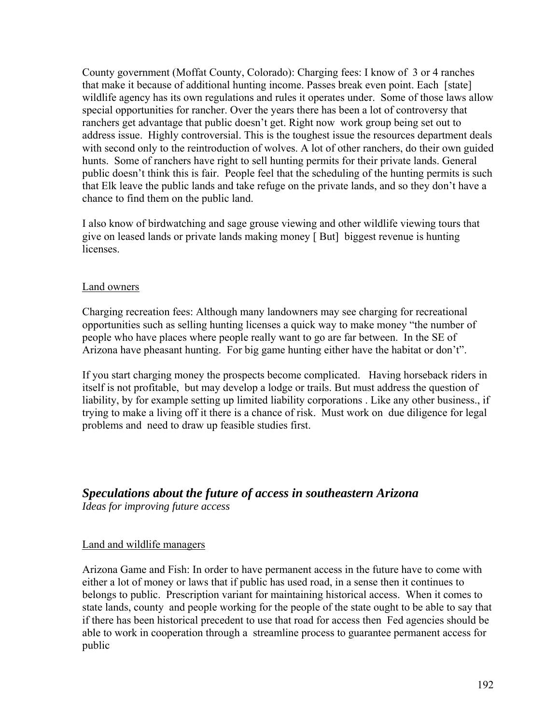County government (Moffat County, Colorado): Charging fees: I know of 3 or 4 ranches that make it because of additional hunting income. Passes break even point. Each [state] wildlife agency has its own regulations and rules it operates under. Some of those laws allow special opportunities for rancher. Over the years there has been a lot of controversy that ranchers get advantage that public doesn't get. Right now work group being set out to address issue. Highly controversial. This is the toughest issue the resources department deals with second only to the reintroduction of wolves. A lot of other ranchers, do their own guided hunts. Some of ranchers have right to sell hunting permits for their private lands. General public doesn't think this is fair. People feel that the scheduling of the hunting permits is such that Elk leave the public lands and take refuge on the private lands, and so they don't have a chance to find them on the public land.

I also know of birdwatching and sage grouse viewing and other wildlife viewing tours that give on leased lands or private lands making money [ But] biggest revenue is hunting **licenses** 

## Land owners

Charging recreation fees: Although many landowners may see charging for recreational opportunities such as selling hunting licenses a quick way to make money "the number of people who have places where people really want to go are far between. In the SE of Arizona have pheasant hunting. For big game hunting either have the habitat or don't".

If you start charging money the prospects become complicated. Having horseback riders in itself is not profitable, but may develop a lodge or trails. But must address the question of liability, by for example setting up limited liability corporations . Like any other business., if trying to make a living off it there is a chance of risk. Must work on due diligence for legal problems and need to draw up feasible studies first.

## *Speculations about the future of access in southeastern Arizona*

*Ideas for improving future access* 

### Land and wildlife managers

Arizona Game and Fish: In order to have permanent access in the future have to come with either a lot of money or laws that if public has used road, in a sense then it continues to belongs to public. Prescription variant for maintaining historical access. When it comes to state lands, county and people working for the people of the state ought to be able to say that if there has been historical precedent to use that road for access then Fed agencies should be able to work in cooperation through a streamline process to guarantee permanent access for public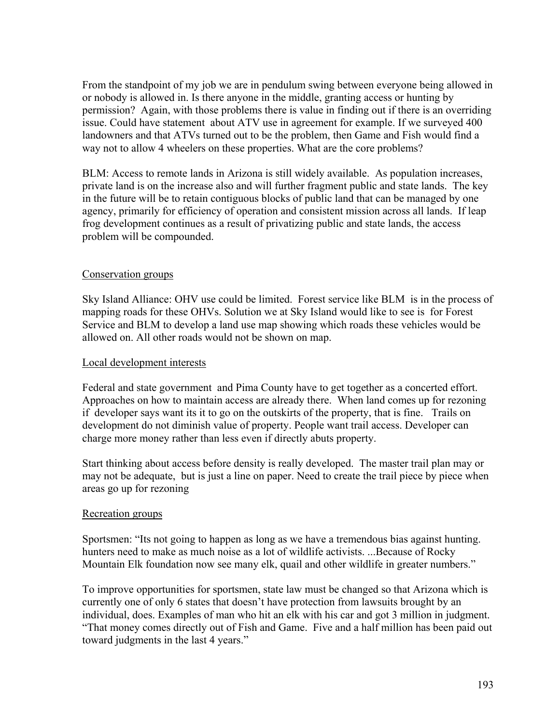From the standpoint of my job we are in pendulum swing between everyone being allowed in or nobody is allowed in. Is there anyone in the middle, granting access or hunting by permission? Again, with those problems there is value in finding out if there is an overriding issue. Could have statement about ATV use in agreement for example. If we surveyed 400 landowners and that ATVs turned out to be the problem, then Game and Fish would find a way not to allow 4 wheelers on these properties. What are the core problems?

BLM: Access to remote lands in Arizona is still widely available. As population increases, private land is on the increase also and will further fragment public and state lands. The key in the future will be to retain contiguous blocks of public land that can be managed by one agency, primarily for efficiency of operation and consistent mission across all lands. If leap frog development continues as a result of privatizing public and state lands, the access problem will be compounded.

## Conservation groups

Sky Island Alliance: OHV use could be limited. Forest service like BLM is in the process of mapping roads for these OHVs. Solution we at Sky Island would like to see is for Forest Service and BLM to develop a land use map showing which roads these vehicles would be allowed on. All other roads would not be shown on map.

### Local development interests

Federal and state government and Pima County have to get together as a concerted effort. Approaches on how to maintain access are already there. When land comes up for rezoning if developer says want its it to go on the outskirts of the property, that is fine. Trails on development do not diminish value of property. People want trail access. Developer can charge more money rather than less even if directly abuts property.

Start thinking about access before density is really developed. The master trail plan may or may not be adequate, but is just a line on paper. Need to create the trail piece by piece when areas go up for rezoning

### Recreation groups

Sportsmen: "Its not going to happen as long as we have a tremendous bias against hunting. hunters need to make as much noise as a lot of wildlife activists. ...Because of Rocky Mountain Elk foundation now see many elk, quail and other wildlife in greater numbers."

To improve opportunities for sportsmen, state law must be changed so that Arizona which is currently one of only 6 states that doesn't have protection from lawsuits brought by an individual, does. Examples of man who hit an elk with his car and got 3 million in judgment. "That money comes directly out of Fish and Game. Five and a half million has been paid out toward judgments in the last 4 years."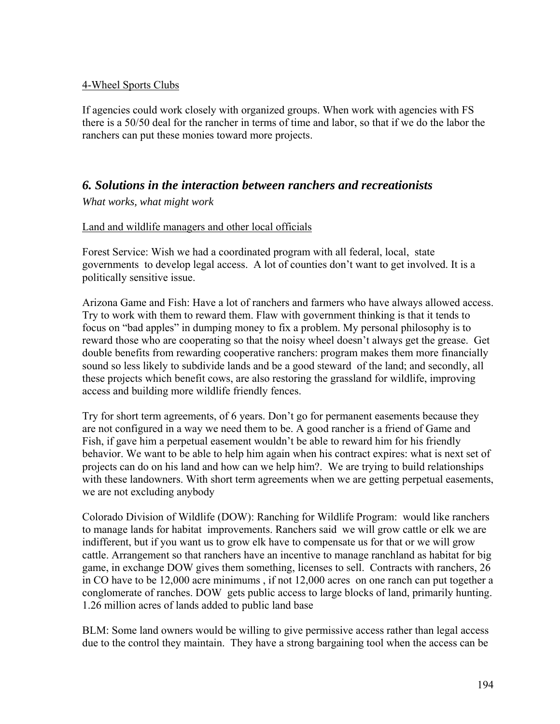## 4-Wheel Sports Clubs

If agencies could work closely with organized groups. When work with agencies with FS there is a 50/50 deal for the rancher in terms of time and labor, so that if we do the labor the ranchers can put these monies toward more projects.

## *6. Solutions in the interaction between ranchers and recreationists*

*What works, what might work* 

## Land and wildlife managers and other local officials

Forest Service: Wish we had a coordinated program with all federal, local, state governments to develop legal access. A lot of counties don't want to get involved. It is a politically sensitive issue.

Arizona Game and Fish: Have a lot of ranchers and farmers who have always allowed access. Try to work with them to reward them. Flaw with government thinking is that it tends to focus on "bad apples" in dumping money to fix a problem. My personal philosophy is to reward those who are cooperating so that the noisy wheel doesn't always get the grease. Get double benefits from rewarding cooperative ranchers: program makes them more financially sound so less likely to subdivide lands and be a good steward of the land; and secondly, all these projects which benefit cows, are also restoring the grassland for wildlife, improving access and building more wildlife friendly fences.

Try for short term agreements, of 6 years. Don't go for permanent easements because they are not configured in a way we need them to be. A good rancher is a friend of Game and Fish, if gave him a perpetual easement wouldn't be able to reward him for his friendly behavior. We want to be able to help him again when his contract expires: what is next set of projects can do on his land and how can we help him?. We are trying to build relationships with these landowners. With short term agreements when we are getting perpetual easements, we are not excluding anybody

Colorado Division of Wildlife (DOW): Ranching for Wildlife Program: would like ranchers to manage lands for habitat improvements. Ranchers said we will grow cattle or elk we are indifferent, but if you want us to grow elk have to compensate us for that or we will grow cattle. Arrangement so that ranchers have an incentive to manage ranchland as habitat for big game, in exchange DOW gives them something, licenses to sell. Contracts with ranchers, 26 in CO have to be 12,000 acre minimums , if not 12,000 acres on one ranch can put together a conglomerate of ranches. DOW gets public access to large blocks of land, primarily hunting. 1.26 million acres of lands added to public land base

BLM: Some land owners would be willing to give permissive access rather than legal access due to the control they maintain. They have a strong bargaining tool when the access can be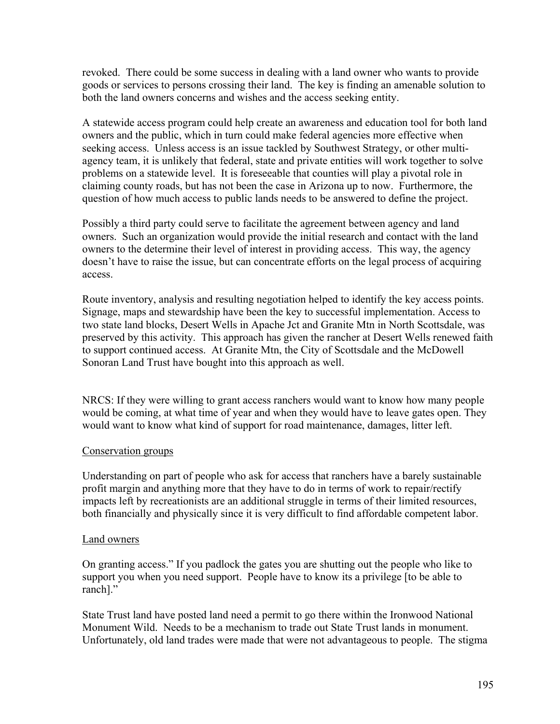revoked. There could be some success in dealing with a land owner who wants to provide goods or services to persons crossing their land. The key is finding an amenable solution to both the land owners concerns and wishes and the access seeking entity.

A statewide access program could help create an awareness and education tool for both land owners and the public, which in turn could make federal agencies more effective when seeking access. Unless access is an issue tackled by Southwest Strategy, or other multiagency team, it is unlikely that federal, state and private entities will work together to solve problems on a statewide level. It is foreseeable that counties will play a pivotal role in claiming county roads, but has not been the case in Arizona up to now. Furthermore, the question of how much access to public lands needs to be answered to define the project.

Possibly a third party could serve to facilitate the agreement between agency and land owners. Such an organization would provide the initial research and contact with the land owners to the determine their level of interest in providing access. This way, the agency doesn't have to raise the issue, but can concentrate efforts on the legal process of acquiring access.

Route inventory, analysis and resulting negotiation helped to identify the key access points. Signage, maps and stewardship have been the key to successful implementation. Access to two state land blocks, Desert Wells in Apache Jct and Granite Mtn in North Scottsdale, was preserved by this activity. This approach has given the rancher at Desert Wells renewed faith to support continued access. At Granite Mtn, the City of Scottsdale and the McDowell Sonoran Land Trust have bought into this approach as well.

NRCS: If they were willing to grant access ranchers would want to know how many people would be coming, at what time of year and when they would have to leave gates open. They would want to know what kind of support for road maintenance, damages, litter left.

## Conservation groups

Understanding on part of people who ask for access that ranchers have a barely sustainable profit margin and anything more that they have to do in terms of work to repair/rectify impacts left by recreationists are an additional struggle in terms of their limited resources, both financially and physically since it is very difficult to find affordable competent labor.

## Land owners

On granting access." If you padlock the gates you are shutting out the people who like to support you when you need support. People have to know its a privilege [to be able to ranch]."

State Trust land have posted land need a permit to go there within the Ironwood National Monument Wild. Needs to be a mechanism to trade out State Trust lands in monument. Unfortunately, old land trades were made that were not advantageous to people. The stigma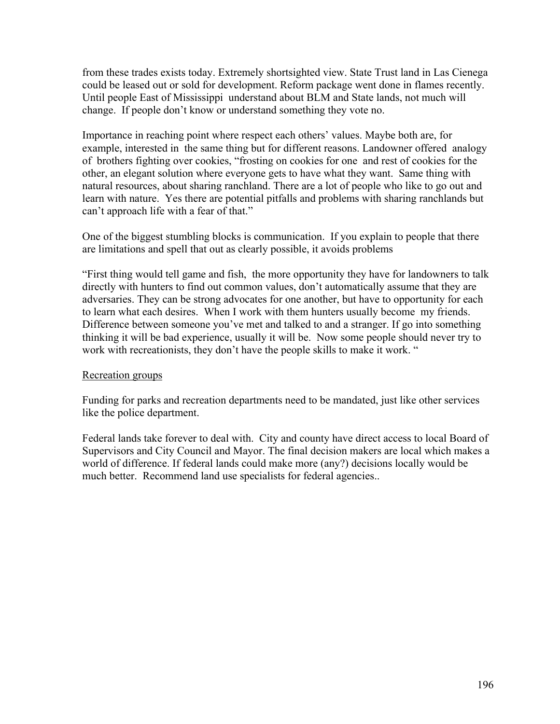from these trades exists today. Extremely shortsighted view. State Trust land in Las Cienega could be leased out or sold for development. Reform package went done in flames recently. Until people East of Mississippi understand about BLM and State lands, not much will change. If people don't know or understand something they vote no.

Importance in reaching point where respect each others' values. Maybe both are, for example, interested in the same thing but for different reasons. Landowner offered analogy of brothers fighting over cookies, "frosting on cookies for one and rest of cookies for the other, an elegant solution where everyone gets to have what they want. Same thing with natural resources, about sharing ranchland. There are a lot of people who like to go out and learn with nature. Yes there are potential pitfalls and problems with sharing ranchlands but can't approach life with a fear of that."

One of the biggest stumbling blocks is communication. If you explain to people that there are limitations and spell that out as clearly possible, it avoids problems

"First thing would tell game and fish, the more opportunity they have for landowners to talk directly with hunters to find out common values, don't automatically assume that they are adversaries. They can be strong advocates for one another, but have to opportunity for each to learn what each desires. When I work with them hunters usually become my friends. Difference between someone you've met and talked to and a stranger. If go into something thinking it will be bad experience, usually it will be. Now some people should never try to work with recreationists, they don't have the people skills to make it work. "

## Recreation groups

Funding for parks and recreation departments need to be mandated, just like other services like the police department.

Federal lands take forever to deal with. City and county have direct access to local Board of Supervisors and City Council and Mayor. The final decision makers are local which makes a world of difference. If federal lands could make more (any?) decisions locally would be much better. Recommend land use specialists for federal agencies..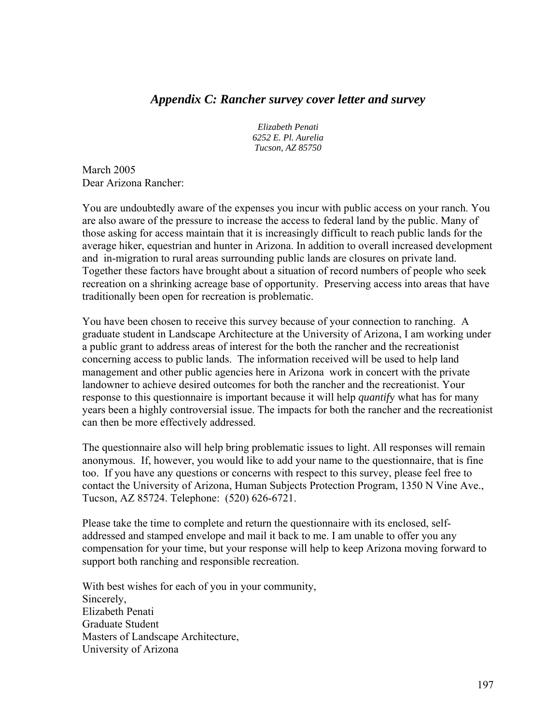## *Appendix C: Rancher survey cover letter and survey*

*Elizabeth Penati 6252 E. Pl. Aurelia Tucson, AZ 85750* 

March 2005 Dear Arizona Rancher:

You are undoubtedly aware of the expenses you incur with public access on your ranch. You are also aware of the pressure to increase the access to federal land by the public. Many of those asking for access maintain that it is increasingly difficult to reach public lands for the average hiker, equestrian and hunter in Arizona. In addition to overall increased development and in-migration to rural areas surrounding public lands are closures on private land. Together these factors have brought about a situation of record numbers of people who seek recreation on a shrinking acreage base of opportunity. Preserving access into areas that have traditionally been open for recreation is problematic.

You have been chosen to receive this survey because of your connection to ranching. A graduate student in Landscape Architecture at the University of Arizona, I am working under a public grant to address areas of interest for the both the rancher and the recreationist concerning access to public lands. The information received will be used to help land management and other public agencies here in Arizona work in concert with the private landowner to achieve desired outcomes for both the rancher and the recreationist. Your response to this questionnaire is important because it will help *quantif*y what has for many years been a highly controversial issue. The impacts for both the rancher and the recreationist can then be more effectively addressed.

The questionnaire also will help bring problematic issues to light. All responses will remain anonymous. If, however, you would like to add your name to the questionnaire, that is fine too. If you have any questions or concerns with respect to this survey, please feel free to contact the University of Arizona, Human Subjects Protection Program, 1350 N Vine Ave., Tucson, AZ 85724. Telephone: (520) 626-6721.

Please take the time to complete and return the questionnaire with its enclosed, selfaddressed and stamped envelope and mail it back to me. I am unable to offer you any compensation for your time, but your response will help to keep Arizona moving forward to support both ranching and responsible recreation.

With best wishes for each of you in your community, Sincerely, Elizabeth Penati Graduate Student Masters of Landscape Architecture, University of Arizona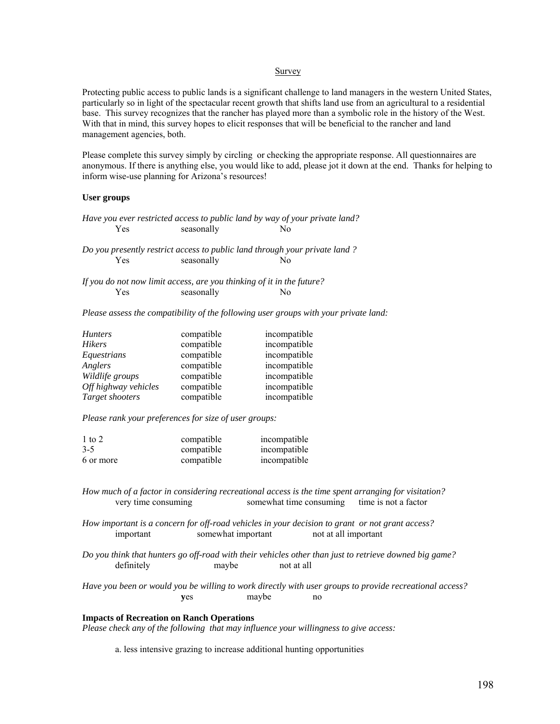#### Survey

Protecting public access to public lands is a significant challenge to land managers in the western United States, particularly so in light of the spectacular recent growth that shifts land use from an agricultural to a residential base. This survey recognizes that the rancher has played more than a symbolic role in the history of the West. With that in mind, this survey hopes to elicit responses that will be beneficial to the rancher and land management agencies, both.

Please complete this survey simply by circling or checking the appropriate response. All questionnaires are anonymous. If there is anything else, you would like to add, please jot it down at the end. Thanks for helping to inform wise-use planning for Arizona's resources!

#### **User groups**

*Have you ever restricted access to public land by way of your private land?*  Yes seasonally No

*Do you presently restrict access to public land through your private land ?*  Yes seasonally No

*If you do not now limit access, are you thinking of it in the future?*  Yes seasonally No

*Please assess the compatibility of the following user groups with your private land:* 

| <b>Hunters</b>       | compatible | incompatible |
|----------------------|------------|--------------|
| <b>Hikers</b>        | compatible | incompatible |
| Equestrians          | compatible | incompatible |
| Anglers              | compatible | incompatible |
| Wildlife groups      | compatible | incompatible |
| Off highway vehicles | compatible | incompatible |
| Target shooters      | compatible | incompatible |

*Please rank your preferences for size of user groups:* 

| 1 to 2    | compatible | incompatible |
|-----------|------------|--------------|
| $3 - 5$   | compatible | incompatible |
| 6 or more | compatible | incompatible |

*How much of a factor in considering recreational access is the time spent arranging for visitation?*  very time consuming somewhat time consuming time is not a factor

*How important is a concern for off-road vehicles in your decision to grant or not grant access?*  important somewhat important not at all important

*Do you think that hunters go off-road with their vehicles other than just to retrieve downed big game?*  definitely maybe not at all

*Have you been or would you be willing to work directly with user groups to provide recreational access?*   **y**es maybe no

#### **Impacts of Recreation on Ranch Operations**

*Please check any of the following that may influence your willingness to give access:* 

a. less intensive grazing to increase additional hunting opportunities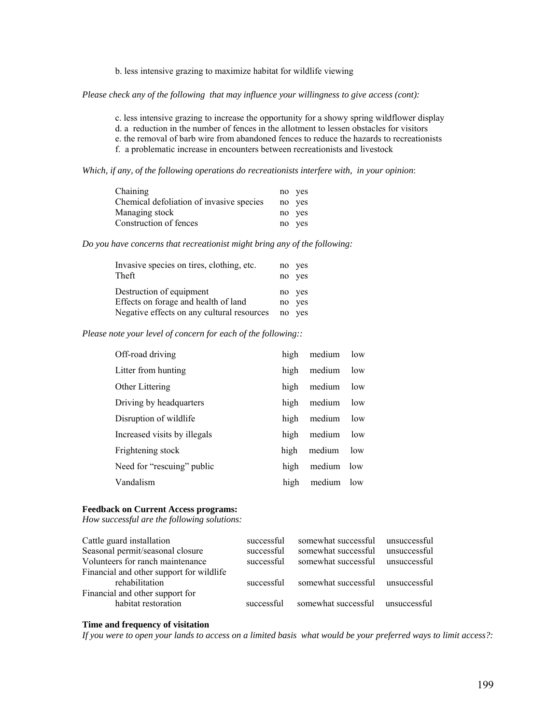b. less intensive grazing to maximize habitat for wildlife viewing

*Please check any of the following that may influence your willingness to give access (cont):* 

c. less intensive grazing to increase the opportunity for a showy spring wildflower display

d. a reduction in the number of fences in the allotment to lessen obstacles for visitors

e. the removal of barb wire from abandoned fences to reduce the hazards to recreationists

f. a problematic increase in encounters between recreationists and livestock

*Which, if any, of the following operations do recreationists interfere with, in your opinion*:

| Chaining                                 | no ves |
|------------------------------------------|--------|
| Chemical defoliation of invasive species | no yes |
| Managing stock                           | no ves |
| Construction of fences                   | no yes |

*Do you have concerns that recreationist might bring any of the following:* 

| Invasive species on tires, clothing, etc.<br>Theft | no. | no yes<br>ves |
|----------------------------------------------------|-----|---------------|
| Destruction of equipment                           |     | no yes        |
| Effects on forage and health of land               | no  | yes           |
| Negative effects on any cultural resources         | no  | yes           |

*Please note your level of concern for each of the following::* 

| Off-road driving             | high | medium | low |
|------------------------------|------|--------|-----|
| Litter from hunting          | high | medium | low |
| Other Littering              | high | medium | low |
| Driving by headquarters      | high | medium | low |
| Disruption of wildlife       | high | medium | low |
| Increased visits by illegals | high | medium | low |
| Frightening stock            | high | medium | low |
| Need for "rescuing" public   | high | medium | low |
| Vandalism                    | high | medium | low |

#### **Feedback on Current Access programs:**

*How successful are the following solutions:* 

| successful | somewhat successful | unsuccessful |
|------------|---------------------|--------------|
| successful | somewhat successful | unsuccessful |
| successful | somewhat successful | unsuccessful |
|            |                     |              |
| successful | somewhat successful | unsuccessful |
|            |                     |              |
| successful | somewhat successful | unsuccessful |
|            |                     |              |

#### **Time and frequency of visitation**

*If you were to open your lands to access on a limited basis what would be your preferred ways to limit access?:*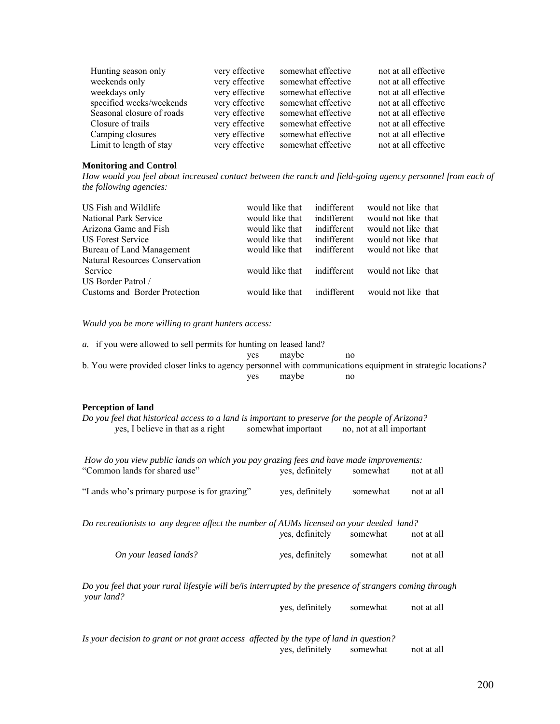| Hunting season only       | very effective | somewhat effective | not at all effective |
|---------------------------|----------------|--------------------|----------------------|
| weekends only             | very effective | somewhat effective | not at all effective |
| weekdays only             | very effective | somewhat effective | not at all effective |
| specified weeks/weekends  | very effective | somewhat effective | not at all effective |
| Seasonal closure of roads | very effective | somewhat effective | not at all effective |
| Closure of trails         | very effective | somewhat effective | not at all effective |
| Camping closures          | very effective | somewhat effective | not at all effective |
| Limit to length of stay   | very effective | somewhat effective | not at all effective |

#### **Monitoring and Control**

*How would you feel about increased contact between the ranch and field-going agency personnel from each of the following agencies:* 

| would like that | indifferent |             |                                                                                                                                                               |
|-----------------|-------------|-------------|---------------------------------------------------------------------------------------------------------------------------------------------------------------|
| would like that | indifferent |             |                                                                                                                                                               |
| would like that | indifferent |             |                                                                                                                                                               |
| would like that | indifferent |             |                                                                                                                                                               |
| would like that | indifferent |             |                                                                                                                                                               |
|                 |             |             |                                                                                                                                                               |
| would like that |             |             |                                                                                                                                                               |
|                 |             |             |                                                                                                                                                               |
| would like that | indifferent |             |                                                                                                                                                               |
|                 |             | indifferent | would not like that<br>would not like that<br>would not like that<br>would not like that<br>would not like that<br>would not like that<br>would not like that |

*Would you be more willing to grant hunters access:* 

| a. if you were allowed to sell permits for hunting on leased land?                                          |     |       |     |
|-------------------------------------------------------------------------------------------------------------|-----|-------|-----|
|                                                                                                             | ves | maybe | no. |
| b. You were provided closer links to agency personnel with communications equipment in strategic locations? |     |       |     |
|                                                                                                             | ves | maybe | no  |
|                                                                                                             |     |       |     |

#### **Perception of land**

| Do you feel that historical access to a land is important to preserve for the people of Arizona? |                    |                          |
|--------------------------------------------------------------------------------------------------|--------------------|--------------------------|
| yes, I believe in that as a right                                                                | somewhat important | no, not at all important |

 *How do you view public lands on which you pay grazing fees and have made improvements:*  "Common lands for shared use" yes, definitely somewhat not at all "Lands who's primary purpose is for grazing" yes, definitely somewhat not at all

*Do recreationists to any degree affect the number of AUMs licensed on your deeded land?* 

 *y*es, definitely somewhat not at all *On your leased lands? y*es, definitely somewhat not at all

*Do you feel that your rural lifestyle will be/is interrupted by the presence of strangers coming through your land?* 

**y**es, definitely somewhat not at all

*Is your decision to grant or not grant access affected by the type of land in question?* 

yes, definitely somewhat not at all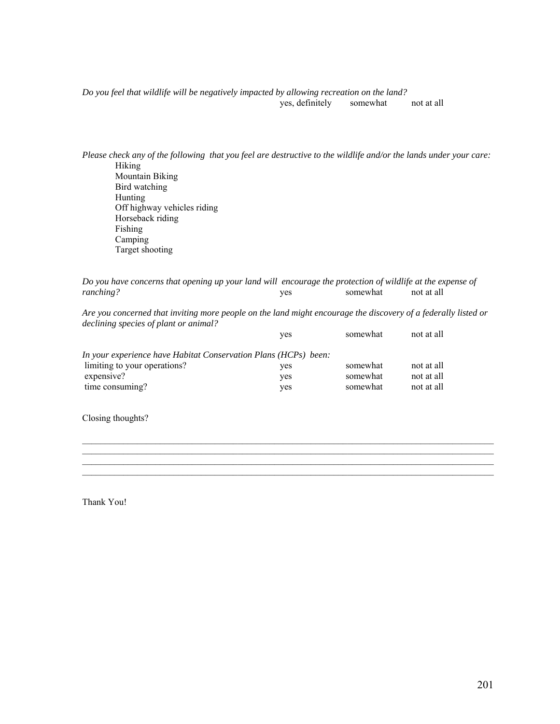*Do you feel that wildlife will be negatively impacted by allowing recreation on the land?*  yes, definitely somewhat not at all

*Please check any of the following that you feel are destructive to the wildlife and/or the lands under your care:*  Hiking Mountain Biking Bird watching Hunting Off highway vehicles riding Horseback riding Fishing Camping Target shooting

*Do you have concerns that opening up your land will encourage the protection of wildlife at the expense of ranching?* yes somewhat not at all

*Are you concerned that inviting more people on the land might encourage the discovery of a federally listed or declining species of plant or animal?* 

 $\mathcal{L}_\mathcal{L} = \{ \mathcal{L}_\mathcal{L} = \{ \mathcal{L}_\mathcal{L} = \{ \mathcal{L}_\mathcal{L} = \{ \mathcal{L}_\mathcal{L} = \{ \mathcal{L}_\mathcal{L} = \{ \mathcal{L}_\mathcal{L} = \{ \mathcal{L}_\mathcal{L} = \{ \mathcal{L}_\mathcal{L} = \{ \mathcal{L}_\mathcal{L} = \{ \mathcal{L}_\mathcal{L} = \{ \mathcal{L}_\mathcal{L} = \{ \mathcal{L}_\mathcal{L} = \{ \mathcal{L}_\mathcal{L} = \{ \mathcal{L}_\mathcal{$ 

|                                                                 | ves | somewhat | not at all |
|-----------------------------------------------------------------|-----|----------|------------|
| In your experience have Habitat Conservation Plans (HCPs) been: |     |          |            |
| limiting to your operations?                                    | ves | somewhat | not at all |
| expensive?                                                      | ves | somewhat | not at all |
| time consuming?                                                 | ves | somewhat | not at all |

Closing thoughts?

Thank You!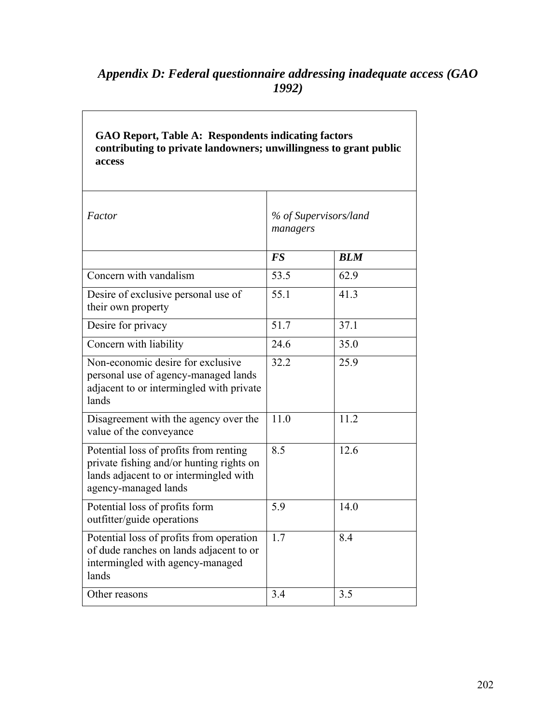# *Appendix D: Federal questionnaire addressing inadequate access (GAO 1992)*

| GAO Report, Table A: Respondents indicating factors<br>contributing to private landowners; unwillingness to grant public<br>access                   |           |                       |
|------------------------------------------------------------------------------------------------------------------------------------------------------|-----------|-----------------------|
| Factor                                                                                                                                               | managers  | % of Supervisors/land |
|                                                                                                                                                      | <b>FS</b> | <b>BLM</b>            |
| Concern with vandalism                                                                                                                               | 53.5      | 62.9                  |
| Desire of exclusive personal use of<br>their own property                                                                                            | 55.1      | 41.3                  |
| Desire for privacy                                                                                                                                   | 51.7      | 37.1                  |
| Concern with liability                                                                                                                               | 24.6      | 35.0                  |
| Non-economic desire for exclusive<br>personal use of agency-managed lands<br>adjacent to or intermingled with private<br>lands                       | 32.2      | 25.9                  |
| Disagreement with the agency over the<br>value of the conveyance                                                                                     | 11.0      | 11.2                  |
| Potential loss of profits from renting<br>private fishing and/or hunting rights on<br>lands adjacent to or intermingled with<br>agency-managed lands | 8.5       | 12.6                  |
| Potential loss of profits form<br>outfitter/guide operations                                                                                         | 5.9       | 14.0                  |
| Potential loss of profits from operation<br>of dude ranches on lands adjacent to or<br>intermingled with agency-managed<br>lands                     | 1.7       | 8.4                   |
| Other reasons                                                                                                                                        | 3.4       | 3.5                   |

**GAO Report, Table A: Respondents indicating factors**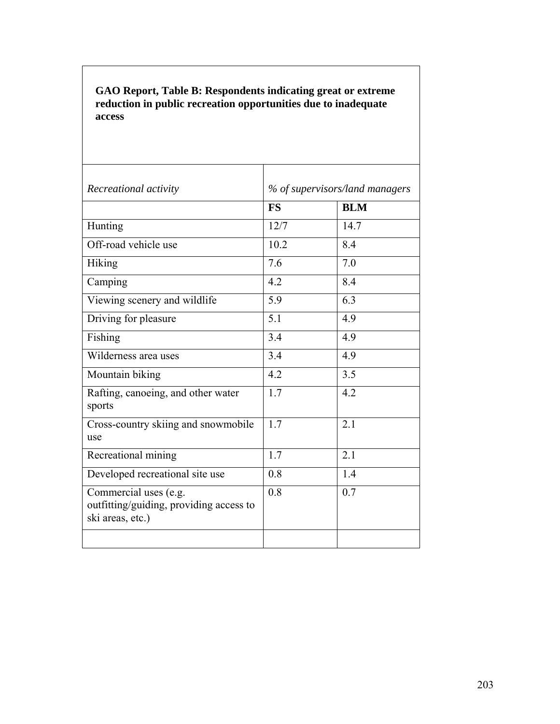## **GAO Report, Table B: Respondents indicating great or extreme reduction in public recreation opportunities due to inadequate access**

| Recreational activity                                                                | % of supervisors/land managers |            |
|--------------------------------------------------------------------------------------|--------------------------------|------------|
|                                                                                      | <b>FS</b>                      | <b>BLM</b> |
| Hunting                                                                              | 12/7                           | 14.7       |
| Off-road vehicle use                                                                 | 10.2                           | 8.4        |
| Hiking                                                                               | 7.6                            | 7.0        |
| Camping                                                                              | 4.2                            | 8.4        |
| Viewing scenery and wildlife                                                         | 5.9                            | 6.3        |
| Driving for pleasure                                                                 | 5.1                            | 4.9        |
| Fishing                                                                              | 3.4                            | 4.9        |
| Wilderness area uses                                                                 | 3.4                            | 4.9        |
| Mountain biking                                                                      | 4.2                            | 3.5        |
| Rafting, canoeing, and other water<br>sports                                         | 1.7                            | 4.2        |
| Cross-country skiing and snowmobile<br>use                                           | 1.7                            | 2.1        |
| Recreational mining                                                                  | 1.7                            | 2.1        |
| Developed recreational site use                                                      | 0.8                            | 1.4        |
| Commercial uses (e.g.<br>outfitting/guiding, providing access to<br>ski areas, etc.) | 0.8                            | 0.7        |
|                                                                                      |                                |            |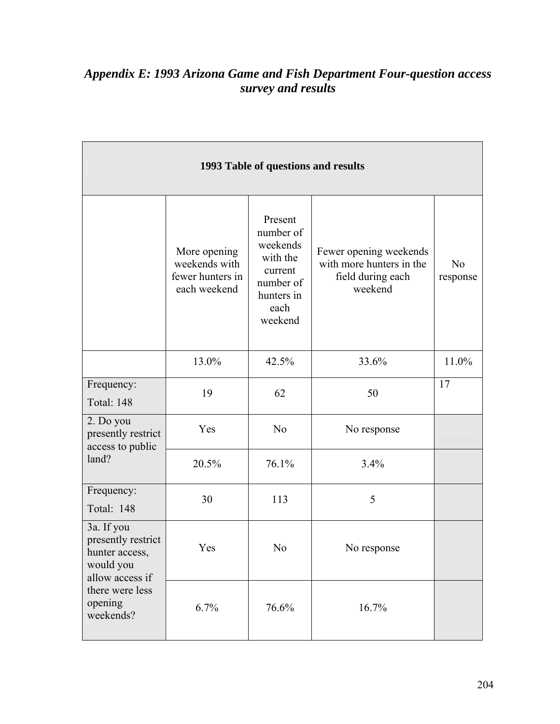# *Appendix E: 1993 Arizona Game and Fish Department Four-question access survey and results*

| 1993 Table of questions and results                                                                                           |                                                                   |                                                                                                       |                                                                                    |                            |  |  |  |
|-------------------------------------------------------------------------------------------------------------------------------|-------------------------------------------------------------------|-------------------------------------------------------------------------------------------------------|------------------------------------------------------------------------------------|----------------------------|--|--|--|
|                                                                                                                               | More opening<br>weekends with<br>fewer hunters in<br>each weekend | Present<br>number of<br>weekends<br>with the<br>current<br>number of<br>hunters in<br>each<br>weekend | Fewer opening weekends<br>with more hunters in the<br>field during each<br>weekend | N <sub>0</sub><br>response |  |  |  |
|                                                                                                                               | 13.0%                                                             | 42.5%                                                                                                 | 33.6%                                                                              | 11.0%                      |  |  |  |
| Frequency:<br><b>Total: 148</b>                                                                                               | 19                                                                | 62                                                                                                    | 50                                                                                 | 17                         |  |  |  |
| 2. Do you<br>presently restrict<br>access to public<br>land?                                                                  | Yes                                                               | N <sub>o</sub>                                                                                        | No response                                                                        |                            |  |  |  |
|                                                                                                                               | 20.5%                                                             | 76.1%                                                                                                 | 3.4%                                                                               |                            |  |  |  |
| Frequency:<br>Total: 148                                                                                                      | 30                                                                | 113                                                                                                   | 5                                                                                  |                            |  |  |  |
| 3a. If you<br>presently restrict<br>hunter access,<br>would you<br>allow access if<br>there were less<br>opening<br>weekends? | Yes                                                               | N <sub>0</sub>                                                                                        | No response                                                                        |                            |  |  |  |
|                                                                                                                               | 6.7%                                                              | 76.6%                                                                                                 | 16.7%                                                                              |                            |  |  |  |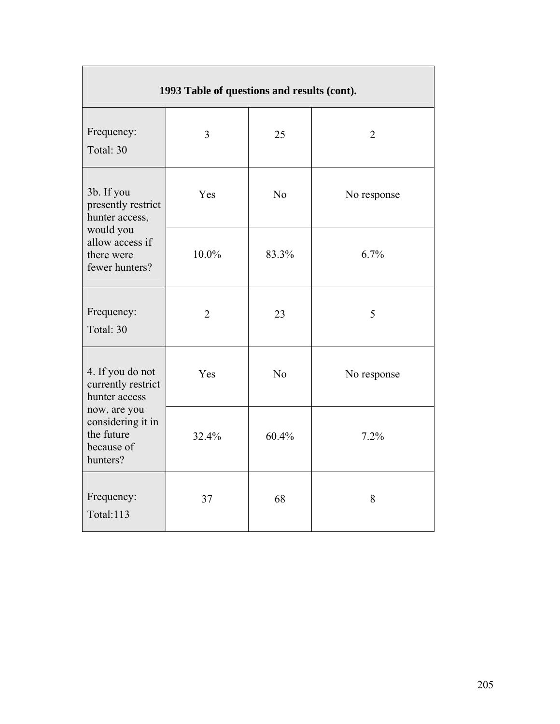| 1993 Table of questions and results (cont).                                                                                          |                |                |                |  |  |  |
|--------------------------------------------------------------------------------------------------------------------------------------|----------------|----------------|----------------|--|--|--|
| Frequency:<br>Total: 30                                                                                                              | $\overline{3}$ | 25             | $\overline{2}$ |  |  |  |
| 3b. If you<br>presently restrict<br>hunter access,<br>would you<br>allow access if<br>there were<br>fewer hunters?                   | Yes            | N <sub>o</sub> | No response    |  |  |  |
|                                                                                                                                      | 10.0%          | 83.3%          | 6.7%           |  |  |  |
| Frequency:<br>Total: 30                                                                                                              | $\overline{2}$ | 23             | 5              |  |  |  |
| 4. If you do not<br>currently restrict<br>hunter access<br>now, are you<br>considering it in<br>the future<br>because of<br>hunters? | Yes            | N <sub>o</sub> | No response    |  |  |  |
|                                                                                                                                      | 32.4%          | 60.4%          | 7.2%           |  |  |  |
| Frequency:<br>Total:113                                                                                                              | 37             | 68             | 8              |  |  |  |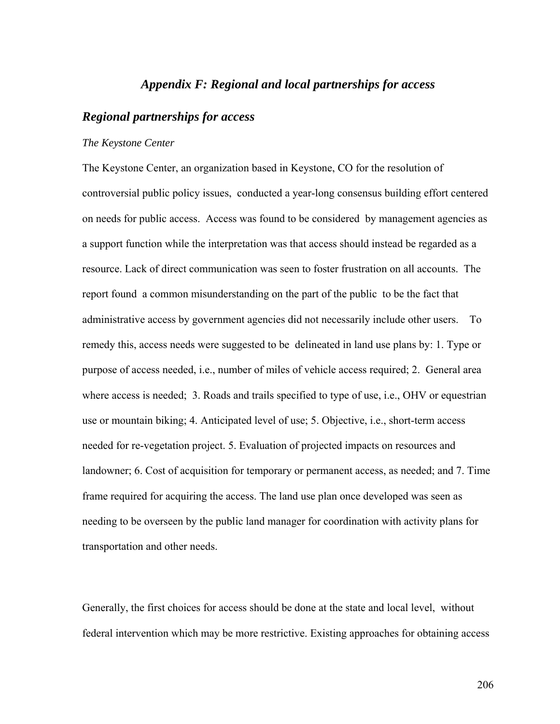## *Appendix F: Regional and local partnerships for access*

## *Regional partnerships for access*

#### *The Keystone Center*

The Keystone Center, an organization based in Keystone, CO for the resolution of controversial public policy issues, conducted a year-long consensus building effort centered on needs for public access. Access was found to be considered by management agencies as a support function while the interpretation was that access should instead be regarded as a resource. Lack of direct communication was seen to foster frustration on all accounts. The report found a common misunderstanding on the part of the public to be the fact that administrative access by government agencies did not necessarily include other users. To remedy this, access needs were suggested to be delineated in land use plans by: 1. Type or purpose of access needed, i.e., number of miles of vehicle access required; 2. General area where access is needed; 3. Roads and trails specified to type of use, i.e., OHV or equestrian use or mountain biking; 4. Anticipated level of use; 5. Objective, i.e., short-term access needed for re-vegetation project. 5. Evaluation of projected impacts on resources and landowner; 6. Cost of acquisition for temporary or permanent access, as needed; and 7. Time frame required for acquiring the access. The land use plan once developed was seen as needing to be overseen by the public land manager for coordination with activity plans for transportation and other needs.

Generally, the first choices for access should be done at the state and local level, without federal intervention which may be more restrictive. Existing approaches for obtaining access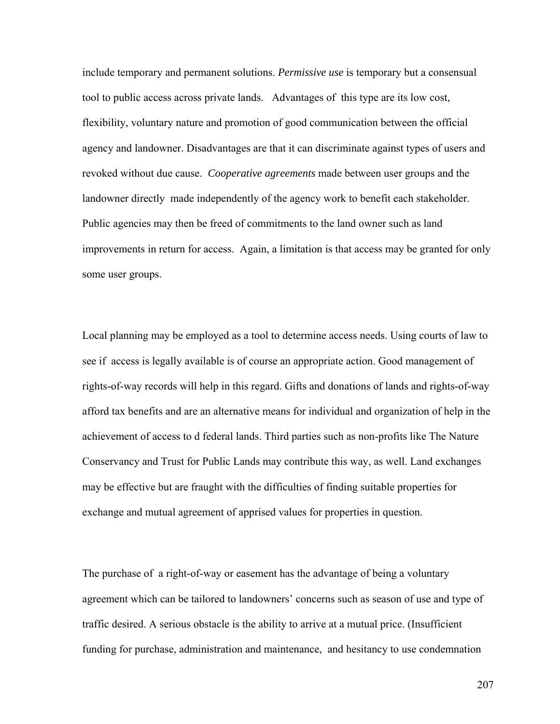include temporary and permanent solutions. *Permissive use* is temporary but a consensual tool to public access across private lands. Advantages of this type are its low cost, flexibility, voluntary nature and promotion of good communication between the official agency and landowner. Disadvantages are that it can discriminate against types of users and revoked without due cause. *Cooperative agreements* made between user groups and the landowner directly made independently of the agency work to benefit each stakeholder. Public agencies may then be freed of commitments to the land owner such as land improvements in return for access. Again, a limitation is that access may be granted for only some user groups.

Local planning may be employed as a tool to determine access needs. Using courts of law to see if access is legally available is of course an appropriate action. Good management of rights-of-way records will help in this regard. Gifts and donations of lands and rights-of-way afford tax benefits and are an alternative means for individual and organization of help in the achievement of access to d federal lands. Third parties such as non-profits like The Nature Conservancy and Trust for Public Lands may contribute this way, as well. Land exchanges may be effective but are fraught with the difficulties of finding suitable properties for exchange and mutual agreement of apprised values for properties in question.

The purchase of a right-of-way or easement has the advantage of being a voluntary agreement which can be tailored to landowners' concerns such as season of use and type of traffic desired. A serious obstacle is the ability to arrive at a mutual price. (Insufficient funding for purchase, administration and maintenance, and hesitancy to use condemnation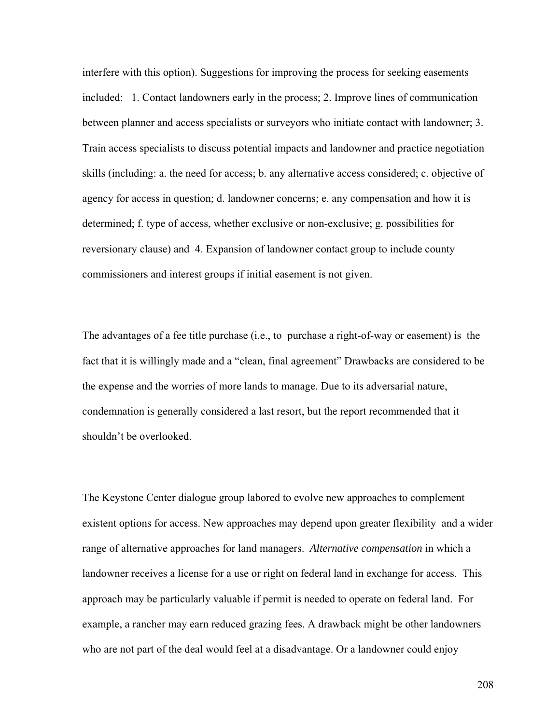interfere with this option). Suggestions for improving the process for seeking easements included: 1. Contact landowners early in the process; 2. Improve lines of communication between planner and access specialists or surveyors who initiate contact with landowner; 3. Train access specialists to discuss potential impacts and landowner and practice negotiation skills (including: a. the need for access; b. any alternative access considered; c. objective of agency for access in question; d. landowner concerns; e. any compensation and how it is determined; f. type of access, whether exclusive or non-exclusive; g. possibilities for reversionary clause) and 4. Expansion of landowner contact group to include county commissioners and interest groups if initial easement is not given.

The advantages of a fee title purchase (i.e., to purchase a right-of-way or easement) is the fact that it is willingly made and a "clean, final agreement" Drawbacks are considered to be the expense and the worries of more lands to manage. Due to its adversarial nature, condemnation is generally considered a last resort, but the report recommended that it shouldn't be overlooked.

The Keystone Center dialogue group labored to evolve new approaches to complement existent options for access. New approaches may depend upon greater flexibility and a wider range of alternative approaches for land managers. *Alternative compensation* in which a landowner receives a license for a use or right on federal land in exchange for access. This approach may be particularly valuable if permit is needed to operate on federal land. For example, a rancher may earn reduced grazing fees. A drawback might be other landowners who are not part of the deal would feel at a disadvantage. Or a landowner could enjoy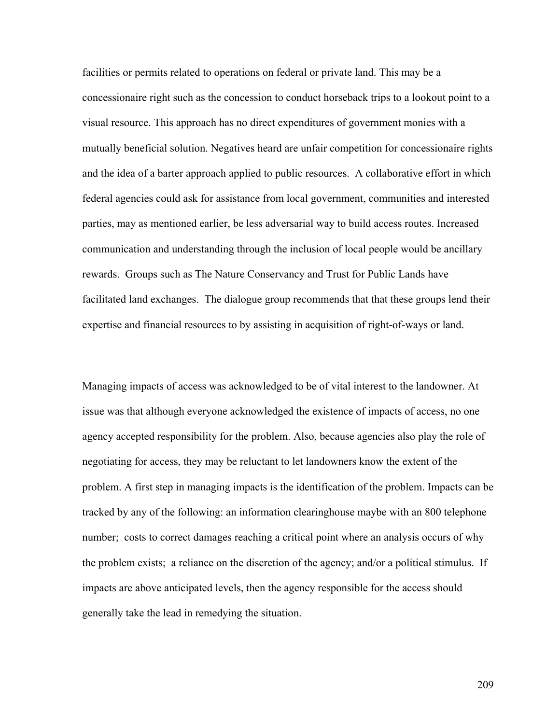facilities or permits related to operations on federal or private land. This may be a concessionaire right such as the concession to conduct horseback trips to a lookout point to a visual resource. This approach has no direct expenditures of government monies with a mutually beneficial solution. Negatives heard are unfair competition for concessionaire rights and the idea of a barter approach applied to public resources. A collaborative effort in which federal agencies could ask for assistance from local government, communities and interested parties, may as mentioned earlier, be less adversarial way to build access routes. Increased communication and understanding through the inclusion of local people would be ancillary rewards. Groups such as The Nature Conservancy and Trust for Public Lands have facilitated land exchanges. The dialogue group recommends that that these groups lend their expertise and financial resources to by assisting in acquisition of right-of-ways or land.

Managing impacts of access was acknowledged to be of vital interest to the landowner. At issue was that although everyone acknowledged the existence of impacts of access, no one agency accepted responsibility for the problem. Also, because agencies also play the role of negotiating for access, they may be reluctant to let landowners know the extent of the problem. A first step in managing impacts is the identification of the problem. Impacts can be tracked by any of the following: an information clearinghouse maybe with an 800 telephone number; costs to correct damages reaching a critical point where an analysis occurs of why the problem exists; a reliance on the discretion of the agency; and/or a political stimulus. If impacts are above anticipated levels, then the agency responsible for the access should generally take the lead in remedying the situation.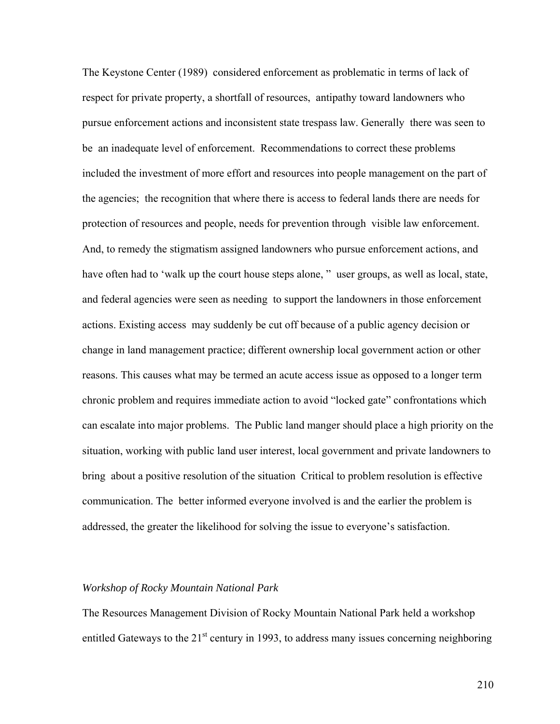The Keystone Center (1989) considered enforcement as problematic in terms of lack of respect for private property, a shortfall of resources, antipathy toward landowners who pursue enforcement actions and inconsistent state trespass law. Generally there was seen to be an inadequate level of enforcement. Recommendations to correct these problems included the investment of more effort and resources into people management on the part of the agencies; the recognition that where there is access to federal lands there are needs for protection of resources and people, needs for prevention through visible law enforcement. And, to remedy the stigmatism assigned landowners who pursue enforcement actions, and have often had to 'walk up the court house steps alone," user groups, as well as local, state, and federal agencies were seen as needing to support the landowners in those enforcement actions. Existing access may suddenly be cut off because of a public agency decision or change in land management practice; different ownership local government action or other reasons. This causes what may be termed an acute access issue as opposed to a longer term chronic problem and requires immediate action to avoid "locked gate" confrontations which can escalate into major problems. The Public land manger should place a high priority on the situation, working with public land user interest, local government and private landowners to bring about a positive resolution of the situation Critical to problem resolution is effective communication. The better informed everyone involved is and the earlier the problem is addressed, the greater the likelihood for solving the issue to everyone's satisfaction.

### *Workshop of Rocky Mountain National Park*

The Resources Management Division of Rocky Mountain National Park held a workshop entitled Gateways to the  $21^{st}$  century in 1993, to address many issues concerning neighboring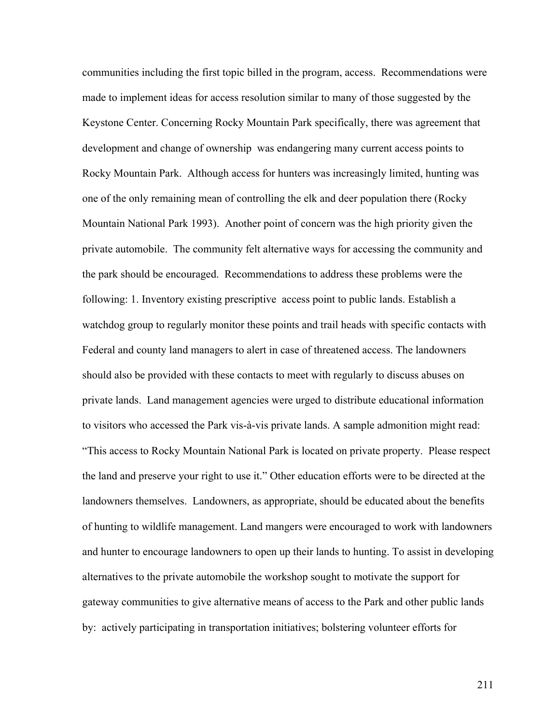communities including the first topic billed in the program, access. Recommendations were made to implement ideas for access resolution similar to many of those suggested by the Keystone Center. Concerning Rocky Mountain Park specifically, there was agreement that development and change of ownership was endangering many current access points to Rocky Mountain Park. Although access for hunters was increasingly limited, hunting was one of the only remaining mean of controlling the elk and deer population there (Rocky Mountain National Park 1993). Another point of concern was the high priority given the private automobile. The community felt alternative ways for accessing the community and the park should be encouraged. Recommendations to address these problems were the following: 1. Inventory existing prescriptive access point to public lands. Establish a watchdog group to regularly monitor these points and trail heads with specific contacts with Federal and county land managers to alert in case of threatened access. The landowners should also be provided with these contacts to meet with regularly to discuss abuses on private lands. Land management agencies were urged to distribute educational information to visitors who accessed the Park vis-à-vis private lands. A sample admonition might read: "This access to Rocky Mountain National Park is located on private property. Please respect the land and preserve your right to use it." Other education efforts were to be directed at the landowners themselves. Landowners, as appropriate, should be educated about the benefits of hunting to wildlife management. Land mangers were encouraged to work with landowners and hunter to encourage landowners to open up their lands to hunting. To assist in developing alternatives to the private automobile the workshop sought to motivate the support for gateway communities to give alternative means of access to the Park and other public lands by: actively participating in transportation initiatives; bolstering volunteer efforts for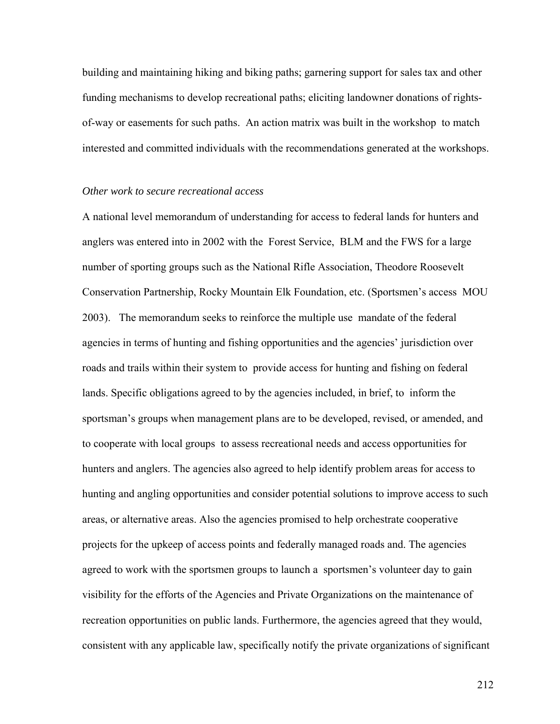building and maintaining hiking and biking paths; garnering support for sales tax and other funding mechanisms to develop recreational paths; eliciting landowner donations of rightsof-way or easements for such paths. An action matrix was built in the workshop to match interested and committed individuals with the recommendations generated at the workshops.

#### *Other work to secure recreational access*

A national level memorandum of understanding for access to federal lands for hunters and anglers was entered into in 2002 with the Forest Service, BLM and the FWS for a large number of sporting groups such as the National Rifle Association, Theodore Roosevelt Conservation Partnership, Rocky Mountain Elk Foundation, etc. (Sportsmen's access MOU 2003). The memorandum seeks to reinforce the multiple use mandate of the federal agencies in terms of hunting and fishing opportunities and the agencies' jurisdiction over roads and trails within their system to provide access for hunting and fishing on federal lands. Specific obligations agreed to by the agencies included, in brief, to inform the sportsman's groups when management plans are to be developed, revised, or amended, and to cooperate with local groups to assess recreational needs and access opportunities for hunters and anglers. The agencies also agreed to help identify problem areas for access to hunting and angling opportunities and consider potential solutions to improve access to such areas, or alternative areas. Also the agencies promised to help orchestrate cooperative projects for the upkeep of access points and federally managed roads and. The agencies agreed to work with the sportsmen groups to launch a sportsmen's volunteer day to gain visibility for the efforts of the Agencies and Private Organizations on the maintenance of recreation opportunities on public lands. Furthermore, the agencies agreed that they would, consistent with any applicable law, specifically notify the private organizations of significant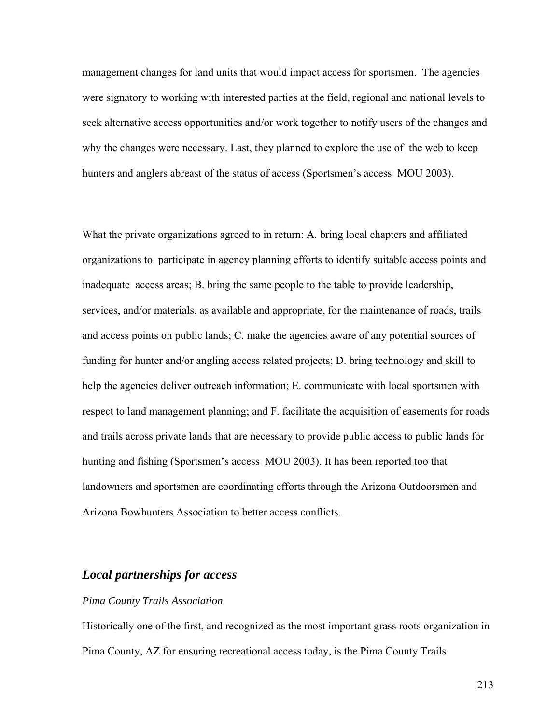management changes for land units that would impact access for sportsmen. The agencies were signatory to working with interested parties at the field, regional and national levels to seek alternative access opportunities and/or work together to notify users of the changes and why the changes were necessary. Last, they planned to explore the use of the web to keep hunters and anglers abreast of the status of access (Sportsmen's access MOU 2003).

What the private organizations agreed to in return: A. bring local chapters and affiliated organizations to participate in agency planning efforts to identify suitable access points and inadequate access areas; B. bring the same people to the table to provide leadership, services, and/or materials, as available and appropriate, for the maintenance of roads, trails and access points on public lands; C. make the agencies aware of any potential sources of funding for hunter and/or angling access related projects; D. bring technology and skill to help the agencies deliver outreach information; E. communicate with local sportsmen with respect to land management planning; and F. facilitate the acquisition of easements for roads and trails across private lands that are necessary to provide public access to public lands for hunting and fishing (Sportsmen's access MOU 2003). It has been reported too that landowners and sportsmen are coordinating efforts through the Arizona Outdoorsmen and Arizona Bowhunters Association to better access conflicts.

## *Local partnerships for access*

#### *Pima County Trails Association*

Historically one of the first, and recognized as the most important grass roots organization in Pima County, AZ for ensuring recreational access today, is the Pima County Trails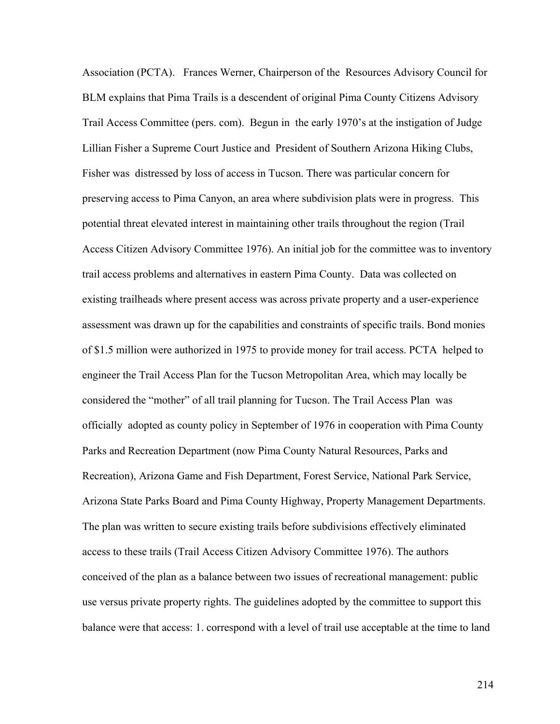Association (PCTA). Frances Werner, Chairperson of the Resources Advisory Council for BLM explains that Pima Trails is a descendent of original Pima County Citizens Advisory Trail Access Committee (pers. com). Begun in the early 1970's at the instigation of Judge Lillian Fisher a Supreme Court Justice and President of Southern Arizona Hiking Clubs, Fisher was distressed by loss of access in Tucson. There was particular concern for preserving access to Pima Canyon, an area where subdivision plats were in progress. This potential threat elevated interest in maintaining other trails throughout the region (Trail Access Citizen Advisory Committee 1976). An initial job for the committee was to inventory trail access problems and alternatives in eastern Pima County. Data was collected on existing trailheads where present access was across private property and a user-experience assessment was drawn up for the capabilities and constraints of specific trails. Bond monies of \$1.5 million were authorized in 1975 to provide money for trail access. PCTA helped to engineer the Trail Access Plan for the Tucson Metropolitan Area, which may locally be considered the "mother" of all trail planning for Tucson. The Trail Access Plan was officially adopted as county policy in September of 1976 in cooperation with Pima County Parks and Recreation Department (now Pima County Natural Resources, Parks and Recreation), Arizona Game and Fish Department, Forest Service, National Park Service, Arizona State Parks Board and Pima County Highway, Property Management Departments. The plan was written to secure existing trails before subdivisions effectively eliminated access to these trails (Trail Access Citizen Advisory Committee 1976). The authors conceived of the plan as a balance between two issues of recreational management: public use versus private property rights. The guidelines adopted by the committee to support this balance were that access: 1. correspond with a level of trail use acceptable at the time to land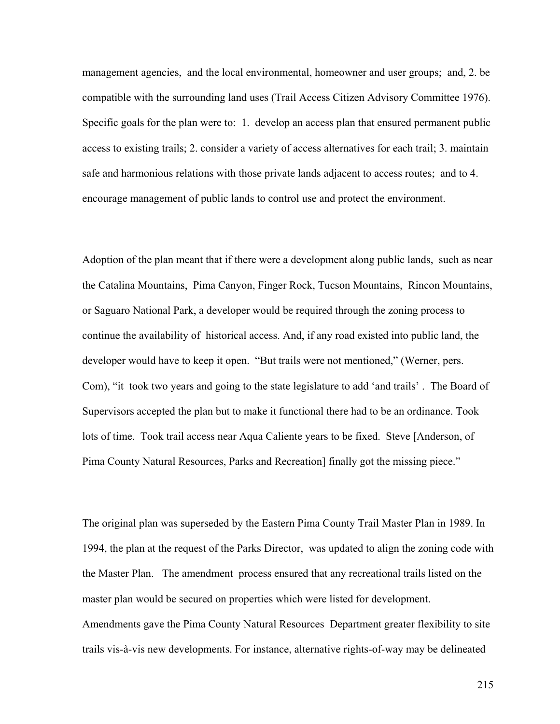management agencies, and the local environmental, homeowner and user groups; and, 2. be compatible with the surrounding land uses (Trail Access Citizen Advisory Committee 1976). Specific goals for the plan were to: 1. develop an access plan that ensured permanent public access to existing trails; 2. consider a variety of access alternatives for each trail; 3. maintain safe and harmonious relations with those private lands adjacent to access routes; and to 4. encourage management of public lands to control use and protect the environment.

Adoption of the plan meant that if there were a development along public lands, such as near the Catalina Mountains, Pima Canyon, Finger Rock, Tucson Mountains, Rincon Mountains, or Saguaro National Park, a developer would be required through the zoning process to continue the availability of historical access. And, if any road existed into public land, the developer would have to keep it open. "But trails were not mentioned," (Werner, pers. Com), "it took two years and going to the state legislature to add 'and trails' . The Board of Supervisors accepted the plan but to make it functional there had to be an ordinance. Took lots of time. Took trail access near Aqua Caliente years to be fixed. Steve [Anderson, of Pima County Natural Resources, Parks and Recreation] finally got the missing piece."

The original plan was superseded by the Eastern Pima County Trail Master Plan in 1989. In 1994, the plan at the request of the Parks Director, was updated to align the zoning code with the Master Plan. The amendment process ensured that any recreational trails listed on the master plan would be secured on properties which were listed for development. Amendments gave the Pima County Natural Resources Department greater flexibility to site trails vis-à-vis new developments. For instance, alternative rights-of-way may be delineated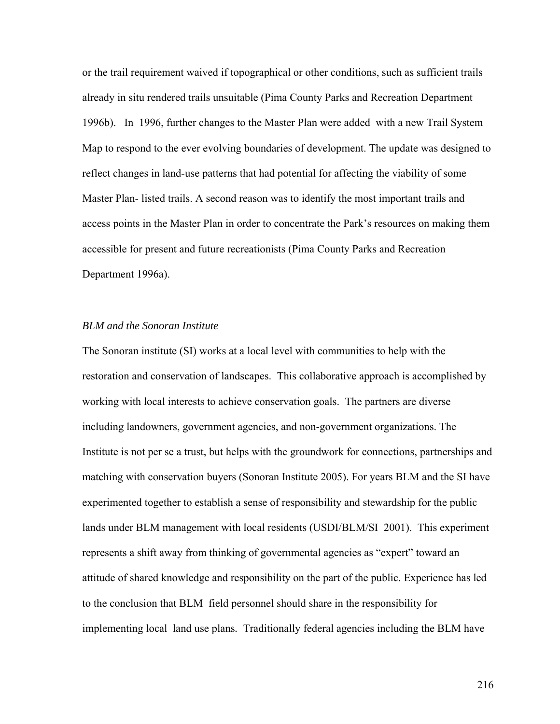or the trail requirement waived if topographical or other conditions, such as sufficient trails already in situ rendered trails unsuitable (Pima County Parks and Recreation Department 1996b). In 1996, further changes to the Master Plan were added with a new Trail System Map to respond to the ever evolving boundaries of development. The update was designed to reflect changes in land-use patterns that had potential for affecting the viability of some Master Plan- listed trails. A second reason was to identify the most important trails and access points in the Master Plan in order to concentrate the Park's resources on making them accessible for present and future recreationists (Pima County Parks and Recreation Department 1996a).

#### *BLM and the Sonoran Institute*

The Sonoran institute (SI) works at a local level with communities to help with the restoration and conservation of landscapes. This collaborative approach is accomplished by working with local interests to achieve conservation goals. The partners are diverse including landowners, government agencies, and non-government organizations. The Institute is not per se a trust, but helps with the groundwork for connections, partnerships and matching with conservation buyers (Sonoran Institute 2005). For years BLM and the SI have experimented together to establish a sense of responsibility and stewardship for the public lands under BLM management with local residents (USDI/BLM/SI 2001). This experiment represents a shift away from thinking of governmental agencies as "expert" toward an attitude of shared knowledge and responsibility on the part of the public. Experience has led to the conclusion that BLM field personnel should share in the responsibility for implementing local land use plans*.* Traditionally federal agencies including the BLM have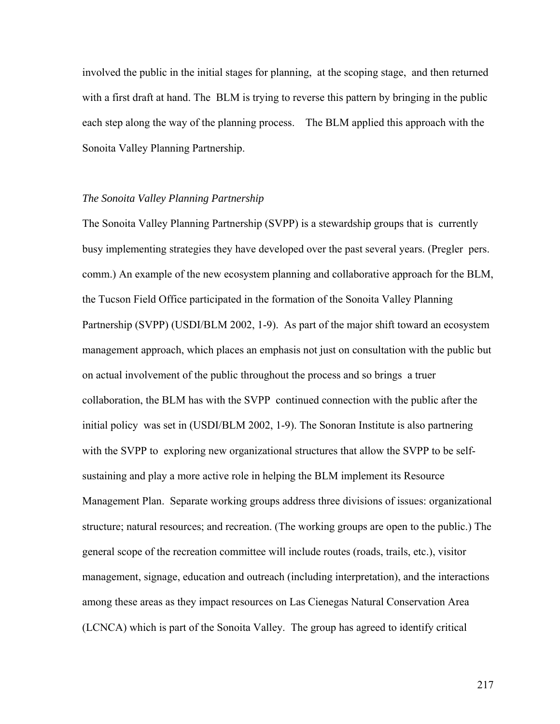involved the public in the initial stages for planning, at the scoping stage, and then returned with a first draft at hand. The BLM is trying to reverse this pattern by bringing in the public each step along the way of the planning process. The BLM applied this approach with the Sonoita Valley Planning Partnership.

## *The Sonoita Valley Planning Partnership*

The Sonoita Valley Planning Partnership (SVPP) is a stewardship groups that is currently busy implementing strategies they have developed over the past several years. (Pregler pers. comm.) An example of the new ecosystem planning and collaborative approach for the BLM, the Tucson Field Office participated in the formation of the Sonoita Valley Planning Partnership (SVPP) (USDI/BLM 2002, 1-9). As part of the major shift toward an ecosystem management approach, which places an emphasis not just on consultation with the public but on actual involvement of the public throughout the process and so brings a truer collaboration, the BLM has with the SVPP continued connection with the public after the initial policy was set in (USDI/BLM 2002, 1-9). The Sonoran Institute is also partnering with the SVPP to exploring new organizational structures that allow the SVPP to be selfsustaining and play a more active role in helping the BLM implement its Resource Management Plan. Separate working groups address three divisions of issues: organizational structure; natural resources; and recreation. (The working groups are open to the public.) The general scope of the recreation committee will include routes (roads, trails, etc.), visitor management, signage, education and outreach (including interpretation), and the interactions among these areas as they impact resources on Las Cienegas Natural Conservation Area (LCNCA) which is part of the Sonoita Valley. The group has agreed to identify critical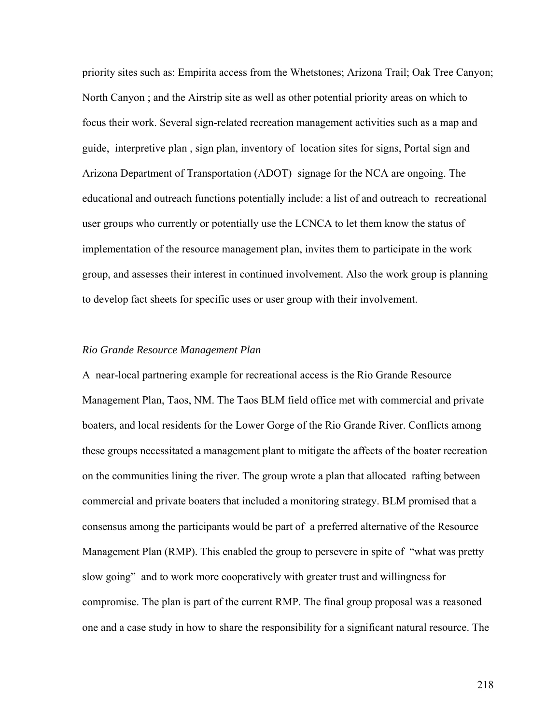priority sites such as: Empirita access from the Whetstones; Arizona Trail; Oak Tree Canyon; North Canyon ; and the Airstrip site as well as other potential priority areas on which to focus their work. Several sign-related recreation management activities such as a map and guide, interpretive plan , sign plan, inventory of location sites for signs, Portal sign and Arizona Department of Transportation (ADOT) signage for the NCA are ongoing. The educational and outreach functions potentially include: a list of and outreach to recreational user groups who currently or potentially use the LCNCA to let them know the status of implementation of the resource management plan, invites them to participate in the work group, and assesses their interest in continued involvement. Also the work group is planning to develop fact sheets for specific uses or user group with their involvement.

## *Rio Grande Resource Management Plan*

A near-local partnering example for recreational access is the Rio Grande Resource Management Plan, Taos, NM. The Taos BLM field office met with commercial and private boaters, and local residents for the Lower Gorge of the Rio Grande River. Conflicts among these groups necessitated a management plant to mitigate the affects of the boater recreation on the communities lining the river. The group wrote a plan that allocated rafting between commercial and private boaters that included a monitoring strategy. BLM promised that a consensus among the participants would be part of a preferred alternative of the Resource Management Plan (RMP). This enabled the group to persevere in spite of "what was pretty slow going" and to work more cooperatively with greater trust and willingness for compromise. The plan is part of the current RMP. The final group proposal was a reasoned one and a case study in how to share the responsibility for a significant natural resource. The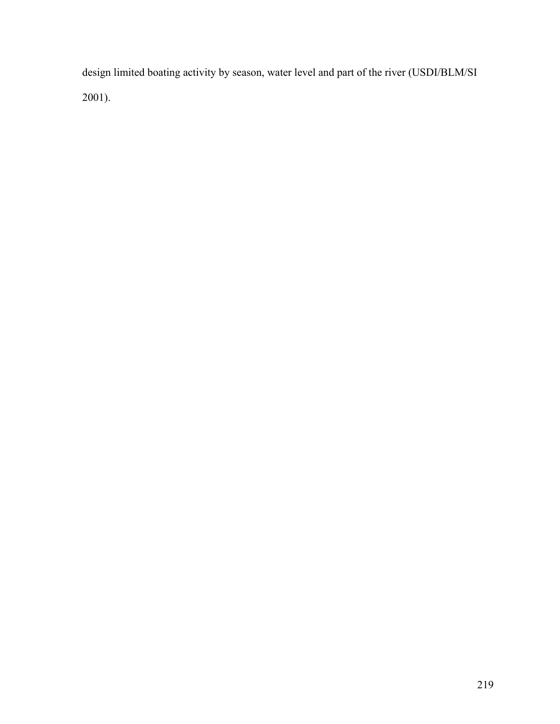design limited boating activity by season, water level and part of the river (USDI/BLM/SI 2001).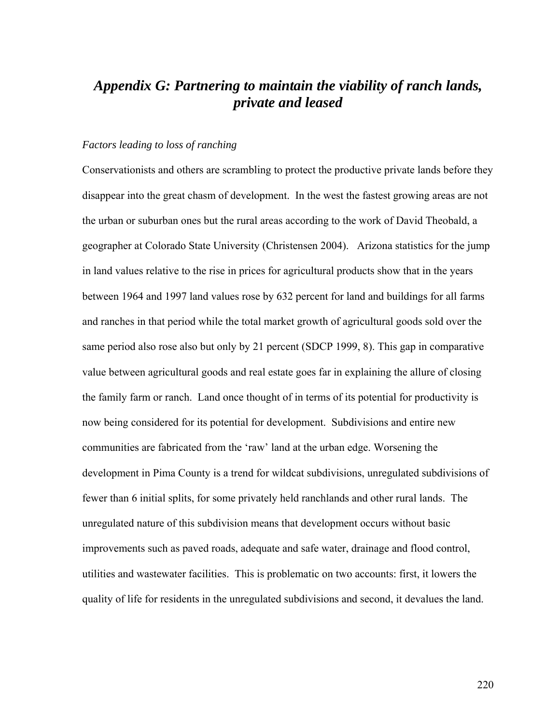# *Appendix G: Partnering to maintain the viability of ranch lands, private and leased*

## *Factors leading to loss of ranching*

Conservationists and others are scrambling to protect the productive private lands before they disappear into the great chasm of development. In the west the fastest growing areas are not the urban or suburban ones but the rural areas according to the work of David Theobald, a geographer at Colorado State University (Christensen 2004). Arizona statistics for the jump in land values relative to the rise in prices for agricultural products show that in the years between 1964 and 1997 land values rose by 632 percent for land and buildings for all farms and ranches in that period while the total market growth of agricultural goods sold over the same period also rose also but only by 21 percent (SDCP 1999, 8). This gap in comparative value between agricultural goods and real estate goes far in explaining the allure of closing the family farm or ranch. Land once thought of in terms of its potential for productivity is now being considered for its potential for development. Subdivisions and entire new communities are fabricated from the 'raw' land at the urban edge. Worsening the development in Pima County is a trend for wildcat subdivisions, unregulated subdivisions of fewer than 6 initial splits, for some privately held ranchlands and other rural lands. The unregulated nature of this subdivision means that development occurs without basic improvements such as paved roads, adequate and safe water, drainage and flood control, utilities and wastewater facilities. This is problematic on two accounts: first, it lowers the quality of life for residents in the unregulated subdivisions and second, it devalues the land.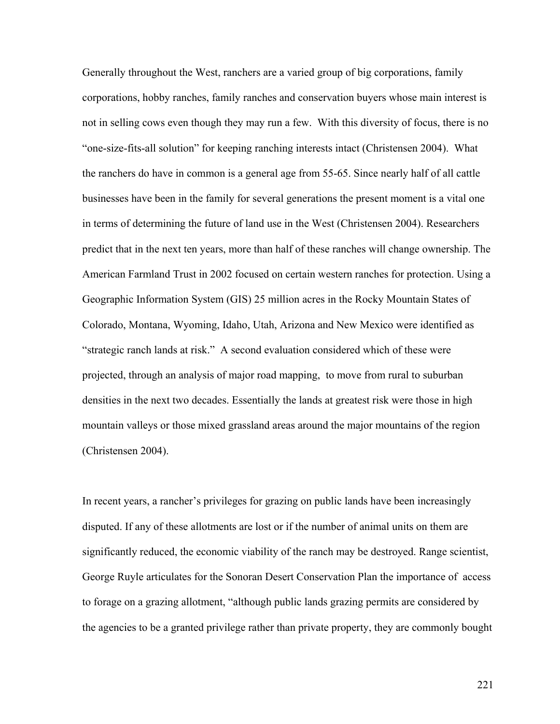Generally throughout the West, ranchers are a varied group of big corporations, family corporations, hobby ranches, family ranches and conservation buyers whose main interest is not in selling cows even though they may run a few. With this diversity of focus, there is no "one-size-fits-all solution" for keeping ranching interests intact (Christensen 2004). What the ranchers do have in common is a general age from 55-65. Since nearly half of all cattle businesses have been in the family for several generations the present moment is a vital one in terms of determining the future of land use in the West (Christensen 2004). Researchers predict that in the next ten years, more than half of these ranches will change ownership. The American Farmland Trust in 2002 focused on certain western ranches for protection. Using a Geographic Information System (GIS) 25 million acres in the Rocky Mountain States of Colorado, Montana, Wyoming, Idaho, Utah, Arizona and New Mexico were identified as "strategic ranch lands at risk." A second evaluation considered which of these were projected, through an analysis of major road mapping, to move from rural to suburban densities in the next two decades. Essentially the lands at greatest risk were those in high mountain valleys or those mixed grassland areas around the major mountains of the region (Christensen 2004).

In recent years, a rancher's privileges for grazing on public lands have been increasingly disputed. If any of these allotments are lost or if the number of animal units on them are significantly reduced, the economic viability of the ranch may be destroyed. Range scientist, George Ruyle articulates for the Sonoran Desert Conservation Plan the importance of access to forage on a grazing allotment, "although public lands grazing permits are considered by the agencies to be a granted privilege rather than private property, they are commonly bought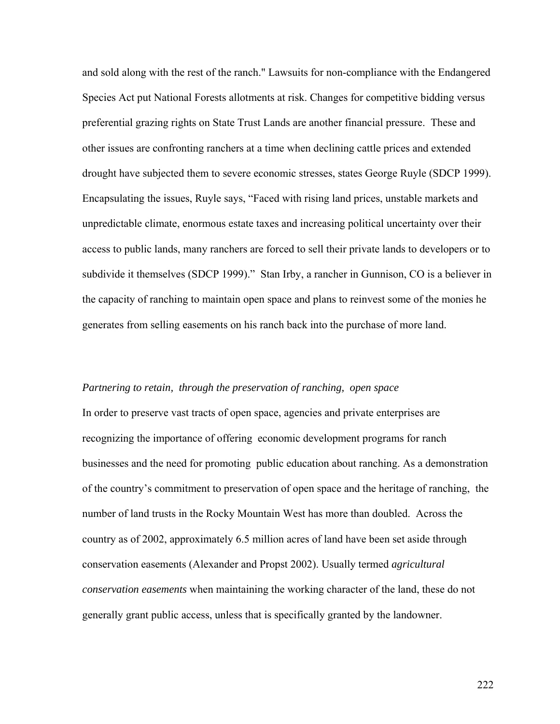and sold along with the rest of the ranch." Lawsuits for non-compliance with the Endangered Species Act put National Forests allotments at risk. Changes for competitive bidding versus preferential grazing rights on State Trust Lands are another financial pressure. These and other issues are confronting ranchers at a time when declining cattle prices and extended drought have subjected them to severe economic stresses, states George Ruyle (SDCP 1999). Encapsulating the issues, Ruyle says, "Faced with rising land prices, unstable markets and unpredictable climate, enormous estate taxes and increasing political uncertainty over their access to public lands, many ranchers are forced to sell their private lands to developers or to subdivide it themselves (SDCP 1999)." Stan Irby, a rancher in Gunnison, CO is a believer in the capacity of ranching to maintain open space and plans to reinvest some of the monies he generates from selling easements on his ranch back into the purchase of more land.

# *Partnering to retain, through the preservation of ranching, open space*

In order to preserve vast tracts of open space, agencies and private enterprises are recognizing the importance of offering economic development programs for ranch businesses and the need for promoting public education about ranching. As a demonstration of the country's commitment to preservation of open space and the heritage of ranching, the number of land trusts in the Rocky Mountain West has more than doubled. Across the country as of 2002, approximately 6.5 million acres of land have been set aside through conservation easements (Alexander and Propst 2002). Usually termed *agricultural conservation easements* when maintaining the working character of the land, these do not generally grant public access, unless that is specifically granted by the landowner.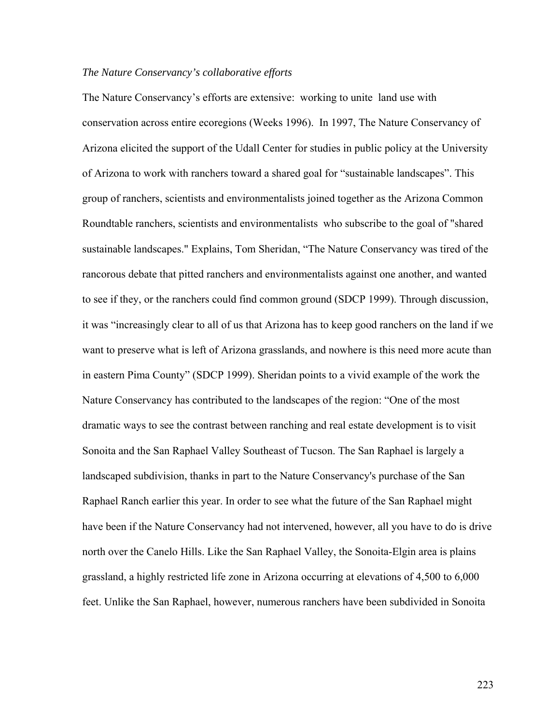# *The Nature Conservancy's collaborative efforts*

The Nature Conservancy's efforts are extensive: working to unite land use with conservation across entire ecoregions (Weeks 1996). In 1997, The Nature Conservancy of Arizona elicited the support of the Udall Center for studies in public policy at the University of Arizona to work with ranchers toward a shared goal for "sustainable landscapes". This group of ranchers, scientists and environmentalists joined together as the Arizona Common Roundtable ranchers, scientists and environmentalists who subscribe to the goal of "shared sustainable landscapes." Explains, Tom Sheridan, "The Nature Conservancy was tired of the rancorous debate that pitted ranchers and environmentalists against one another, and wanted to see if they, or the ranchers could find common ground (SDCP 1999). Through discussion, it was "increasingly clear to all of us that Arizona has to keep good ranchers on the land if we want to preserve what is left of Arizona grasslands, and nowhere is this need more acute than in eastern Pima County" (SDCP 1999). Sheridan points to a vivid example of the work the Nature Conservancy has contributed to the landscapes of the region: "One of the most dramatic ways to see the contrast between ranching and real estate development is to visit Sonoita and the San Raphael Valley Southeast of Tucson. The San Raphael is largely a landscaped subdivision, thanks in part to the Nature Conservancy's purchase of the San Raphael Ranch earlier this year. In order to see what the future of the San Raphael might have been if the Nature Conservancy had not intervened, however, all you have to do is drive north over the Canelo Hills. Like the San Raphael Valley, the Sonoita-Elgin area is plains grassland, a highly restricted life zone in Arizona occurring at elevations of 4,500 to 6,000 feet. Unlike the San Raphael, however, numerous ranchers have been subdivided in Sonoita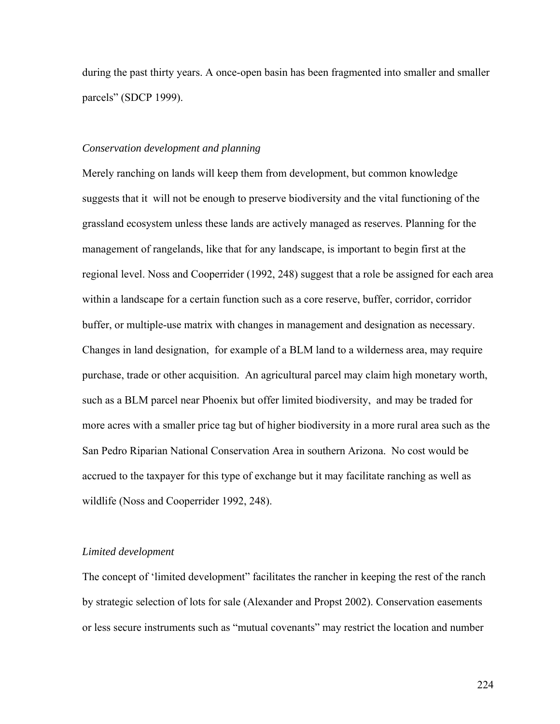during the past thirty years. A once-open basin has been fragmented into smaller and smaller parcels" (SDCP 1999).

## *Conservation development and planning*

Merely ranching on lands will keep them from development, but common knowledge suggests that it will not be enough to preserve biodiversity and the vital functioning of the grassland ecosystem unless these lands are actively managed as reserves. Planning for the management of rangelands, like that for any landscape, is important to begin first at the regional level. Noss and Cooperrider (1992, 248) suggest that a role be assigned for each area within a landscape for a certain function such as a core reserve, buffer, corridor, corridor buffer, or multiple-use matrix with changes in management and designation as necessary. Changes in land designation, for example of a BLM land to a wilderness area, may require purchase, trade or other acquisition. An agricultural parcel may claim high monetary worth, such as a BLM parcel near Phoenix but offer limited biodiversity, and may be traded for more acres with a smaller price tag but of higher biodiversity in a more rural area such as the San Pedro Riparian National Conservation Area in southern Arizona. No cost would be accrued to the taxpayer for this type of exchange but it may facilitate ranching as well as wildlife (Noss and Cooperrider 1992, 248).

#### *Limited development*

The concept of 'limited development" facilitates the rancher in keeping the rest of the ranch by strategic selection of lots for sale (Alexander and Propst 2002). Conservation easements or less secure instruments such as "mutual covenants" may restrict the location and number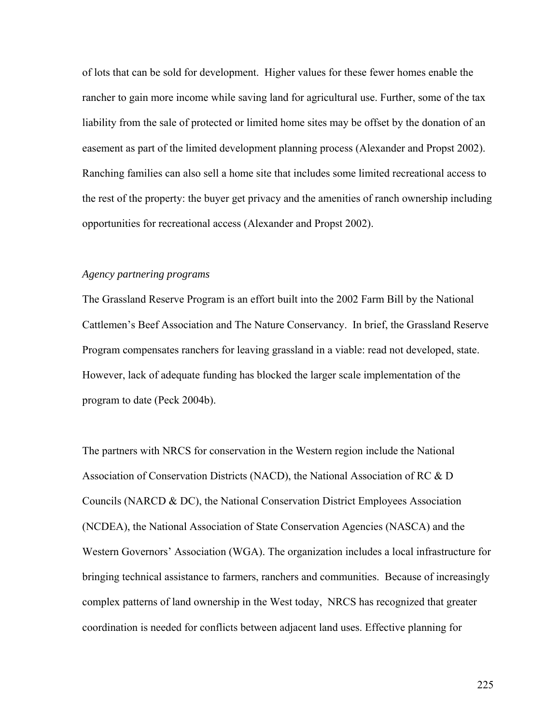of lots that can be sold for development. Higher values for these fewer homes enable the rancher to gain more income while saving land for agricultural use. Further, some of the tax liability from the sale of protected or limited home sites may be offset by the donation of an easement as part of the limited development planning process (Alexander and Propst 2002). Ranching families can also sell a home site that includes some limited recreational access to the rest of the property: the buyer get privacy and the amenities of ranch ownership including opportunities for recreational access (Alexander and Propst 2002).

### *Agency partnering programs*

The Grassland Reserve Program is an effort built into the 2002 Farm Bill by the National Cattlemen's Beef Association and The Nature Conservancy. In brief, the Grassland Reserve Program compensates ranchers for leaving grassland in a viable: read not developed, state. However, lack of adequate funding has blocked the larger scale implementation of the program to date (Peck 2004b).

The partners with NRCS for conservation in the Western region include the National Association of Conservation Districts (NACD), the National Association of RC & D Councils (NARCD & DC), the National Conservation District Employees Association (NCDEA), the National Association of State Conservation Agencies (NASCA) and the Western Governors' Association (WGA). The organization includes a local infrastructure for bringing technical assistance to farmers, ranchers and communities. Because of increasingly complex patterns of land ownership in the West today, NRCS has recognized that greater coordination is needed for conflicts between adjacent land uses. Effective planning for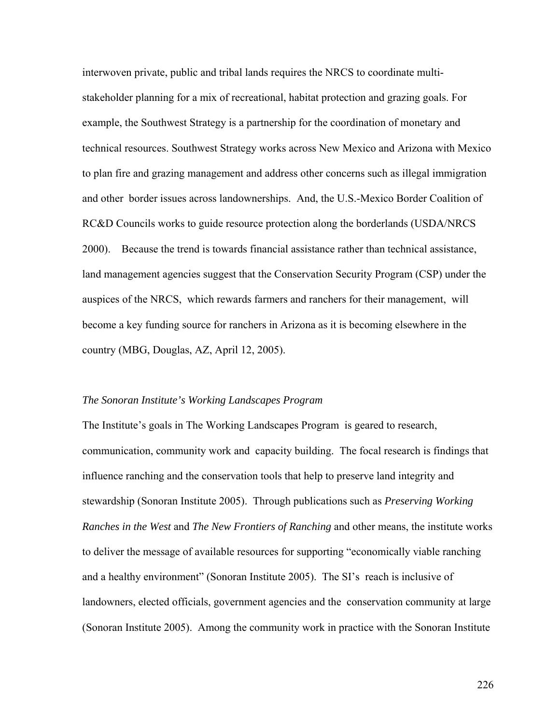interwoven private, public and tribal lands requires the NRCS to coordinate multistakeholder planning for a mix of recreational, habitat protection and grazing goals. For example, the Southwest Strategy is a partnership for the coordination of monetary and technical resources. Southwest Strategy works across New Mexico and Arizona with Mexico to plan fire and grazing management and address other concerns such as illegal immigration and other border issues across landownerships. And, the U.S.-Mexico Border Coalition of RC&D Councils works to guide resource protection along the borderlands (USDA/NRCS 2000). Because the trend is towards financial assistance rather than technical assistance, land management agencies suggest that the Conservation Security Program (CSP) under the auspices of the NRCS, which rewards farmers and ranchers for their management, will become a key funding source for ranchers in Arizona as it is becoming elsewhere in the country (MBG, Douglas, AZ, April 12, 2005).

#### *The Sonoran Institute's Working Landscapes Program*

The Institute's goals in The Working Landscapes Program is geared to research, communication, community work and capacity building. The focal research is findings that influence ranching and the conservation tools that help to preserve land integrity and stewardship (Sonoran Institute 2005). Through publications such as *Preserving Working Ranches in the West* and *The New Frontiers of Ranching* and other means, the institute works to deliver the message of available resources for supporting "economically viable ranching and a healthy environment" (Sonoran Institute 2005). The SI's reach is inclusive of landowners, elected officials, government agencies and the conservation community at large (Sonoran Institute 2005). Among the community work in practice with the Sonoran Institute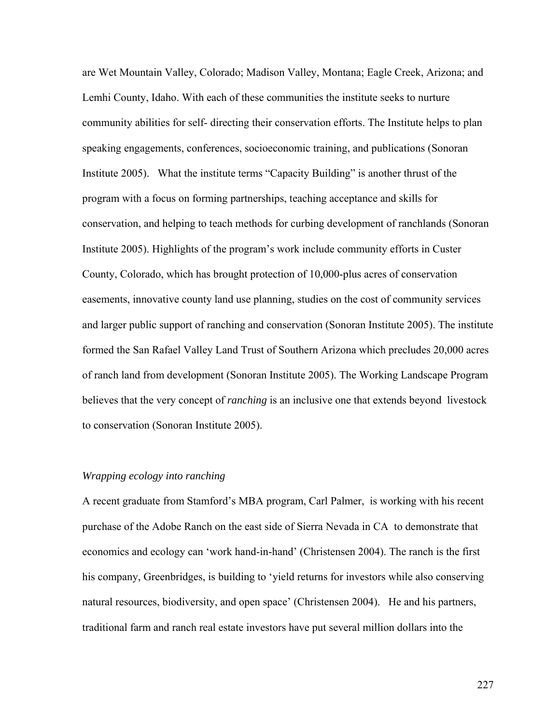are Wet Mountain Valley, Colorado; Madison Valley, Montana; Eagle Creek, Arizona; and Lemhi County, Idaho. With each of these communities the institute seeks to nurture community abilities for self- directing their conservation efforts. The Institute helps to plan speaking engagements, conferences, socioeconomic training, and publications (Sonoran Institute 2005). What the institute terms "Capacity Building" is another thrust of the program with a focus on forming partnerships, teaching acceptance and skills for conservation, and helping to teach methods for curbing development of ranchlands (Sonoran Institute 2005). Highlights of the program's work include community efforts in Custer County, Colorado, which has brought protection of 10,000-plus acres of conservation easements, innovative county land use planning, studies on the cost of community services and larger public support of ranching and conservation (Sonoran Institute 2005). The institute formed the San Rafael Valley Land Trust of Southern Arizona which precludes 20,000 acres of ranch land from development (Sonoran Institute 2005). The Working Landscape Program believes that the very concept of *ranching* is an inclusive one that extends beyond livestock to conservation (Sonoran Institute 2005).

# *Wrapping ecology into ranching*

A recent graduate from Stamford's MBA program, Carl Palmer, is working with his recent purchase of the Adobe Ranch on the east side of Sierra Nevada in CA to demonstrate that economics and ecology can 'work hand-in-hand' (Christensen 2004). The ranch is the first his company, Greenbridges, is building to 'yield returns for investors while also conserving natural resources, biodiversity, and open space' (Christensen 2004). He and his partners, traditional farm and ranch real estate investors have put several million dollars into the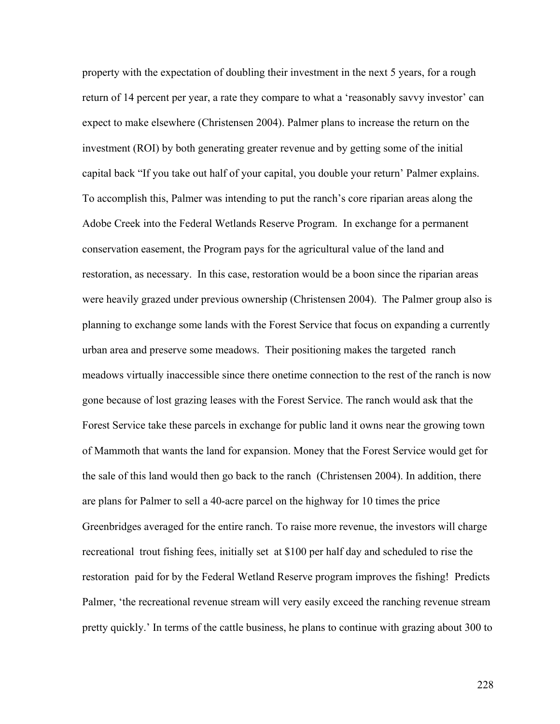property with the expectation of doubling their investment in the next 5 years, for a rough return of 14 percent per year, a rate they compare to what a 'reasonably savvy investor' can expect to make elsewhere (Christensen 2004). Palmer plans to increase the return on the investment (ROI) by both generating greater revenue and by getting some of the initial capital back "If you take out half of your capital, you double your return' Palmer explains. To accomplish this, Palmer was intending to put the ranch's core riparian areas along the Adobe Creek into the Federal Wetlands Reserve Program. In exchange for a permanent conservation easement, the Program pays for the agricultural value of the land and restoration, as necessary. In this case, restoration would be a boon since the riparian areas were heavily grazed under previous ownership (Christensen 2004). The Palmer group also is planning to exchange some lands with the Forest Service that focus on expanding a currently urban area and preserve some meadows. Their positioning makes the targeted ranch meadows virtually inaccessible since there onetime connection to the rest of the ranch is now gone because of lost grazing leases with the Forest Service. The ranch would ask that the Forest Service take these parcels in exchange for public land it owns near the growing town of Mammoth that wants the land for expansion. Money that the Forest Service would get for the sale of this land would then go back to the ranch (Christensen 2004). In addition, there are plans for Palmer to sell a 40-acre parcel on the highway for 10 times the price Greenbridges averaged for the entire ranch. To raise more revenue, the investors will charge recreational trout fishing fees, initially set at \$100 per half day and scheduled to rise the restoration paid for by the Federal Wetland Reserve program improves the fishing! Predicts Palmer, 'the recreational revenue stream will very easily exceed the ranching revenue stream pretty quickly.' In terms of the cattle business, he plans to continue with grazing about 300 to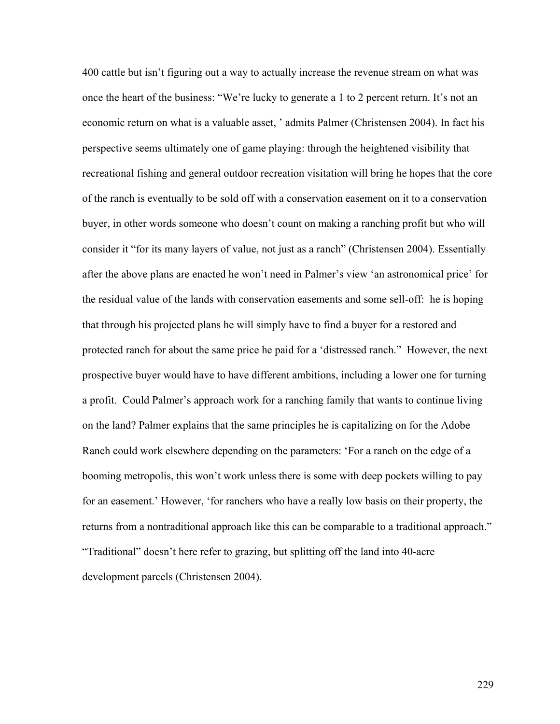400 cattle but isn't figuring out a way to actually increase the revenue stream on what was once the heart of the business: "We're lucky to generate a 1 to 2 percent return. It's not an economic return on what is a valuable asset, ' admits Palmer (Christensen 2004). In fact his perspective seems ultimately one of game playing: through the heightened visibility that recreational fishing and general outdoor recreation visitation will bring he hopes that the core of the ranch is eventually to be sold off with a conservation easement on it to a conservation buyer, in other words someone who doesn't count on making a ranching profit but who will consider it "for its many layers of value, not just as a ranch" (Christensen 2004). Essentially after the above plans are enacted he won't need in Palmer's view 'an astronomical price' for the residual value of the lands with conservation easements and some sell-off: he is hoping that through his projected plans he will simply have to find a buyer for a restored and protected ranch for about the same price he paid for a 'distressed ranch." However, the next prospective buyer would have to have different ambitions, including a lower one for turning a profit. Could Palmer's approach work for a ranching family that wants to continue living on the land? Palmer explains that the same principles he is capitalizing on for the Adobe Ranch could work elsewhere depending on the parameters: 'For a ranch on the edge of a booming metropolis, this won't work unless there is some with deep pockets willing to pay for an easement.' However, 'for ranchers who have a really low basis on their property, the returns from a nontraditional approach like this can be comparable to a traditional approach." "Traditional" doesn't here refer to grazing, but splitting off the land into 40-acre development parcels (Christensen 2004).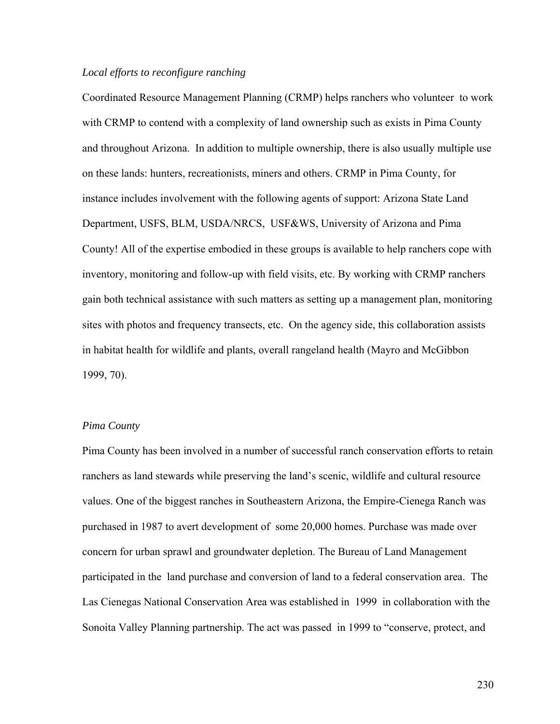# *Local efforts to reconfigure ranching*

Coordinated Resource Management Planning (CRMP) helps ranchers who volunteer to work with CRMP to contend with a complexity of land ownership such as exists in Pima County and throughout Arizona. In addition to multiple ownership, there is also usually multiple use on these lands: hunters, recreationists, miners and others. CRMP in Pima County, for instance includes involvement with the following agents of support: Arizona State Land Department, USFS, BLM, USDA/NRCS, USF&WS, University of Arizona and Pima County! All of the expertise embodied in these groups is available to help ranchers cope with inventory, monitoring and follow-up with field visits, etc. By working with CRMP ranchers gain both technical assistance with such matters as setting up a management plan, monitoring sites with photos and frequency transects, etc. On the agency side, this collaboration assists in habitat health for wildlife and plants, overall rangeland health (Mayro and McGibbon 1999, 70).

# *Pima County*

Pima County has been involved in a number of successful ranch conservation efforts to retain ranchers as land stewards while preserving the land's scenic, wildlife and cultural resource values. One of the biggest ranches in Southeastern Arizona, the Empire-Cienega Ranch was purchased in 1987 to avert development of some 20,000 homes. Purchase was made over concern for urban sprawl and groundwater depletion. The Bureau of Land Management participated in the land purchase and conversion of land to a federal conservation area. The Las Cienegas National Conservation Area was established in 1999 in collaboration with the Sonoita Valley Planning partnership. The act was passed in 1999 to "conserve, protect, and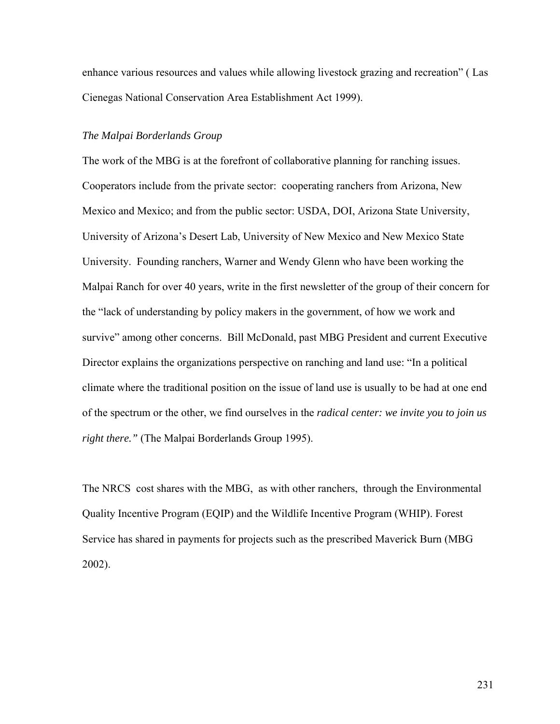enhance various resources and values while allowing livestock grazing and recreation" ( Las Cienegas National Conservation Area Establishment Act 1999).

# *The Malpai Borderlands Group*

The work of the MBG is at the forefront of collaborative planning for ranching issues. Cooperators include from the private sector: cooperating ranchers from Arizona, New Mexico and Mexico; and from the public sector: USDA, DOI, Arizona State University, University of Arizona's Desert Lab, University of New Mexico and New Mexico State University. Founding ranchers, Warner and Wendy Glenn who have been working the Malpai Ranch for over 40 years, write in the first newsletter of the group of their concern for the "lack of understanding by policy makers in the government, of how we work and survive" among other concerns. Bill McDonald, past MBG President and current Executive Director explains the organizations perspective on ranching and land use: "In a political climate where the traditional position on the issue of land use is usually to be had at one end of the spectrum or the other, we find ourselves in the *radical center: we invite you to join us right there."* (The Malpai Borderlands Group 1995).

The NRCS cost shares with the MBG, as with other ranchers, through the Environmental Quality Incentive Program (EQIP) and the Wildlife Incentive Program (WHIP). Forest Service has shared in payments for projects such as the prescribed Maverick Burn (MBG 2002).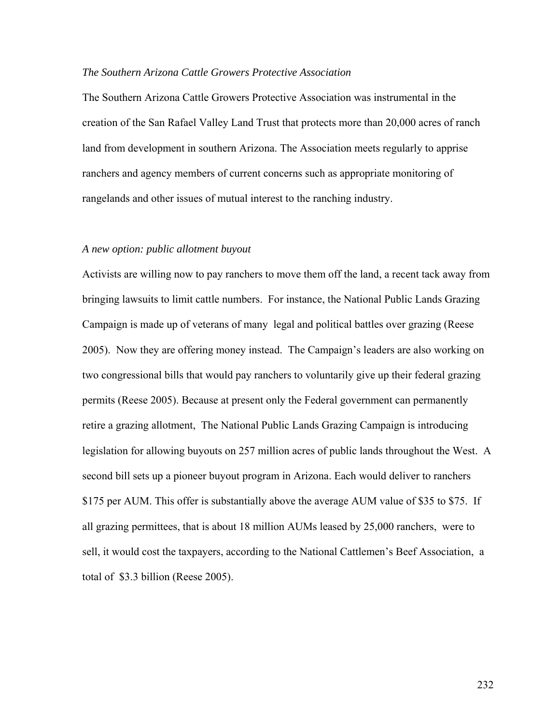## *The Southern Arizona Cattle Growers Protective Association*

The Southern Arizona Cattle Growers Protective Association was instrumental in the creation of the San Rafael Valley Land Trust that protects more than 20,000 acres of ranch land from development in southern Arizona. The Association meets regularly to apprise ranchers and agency members of current concerns such as appropriate monitoring of rangelands and other issues of mutual interest to the ranching industry.

#### *A new option: public allotment buyout*

Activists are willing now to pay ranchers to move them off the land, a recent tack away from bringing lawsuits to limit cattle numbers. For instance, the National Public Lands Grazing Campaign is made up of veterans of many legal and political battles over grazing (Reese 2005). Now they are offering money instead. The Campaign's leaders are also working on two congressional bills that would pay ranchers to voluntarily give up their federal grazing permits (Reese 2005). Because at present only the Federal government can permanently retire a grazing allotment, The National Public Lands Grazing Campaign is introducing legislation for allowing buyouts on 257 million acres of public lands throughout the West. A second bill sets up a pioneer buyout program in Arizona. Each would deliver to ranchers \$175 per AUM. This offer is substantially above the average AUM value of \$35 to \$75. If all grazing permittees, that is about 18 million AUMs leased by 25,000 ranchers, were to sell, it would cost the taxpayers, according to the National Cattlemen's Beef Association, a total of \$3.3 billion (Reese 2005).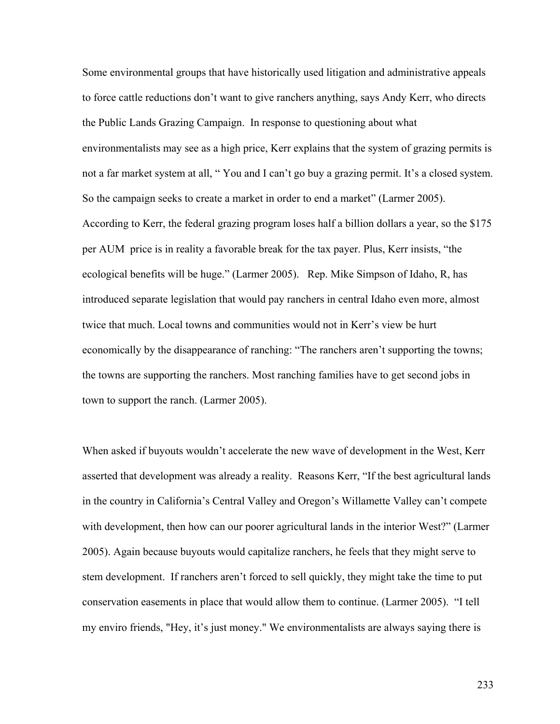Some environmental groups that have historically used litigation and administrative appeals to force cattle reductions don't want to give ranchers anything, says Andy Kerr, who directs the Public Lands Grazing Campaign. In response to questioning about what environmentalists may see as a high price, Kerr explains that the system of grazing permits is not a far market system at all, " You and I can't go buy a grazing permit. It's a closed system. So the campaign seeks to create a market in order to end a market" (Larmer 2005). According to Kerr, the federal grazing program loses half a billion dollars a year, so the \$175 per AUM price is in reality a favorable break for the tax payer. Plus, Kerr insists, "the ecological benefits will be huge." (Larmer 2005). Rep. Mike Simpson of Idaho, R, has introduced separate legislation that would pay ranchers in central Idaho even more, almost twice that much. Local towns and communities would not in Kerr's view be hurt economically by the disappearance of ranching: "The ranchers aren't supporting the towns; the towns are supporting the ranchers. Most ranching families have to get second jobs in town to support the ranch. (Larmer 2005).

When asked if buyouts wouldn't accelerate the new wave of development in the West, Kerr asserted that development was already a reality. Reasons Kerr, "If the best agricultural lands in the country in California's Central Valley and Oregon's Willamette Valley can't compete with development, then how can our poorer agricultural lands in the interior West?" (Larmer 2005). Again because buyouts would capitalize ranchers, he feels that they might serve to stem development. If ranchers aren't forced to sell quickly, they might take the time to put conservation easements in place that would allow them to continue. (Larmer 2005). "I tell my enviro friends, "Hey, it's just money." We environmentalists are always saying there is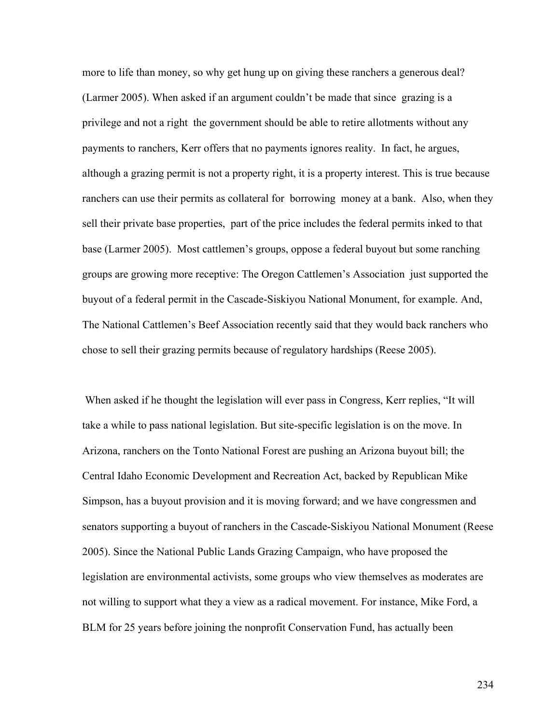more to life than money, so why get hung up on giving these ranchers a generous deal? (Larmer 2005). When asked if an argument couldn't be made that since grazing is a privilege and not a right the government should be able to retire allotments without any payments to ranchers, Kerr offers that no payments ignores reality. In fact, he argues, although a grazing permit is not a property right, it is a property interest. This is true because ranchers can use their permits as collateral for borrowing money at a bank. Also, when they sell their private base properties, part of the price includes the federal permits inked to that base (Larmer 2005). Most cattlemen's groups, oppose a federal buyout but some ranching groups are growing more receptive: The Oregon Cattlemen's Association just supported the buyout of a federal permit in the Cascade-Siskiyou National Monument, for example. And, The National Cattlemen's Beef Association recently said that they would back ranchers who chose to sell their grazing permits because of regulatory hardships (Reese 2005).

 When asked if he thought the legislation will ever pass in Congress, Kerr replies, "It will take a while to pass national legislation. But site-specific legislation is on the move. In Arizona, ranchers on the Tonto National Forest are pushing an Arizona buyout bill; the Central Idaho Economic Development and Recreation Act, backed by Republican Mike Simpson, has a buyout provision and it is moving forward; and we have congressmen and senators supporting a buyout of ranchers in the Cascade-Siskiyou National Monument (Reese 2005). Since the National Public Lands Grazing Campaign, who have proposed the legislation are environmental activists, some groups who view themselves as moderates are not willing to support what they a view as a radical movement. For instance, Mike Ford, a BLM for 25 years before joining the nonprofit Conservation Fund, has actually been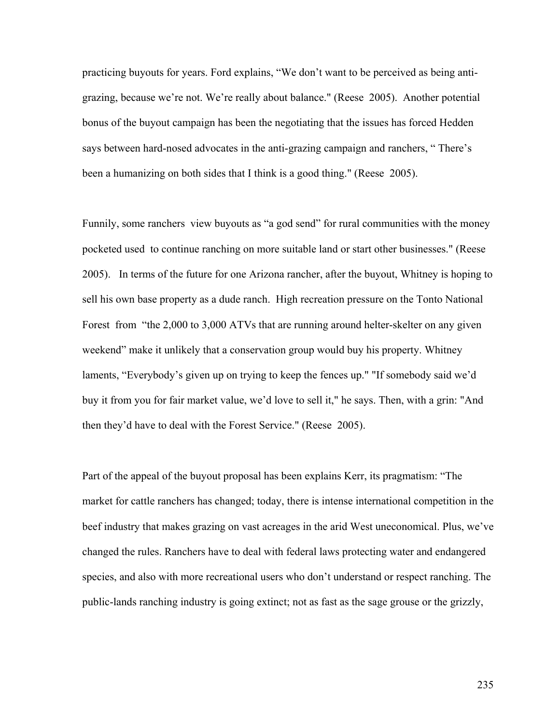practicing buyouts for years. Ford explains, "We don't want to be perceived as being antigrazing, because we're not. We're really about balance." (Reese 2005). Another potential bonus of the buyout campaign has been the negotiating that the issues has forced Hedden says between hard-nosed advocates in the anti-grazing campaign and ranchers, " There's been a humanizing on both sides that I think is a good thing." (Reese 2005).

Funnily, some ranchers view buyouts as "a god send" for rural communities with the money pocketed used to continue ranching on more suitable land or start other businesses." (Reese 2005). In terms of the future for one Arizona rancher, after the buyout, Whitney is hoping to sell his own base property as a dude ranch. High recreation pressure on the Tonto National Forest from "the 2,000 to 3,000 ATVs that are running around helter-skelter on any given weekend" make it unlikely that a conservation group would buy his property. Whitney laments, "Everybody's given up on trying to keep the fences up." "If somebody said we'd buy it from you for fair market value, we'd love to sell it," he says. Then, with a grin: "And then they'd have to deal with the Forest Service." (Reese 2005).

Part of the appeal of the buyout proposal has been explains Kerr, its pragmatism: "The market for cattle ranchers has changed; today, there is intense international competition in the beef industry that makes grazing on vast acreages in the arid West uneconomical. Plus, we've changed the rules. Ranchers have to deal with federal laws protecting water and endangered species, and also with more recreational users who don't understand or respect ranching. The public-lands ranching industry is going extinct; not as fast as the sage grouse or the grizzly,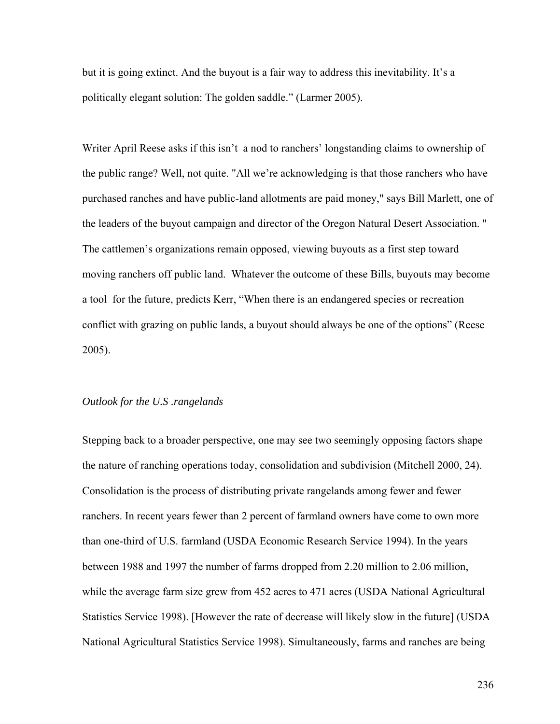but it is going extinct. And the buyout is a fair way to address this inevitability. It's a politically elegant solution: The golden saddle." (Larmer 2005).

Writer April Reese asks if this isn't a nod to ranchers' longstanding claims to ownership of the public range? Well, not quite. "All we're acknowledging is that those ranchers who have purchased ranches and have public-land allotments are paid money," says Bill Marlett, one of the leaders of the buyout campaign and director of the Oregon Natural Desert Association. " The cattlemen's organizations remain opposed, viewing buyouts as a first step toward moving ranchers off public land. Whatever the outcome of these Bills, buyouts may become a tool for the future, predicts Kerr, "When there is an endangered species or recreation conflict with grazing on public lands, a buyout should always be one of the options" (Reese 2005).

## *Outlook for the U.S .rangelands*

Stepping back to a broader perspective, one may see two seemingly opposing factors shape the nature of ranching operations today, consolidation and subdivision (Mitchell 2000, 24). Consolidation is the process of distributing private rangelands among fewer and fewer ranchers. In recent years fewer than 2 percent of farmland owners have come to own more than one-third of U.S. farmland (USDA Economic Research Service 1994). In the years between 1988 and 1997 the number of farms dropped from 2.20 million to 2.06 million, while the average farm size grew from 452 acres to 471 acres (USDA National Agricultural Statistics Service 1998). [However the rate of decrease will likely slow in the future] (USDA National Agricultural Statistics Service 1998). Simultaneously, farms and ranches are being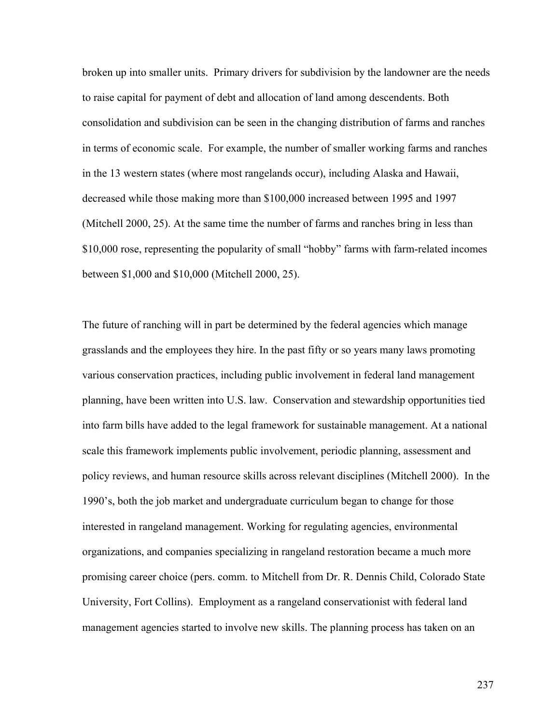broken up into smaller units. Primary drivers for subdivision by the landowner are the needs to raise capital for payment of debt and allocation of land among descendents. Both consolidation and subdivision can be seen in the changing distribution of farms and ranches in terms of economic scale. For example, the number of smaller working farms and ranches in the 13 western states (where most rangelands occur), including Alaska and Hawaii, decreased while those making more than \$100,000 increased between 1995 and 1997 (Mitchell 2000, 25). At the same time the number of farms and ranches bring in less than \$10,000 rose, representing the popularity of small "hobby" farms with farm-related incomes between \$1,000 and \$10,000 (Mitchell 2000, 25).

The future of ranching will in part be determined by the federal agencies which manage grasslands and the employees they hire. In the past fifty or so years many laws promoting various conservation practices, including public involvement in federal land management planning, have been written into U.S. law. Conservation and stewardship opportunities tied into farm bills have added to the legal framework for sustainable management. At a national scale this framework implements public involvement, periodic planning, assessment and policy reviews, and human resource skills across relevant disciplines (Mitchell 2000). In the 1990's, both the job market and undergraduate curriculum began to change for those interested in rangeland management. Working for regulating agencies, environmental organizations, and companies specializing in rangeland restoration became a much more promising career choice (pers. comm. to Mitchell from Dr. R. Dennis Child, Colorado State University, Fort Collins). Employment as a rangeland conservationist with federal land management agencies started to involve new skills. The planning process has taken on an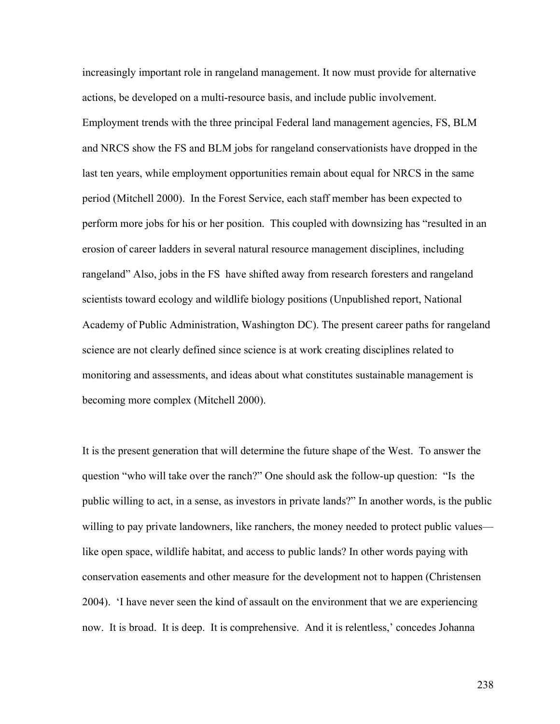increasingly important role in rangeland management. It now must provide for alternative actions, be developed on a multi-resource basis, and include public involvement. Employment trends with the three principal Federal land management agencies, FS, BLM and NRCS show the FS and BLM jobs for rangeland conservationists have dropped in the last ten years, while employment opportunities remain about equal for NRCS in the same period (Mitchell 2000). In the Forest Service, each staff member has been expected to perform more jobs for his or her position. This coupled with downsizing has "resulted in an erosion of career ladders in several natural resource management disciplines, including rangeland" Also, jobs in the FS have shifted away from research foresters and rangeland scientists toward ecology and wildlife biology positions (Unpublished report, National Academy of Public Administration, Washington DC). The present career paths for rangeland science are not clearly defined since science is at work creating disciplines related to monitoring and assessments, and ideas about what constitutes sustainable management is becoming more complex (Mitchell 2000).

It is the present generation that will determine the future shape of the West. To answer the question "who will take over the ranch?" One should ask the follow-up question: "Is the public willing to act, in a sense, as investors in private lands?" In another words, is the public willing to pay private landowners, like ranchers, the money needed to protect public values like open space, wildlife habitat, and access to public lands? In other words paying with conservation easements and other measure for the development not to happen (Christensen 2004). 'I have never seen the kind of assault on the environment that we are experiencing now. It is broad. It is deep. It is comprehensive. And it is relentless,' concedes Johanna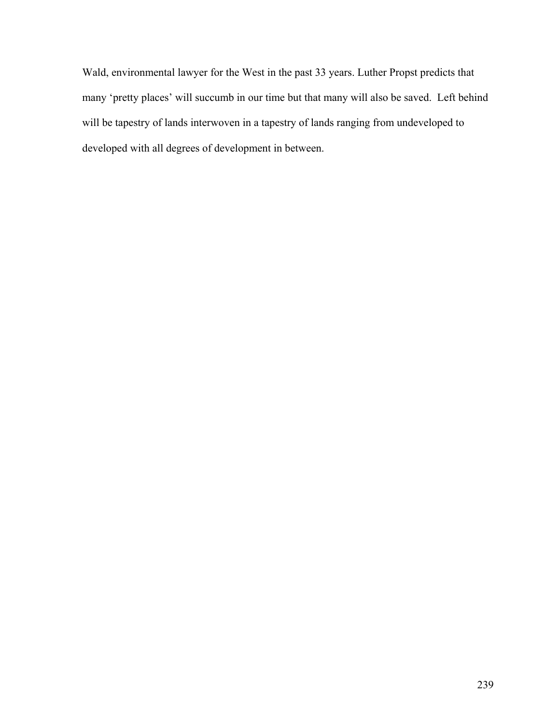Wald, environmental lawyer for the West in the past 33 years. Luther Propst predicts that many 'pretty places' will succumb in our time but that many will also be saved. Left behind will be tapestry of lands interwoven in a tapestry of lands ranging from undeveloped to developed with all degrees of development in between.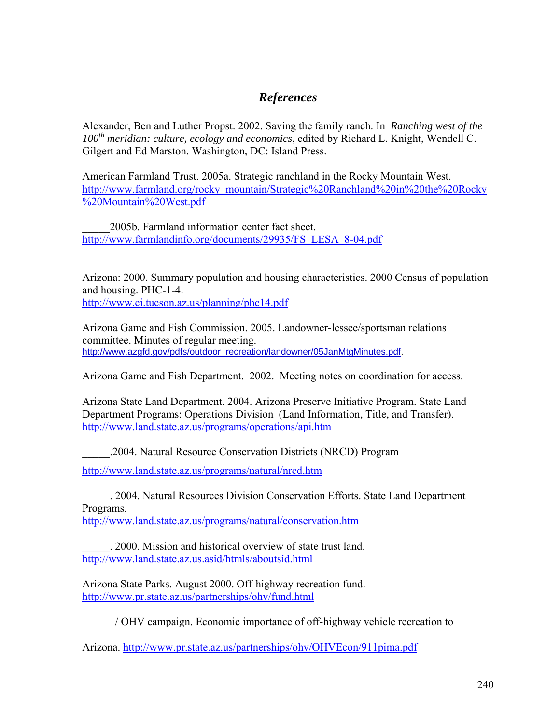# *References*

Alexander, Ben and Luther Propst. 2002. Saving the family ranch. In *Ranching west of the*  100<sup>th</sup> meridian: culture, ecology and economics, edited by Richard L. Knight, Wendell C. Gilgert and Ed Marston. Washington, DC: Island Press.

American Farmland Trust. 2005a. Strategic ranchland in the Rocky Mountain West. [http://www.farmland.org/rocky\\_mountain/Strategic%20Ranchland%20in%20the%20Rocky](http://www.farmland.org/rocky_mountain/Strategic%20Ranchland%20in%20the%20Rocky%20Mountain%20West.pdf) [%20Mountain%20West.pdf](http://www.farmland.org/rocky_mountain/Strategic%20Ranchland%20in%20the%20Rocky%20Mountain%20West.pdf)

\_\_\_\_\_2005b. Farmland information center fact sheet. [http://www.farmlandinfo.org/documents/29935/FS\\_LESA\\_8-04.pdf](http://www.farmlandinfo.org/documents/29935/FS_LESA_8-04.pdf)

Arizona: 2000. Summary population and housing characteristics. 2000 Census of population and housing. PHC-1-4.

<http://www.ci.tucson.az.us/planning/phc14.pdf>

Arizona Game and Fish Commission. 2005. Landowner-lessee/sportsman relations committee. Minutes of regular meeting. [http://www.azgfd.gov/pdfs/outdoor\\_recreation/landowner/05JanMtgMinutes.pdf](http://www.azgfd.gov/pdfs/outdoor_recreation/landowner/05JanMtgMinutes.pdf).

Arizona Game and Fish Department. 2002. Meeting notes on coordination for access.

Arizona State Land Department. 2004. Arizona Preserve Initiative Program. State Land Department Programs: Operations Division (Land Information, Title, and Transfer). <http://www.land.state.az.us/programs/operations/api.htm>

\_\_\_\_\_.2004. Natural Resource Conservation Districts (NRCD) Program

<http://www.land.state.az.us/programs/natural/nrcd.htm>

\_\_\_\_\_. 2004. Natural Resources Division Conservation Efforts. State Land Department Programs.

<http://www.land.state.az.us/programs/natural/conservation.htm>

\_\_\_\_\_. 2000. Mission and historical overview of state trust land. <http://www.land.state.az.us.asid/htmls/aboutsid.html>

Arizona State Parks. August 2000. Off-highway recreation fund. <http://www.pr.state.az.us/partnerships/ohv/fund.html>

\_\_\_\_\_\_/ OHV campaign. Economic importance of off-highway vehicle recreation to

Arizona. http://www.pr.state.az.us/partnerships/ohv/OHVEcon/911pima.pdf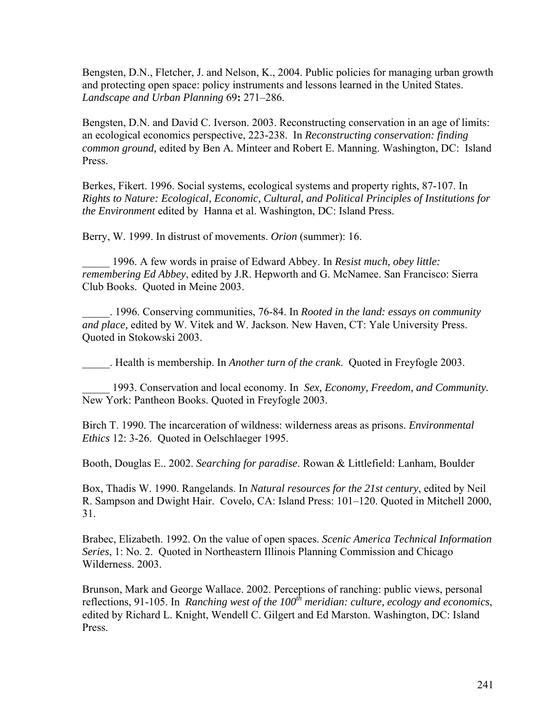[Bengsten,](http://80-www.sciencedirect.com.ezproxy.library.arizona.edu/science?_ob=ArticleURL&_udi=B6V91-4BH68TR-2&_user=56861&_coverDate=08%2F15%2F2004&_alid=172229029&_rdoc=1&_fmt=full&_orig=search&_cdi=5885&_sort=d&_st=4&_docanchor=&_acct=C000005238&_version=1&_urlVersion=0&_userid=56861&md5=0c62ab8a6964557239c657b2889ce750#bbib4#bbib4) D.N., Fletcher, J. and Nelson, K., 2004. Public policies for managing urban growth and protecting open space: policy instruments and lessons learned in the United States. *Landscape and Urban Planning* 69**:** 271–286.

Bengsten, D.N. and David C. Iverson. 2003. Reconstructing conservation in an age of limits: an ecological economics perspective, 223-238. In *Reconstructing conservation: finding common ground,* edited by Ben A*.* Minteer and Robert E. Manning. Washington, DC: Island Press.

Berkes, Fikert. 1996. Social systems, ecological systems and property rights, 87-107. In *Rights to Nature: Ecological, Economic, Cultural, and Political Principles of Institutions for the Environment* edited by Hanna et al. Washington, DC: Island Press.

Berry, W. 1999. In distrust of movements. *Orion* (summer): 16.

\_\_\_\_\_ 1996. A few words in praise of Edward Abbey. In *Resist much, obey little: remembering Ed Abbey*, edited by J.R. Hepworth and G. McNamee. San Francisco: Sierra Club Books. Quoted in Meine 2003.

\_\_\_\_\_. 1996. Conserving communities, 76-84. In *Rooted in the land: essays on community and place,* edited by W. Vitek and W. Jackson. New Haven, CT: Yale University Press. Quoted in Stokowski 2003.

\_\_\_\_\_. Health is membership. In *Another turn of the crank*. Quoted in Freyfogle 2003.

\_\_\_\_\_ 1993. Conservation and local economy. In *Sex, Economy, Freedom, and Community.*  New York: Pantheon Books. Quoted in Freyfogle 2003.

Birch T. 1990. The incarceration of wildness: wilderness areas as prisons. *Environmental Ethics* 12: 3-26. Quoted in Oelschlaeger 1995.

Booth, Douglas E.. 2002. *Searching for paradise*. Rowan & Littlefield: Lanham, Boulder

Box, Thadis W. 1990. Rangelands. In *Natural resources for the 21st century*, edited by Neil R. Sampson and Dwight Hair. Covelo, CA: Island Press: 101–120. Quoted in Mitchell 2000, 31.

Brabec, Elizabeth. 1992. On the value of open spaces. *Scenic America Technical Information Series*, 1: No. 2. Quoted in Northeastern Illinois Planning Commission and Chicago Wilderness. 2003.

Brunson, Mark and George Wallace. 2002. Perceptions of ranching: public views, personal reflections, 91-105. In *Ranching west of the 100<sup>th</sup> meridian: culture, ecology and economics,* edited by Richard L. Knight, Wendell C. Gilgert and Ed Marston. Washington, DC: Island Press.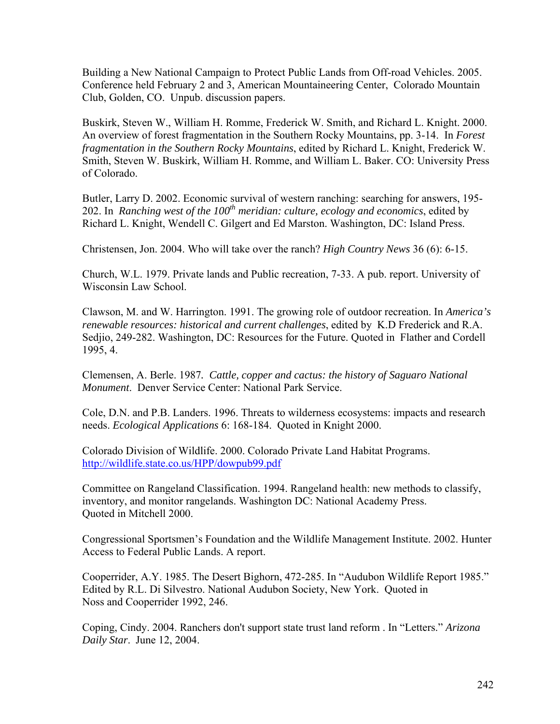Building a New National Campaign to Protect Public Lands from Off-road Vehicles. 2005. Conference held February 2 and 3, American Mountaineering Center, Colorado Mountain Club, Golden, CO. Unpub. discussion papers.

Buskirk, Steven W., William H. Romme, Frederick W. Smith, and Richard L. Knight. 2000. An overview of forest fragmentation in the Southern Rocky Mountains, pp. 3-14. In *Forest fragmentation in the Southern Rocky Mountains*, edited by Richard L. Knight, Frederick W. Smith, Steven W. Buskirk, William H. Romme, and William L. Baker. CO: University Press of Colorado.

Butler, Larry D. 2002. Economic survival of western ranching: searching for answers, 195- 202. In *Ranching west of the*  $100<sup>th</sup>$  *meridian: culture, ecology and economics, edited by* Richard L. Knight, Wendell C. Gilgert and Ed Marston. Washington, DC: Island Press.

Christensen, Jon. 2004. Who will take over the ranch? *High Country News* 36 (6): 6-15.

Church, W.L. 1979. Private lands and Public recreation, 7-33. A pub. report. University of Wisconsin Law School.

Clawson, M. and W. Harrington. 1991. The growing role of outdoor recreation. In *America's renewable resources: historical and current challenges*, edited by K.D Frederick and R.A. Sedjio, 249-282. Washington, DC: Resources for the Future. Quoted in Flather and Cordell 1995, 4.

Clemensen, A. Berle. 1987*. Cattle, copper and cactus: the history of Saguaro National Monument*. Denver Service Center: National Park Service.

Cole, D.N. and P.B. Landers. 1996. Threats to wilderness ecosystems: impacts and research needs. *Ecological Applications* 6: 168-184. Quoted in Knight 2000.

Colorado Division of Wildlife. 2000. Colorado Private Land Habitat Programs. <http://wildlife.state.co.us/HPP/dowpub99.pdf>

Committee on Rangeland Classification. 1994. Rangeland health: new methods to classify, inventory, and monitor rangelands. Washington DC: National Academy Press. Quoted in Mitchell 2000.

Congressional Sportsmen's Foundation and the Wildlife Management Institute. 2002. Hunter Access to Federal Public Lands. A report.

Cooperrider, A.Y. 1985. The Desert Bighorn, 472-285. In "Audubon Wildlife Report 1985." Edited by R.L. Di Silvestro. National Audubon Society, New York. Quoted in Noss and Cooperrider 1992, 246.

Coping, Cindy. 2004. Ranchers don't support state trust land reform . In "Letters." *Arizona Daily Star*. June 12, 2004.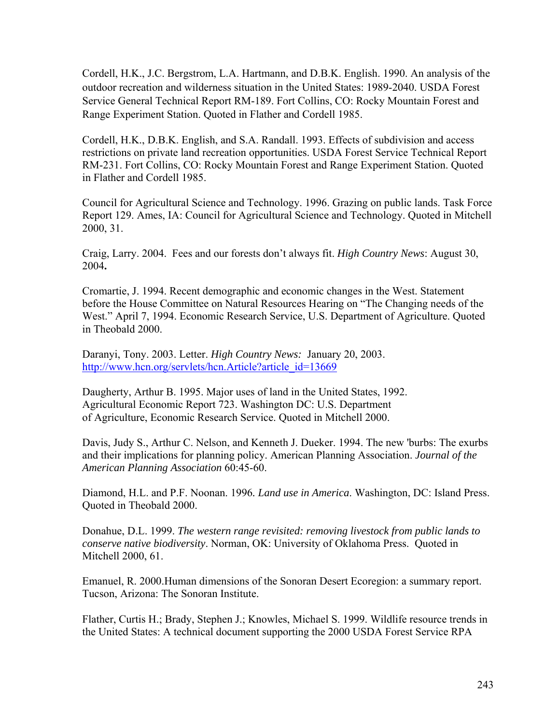Cordell, H.K., J.C. Bergstrom, L.A. Hartmann, and D.B.K. English. 1990. An analysis of the outdoor recreation and wilderness situation in the United States: 1989-2040. USDA Forest Service General Technical Report RM-189. Fort Collins, CO: Rocky Mountain Forest and Range Experiment Station. Quoted in Flather and Cordell 1985.

Cordell, H.K., D.B.K. English, and S.A. Randall. 1993. Effects of subdivision and access restrictions on private land recreation opportunities. USDA Forest Service Technical Report RM-231. Fort Collins, CO: Rocky Mountain Forest and Range Experiment Station. Quoted in Flather and Cordell 1985.

Council for Agricultural Science and Technology. 1996. Grazing on public lands. Task Force Report 129. Ames, IA: Council for Agricultural Science and Technology. Quoted in Mitchell 2000, 31.

Craig, Larry. 2004. Fees and our forests don't always fit. *High Country News*: [August 30,](http://www.hcn.org/servlets/hcn.Issue?issue_id=281)  [2004](http://www.hcn.org/servlets/hcn.Issue?issue_id=281)**.**

Cromartie, J. 1994. Recent demographic and economic changes in the West. Statement before the House Committee on Natural Resources Hearing on "The Changing needs of the West." April 7, 1994. Economic Research Service, U.S. Department of Agriculture. Quoted in Theobald 2000.

Daranyi, Tony. 2003. Letter. *High Country News:* January 20, 2003. [http://www.hcn.org/servlets/hcn.Article?article\\_id=13669](http://www.hcn.org/servlets/hcn.Article?article_id=13669)

Daugherty, Arthur B. 1995. Major uses of land in the United States, 1992. Agricultural Economic Report 723. Washington DC: U.S. Department of Agriculture, Economic Research Service. Quoted in Mitchell 2000.

Davis, Judy S., Arthur C. Nelson, and Kenneth J. Dueker. 1994. The new 'burbs: The exurbs and their implications for planning policy. American Planning Association. *Journal of the American Planning Association* 60:45-60.

Diamond, H.L. and P.F. Noonan. 1996*. Land use in America*. Washington, DC: Island Press. Quoted in Theobald 2000.

Donahue, D.L. 1999. *The western range revisited: removing livestock from public lands to conserve native biodiversity*. Norman, OK: University of Oklahoma Press. Quoted in Mitchell 2000, 61.

Emanuel, R. 2000.Human dimensions of the Sonoran Desert Ecoregion: a summary report. Tucson, Arizona: The Sonoran Institute.

Flather, Curtis H.; Brady, Stephen J.; Knowles, Michael S. 1999. Wildlife resource trends in the United States: A technical document supporting the 2000 USDA Forest Service RPA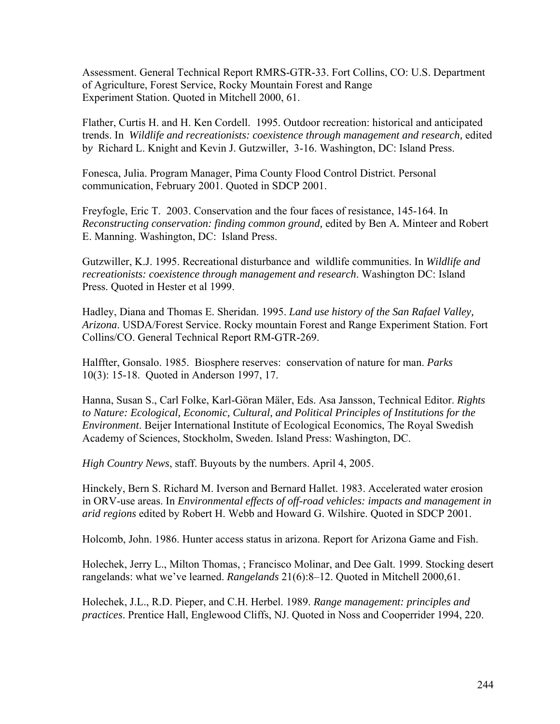Assessment. General Technical Report RMRS-GTR-33. Fort Collins, CO: U.S. Department of Agriculture, Forest Service, Rocky Mountain Forest and Range Experiment Station. Quoted in Mitchell 2000, 61.

Flather, Curtis H. and H. Ken Cordell. 1995. Outdoor recreation: historical and anticipated trends. In *Wildlife and recreationists: coexistence through management and research,* edited b*y* Richard L. Knight and Kevin J. Gutzwiller, 3-16. Washington, DC: Island Press.

Fonesca, Julia. Program Manager, Pima County Flood Control District. Personal communication, February 2001. Quoted in SDCP 2001.

Freyfogle, Eric T. 2003. Conservation and the four faces of resistance, 145-164. In *Reconstructing conservation: finding common ground,* edited by Ben A*.* Minteer and Robert E. Manning. Washington, DC: Island Press.

Gutzwiller, K.J. 1995. Recreational disturbance and wildlife communities. In *Wildlife and recreationists: coexistence through management and research*. Washington DC: Island Press. Quoted in Hester et al 1999.

Hadley, Diana and Thomas E. Sheridan. 1995. *Land use history of the San Rafael Valley, Arizona*. USDA/Forest Service. Rocky mountain Forest and Range Experiment Station. Fort Collins/CO. General Technical Report RM-GTR-269.

Halffter, Gonsalo. 1985. Biosphere reserves: conservation of nature for man. *Parks* 10(3): 15-18. Quoted in Anderson 1997, 17.

Hanna, Susan S., Carl Folke, Karl-Göran Mäler, Eds. Asa Jansson, Technical Editor. *Rights to Nature: Ecological, Economic, Cultural, and Political Principles of Institutions for the Environment*. Beijer International Institute of Ecological Economics, The Royal Swedish Academy of Sciences, Stockholm, Sweden. Island Press: Washington, DC.

*High Country News*, staff. Buyouts by the numbers. April 4, 2005.

Hinckely, Bern S. Richard M. Iverson and Bernard Hallet. 1983. Accelerated water erosion in ORV-use areas. In *Environmental effects of off-road vehicles: impacts and management in arid regions* edited by Robert H. Webb and Howard G. Wilshire. Quoted in SDCP 2001.

Holcomb, John. 1986. Hunter access status in arizona. Report for Arizona Game and Fish.

Holechek, Jerry L., Milton Thomas, ; Francisco Molinar, and Dee Galt. 1999. Stocking desert rangelands: what we've learned. *Rangelands* 21(6):8–12. Quoted in Mitchell 2000,61.

Holechek, J.L., R.D. Pieper, and C.H. Herbel. 1989. *Range management: principles and practices*. Prentice Hall, Englewood Cliffs, NJ. Quoted in Noss and Cooperrider 1994, 220.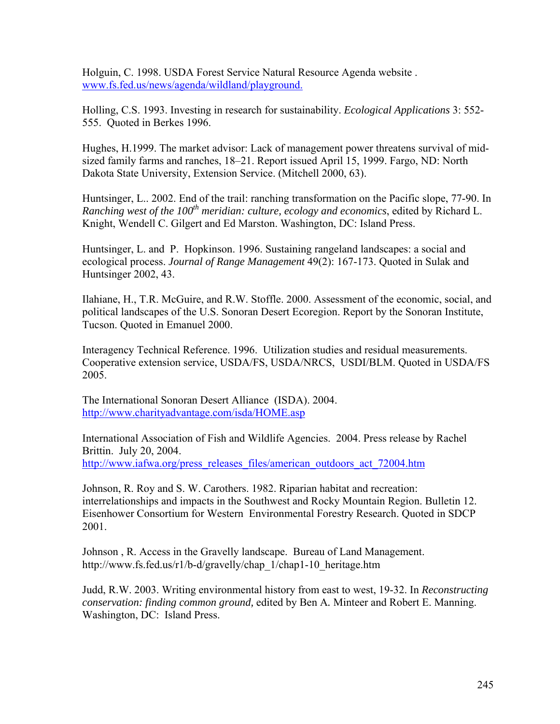Holguin, C. 1998. USDA Forest Service Natural Resource Agenda website . [www.fs.fed.us/news/agenda/wildland/playground.](http://www.fs.fed.us/news/agenda/wildland) 

Holling, C.S. 1993. Investing in research for sustainability. *Ecological Applications* 3: 552- 555. Quoted in Berkes 1996.

Hughes, H.1999. The market advisor: Lack of management power threatens survival of midsized family farms and ranches, 18–21. Report issued April 15, 1999. Fargo, ND: North Dakota State University, Extension Service. (Mitchell 2000, 63).

Huntsinger, L.. 2002. End of the trail: ranching transformation on the Pacific slope, 77-90. In *Ranching west of the 100th meridian: culture, ecology and economics*, edited by Richard L. Knight, Wendell C. Gilgert and Ed Marston. Washington, DC: Island Press.

Huntsinger, L. and P. Hopkinson. 1996. Sustaining rangeland landscapes: a social and ecological process. *Journal of Range Management* 49(2): 167-173. Quoted in Sulak and Huntsinger 2002, 43.

Ilahiane, H., T.R. McGuire, and R.W. Stoffle. 2000. Assessment of the economic, social, and political landscapes of the U.S. Sonoran Desert Ecoregion. Report by the Sonoran Institute, Tucson. Quoted in Emanuel 2000.

Interagency Technical Reference. 1996. Utilization studies and residual measurements. Cooperative extension service, USDA/FS, USDA/NRCS, USDI/BLM. Quoted in USDA/FS 2005.

The International Sonoran Desert Alliance (ISDA). 2004. <http://www.charityadvantage.com/isda/HOME.asp>

International Association of Fish and Wildlife Agencies. 2004. Press release by Rachel Brittin. July 20, 2004. [http://www.iafwa.org/press\\_releases\\_files/american\\_outdoors\\_act\\_72004.htm](http://www.iafwa.org/press_releases_files/american_outdoors_act_72004.htm)

Johnson, R. Roy and S. W. Carothers. 1982. Riparian habitat and recreation: interrelationships and impacts in the Southwest and Rocky Mountain Region. Bulletin 12. Eisenhower Consortium for Western Environmental Forestry Research. Quoted in SDCP 2001.

Johnson , R. Access in the Gravelly landscape. Bureau of Land Management. http://www.fs.fed.us/r1/b-d/gravelly/chap\_1/chap1-10\_heritage.htm

Judd, R.W. 2003. Writing environmental history from east to west, 19-32. In *Reconstructing conservation: finding common ground,* edited by Ben A*.* Minteer and Robert E. Manning. Washington, DC: Island Press.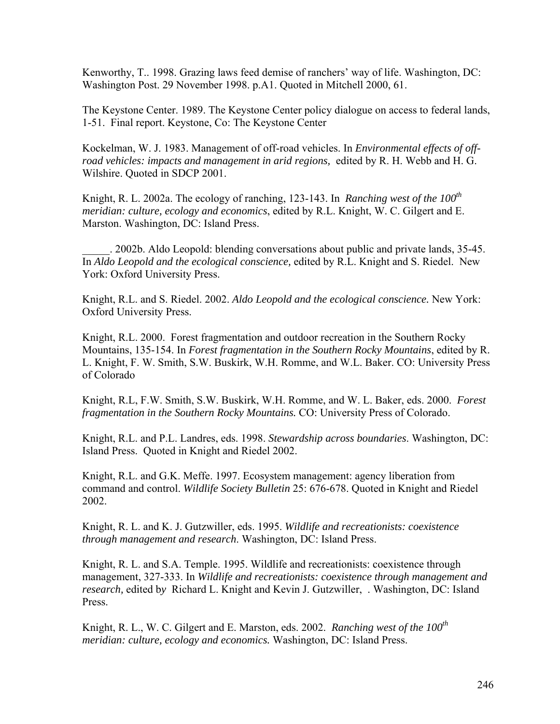Kenworthy, T.. 1998. Grazing laws feed demise of ranchers' way of life. Washington, DC: Washington Post. 29 November 1998. p.A1. Quoted in Mitchell 2000, 61.

The Keystone Center. 1989. The Keystone Center policy dialogue on access to federal lands, 1-51. Final report. Keystone, Co: The Keystone Center

Kockelman, W. J. 1983. Management of off-road vehicles. In *Environmental effects of offroad vehicles: impacts and management in arid regions,* edited by R. H. Webb and H. G. Wilshire. Quoted in SDCP 2001.

Knight, R. L. 2002a. The ecology of ranching, 123-143. In *Ranching west of the 100<sup>th</sup> meridian: culture, ecology and economics*, edited by R.L. Knight, W. C. Gilgert and E. Marston. Washington, DC: Island Press.

\_\_\_\_\_. 2002b. Aldo Leopold: blending conversations about public and private lands, 35-45. In *Aldo Leopold and the ecological conscience,* edited by R.L. Knight and S. Riedel. New York: Oxford University Press.

Knight, R.L. and S. Riedel. 2002. *Aldo Leopold and the ecological conscience.* New York: Oxford University Press.

Knight, R.L. 2000. Forest fragmentation and outdoor recreation in the Southern Rocky Mountains, 135-154. In *Forest fragmentation in the Southern Rocky Mountains*, edited by R. L. Knight, F. W. Smith, S.W. Buskirk, W.H. Romme, and W.L. Baker. CO: University Press of Colorado

Knight, R.L, F.W. Smith, S.W. Buskirk, W.H. Romme, and W. L. Baker, eds. 2000. *Forest fragmentation in the Southern Rocky Mountains.* CO: University Press of Colorado.

Knight, R.L. and P.L. Landres, eds. 1998. *Stewardship across boundaries*. Washington, DC: Island Press. Quoted in Knight and Riedel 2002.

Knight, R.L. and G.K. Meffe. 1997. Ecosystem management: agency liberation from command and control. *Wildlife Society Bulletin* 25: 676-678. Quoted in Knight and Riedel 2002.

Knight, R. L. and K. J. Gutzwiller, eds. 1995. *Wildlife and recreationists: coexistence through management and research*. Washington, DC: Island Press.

Knight, R. L. and S.A. Temple. 1995. Wildlife and recreationists: coexistence through management, 327-333. In *Wildlife and recreationists: coexistence through management and research,* edited b*y* Richard L. Knight and Kevin J. Gutzwiller, . Washington, DC: Island Press.

Knight, R. L., W. C. Gilgert and E. Marston, eds. 2002. *Ranching west of the 100<sup>th</sup> meridian: culture, ecology and economics.* Washington, DC: Island Press.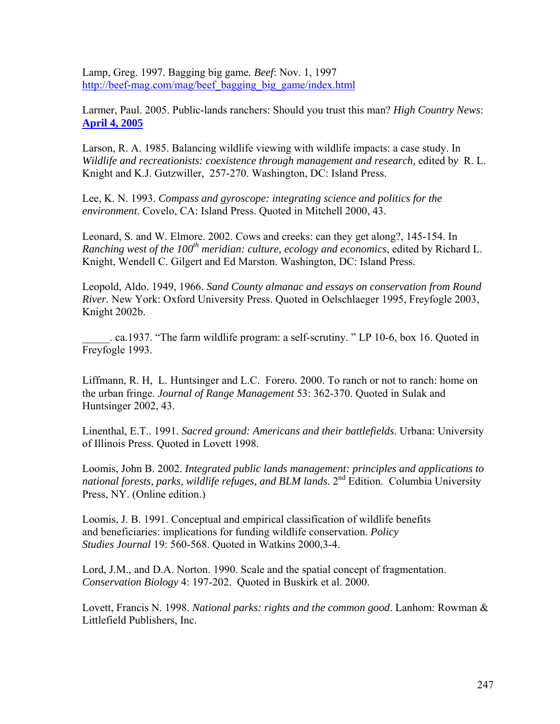Lamp, Greg. 1997. Bagging big game*. Beef*: Nov. 1, 1997 [http://beef-mag.com/mag/beef\\_bagging\\_big\\_game/index.html](http://beef-mag.com/mag/beef_bagging_big_game/index.html)

Larmer, Paul. 2005. Public-lands ranchers: Should you trust this man? *High Country News*: **[April 4, 2005](http://www.hcn.org/servlets/hcn.Issue?issue_id=295)**

Larson, R. A. 1985. Balancing wildlife viewing with wildlife impacts: a case study. In *Wildlife and recreationists: coexistence through management and research,* edited b*y* R. L. Knight and K.J. Gutzwiller, 257-270. Washington, DC: Island Press.

Lee, K. N. 1993. *Compass and gyroscope: integrating science and politics for the environment*. Covelo, CA: Island Press. Quoted in Mitchell 2000, 43.

Leonard, S. and W. Elmore. 2002. Cows and creeks: can they get along?, 145-154. In *Ranching west of the 100th meridian: culture, ecology and economics*, edited by Richard L. Knight, Wendell C. Gilgert and Ed Marston. Washington, DC: Island Press.

Leopold, Aldo. 1949, 1966. *Sand County almanac and essays on conservation from Round River.* New York: Oxford University Press. Quoted in Oelschlaeger 1995, Freyfogle 2003, Knight 2002b.

\_\_\_\_\_. ca.1937. "The farm wildlife program: a self-scrutiny. " LP 10-6, box 16. Quoted in Freyfogle 1993.

Liffmann, R. H, L. Huntsinger and L.C. Forero. 2000. To ranch or not to ranch: home on the urban fringe. *Journal of Range Management* 53: 362-370. Quoted in Sulak and Huntsinger 2002, 43.

Linenthal, E.T.. 1991. *Sacred ground: Americans and their battlefields*. Urbana: University of Illinois Press. Quoted in Lovett 1998.

Loomis, John B. 2002. *Integrated public lands management: principles and applications to*  national forests, parks, wildlife refuges, and BLM lands. 2<sup>nd</sup> Edition. Columbia University Press, NY. (Online edition.)

Loomis, J. B. 1991. Conceptual and empirical classification of wildlife benefits and beneficiaries: implications for funding wildlife conservation. *Policy Studies Journal* 19: 560-568. Quoted in Watkins 2000,3-4.

Lord, J.M., and D.A. Norton. 1990. Scale and the spatial concept of fragmentation. *Conservation Biology* 4: 197-202. Quoted in Buskirk et al. 2000.

Lovett, Francis N. 1998. *National parks: rights and the common good*. Lanhom: Rowman & Littlefield Publishers, Inc.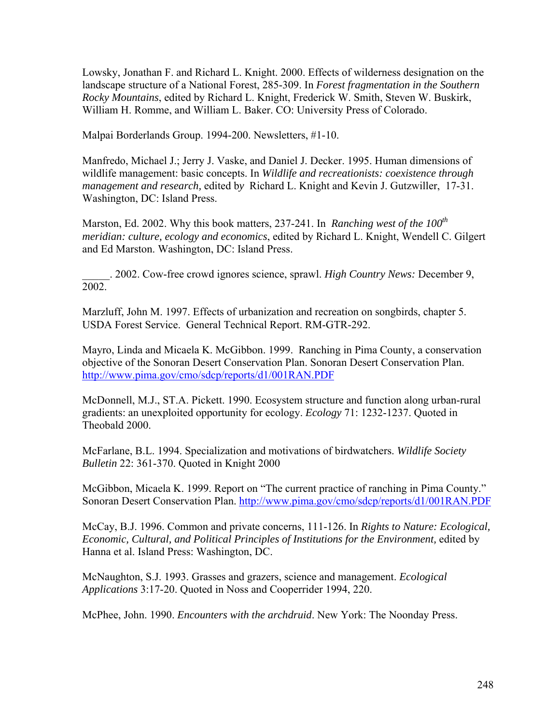Lowsky, Jonathan F. and Richard L. Knight. 2000. Effects of wilderness designation on the landscape structure of a National Forest, 285-309. In *Forest fragmentation in the Southern Rocky Mountains*, edited by Richard L. Knight, Frederick W. Smith, Steven W. Buskirk, William H. Romme, and William L. Baker. CO: University Press of Colorado.

Malpai Borderlands Group. 1994-200. Newsletters, #1-10.

Manfredo, Michael J.; Jerry J. Vaske, and Daniel J. Decker. 1995. Human dimensions of wildlife management: basic concepts. In *Wildlife and recreationists: coexistence through management and research,* edited b*y* Richard L. Knight and Kevin J. Gutzwiller, 17-31. Washington, DC: Island Press.

Marston, Ed. 2002. Why this book matters, 237-241. In *Ranching west of the 100<sup>th</sup> meridian: culture, ecology and economics*, edited by Richard L. Knight, Wendell C. Gilgert and Ed Marston. Washington, DC: Island Press.

\_\_\_\_\_. 2002. Cow-free crowd ignores science, sprawl. *High Country News:* December 9, 2002.

Marzluff, John M. 1997. Effects of urbanization and recreation on songbirds, chapter 5. USDA Forest Service. General Technical Report. RM-GTR-292.

Mayro, Linda and Micaela K. McGibbon. 1999. Ranching in Pima County, a conservation objective of the Sonoran Desert Conservation Plan. Sonoran Desert Conservation Plan. <http://www.pima.gov/cmo/sdcp/reports/d1/001RAN.PDF>

McDonnell, M.J., ST.A. Pickett. 1990. Ecosystem structure and function along urban-rural gradients: an unexploited opportunity for ecology. *Ecology* 71: 1232-1237. Quoted in Theobald 2000.

McFarlane, B.L. 1994. Specialization and motivations of birdwatchers. *Wildlife Society Bulletin* 22: 361-370. Quoted in Knight 2000

McGibbon, Micaela K. 1999. Report on "The current practice of ranching in Pima County." Sonoran Desert Conservation Plan. <http://www.pima.gov/cmo/sdcp/reports/d1/001RAN.PDF>

McCay, B.J. 1996. Common and private concerns, 111-126. In *Rights to Nature: Ecological, Economic, Cultural, and Political Principles of Institutions for the Environment,* edited by Hanna et al. Island Press: Washington, DC.

McNaughton, S.J. 1993. Grasses and grazers, science and management. *Ecological Applications* 3:17-20. Quoted in Noss and Cooperrider 1994, 220.

McPhee, John. 1990. *Encounters with the archdruid*. New York: The Noonday Press.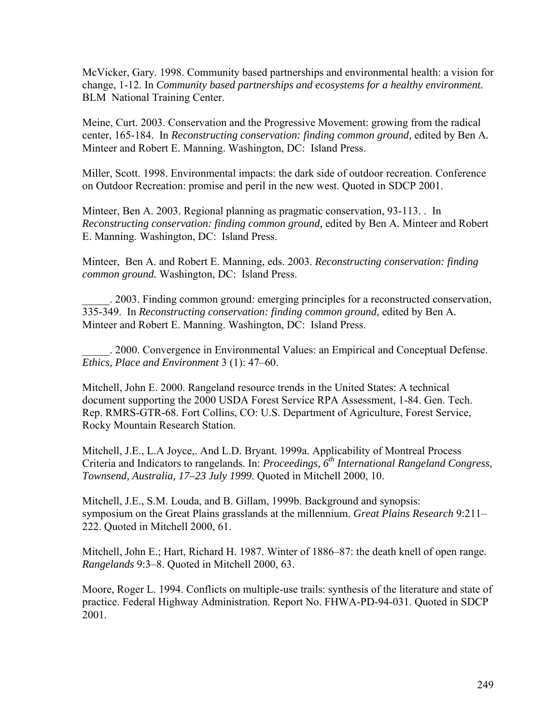McVicker, Gary. 1998. Community based partnerships and environmental health: a vision for change, 1-12. In *Community based partnerships and ecosystems for a healthy environment.* BLM National Training Center.

Meine, Curt. 2003. Conservation and the Progressive Movement: growing from the radical center, 165-184. In *Reconstructing conservation: finding common ground,* edited by Ben A*.* Minteer and Robert E. Manning. Washington, DC: Island Press.

Miller, Scott. 1998. Environmental impacts: the dark side of outdoor recreation. Conference on Outdoor Recreation: promise and peril in the new west. Quoted in SDCP 2001.

Minteer, Ben A. 2003. Regional planning as pragmatic conservation, 93-113. . In *Reconstructing conservation: finding common ground,* edited by Ben A*.* Minteer and Robert E. Manning. Washington, DC: Island Press.

Minteer, Ben A. and Robert E. Manning, eds. 2003. *Reconstructing conservation: finding common ground.* Washington, DC: Island Press.

\_\_\_\_\_. 2003. Finding common ground: emerging principles for a reconstructed conservation, 335-349. In *Reconstructing conservation: finding common ground,* edited by Ben A*.* Minteer and Robert E. Manning. Washington, DC: Island Press.

\_\_\_\_\_. 2000. Convergence in Environmental Values: an Empirical and Conceptual Defense. *Ethics, Place and Environment* 3 (1): 47–60.

Mitchell, John E. 2000. Rangeland resource trends in the United States: A technical document supporting the 2000 USDA Forest Service RPA Assessment, 1-84. Gen. Tech. Rep. RMRS-GTR-68. Fort Collins, CO: U.S. Department of Agriculture, Forest Service, Rocky Mountain Research Station.

Mitchell, J.E., L.A Joyce,. And L.D. Bryant. 1999a. Applicability of Montreal Process Criteria and Indicators to rangelands. In: *Proceedings, 6th International Rangeland Congress, Townsend, Australia, 17–23 July 1999*. Quoted in Mitchell 2000, 10.

Mitchell, J.E., S.M. Louda, and B. Gillam, 1999b. Background and synopsis: symposium on the Great Plains grasslands at the millennium. *Great Plains Research* 9:211– 222. Quoted in Mitchell 2000, 61.

Mitchell, John E.; Hart, Richard H. 1987. Winter of 1886–87: the death knell of open range. *Rangelands* 9:3–8. Quoted in Mitchell 2000, 63.

Moore, Roger L. 1994. Conflicts on multiple-use trails: synthesis of the literature and state of practice. Federal Highway Administration. Report No. FHWA-PD-94-031. Quoted in SDCP 2001.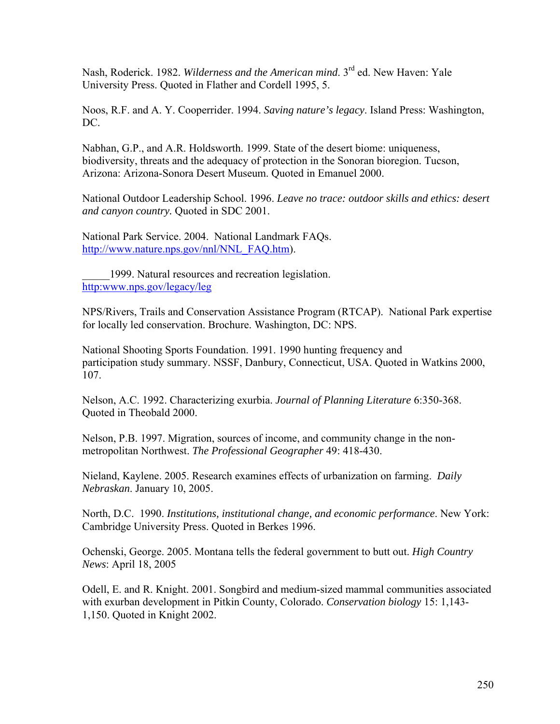Nash, Roderick. 1982. *Wilderness and the American mind*. 3rd ed. New Haven: Yale University Press. Quoted in Flather and Cordell 1995, 5.

Noos, R.F. and A. Y. Cooperrider. 1994. *Saving nature's legacy*. Island Press: Washington, DC.

Nabhan, G.P., and A.R. Holdsworth. 1999. State of the desert biome: uniqueness, biodiversity, threats and the adequacy of protection in the Sonoran bioregion. Tucson, Arizona: Arizona-Sonora Desert Museum. Quoted in Emanuel 2000.

National Outdoor Leadership School. 1996. *Leave no trace: outdoor skills and ethics: desert and canyon country.* Quoted in SDC 2001.

National Park Service. 2004. National Landmark FAQs. [http://www.nature.nps.gov/nnl/NNL\\_FAQ.htm\)](http://www.nature.nps.gov/nnl/NNL_FAQ.htm).

1999. Natural resources and recreation legislation. http[:www.nps.gov/legacy/leg](http://www.nps.gov/legacy/leg)

NPS/Rivers, Trails and Conservation Assistance Program (RTCAP). National Park expertise for locally led conservation. Brochure. Washington, DC: NPS.

National Shooting Sports Foundation. 1991. 1990 hunting frequency and participation study summary. NSSF, Danbury, Connecticut, USA. Quoted in Watkins 2000, 107.

Nelson, A.C. 1992. Characterizing exurbia. *Journal of Planning Literature* 6:350-368. Quoted in Theobald 2000.

Nelson, P.B. 1997. Migration, sources of income, and community change in the nonmetropolitan Northwest. *The Professional Geographer* 49: 418-430.

Nieland, Kaylene. 2005. Research examines effects of urbanization on farming. *Daily Nebraskan*. January 10, 2005.

North, D.C. 1990. *Institutions, institutional change, and economic performance*. New York: Cambridge University Press. Quoted in Berkes 1996.

Ochenski, George. 2005. Montana tells the federal government to butt out. *High Country News*: [April 18, 2005](http://www.hcn.org/servlets/hcn.Issue?issue_id=296)

Odell, E. and R. Knight. 2001. Songbird and medium-sized mammal communities associated with exurban development in Pitkin County, Colorado. *Conservation biology* 15: 1,143- 1,150. Quoted in Knight 2002.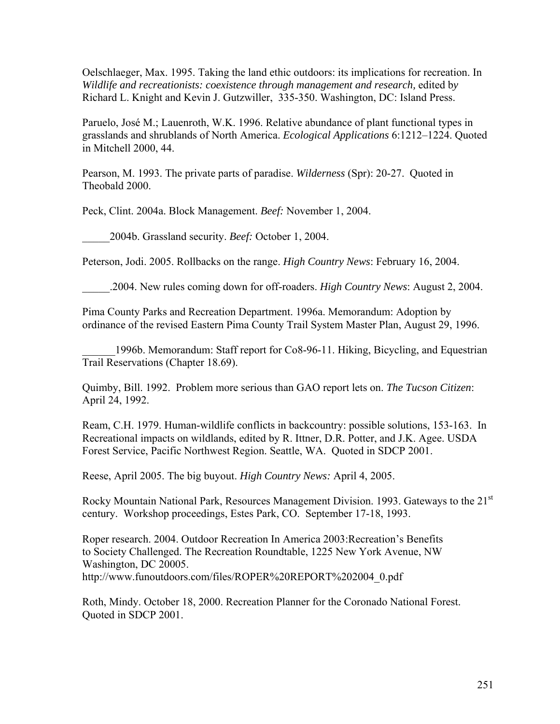Oelschlaeger, Max. 1995. Taking the land ethic outdoors: its implications for recreation. In *Wildlife and recreationists: coexistence through management and research,* edited b*y*  Richard L. Knight and Kevin J. Gutzwiller, 335-350. Washington, DC: Island Press.

Paruelo, José M.; Lauenroth, W.K. 1996. Relative abundance of plant functional types in grasslands and shrublands of North America. *Ecological Applications* 6:1212–1224. Quoted in Mitchell 2000, 44.

Pearson, M. 1993. The private parts of paradise. *Wilderness* (Spr): 20-27. Quoted in Theobald 2000.

Peck, Clint. 2004a. Block Management. *Beef:* November 1, 2004.

\_\_\_\_\_2004b. Grassland security. *Beef:* October 1, 2004.

Peterson, Jodi. 2005. Rollbacks on the range. *High Country News*: February 16, 2004.

\_\_\_\_\_.2004. New rules coming down for off-roaders. *High Country News*: August 2, 2004.

Pima County Parks and Recreation Department. 1996a. Memorandum: Adoption by ordinance of the revised Eastern Pima County Trail System Master Plan, August 29, 1996.

1996b. Memorandum: Staff report for Co8-96-11. Hiking, Bicycling, and Equestrian Trail Reservations (Chapter 18.69).

Quimby, Bill. 1992. Problem more serious than GAO report lets on. *The Tucson Citizen*: April 24, 1992.

Ream, C.H. 1979. Human-wildlife conflicts in backcountry: possible solutions, 153-163. In Recreational impacts on wildlands, edited by R. Ittner, D.R. Potter, and J.K. Agee. USDA Forest Service, Pacific Northwest Region. Seattle, WA. Quoted in SDCP 2001.

Reese, April 2005. The big buyout. *High Country News:* April 4, 2005.

Rocky Mountain National Park, Resources Management Division. 1993. Gateways to the 21<sup>st</sup> century. Workshop proceedings, Estes Park, CO. September 17-18, 1993.

Roper research. 2004. Outdoor Recreation In America 2003:Recreation's Benefits to Society Challenged. The Recreation Roundtable, 1225 New York Avenue, NW Washington, DC 20005. http://www.funoutdoors.com/files/ROPER%20REPORT%202004\_0.pdf

Roth, Mindy. October 18, 2000. Recreation Planner for the Coronado National Forest. Quoted in SDCP 2001.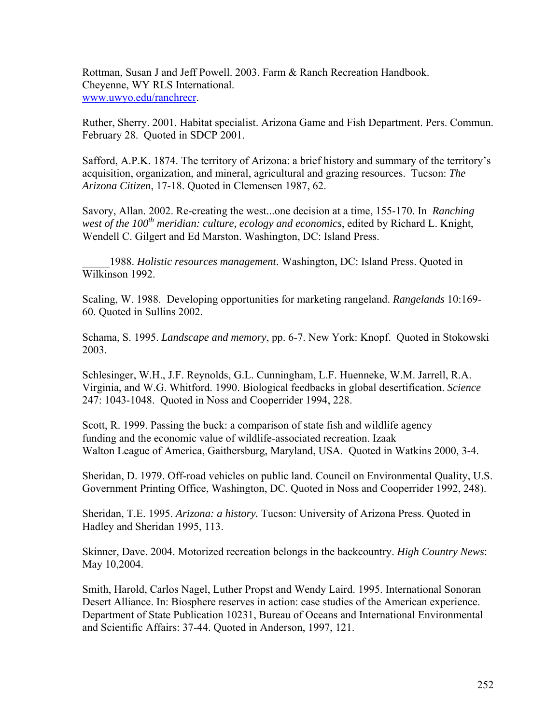Rottman, Susan J and Jeff Powell. 2003. Farm & Ranch Recreation Handbook. Cheyenne, WY RLS International. [www.uwyo.edu/ranchrecr.](http://www.uwyo.edu/ranchrecr)

Ruther, Sherry. 2001. Habitat specialist. Arizona Game and Fish Department. Pers. Commun. February 28. Quoted in SDCP 2001.

Safford, A.P.K. 1874. The territory of Arizona: a brief history and summary of the territory's acquisition, organization, and mineral, agricultural and grazing resources. Tucson: *The Arizona Citizen*, 17-18. Quoted in Clemensen 1987, 62.

Savory, Allan. 2002. Re-creating the west...one decision at a time, 155-170. In *Ranching west of the 100<sup>th</sup> meridian: culture, ecology and economics, edited by Richard L. Knight,* Wendell C. Gilgert and Ed Marston. Washington, DC: Island Press.

\_\_\_\_\_1988. *Holistic resources management*. Washington, DC: Island Press. Quoted in Wilkinson 1992.

Scaling, W. 1988. Developing opportunities for marketing rangeland. *Rangelands* 10:169- 60. Quoted in Sullins 2002.

Schama, S. 1995. *Landscape and memory*, pp. 6-7. New York: Knopf. Quoted in Stokowski 2003.

Schlesinger, W.H., J.F. Reynolds, G.L. Cunningham, L.F. Huenneke, W.M. Jarrell, R.A. Virginia, and W.G. Whitford. 1990. Biological feedbacks in global desertification. *Science*  247: 1043-1048. Quoted in Noss and Cooperrider 1994, 228.

Scott, R. 1999. Passing the buck: a comparison of state fish and wildlife agency funding and the economic value of wildlife-associated recreation. Izaak Walton League of America, Gaithersburg, Maryland, USA. Quoted in Watkins 2000, 3-4.

Sheridan, D. 1979. Off-road vehicles on public land. Council on Environmental Quality, U.S. Government Printing Office, Washington, DC. Quoted in Noss and Cooperrider 1992, 248).

Sheridan, T.E. 1995. *Arizona: a history.* Tucson: University of Arizona Press. Quoted in Hadley and Sheridan 1995, 113.

Skinner, Dave. 2004. Motorized recreation belongs in the backcountry. *High Country News*: May 10,2004.

Smith, Harold, Carlos Nagel, Luther Propst and Wendy Laird. 1995. International Sonoran Desert Alliance. In: Biosphere reserves in action: case studies of the American experience. Department of State Publication 10231, Bureau of Oceans and International Environmental and Scientific Affairs: 37-44. Quoted in Anderson, 1997, 121.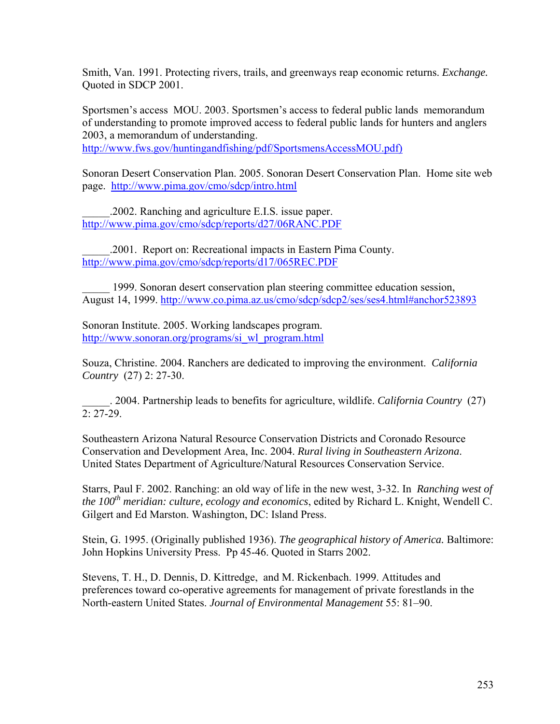Smith, Van. 1991. Protecting rivers, trails, and greenways reap economic returns. *Exchange.* Quoted in SDCP 2001.

Sportsmen's access MOU. 2003. Sportsmen's access to federal public lands memorandum of understanding to promote improved access to federal public lands for hunters and anglers 2003, a memorandum of understanding.

http://www.fws.gov/huntingandfishing/pdf/SportsmensAccessMOU.pdf)

Sonoran Desert Conservation Plan. 2005. Sonoran Desert Conservation Plan. Home site web page. <http://www.pima.gov/cmo/sdcp/intro.html>

\_\_\_\_\_.2002. Ranching and agriculture E.I.S. issue paper. <http://www.pima.gov/cmo/sdcp/reports/d27/06RANC.PDF>

\_\_\_\_\_.2001. Report on: Recreational impacts in Eastern Pima County. <http://www.pima.gov/cmo/sdcp/reports/d17/065REC.PDF>

\_\_\_\_\_ 1999. Sonoran desert conservation plan steering committee education session, August 14, 1999. <http://www.co.pima.az.us/cmo/sdcp/sdcp2/ses/ses4.html#anchor523893>

Sonoran Institute. 2005. Working landscapes program. [http://www.sonoran.org/programs/si\\_wl\\_program.html](http://www.sonoran.org/programs/si_wl_program.html)

Souza, Christine. 2004. Ranchers are dedicated to improving the environment. *California Country* (27) 2: 27-30.

\_\_\_\_\_. 2004. Partnership leads to benefits for agriculture, wildlife. *California Country* (27)  $2.27 - 29$ 

Southeastern Arizona Natural Resource Conservation Districts and Coronado Resource Conservation and Development Area, Inc. 2004. *Rural living in Southeastern Arizona*. United States Department of Agriculture/Natural Resources Conservation Service.

Starrs, Paul F. 2002. Ranching: an old way of life in the new west, 3-32. In *Ranching west of the 100th meridian: culture, ecology and economics*, edited by Richard L. Knight, Wendell C. Gilgert and Ed Marston. Washington, DC: Island Press.

Stein, G. 1995. (Originally published 1936). *The geographical history of America.* Baltimore: John Hopkins University Press. Pp 45-46. Quoted in Starrs 2002.

Stevens, T. H., D. Dennis, D. Kittredge, and M. Rickenbach. 1999. Attitudes and preferences toward co-operative agreements for management of private forestlands in the North-eastern United States. *Journal of Environmental Management* 55: 81–90.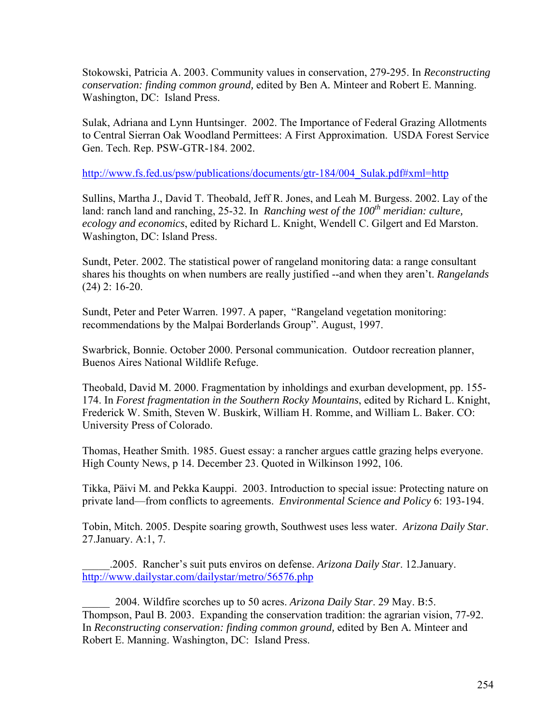Stokowski, Patricia A. 2003. Community values in conservation, 279-295. In *Reconstructing conservation: finding common ground,* edited by Ben A*.* Minteer and Robert E. Manning. Washington, DC: Island Press.

Sulak, Adriana and Lynn Huntsinger. 2002. The Importance of Federal Grazing Allotments to Central Sierran Oak Woodland Permittees: A First Approximation. USDA Forest Service Gen. Tech. Rep. PSW-GTR-184. 2002.

[http://www.fs.fed.us/psw/publications/documents/gtr-184/004\\_Sulak.pdf#xml=http](http://www.fs.fed.us/psw/publications/documents/gtr-184/004_Sulak.pdf#xml=http)

Sullins, Martha J., David T. Theobald, Jeff R. Jones, and Leah M. Burgess. 2002. Lay of the land: ranch land and ranching, 25-32. In *Ranching west of the 100th meridian: culture, ecology and economics*, edited by Richard L. Knight, Wendell C. Gilgert and Ed Marston. Washington, DC: Island Press.

Sundt, Peter. 2002. The statistical power of rangeland monitoring data: a range consultant shares his thoughts on when numbers are really justified --and when they aren't. *Rangelands* (24) 2: 16-20.

Sundt, Peter and Peter Warren. 1997. A paper, "Rangeland vegetation monitoring: recommendations by the Malpai Borderlands Group". August, 1997.

Swarbrick, Bonnie. October 2000. Personal communication. Outdoor recreation planner, Buenos Aires National Wildlife Refuge.

Theobald, David M. 2000. Fragmentation by inholdings and exurban development, pp. 155- 174. In *Forest fragmentation in the Southern Rocky Mountains*, edited by Richard L. Knight, Frederick W. Smith, Steven W. Buskirk, William H. Romme, and William L. Baker. CO: University Press of Colorado.

Thomas, Heather Smith. 1985. Guest essay: a rancher argues cattle grazing helps everyone. High County News, p 14. December 23. Quoted in Wilkinson 1992, 106.

Tikka, Päivi M. and Pekka Kauppi. 2003. Introduction to special issue: Protecting nature on private land––from conflicts to agreements. *Environmental Science and Policy* 6: 193-194.

Tobin, Mitch. 2005. Despite soaring growth, Southwest uses less water. *Arizona Daily Star*. 27.January. A:1, 7.

\_\_\_\_\_.2005. Rancher's suit puts enviros on defense. *Arizona Daily Star*. 12.January. <http://www.dailystar.com/dailystar/metro/56576.php>

\_\_\_\_\_ 2004. Wildfire scorches up to 50 acres. *Arizona Daily Star*. 29 May. B:5. Thompson, Paul B. 2003. Expanding the conservation tradition: the agrarian vision, 77-92. In *Reconstructing conservation: finding common ground,* edited by Ben A*.* Minteer and Robert E. Manning. Washington, DC: Island Press.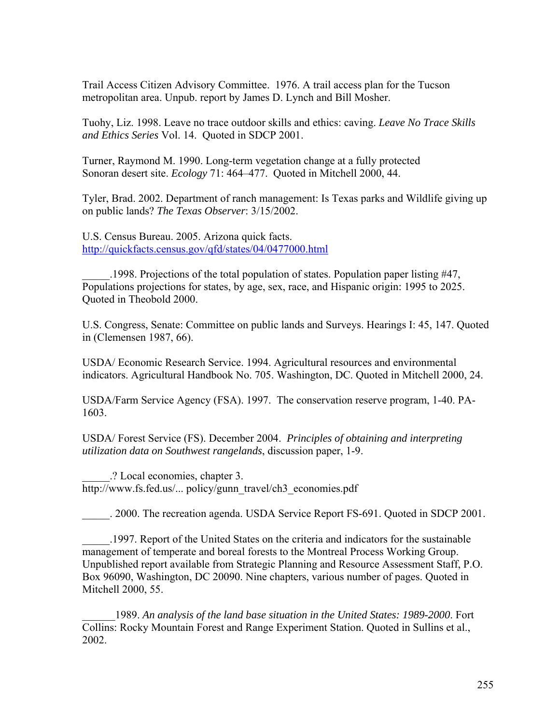Trail Access Citizen Advisory Committee. 1976. A trail access plan for the Tucson metropolitan area. Unpub. report by James D. Lynch and Bill Mosher.

Tuohy, Liz. 1998. Leave no trace outdoor skills and ethics: caving. *Leave No Trace Skills and Ethics Series* Vol. 14. Quoted in SDCP 2001.

Turner, Raymond M. 1990. Long-term vegetation change at a fully protected Sonoran desert site. *Ecology* 71: 464–477. Quoted in Mitchell 2000, 44.

Tyler, Brad. 2002. Department of ranch management: Is Texas parks and Wildlife giving up on public lands? *The Texas Observer*: 3/15/2002.

U.S. Census Bureau. 2005. Arizona quick facts. <http://quickfacts.census.gov/qfd/states/04/0477000.html>

\_\_\_\_\_.1998. Projections of the total population of states. Population paper listing #47, Populations projections for states, by age, sex, race, and Hispanic origin: 1995 to 2025. Quoted in Theobold 2000.

U.S. Congress, Senate: Committee on public lands and Surveys. Hearings I: 45, 147. Quoted in (Clemensen 1987, 66).

USDA/ Economic Research Service. 1994. Agricultural resources and environmental indicators. Agricultural Handbook No. 705. Washington, DC. Quoted in Mitchell 2000, 24.

USDA/Farm Service Agency (FSA). 1997. The conservation reserve program, 1-40. PA-1603.

USDA/ Forest Service (FS). December 2004. *Principles of obtaining and interpreting utilization data on Southwest rangelands*, discussion paper, 1-9.

\_\_\_\_\_.? Local economies, chapter 3. http://www.fs.fed.us/... policy/gunn\_travel/ch3\_economies.pdf

\_\_\_\_\_. 2000. The recreation agenda. USDA Service Report FS-691. Quoted in SDCP 2001.

\_\_\_\_\_.1997. Report of the United States on the criteria and indicators for the sustainable management of temperate and boreal forests to the Montreal Process Working Group. Unpublished report available from Strategic Planning and Resource Assessment Staff, P.O. Box 96090, Washington, DC 20090. Nine chapters, various number of pages. Quoted in Mitchell 2000, 55.

\_\_\_\_\_\_1989. *An analysis of the land base [situation](http://www.nhq.nrcs.usda.gov/NRI/1997/summary_report/original/contents.html) in the United States: 1989-2000*. Fort Collins: Rocky Mountain Forest and Range Experiment Station. Quoted in Sullins et al., 2002.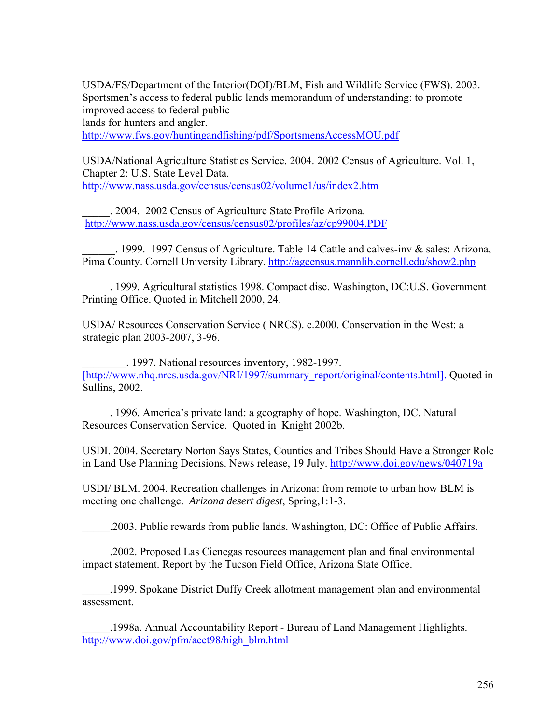USDA/FS/Department of the Interior(DOI)/BLM, Fish and Wildlife Service (FWS). 2003. Sportsmen's access to federal public lands memorandum of understanding: to promote improved access to federal public lands for hunters and angler. <http://www.fws.gov/huntingandfishing/pdf/SportsmensAccessMOU.pdf>

USDA/National Agriculture Statistics Service. 2004. 2002 Census of Agriculture. Vol. 1, Chapter 2: U.S. State Level Data. <http://www.nass.usda.gov/census/census02/volume1/us/index2.htm>

\_\_\_\_\_. 2004. 2002 Census of Agriculture State Profile Arizona. <http://www.nass.usda.gov/census/census02/profiles/az/cp99004.PDF>

\_\_\_\_\_\_. 1999. 1997 Census of Agriculture. Table 14 Cattle and calves-inv & sales: Arizona, Pima County. Cornell University Library. <http://agcensus.mannlib.cornell.edu/show2.php>

\_\_\_\_\_. 1999. Agricultural statistics 1998. Compact disc. Washington, DC:U.S. Government Printing Office. Quoted in Mitchell 2000, 24.

USDA/ Resources Conservation Service ( NRCS). c.2000. Conservation in the West: a strategic plan 2003-2007, 3-96.

\_\_\_\_\_\_\_\_. 1997. National resources inventory, 1982-1997. [\[http://www.nhq.nrcs.usda.gov/NRI/1997/summary\\_report/original/contents.html\].](http://www.nhq.nrcs.usda.gov/NRI/1997/summary_report/original/contents.html) Quoted in Sullins, 2002.

\_\_\_\_\_. 1996. America's private land: a geography of hope. Washington, DC. Natural Resources Conservation Service. Quoted in Knight 2002b.

USDI. 2004. Secretary Norton Says States, Counties and Tribes Should Have a Stronger Role in Land Use Planning Decisions. News release, 19 July.<http://www.doi.gov/news/040719a>

USDI/ BLM. 2004. Recreation challenges in Arizona: from remote to urban how BLM is meeting one challenge. *Arizona desert digest*, Spring,1:1-3.

\_\_\_\_\_.2003. Public rewards from public lands. Washington, DC: Office of Public Affairs.

\_\_\_\_\_.2002. Proposed Las Cienegas resources management plan and final environmental impact statement. Report by the Tucson Field Office, Arizona State Office.

\_\_\_\_\_.1999. Spokane District Duffy Creek allotment management plan and environmental assessment.

\_\_\_\_\_.[1998a. Annual Accountability Report - Bureau of Land Management Highlights](http://www.firstgov.gov/fgsearch/resultstrack.jsp?sid=129708448&url=http://www.doi.gov/pfm/acct98/high_blm.html). [http://www.doi.gov/pfm/acct98/high\\_blm.html](http://www.doi.gov/pfm/acct98/high_blm.html)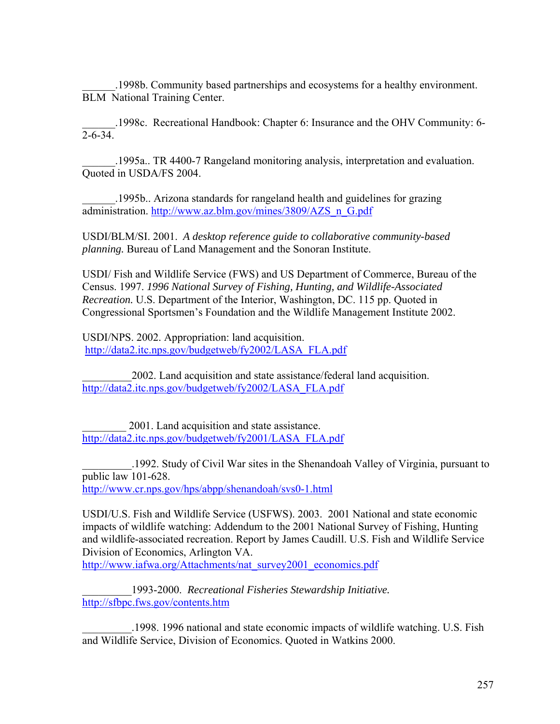\_\_\_\_\_\_.1998b. Community based partnerships and ecosystems for a healthy environment. BLM National Training Center.

\_\_\_\_\_\_.1998c. Recreational Handbook: Chapter 6: Insurance and the OHV Community: 6-  $\overline{2-6-34}$ .

\_\_\_\_\_\_.1995a.. TR 4400-7 Rangeland monitoring analysis, interpretation and evaluation. Quoted in USDA/FS 2004.

\_\_\_\_\_\_.1995b.. Arizona standards for rangeland health and guidelines for grazing administration. [http://www.az.blm.gov/mines/3809/AZS\\_n\\_G.pdf](http://www.az.blm.gov/mines/3809/AZS_n_G.pdf)

USDI/BLM/SI. 2001. *A desktop reference guide to collaborative community-based planning.* Bureau of Land Management and the Sonoran Institute.

USDI/ Fish and Wildlife Service (FWS) and US Department of Commerce, Bureau of the Census. 1997. *1996 National Survey of Fishing, Hunting, and Wildlife-Associated Recreation.* U.S. Department of the Interior, Washington, DC. 115 pp. Quoted in Congressional Sportsmen's Foundation and the Wildlife Management Institute 2002.

USDI/NPS. 2002. Appropriation: land acquisition. [http://data2.itc.nps.gov/budgetweb/fy2002/LASA\\_FLA.pdf](http://data2.itc.nps.gov/budgetweb/fy2002/LASA_FLA.pdf) 

\_\_\_\_\_\_\_\_\_2002. Land acquisition and state assistance/federal land acquisition. [http://data2.itc.nps.gov/budgetweb/fy2002/LASA\\_FLA.pdf](http://data2.itc.nps.gov/budgetweb/fy2002/LASA_FLA.pdf)

\_\_\_\_\_\_\_\_ 2001. Land acquisition and state assistance. [http://data2.itc.nps.gov/budgetweb/fy2001/LASA\\_FLA.pdf](http://data2.itc.nps.gov/budgetweb/fy2001/LASA_FLA.pdf)

\_\_\_\_\_\_\_\_\_.1992. Study of Civil War sites in the Shenandoah Valley of Virginia, pursuant to public law 101-628.

<http://www.cr.nps.gov/hps/abpp/shenandoah/svs0-1.html>

USDI/U.S. Fish and Wildlife Service (USFWS). 2003. 2001 National and state economic impacts of wildlife watching: Addendum to the 2001 National Survey of Fishing, Hunting and wildlife-associated recreation. Report by James Caudill. U.S. Fish and Wildlife Service Division of Economics, Arlington VA.

http://www.iafwa.org/Attachments/nat\_survey2001\_economics.pdf

\_\_\_\_\_\_\_\_\_1993-2000. *Recreational Fisheries Stewardship Initiative.*  <http://sfbpc.fws.gov/contents.htm>

\_\_\_\_\_\_\_\_\_.1998. 1996 national and state economic impacts of wildlife watching. U.S. Fish and Wildlife Service, Division of Economics. Quoted in Watkins 2000.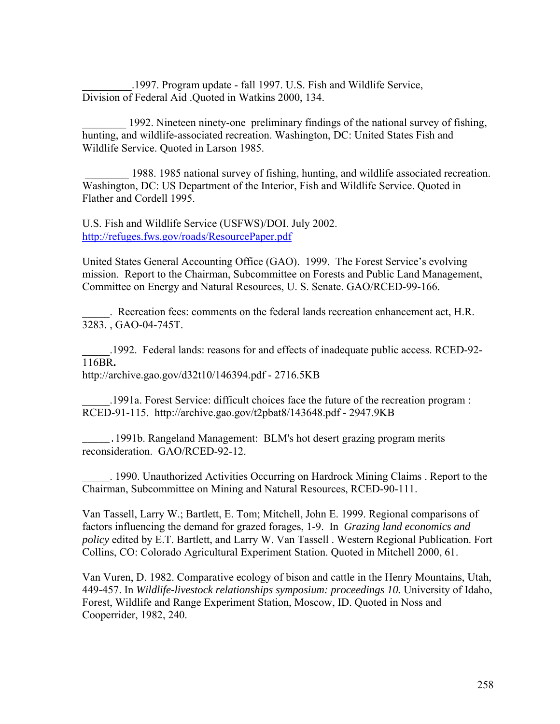\_\_\_\_\_\_\_\_\_.1997. Program update - fall 1997. U.S. Fish and Wildlife Service, Division of Federal Aid .Quoted in Watkins 2000, 134.

\_\_\_\_\_\_\_\_ 1992. Nineteen ninety-one preliminary findings of the national survey of fishing, hunting, and wildlife-associated recreation. Washington, DC: United States Fish and Wildlife Service. Quoted in Larson 1985.

1988. 1985 national survey of fishing, hunting, and wildlife associated recreation. Washington, DC: US Department of the Interior, Fish and Wildlife Service. Quoted in Flather and Cordell 1995.

U.S. Fish and Wildlife Service (USFWS)/DOI. July 2002. <http://refuges.fws.gov/roads/ResourcePaper.pdf>

United States General Accounting Office (GAO). 1999. The Forest Service's evolving mission. Report to the Chairman, Subcommittee on Forests and Public Land Management, Committee on Energy and Natural Resources, U. S. Senate. GAO/RCED-99-166.

\_\_\_\_\_. Recreation fees: comments on the federal lands recreation enhancement act, H.R. 3283. , G[AO-04-745T](http://www.gao.gov/new.items/d04745t.pdf).

\_\_\_\_\_.1992. Federal lands: reasons for and effects of inadequate public access. RCED-92- 116BR**.**

http://archive.gao.gov/d32t10/146394.pdf - 2716.5KB

\_\_\_\_\_.1991a. Forest Service: difficult choices face the future of the recreation program : RCED-91-115. http://archive.gao.gov/t2pbat8/143648.pdf - 2947.9KB

\_\_\_\_\_.1991b. Rangeland Management: BLM's hot desert grazing program merits reconsideration. GAO/RCED-92-12.

\_\_\_\_\_. 1990. Unauthorized Activities Occurring on Hardrock Mining Claims . Report to the Chairman, Subcommittee on Mining and Natural Resources, RCED-90-111.

Van Tassell, Larry W.; Bartlett, E. Tom; Mitchell, John E. 1999. Regional comparisons of factors influencing the demand for grazed forages, 1-9. In *Grazing land economics and policy* edited by E.T. Bartlett, and Larry W. Van Tassell . Western Regional Publication. Fort Collins, CO: Colorado Agricultural Experiment Station. Quoted in Mitchell 2000, 61.

Van Vuren, D. 1982. Comparative ecology of bison and cattle in the Henry Mountains, Utah, 449-457. In *Wildlife-livestock relationships symposium: proceedings 10.* University of Idaho, Forest, Wildlife and Range Experiment Station, Moscow, ID. Quoted in Noss and Cooperrider, 1982, 240.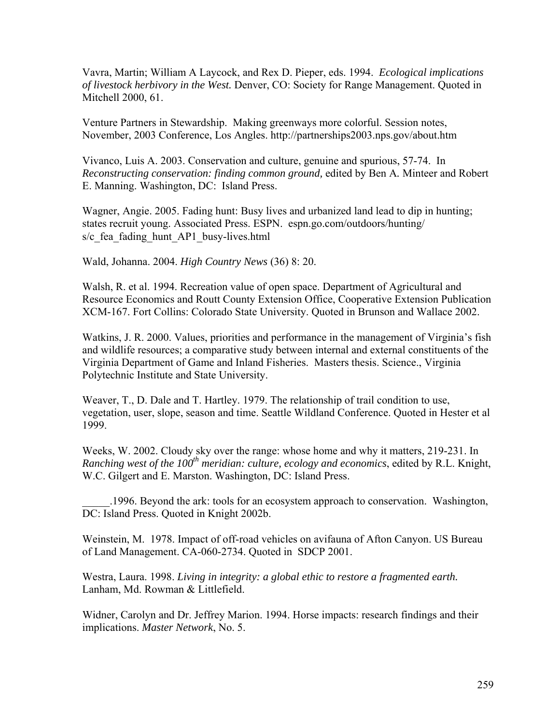Vavra, Martin; William A Laycock, and Rex D. Pieper, eds. 1994. *Ecological implications of livestock herbivory in the West.* Denver, CO: Society for Range Management. Quoted in Mitchell 2000, 61.

Venture Partners in Stewardship. Making greenways more colorful. Session notes, November, 2003 Conference, Los Angles. http://partnerships2003.nps.gov/about.htm

Vivanco, Luis A. 2003. Conservation and culture, genuine and spurious, 57-74. In *Reconstructing conservation: finding common ground,* edited by Ben A*.* Minteer and Robert E. Manning. Washington, DC: Island Press.

Wagner, Angie. 2005. Fading hunt: Busy lives and urbanized land lead to dip in hunting; states recruit young. Associated Press. ESPN. espn.go.com/outdoors/hunting/ s/c\_fea\_fading\_hunt\_AP1\_busy-lives.html

Wald, Johanna. 2004. *High Country News* (36) 8: 20.

Walsh, R. et al. 1994. Recreation value of open space. Department of Agricultural and Resource Economics and Routt County Extension Office, Cooperative Extension Publication XCM-167. Fort Collins: Colorado State University. Quoted in Brunson and Wallace 2002.

Watkins, J. R. 2000. Values, priorities and performance in the management of Virginia's fish and wildlife resources; a comparative study between internal and external constituents of the Virginia Department of Game and Inland Fisheries. Masters thesis. Science., Virginia Polytechnic Institute and State University.

Weaver, T., D. Dale and T. Hartley. 1979. The relationship of trail condition to use, vegetation, user, slope, season and time. Seattle Wildland Conference. Quoted in Hester et al 1999.

Weeks, W. 2002. Cloudy sky over the range: whose home and why it matters, 219-231. In *Ranching west of the 100th meridian: culture, ecology and economics*, edited by R.L. Knight, W.C. Gilgert and E. Marston. Washington, DC: Island Press.

\_\_\_\_\_.1996. Beyond the ark: tools for an ecosystem approach to conservation. Washington, DC: Island Press. Quoted in Knight 2002b.

Weinstein, M. 1978. Impact of off-road vehicles on avifauna of Afton Canyon. US Bureau of Land Management. CA-060-2734. Quoted in SDCP 2001.

Westra, Laura. 1998. *Living in integrity: a global ethic to restore a fragmented earth.*  Lanham, Md. Rowman & Littlefield.

Widner, Carolyn and Dr. Jeffrey Marion. 1994. Horse impacts: research findings and their implications. *Master Network*, No. 5.